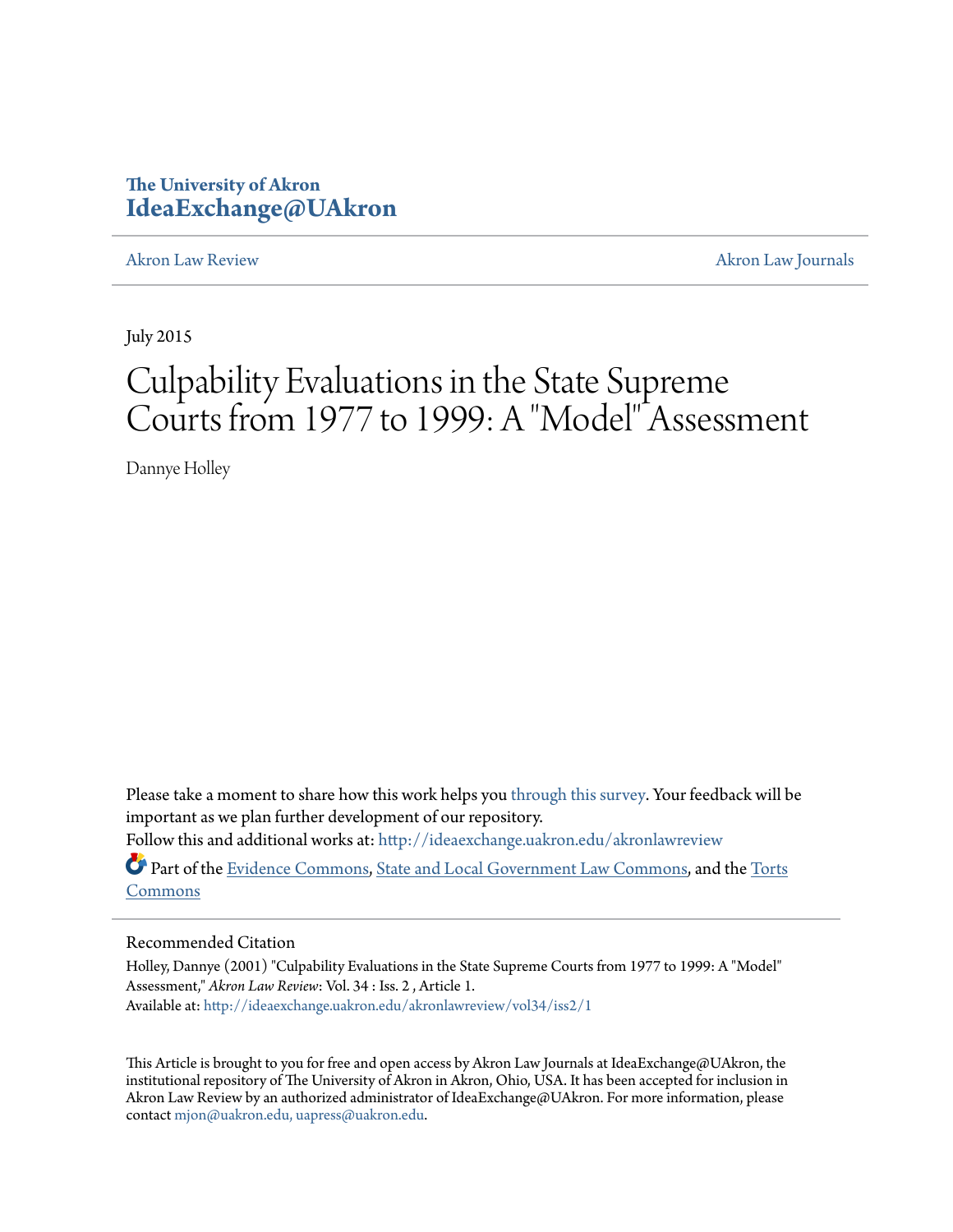# **The University of Akron [IdeaExchange@UAkron](http://ideaexchange.uakron.edu?utm_source=ideaexchange.uakron.edu%2Fakronlawreview%2Fvol34%2Fiss2%2F1&utm_medium=PDF&utm_campaign=PDFCoverPages)**

[Akron Law Review](http://ideaexchange.uakron.edu/akronlawreview?utm_source=ideaexchange.uakron.edu%2Fakronlawreview%2Fvol34%2Fiss2%2F1&utm_medium=PDF&utm_campaign=PDFCoverPages) [Akron Law Journals](http://ideaexchange.uakron.edu/akronlawjournals?utm_source=ideaexchange.uakron.edu%2Fakronlawreview%2Fvol34%2Fiss2%2F1&utm_medium=PDF&utm_campaign=PDFCoverPages)

July 2015

# Culpability Evaluations in the State Supreme Courts from 1977 to 1999: A "Model" Assessment

Dannye Holley

Please take a moment to share how this work helps you [through this survey.](http://survey.az1.qualtrics.com/SE/?SID=SV_eEVH54oiCbOw05f&URL=http://ideaexchange.uakron.edu/akronlawreview/vol34/iss2/1) Your feedback will be important as we plan further development of our repository.

Follow this and additional works at: [http://ideaexchange.uakron.edu/akronlawreview](http://ideaexchange.uakron.edu/akronlawreview?utm_source=ideaexchange.uakron.edu%2Fakronlawreview%2Fvol34%2Fiss2%2F1&utm_medium=PDF&utm_campaign=PDFCoverPages)

Part of the [Evidence Commons](http://network.bepress.com/hgg/discipline/601?utm_source=ideaexchange.uakron.edu%2Fakronlawreview%2Fvol34%2Fiss2%2F1&utm_medium=PDF&utm_campaign=PDFCoverPages), [State and Local Government Law Commons,](http://network.bepress.com/hgg/discipline/879?utm_source=ideaexchange.uakron.edu%2Fakronlawreview%2Fvol34%2Fiss2%2F1&utm_medium=PDF&utm_campaign=PDFCoverPages) and the [Torts](http://network.bepress.com/hgg/discipline/913?utm_source=ideaexchange.uakron.edu%2Fakronlawreview%2Fvol34%2Fiss2%2F1&utm_medium=PDF&utm_campaign=PDFCoverPages) [Commons](http://network.bepress.com/hgg/discipline/913?utm_source=ideaexchange.uakron.edu%2Fakronlawreview%2Fvol34%2Fiss2%2F1&utm_medium=PDF&utm_campaign=PDFCoverPages)

# Recommended Citation

Holley, Dannye (2001) "Culpability Evaluations in the State Supreme Courts from 1977 to 1999: A "Model" Assessment," *Akron Law Review*: Vol. 34 : Iss. 2 , Article 1. Available at: [http://ideaexchange.uakron.edu/akronlawreview/vol34/iss2/1](http://ideaexchange.uakron.edu/akronlawreview/vol34/iss2/1?utm_source=ideaexchange.uakron.edu%2Fakronlawreview%2Fvol34%2Fiss2%2F1&utm_medium=PDF&utm_campaign=PDFCoverPages)

This Article is brought to you for free and open access by Akron Law Journals at IdeaExchange@UAkron, the institutional repository of The University of Akron in Akron, Ohio, USA. It has been accepted for inclusion in Akron Law Review by an authorized administrator of IdeaExchange@UAkron. For more information, please contact [mjon@uakron.edu, uapress@uakron.edu.](mailto:mjon@uakron.edu,%20uapress@uakron.edu)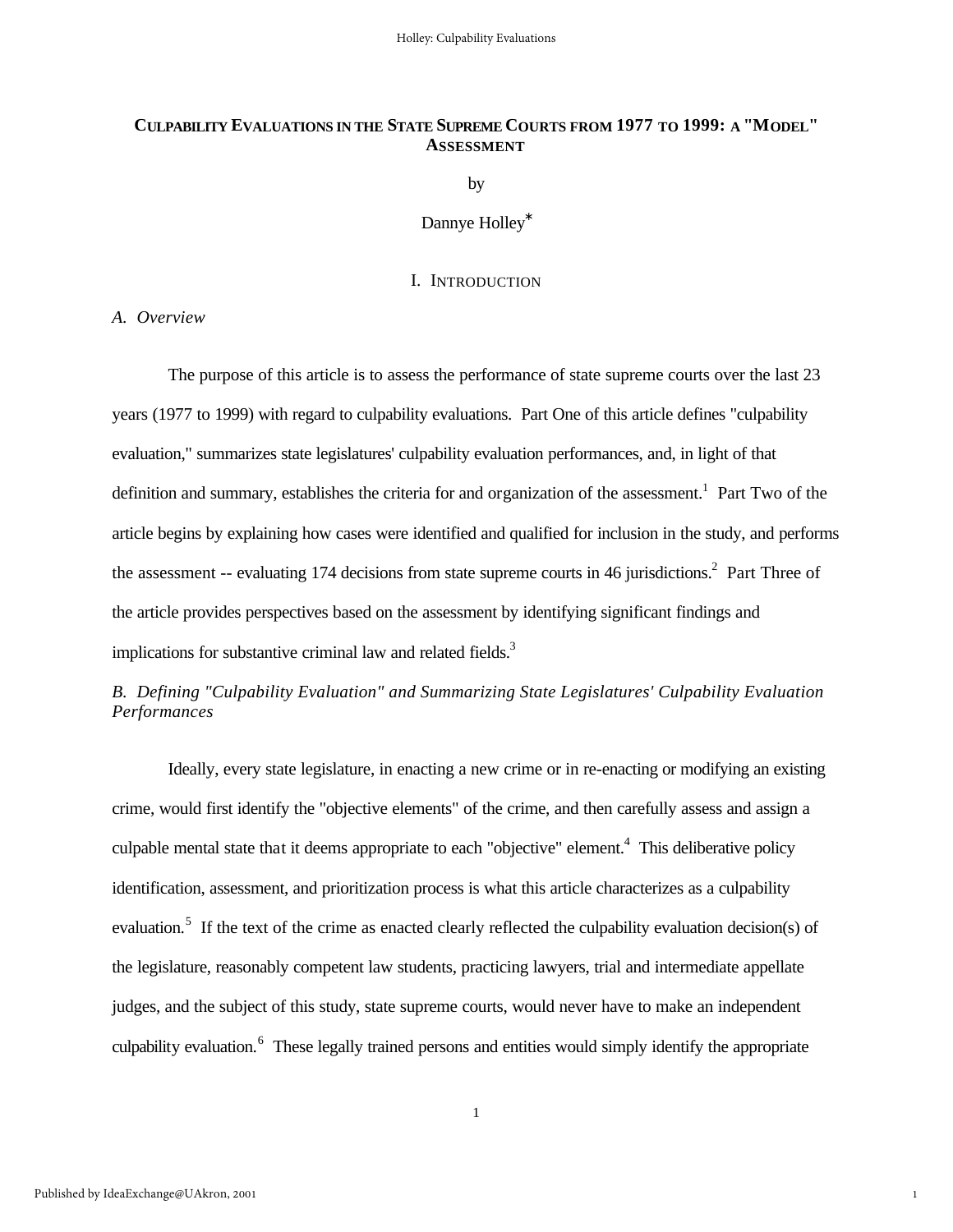# **CULPABILITY EVALUATIONS IN THE STATE SUPREME COURTS FROM 1977 TO 1999: A "MODEL" ASSESSMENT**

by

Dannye Holley<sup>∗</sup>

#### I. INTRODUCTION

*A. Overview*

The purpose of this article is to assess the performance of state supreme courts over the last 23 years (1977 to 1999) with regard to culpability evaluations. Part One of this article defines "culpability evaluation," summarizes state legislatures' culpability evaluation performances, and, in light of that definition and summary, establishes the criteria for and organization of the assessment.<sup>1</sup> Part Two of the article begins by explaining how cases were identified and qualified for inclusion in the study, and performs the assessment -- evaluating 174 decisions from state supreme courts in 46 jurisdictions.<sup>2</sup> Part Three of the article provides perspectives based on the assessment by identifying significant findings and implications for substantive criminal law and related fields.<sup>3</sup>

*B. Defining "Culpability Evaluation" and Summarizing State Legislatures' Culpability Evaluation Performances*

Ideally, every state legislature, in enacting a new crime or in re-enacting or modifying an existing crime, would first identify the "objective elements" of the crime, and then carefully assess and assign a culpable mental state that it deems appropriate to each "objective" element.<sup>4</sup> This deliberative policy identification, assessment, and prioritization process is what this article characterizes as a culpability evaluation.<sup>5</sup> If the text of the crime as enacted clearly reflected the culpability evaluation decision(s) of the legislature, reasonably competent law students, practicing lawyers, trial and intermediate appellate judges, and the subject of this study, state supreme courts, would never have to make an independent culpability evaluation.<sup>6</sup> These legally trained persons and entities would simply identify the appropriate

1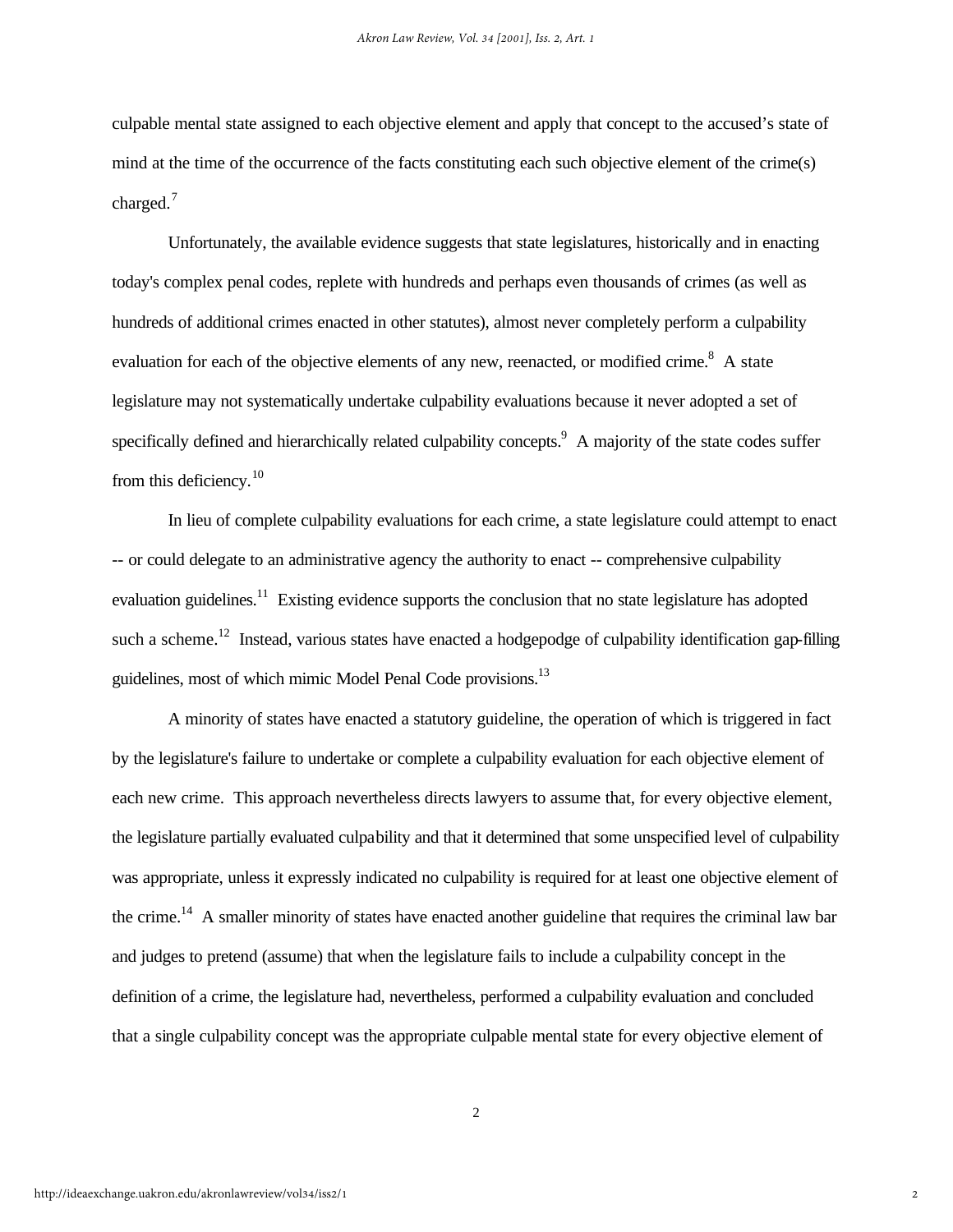culpable mental state assigned to each objective element and apply that concept to the accused's state of mind at the time of the occurrence of the facts constituting each such objective element of the crime(s) charged.<sup>7</sup>

Unfortunately, the available evidence suggests that state legislatures, historically and in enacting today's complex penal codes, replete with hundreds and perhaps even thousands of crimes (as well as hundreds of additional crimes enacted in other statutes), almost never completely perform a culpability evaluation for each of the objective elements of any new, reenacted, or modified crime.<sup>8</sup> A state legislature may not systematically undertake culpability evaluations because it never adopted a set of specifically defined and hierarchically related culpability concepts. A majority of the state codes suffer from this deficiency.<sup>10</sup>

In lieu of complete culpability evaluations for each crime, a state legislature could attempt to enact -- or could delegate to an administrative agency the authority to enact -- comprehensive culpability evaluation guidelines.<sup>11</sup> Existing evidence supports the conclusion that no state legislature has adopted such a scheme.<sup>12</sup> Instead, various states have enacted a hodgepodge of culpability identification gap-filling guidelines, most of which mimic Model Penal Code provisions.<sup>13</sup>

A minority of states have enacted a statutory guideline, the operation of which is triggered in fact by the legislature's failure to undertake or complete a culpability evaluation for each objective element of each new crime. This approach nevertheless directs lawyers to assume that, for every objective element, the legislature partially evaluated culpability and that it determined that some unspecified level of culpability was appropriate, unless it expressly indicated no culpability is required for at least one objective element of the crime.<sup>14</sup> A smaller minority of states have enacted another guideline that requires the criminal law bar and judges to pretend (assume) that when the legislature fails to include a culpability concept in the definition of a crime, the legislature had, nevertheless, performed a culpability evaluation and concluded that a single culpability concept was the appropriate culpable mental state for every objective element of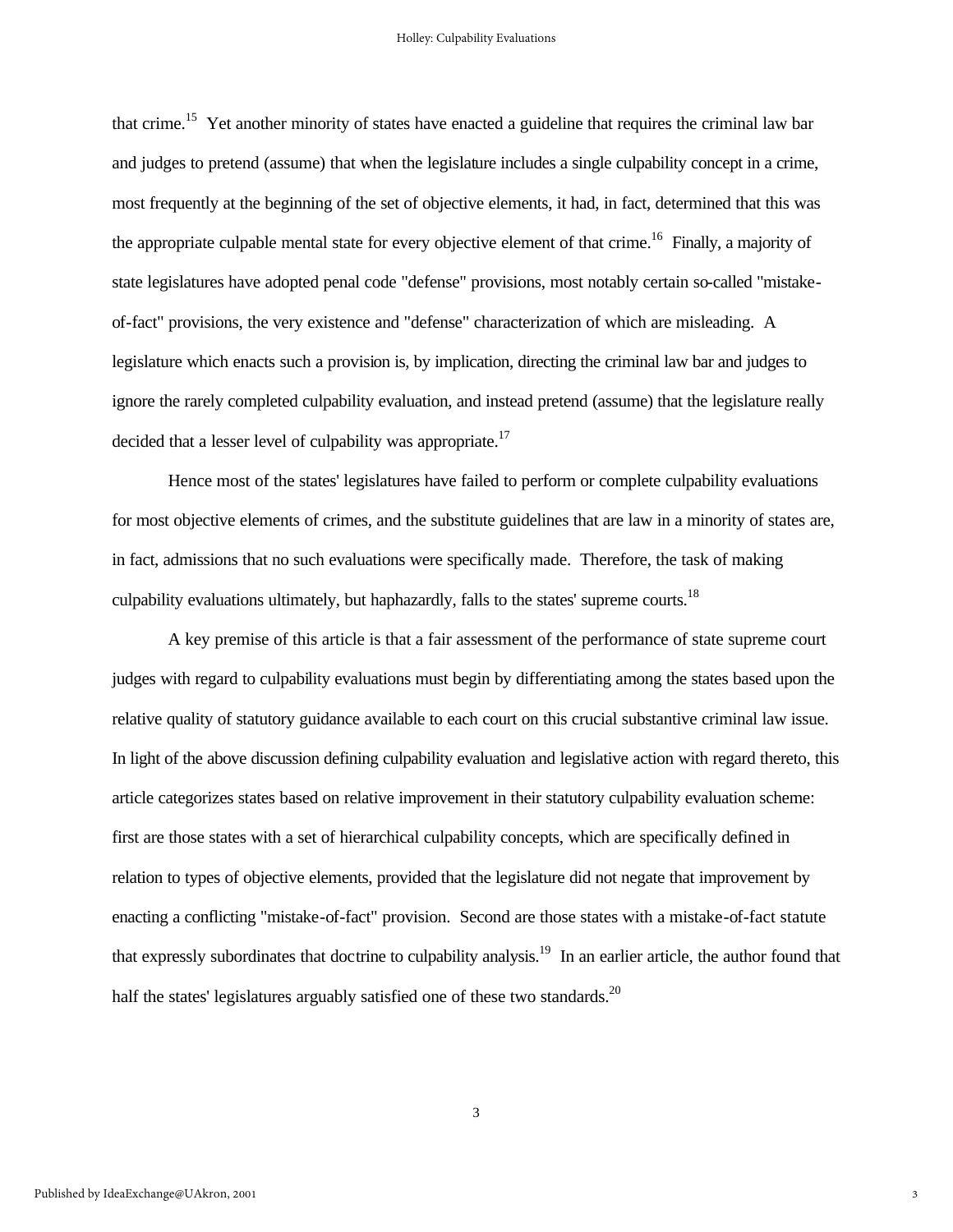that crime.<sup>15</sup> Yet another minority of states have enacted a guideline that requires the criminal law bar and judges to pretend (assume) that when the legislature includes a single culpability concept in a crime, most frequently at the beginning of the set of objective elements, it had, in fact, determined that this was the appropriate culpable mental state for every objective element of that crime.<sup>16</sup> Finally, a majority of state legislatures have adopted penal code "defense" provisions, most notably certain so-called "mistakeof-fact" provisions, the very existence and "defense" characterization of which are misleading. A legislature which enacts such a provision is, by implication, directing the criminal law bar and judges to ignore the rarely completed culpability evaluation, and instead pretend (assume) that the legislature really decided that a lesser level of culpability was appropriate.<sup>17</sup>

Hence most of the states' legislatures have failed to perform or complete culpability evaluations for most objective elements of crimes, and the substitute guidelines that are law in a minority of states are, in fact, admissions that no such evaluations were specifically made. Therefore, the task of making culpability evaluations ultimately, but haphazardly, falls to the states' supreme courts.<sup>18</sup>

A key premise of this article is that a fair assessment of the performance of state supreme court judges with regard to culpability evaluations must begin by differentiating among the states based upon the relative quality of statutory guidance available to each court on this crucial substantive criminal law issue. In light of the above discussion defining culpability evaluation and legislative action with regard thereto, this article categorizes states based on relative improvement in their statutory culpability evaluation scheme: first are those states with a set of hierarchical culpability concepts, which are specifically defined in relation to types of objective elements, provided that the legislature did not negate that improvement by enacting a conflicting "mistake-of-fact" provision. Second are those states with a mistake-of-fact statute that expressly subordinates that doctrine to culpability analysis.<sup>19</sup> In an earlier article, the author found that half the states' legislatures arguably satisfied one of these two standards.<sup>20</sup>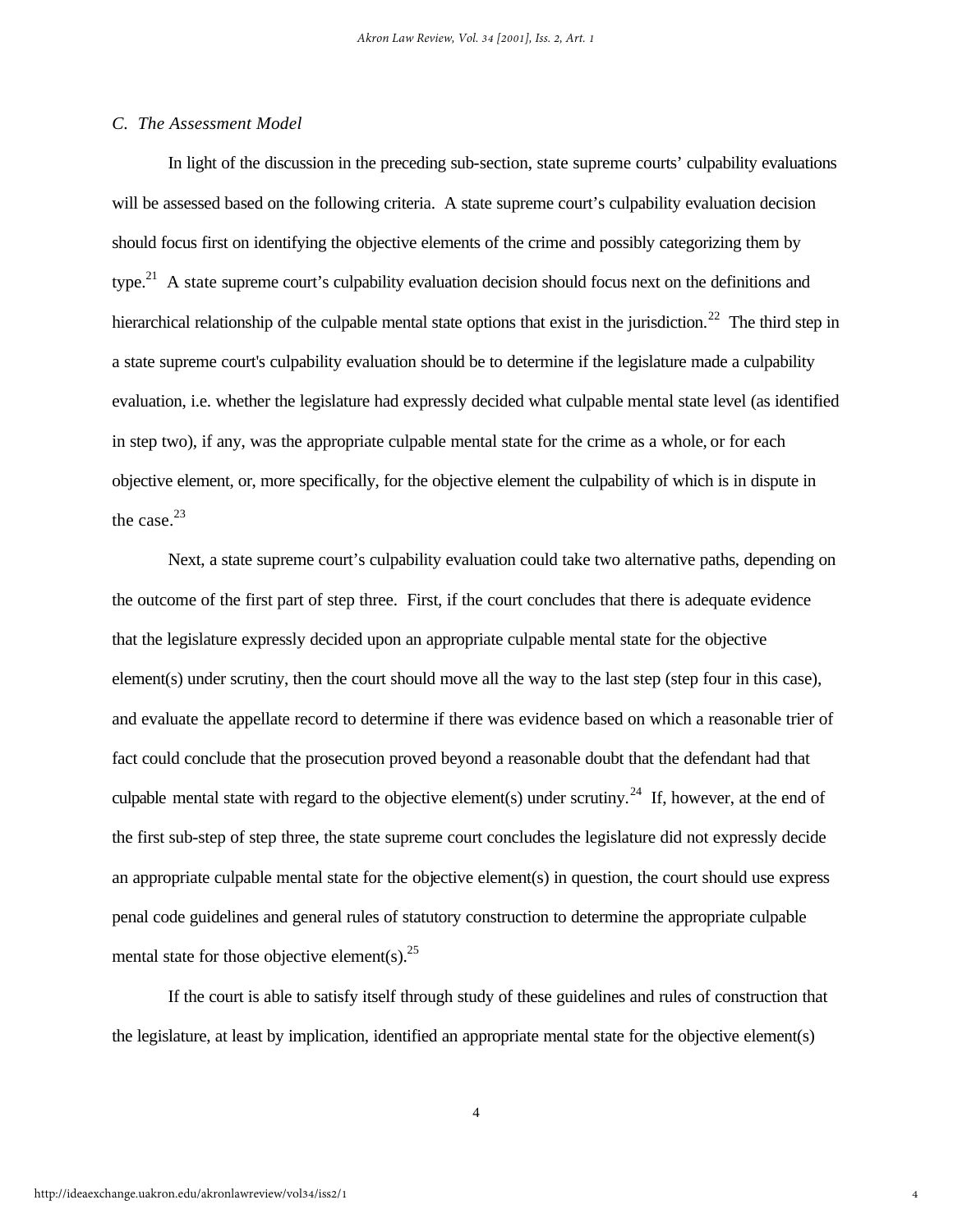#### *C. The Assessment Model*

In light of the discussion in the preceding sub-section, state supreme courts' culpability evaluations will be assessed based on the following criteria. A state supreme court's culpability evaluation decision should focus first on identifying the objective elements of the crime and possibly categorizing them by type.<sup>21</sup> A state supreme court's culpability evaluation decision should focus next on the definitions and hierarchical relationship of the culpable mental state options that exist in the jurisdiction.<sup>22</sup> The third step in a state supreme court's culpability evaluation should be to determine if the legislature made a culpability evaluation, i.e. whether the legislature had expressly decided what culpable mental state level (as identified in step two), if any, was the appropriate culpable mental state for the crime as a whole, or for each objective element, or, more specifically, for the objective element the culpability of which is in dispute in the case. $23$ 

Next, a state supreme court's culpability evaluation could take two alternative paths, depending on the outcome of the first part of step three. First, if the court concludes that there is adequate evidence that the legislature expressly decided upon an appropriate culpable mental state for the objective element(s) under scrutiny, then the court should move all the way to the last step (step four in this case), and evaluate the appellate record to determine if there was evidence based on which a reasonable trier of fact could conclude that the prosecution proved beyond a reasonable doubt that the defendant had that culpable mental state with regard to the objective element(s) under scrutiny.<sup>24</sup> If, however, at the end of the first sub-step of step three, the state supreme court concludes the legislature did not expressly decide an appropriate culpable mental state for the objective element(s) in question, the court should use express penal code guidelines and general rules of statutory construction to determine the appropriate culpable mental state for those objective element(s).  $25$ 

If the court is able to satisfy itself through study of these guidelines and rules of construction that the legislature, at least by implication, identified an appropriate mental state for the objective element(s)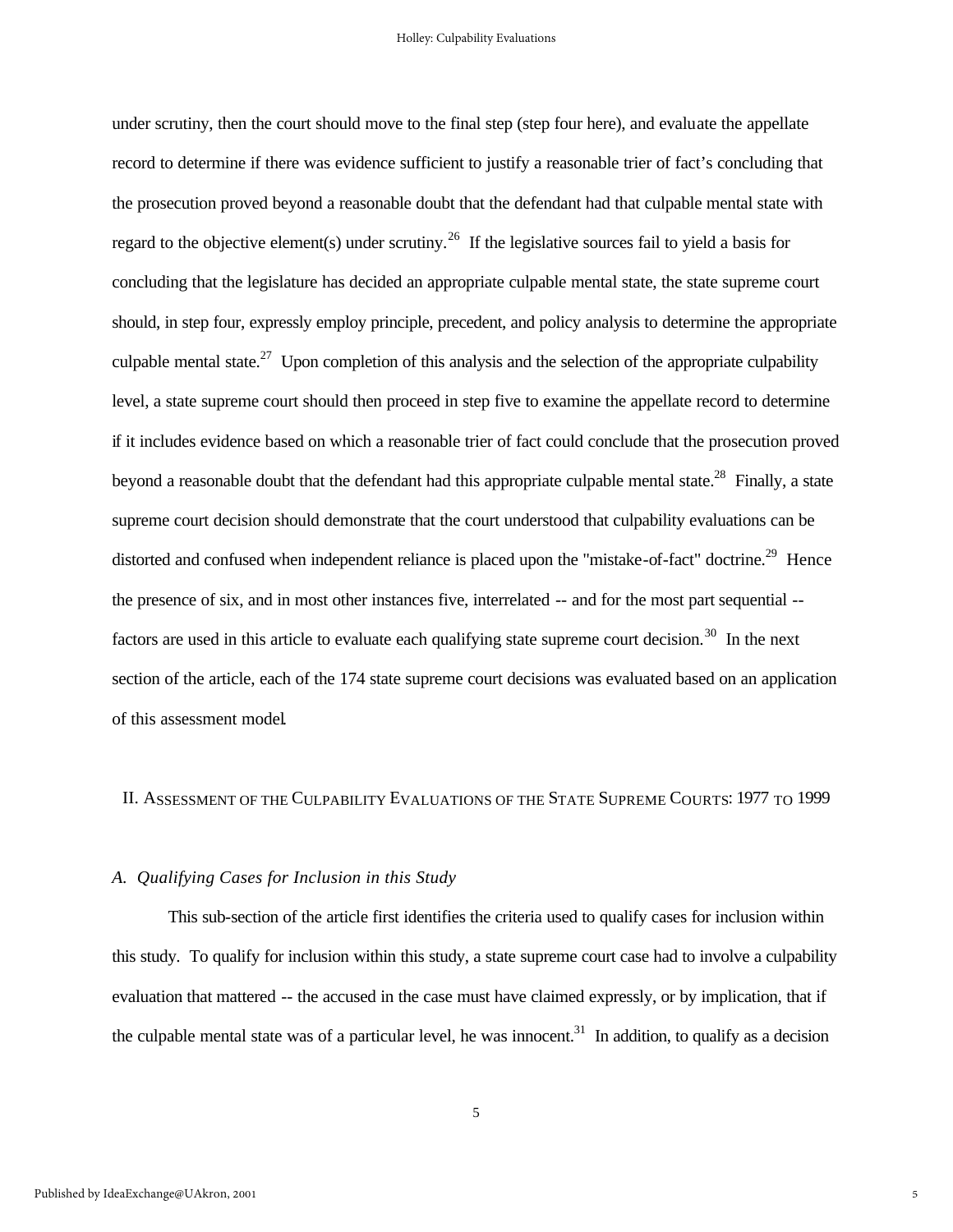under scrutiny, then the court should move to the final step (step four here), and evaluate the appellate record to determine if there was evidence sufficient to justify a reasonable trier of fact's concluding that the prosecution proved beyond a reasonable doubt that the defendant had that culpable mental state with regard to the objective element(s) under scrutiny.<sup>26</sup> If the legislative sources fail to yield a basis for concluding that the legislature has decided an appropriate culpable mental state, the state supreme court should, in step four, expressly employ principle, precedent, and policy analysis to determine the appropriate culpable mental state.<sup>27</sup> Upon completion of this analysis and the selection of the appropriate culpability level, a state supreme court should then proceed in step five to examine the appellate record to determine if it includes evidence based on which a reasonable trier of fact could conclude that the prosecution proved beyond a reasonable doubt that the defendant had this appropriate culpable mental state.<sup>28</sup> Finally, a state supreme court decision should demonstrate that the court understood that culpability evaluations can be distorted and confused when independent reliance is placed upon the "mistake-of-fact" doctrine.<sup>29</sup> Hence the presence of six, and in most other instances five, interrelated -- and for the most part sequential - factors are used in this article to evaluate each qualifying state supreme court decision.<sup>30</sup> In the next section of the article, each of the 174 state supreme court decisions was evaluated based on an application of this assessment model.

# II. ASSESSMENT OF THE CULPABILITY EVALUATIONS OF THE STATE SUPREME COURTS: 1977 TO 1999

#### *A. Qualifying Cases for Inclusion in this Study*

This sub-section of the article first identifies the criteria used to qualify cases for inclusion within this study. To qualify for inclusion within this study, a state supreme court case had to involve a culpability evaluation that mattered -- the accused in the case must have claimed expressly, or by implication, that if the culpable mental state was of a particular level, he was innocent.<sup>31</sup> In addition, to qualify as a decision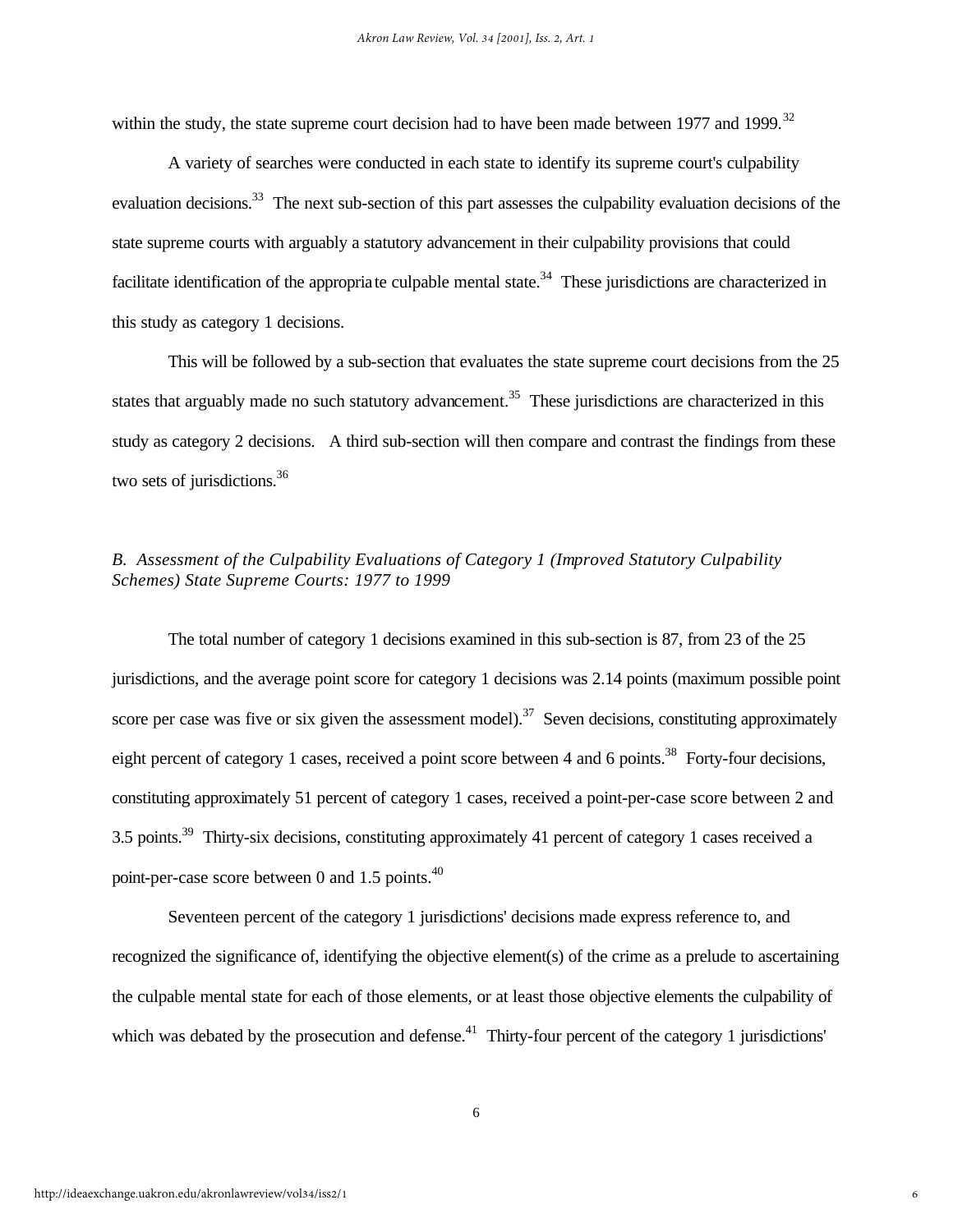within the study, the state supreme court decision had to have been made between 1977 and 1999.<sup>32</sup>

A variety of searches were conducted in each state to identify its supreme court's culpability evaluation decisions.<sup>33</sup> The next sub-section of this part assesses the culpability evaluation decisions of the state supreme courts with arguably a statutory advancement in their culpability provisions that could facilitate identification of the appropriate culpable mental state.<sup>34</sup> These jurisdictions are characterized in this study as category 1 decisions.

This will be followed by a sub-section that evaluates the state supreme court decisions from the 25 states that arguably made no such statutory advancement.<sup>35</sup> These jurisdictions are characterized in this study as category 2 decisions. A third sub-section will then compare and contrast the findings from these two sets of jurisdictions.<sup>36</sup>

# *B. Assessment of the Culpability Evaluations of Category 1 (Improved Statutory Culpability Schemes) State Supreme Courts: 1977 to 1999*

The total number of category 1 decisions examined in this sub-section is 87, from 23 of the 25 jurisdictions, and the average point score for category 1 decisions was 2.14 points (maximum possible point score per case was five or six given the assessment model).<sup>37</sup> Seven decisions, constituting approximately eight percent of category 1 cases, received a point score between 4 and 6 points.<sup>38</sup> Forty-four decisions, constituting approximately 51 percent of category 1 cases, received a point-per-case score between 2 and 3.5 points.<sup>39</sup> Thirty-six decisions, constituting approximately 41 percent of category 1 cases received a point-per-case score between 0 and 1.5 points.<sup>40</sup>

Seventeen percent of the category 1 jurisdictions' decisions made express reference to, and recognized the significance of, identifying the objective element(s) of the crime as a prelude to ascertaining the culpable mental state for each of those elements, or at least those objective elements the culpability of which was debated by the prosecution and defense.<sup>41</sup> Thirty-four percent of the category 1 jurisdictions'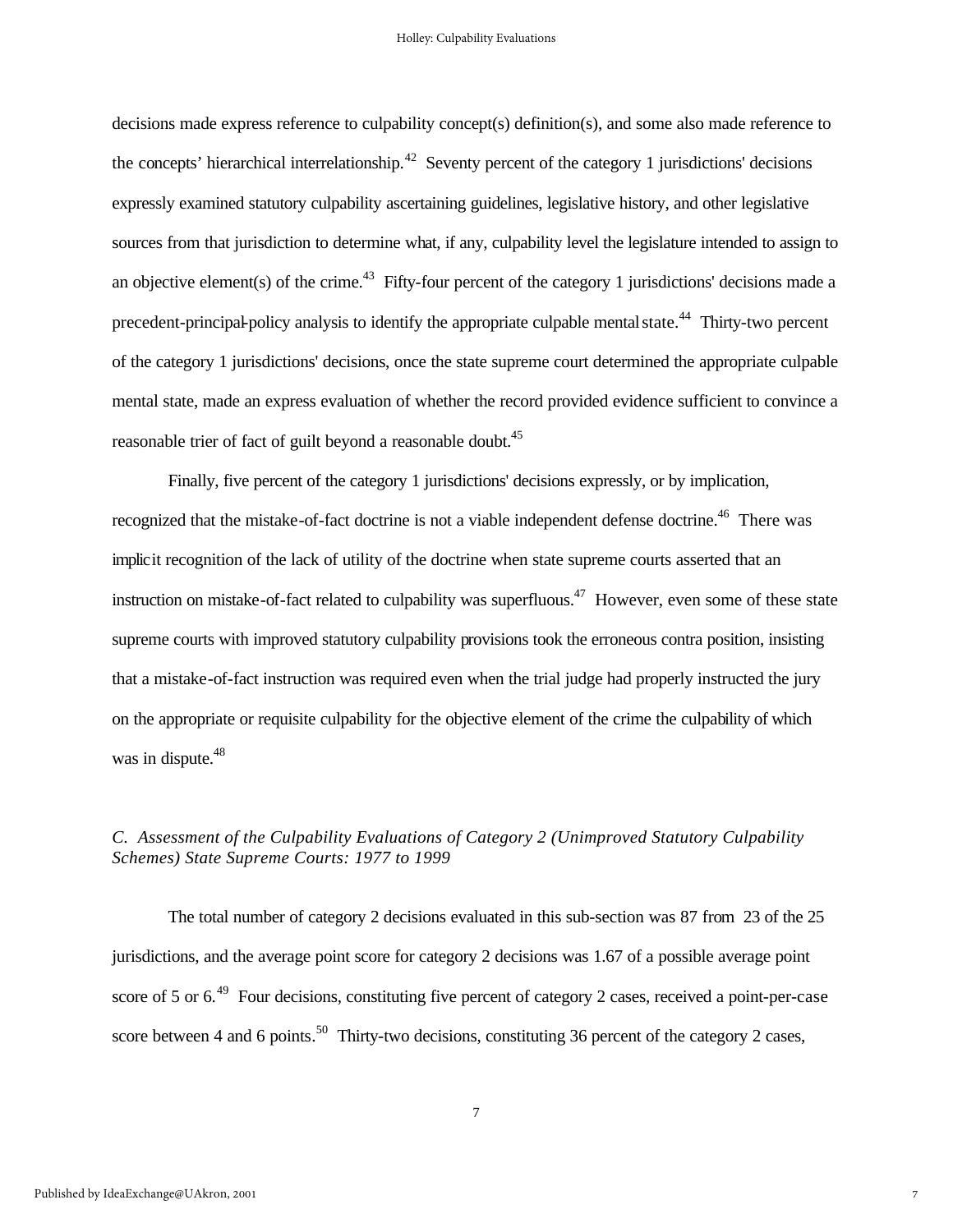decisions made express reference to culpability concept(s) definition(s), and some also made reference to the concepts' hierarchical interrelationship.<sup>42</sup> Seventy percent of the category 1 jurisdictions' decisions expressly examined statutory culpability ascertaining guidelines, legislative history, and other legislative sources from that jurisdiction to determine what, if any, culpability level the legislature intended to assign to an objective element(s) of the crime.<sup>43</sup> Fifty-four percent of the category 1 jurisdictions' decisions made a precedent-principal-policy analysis to identify the appropriate culpable mental state.<sup>44</sup> Thirty-two percent of the category 1 jurisdictions' decisions, once the state supreme court determined the appropriate culpable mental state, made an express evaluation of whether the record provided evidence sufficient to convince a reasonable trier of fact of guilt beyond a reasonable doubt.<sup>45</sup>

Finally, five percent of the category 1 jurisdictions' decisions expressly, or by implication, recognized that the mistake-of-fact doctrine is not a viable independent defense doctrine.<sup>46</sup> There was implicit recognition of the lack of utility of the doctrine when state supreme courts asserted that an instruction on mistake-of-fact related to culpability was superfluous.<sup>47</sup> However, even some of these state supreme courts with improved statutory culpability provisions took the erroneous contra position, insisting that a mistake-of-fact instruction was required even when the trial judge had properly instructed the jury on the appropriate or requisite culpability for the objective element of the crime the culpability of which was in dispute.<sup>48</sup>

# *C. Assessment of the Culpability Evaluations of Category 2 (Unimproved Statutory Culpability Schemes) State Supreme Courts: 1977 to 1999*

The total number of category 2 decisions evaluated in this sub-section was 87 from 23 of the 25 jurisdictions, and the average point score for category 2 decisions was 1.67 of a possible average point score of 5 or  $6.49$  Four decisions, constituting five percent of category 2 cases, received a point-per-case score between 4 and 6 points.<sup>50</sup> Thirty-two decisions, constituting 36 percent of the category 2 cases,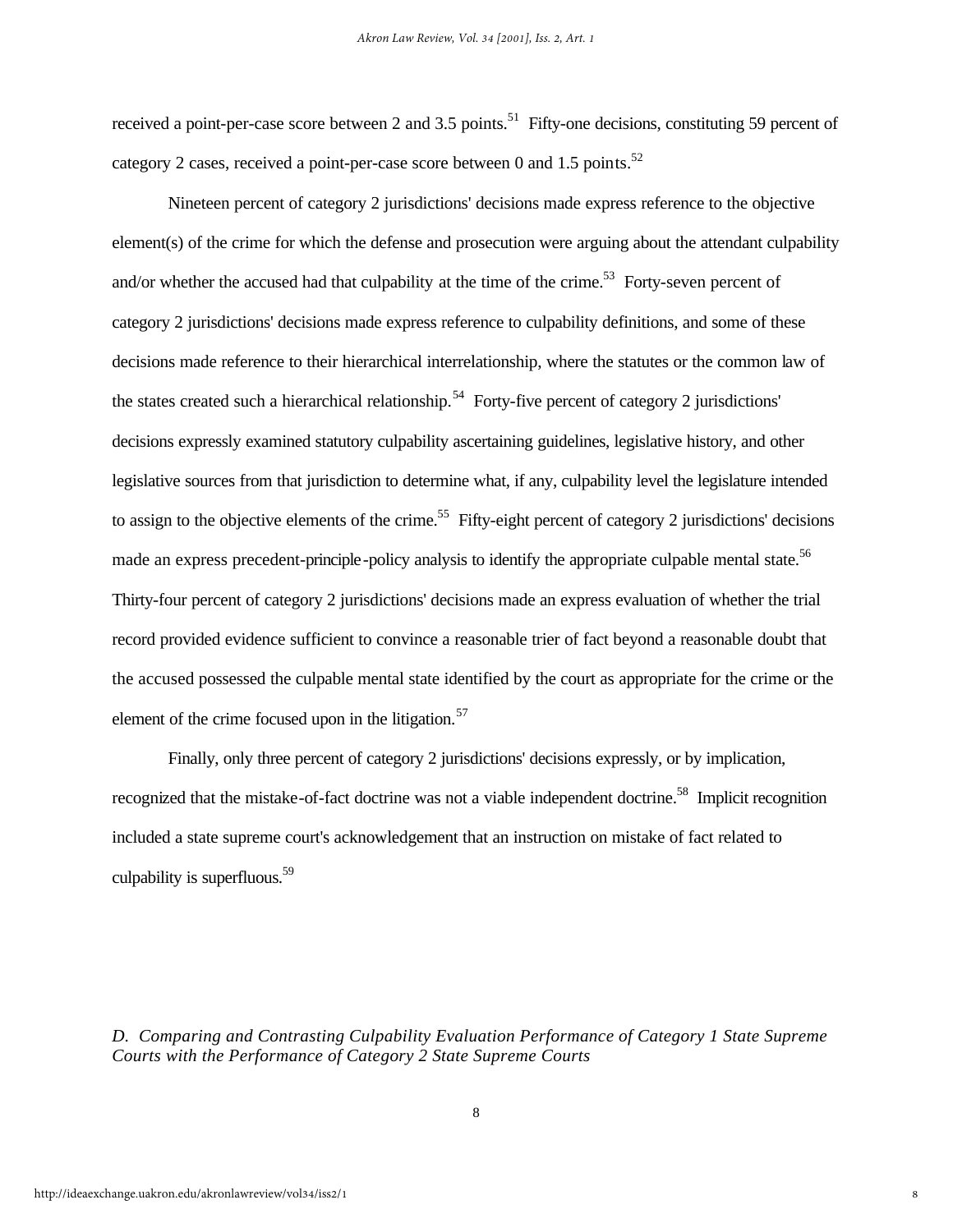received a point-per-case score between 2 and 3.5 points.<sup>51</sup> Fifty-one decisions, constituting 59 percent of category 2 cases, received a point-per-case score between 0 and 1.5 points.<sup>52</sup>

Nineteen percent of category 2 jurisdictions' decisions made express reference to the objective element(s) of the crime for which the defense and prosecution were arguing about the attendant culpability and/or whether the accused had that culpability at the time of the crime.<sup>53</sup> Forty-seven percent of category 2 jurisdictions' decisions made express reference to culpability definitions, and some of these decisions made reference to their hierarchical interrelationship, where the statutes or the common law of the states created such a hierarchical relationship.<sup>54</sup> Forty-five percent of category 2 jurisdictions' decisions expressly examined statutory culpability ascertaining guidelines, legislative history, and other legislative sources from that jurisdiction to determine what, if any, culpability level the legislature intended to assign to the objective elements of the crime.<sup>55</sup> Fifty-eight percent of category 2 jurisdictions' decisions made an express precedent-principle-policy analysis to identify the appropriate culpable mental state.<sup>56</sup> Thirty-four percent of category 2 jurisdictions' decisions made an express evaluation of whether the trial record provided evidence sufficient to convince a reasonable trier of fact beyond a reasonable doubt that the accused possessed the culpable mental state identified by the court as appropriate for the crime or the element of the crime focused upon in the litigation. $57$ 

Finally, only three percent of category 2 jurisdictions' decisions expressly, or by implication, recognized that the mistake-of-fact doctrine was not a viable independent doctrine.<sup>58</sup> Implicit recognition included a state supreme court's acknowledgement that an instruction on mistake of fact related to culpability is superfluous. $59$ 

*D. Comparing and Contrasting Culpability Evaluation Performance of Category 1 State Supreme Courts with the Performance of Category 2 State Supreme Courts*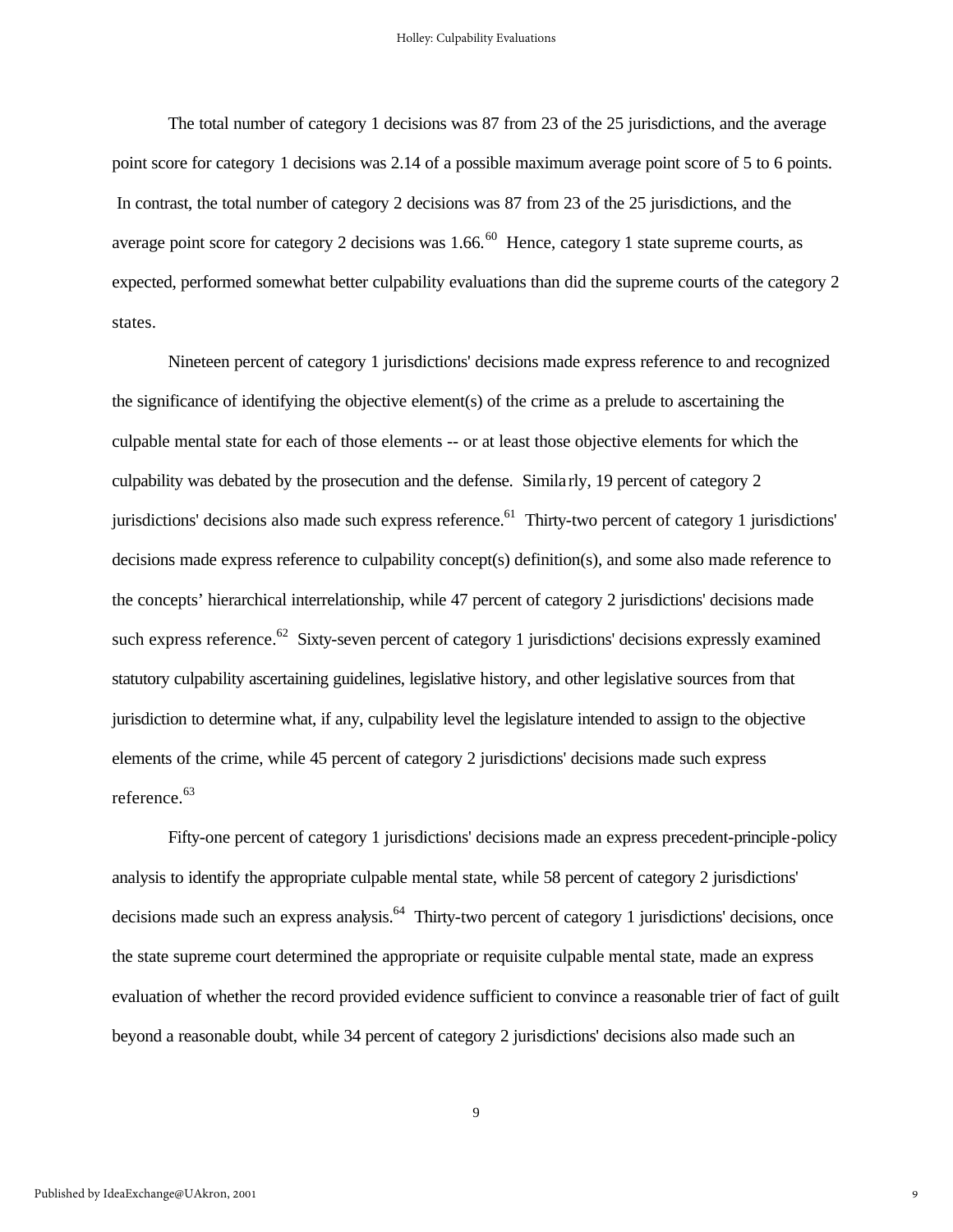The total number of category 1 decisions was 87 from 23 of the 25 jurisdictions, and the average point score for category 1 decisions was 2.14 of a possible maximum average point score of 5 to 6 points. In contrast, the total number of category 2 decisions was 87 from 23 of the 25 jurisdictions, and the average point score for category 2 decisions was  $1.66$ .<sup>60</sup> Hence, category 1 state supreme courts, as expected, performed somewhat better culpability evaluations than did the supreme courts of the category 2 states.

Nineteen percent of category 1 jurisdictions' decisions made express reference to and recognized the significance of identifying the objective element(s) of the crime as a prelude to ascertaining the culpable mental state for each of those elements -- or at least those objective elements for which the culpability was debated by the prosecution and the defense. Simila rly, 19 percent of category 2 jurisdictions' decisions also made such express reference.<sup>61</sup> Thirty-two percent of category 1 jurisdictions' decisions made express reference to culpability concept(s) definition(s), and some also made reference to the concepts' hierarchical interrelationship, while 47 percent of category 2 jurisdictions' decisions made such express reference.<sup>62</sup> Sixty-seven percent of category 1 jurisdictions' decisions expressly examined statutory culpability ascertaining guidelines, legislative history, and other legislative sources from that jurisdiction to determine what, if any, culpability level the legislature intended to assign to the objective elements of the crime, while 45 percent of category 2 jurisdictions' decisions made such express reference.<sup>63</sup>

Fifty-one percent of category 1 jurisdictions' decisions made an express precedent-principle-policy analysis to identify the appropriate culpable mental state, while 58 percent of category 2 jurisdictions' decisions made such an express analysis.<sup>64</sup> Thirty-two percent of category 1 jurisdictions' decisions, once the state supreme court determined the appropriate or requisite culpable mental state, made an express evaluation of whether the record provided evidence sufficient to convince a reasonable trier of fact of guilt beyond a reasonable doubt, while 34 percent of category 2 jurisdictions' decisions also made such an

9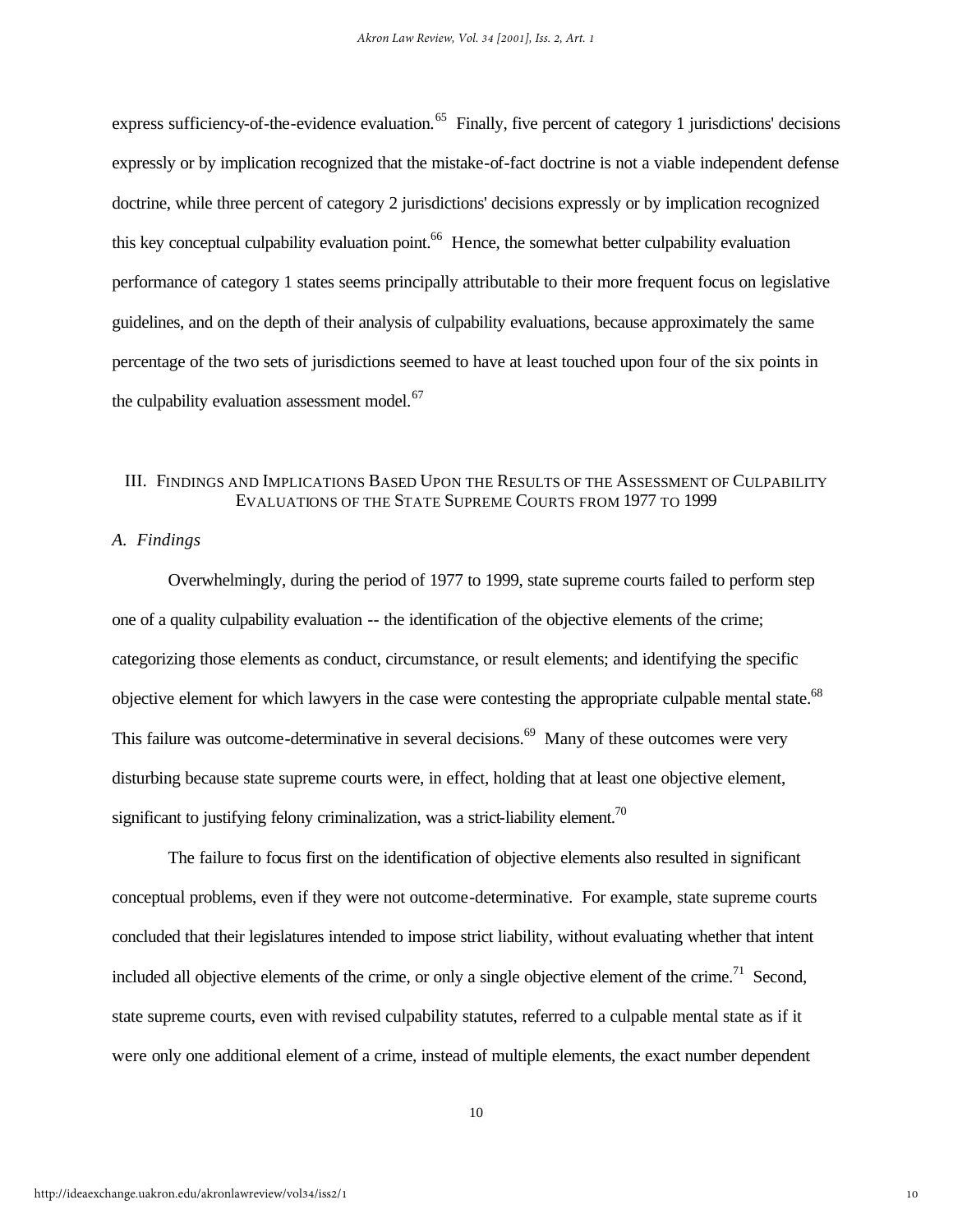express sufficiency-of-the-evidence evaluation.<sup>65</sup> Finally, five percent of category 1 jurisdictions' decisions expressly or by implication recognized that the mistake-of-fact doctrine is not a viable independent defense doctrine, while three percent of category 2 jurisdictions' decisions expressly or by implication recognized this key conceptual culpability evaluation point.<sup>66</sup> Hence, the somewhat better culpability evaluation performance of category 1 states seems principally attributable to their more frequent focus on legislative guidelines, and on the depth of their analysis of culpability evaluations, because approximately the same percentage of the two sets of jurisdictions seemed to have at least touched upon four of the six points in the culpability evaluation assessment model. $67$ 

# III. FINDINGS AND IMPLICATIONS BASED UPON THE RESULTS OF THE ASSESSMENT OF CULPABILITY EVALUATIONS OF THE STATE SUPREME COURTS FROM 1977 TO 1999

#### *A. Findings*

Overwhelmingly, during the period of 1977 to 1999, state supreme courts failed to perform step one of a quality culpability evaluation -- the identification of the objective elements of the crime; categorizing those elements as conduct, circumstance, or result elements; and identifying the specific objective element for which lawyers in the case were contesting the appropriate culpable mental state.<sup>68</sup> This failure was outcome-determinative in several decisions.<sup>69</sup> Many of these outcomes were very disturbing because state supreme courts were, in effect, holding that at least one objective element, significant to justifying felony criminalization, was a strict-liability element.<sup>70</sup>

The failure to focus first on the identification of objective elements also resulted in significant conceptual problems, even if they were not outcome-determinative. For example, state supreme courts concluded that their legislatures intended to impose strict liability, without evaluating whether that intent included all objective elements of the crime, or only a single objective element of the crime.<sup>71</sup> Second, state supreme courts, even with revised culpability statutes, referred to a culpable mental state as if it were only one additional element of a crime, instead of multiple elements, the exact number dependent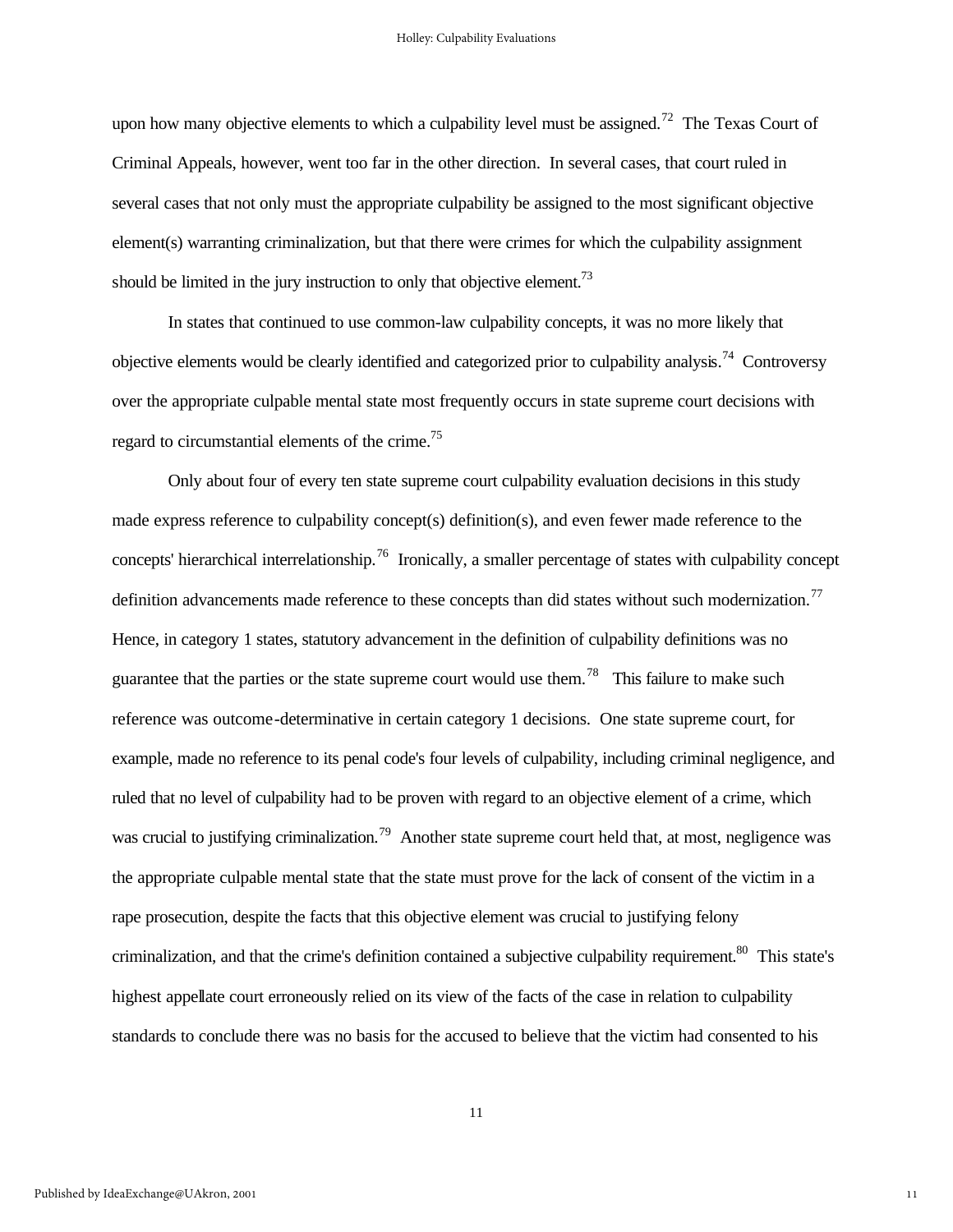upon how many objective elements to which a culpability level must be assigned.<sup>72</sup> The Texas Court of Criminal Appeals, however, went too far in the other direction. In several cases, that court ruled in several cases that not only must the appropriate culpability be assigned to the most significant objective element(s) warranting criminalization, but that there were crimes for which the culpability assignment should be limited in the jury instruction to only that objective element.<sup>73</sup>

In states that continued to use common-law culpability concepts, it was no more likely that objective elements would be clearly identified and categorized prior to culpability analysis.<sup>74</sup> Controversy over the appropriate culpable mental state most frequently occurs in state supreme court decisions with regard to circumstantial elements of the crime.<sup>75</sup>

Only about four of every ten state supreme court culpability evaluation decisions in this study made express reference to culpability concept(s) definition(s), and even fewer made reference to the concepts' hierarchical interrelationship.<sup>76</sup> Ironically, a smaller percentage of states with culpability concept definition advancements made reference to these concepts than did states without such modernization.<sup>77</sup> Hence, in category 1 states, statutory advancement in the definition of culpability definitions was no guarantee that the parties or the state supreme court would use them.<sup>78</sup> This failure to make such reference was outcome-determinative in certain category 1 decisions. One state supreme court, for example, made no reference to its penal code's four levels of culpability, including criminal negligence, and ruled that no level of culpability had to be proven with regard to an objective element of a crime, which was crucial to justifying criminalization.<sup>79</sup> Another state supreme court held that, at most, negligence was the appropriate culpable mental state that the state must prove for the lack of consent of the victim in a rape prosecution, despite the facts that this objective element was crucial to justifying felony criminalization, and that the crime's definition contained a subjective culpability requirement.<sup>80</sup> This state's highest appellate court erroneously relied on its view of the facts of the case in relation to culpability standards to conclude there was no basis for the accused to believe that the victim had consented to his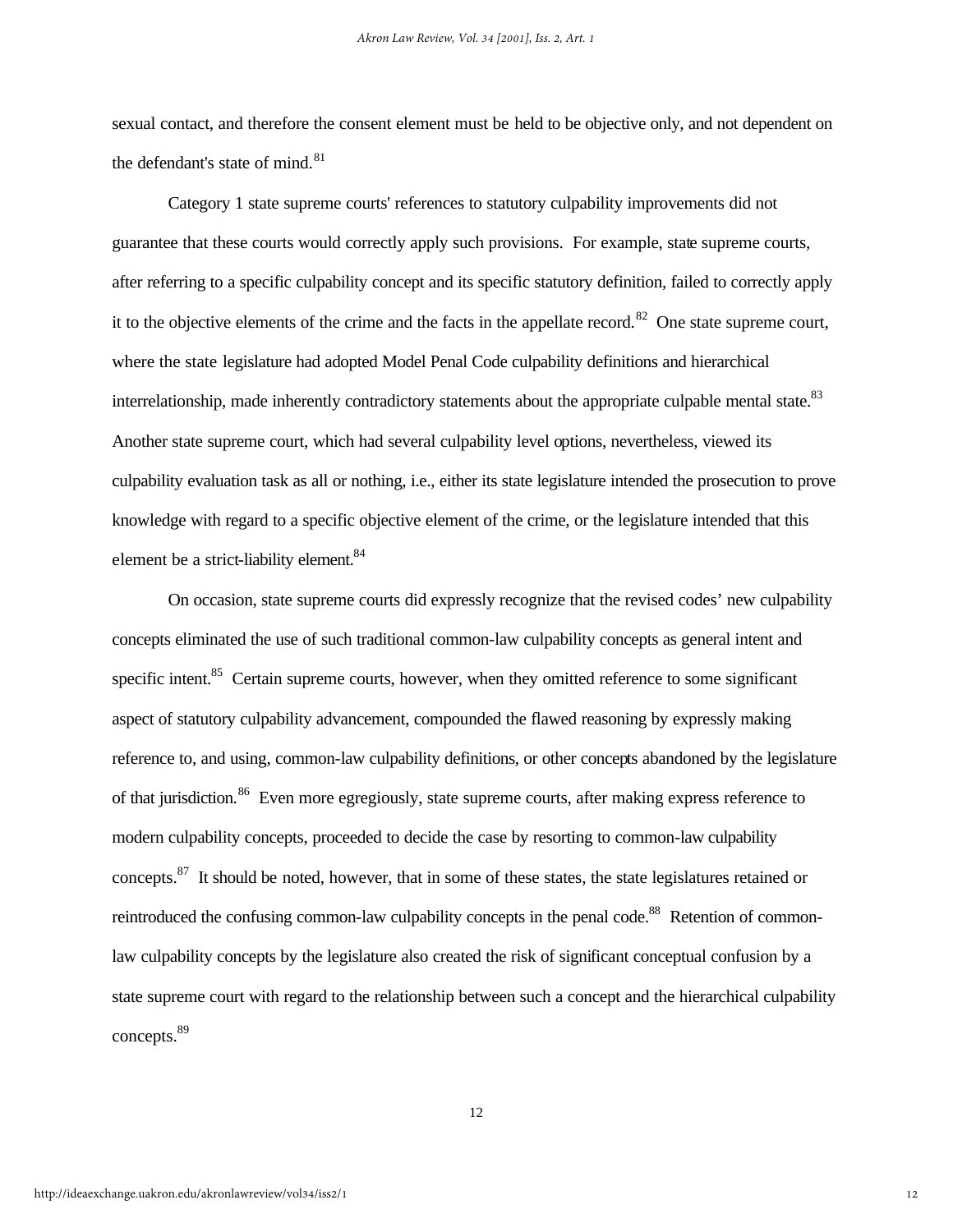sexual contact, and therefore the consent element must be held to be objective only, and not dependent on the defendant's state of mind.<sup>81</sup>

Category 1 state supreme courts' references to statutory culpability improvements did not guarantee that these courts would correctly apply such provisions. For example, state supreme courts, after referring to a specific culpability concept and its specific statutory definition, failed to correctly apply it to the objective elements of the crime and the facts in the appellate record.<sup>82</sup> One state supreme court, where the state legislature had adopted Model Penal Code culpability definitions and hierarchical interrelationship, made inherently contradictory statements about the appropriate culpable mental state.<sup>83</sup> Another state supreme court, which had several culpability level options, nevertheless, viewed its culpability evaluation task as all or nothing, i.e., either its state legislature intended the prosecution to prove knowledge with regard to a specific objective element of the crime, or the legislature intended that this element be a strict-liability element.<sup>84</sup>

On occasion, state supreme courts did expressly recognize that the revised codes' new culpability concepts eliminated the use of such traditional common-law culpability concepts as general intent and specific intent.<sup>85</sup> Certain supreme courts, however, when they omitted reference to some significant aspect of statutory culpability advancement, compounded the flawed reasoning by expressly making reference to, and using, common-law culpability definitions, or other concepts abandoned by the legislature of that jurisdiction.<sup>86</sup> Even more egregiously, state supreme courts, after making express reference to modern culpability concepts, proceeded to decide the case by resorting to common-law culpability concepts.<sup>87</sup> It should be noted, however, that in some of these states, the state legislatures retained or reintroduced the confusing common-law culpability concepts in the penal code.<sup>88</sup> Retention of commonlaw culpability concepts by the legislature also created the risk of significant conceptual confusion by a state supreme court with regard to the relationship between such a concept and the hierarchical culpability concepts.<sup>89</sup>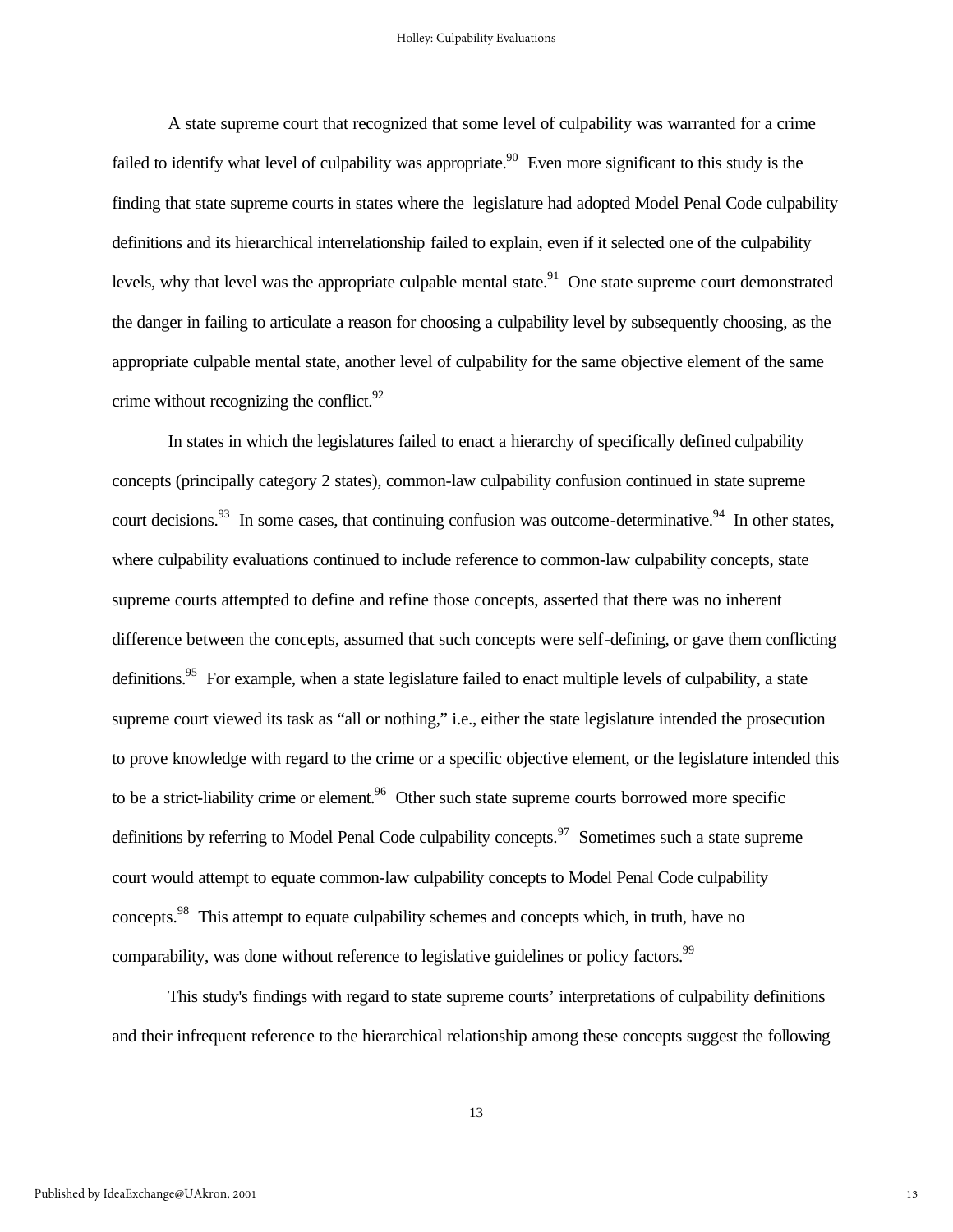A state supreme court that recognized that some level of culpability was warranted for a crime failed to identify what level of culpability was appropriate.<sup>90</sup> Even more significant to this study is the finding that state supreme courts in states where the legislature had adopted Model Penal Code culpability definitions and its hierarchical interrelationship failed to explain, even if it selected one of the culpability levels, why that level was the appropriate culpable mental state.<sup>91</sup> One state supreme court demonstrated the danger in failing to articulate a reason for choosing a culpability level by subsequently choosing, as the appropriate culpable mental state, another level of culpability for the same objective element of the same crime without recognizing the conflict. $92$ 

In states in which the legislatures failed to enact a hierarchy of specifically defined culpability concepts (principally category 2 states), common-law culpability confusion continued in state supreme court decisions.<sup>93</sup> In some cases, that continuing confusion was outcome-determinative.<sup>94</sup> In other states, where culpability evaluations continued to include reference to common-law culpability concepts, state supreme courts attempted to define and refine those concepts, asserted that there was no inherent difference between the concepts, assumed that such concepts were self-defining, or gave them conflicting definitions.<sup>95</sup> For example, when a state legislature failed to enact multiple levels of culpability, a state supreme court viewed its task as "all or nothing," i.e., either the state legislature intended the prosecution to prove knowledge with regard to the crime or a specific objective element, or the legislature intended this to be a strict-liability crime or element.<sup>96</sup> Other such state supreme courts borrowed more specific definitions by referring to Model Penal Code culpability concepts.<sup>97</sup> Sometimes such a state supreme court would attempt to equate common-law culpability concepts to Model Penal Code culpability concepts.<sup>98</sup> This attempt to equate culpability schemes and concepts which, in truth, have no comparability, was done without reference to legislative guidelines or policy factors.<sup>99</sup>

This study's findings with regard to state supreme courts' interpretations of culpability definitions and their infrequent reference to the hierarchical relationship among these concepts suggest the following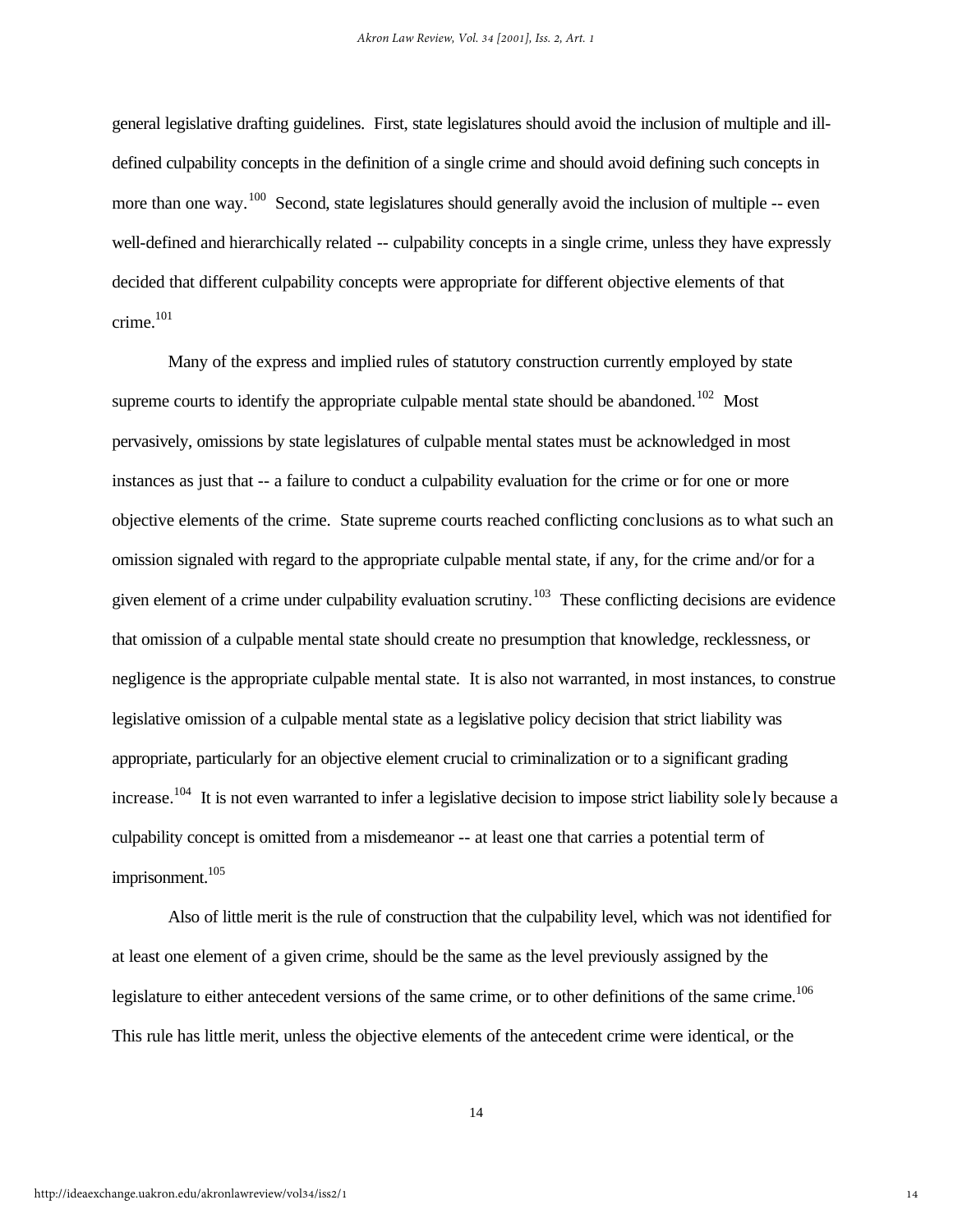general legislative drafting guidelines. First, state legislatures should avoid the inclusion of multiple and illdefined culpability concepts in the definition of a single crime and should avoid defining such concepts in more than one way.<sup>100</sup> Second, state legislatures should generally avoid the inclusion of multiple -- even well-defined and hierarchically related -- culpability concepts in a single crime, unless they have expressly decided that different culpability concepts were appropriate for different objective elements of that  $\text{ crime.}^{101}$ 

Many of the express and implied rules of statutory construction currently employed by state supreme courts to identify the appropriate culpable mental state should be abandoned.<sup>102</sup> Most pervasively, omissions by state legislatures of culpable mental states must be acknowledged in most instances as just that -- a failure to conduct a culpability evaluation for the crime or for one or more objective elements of the crime. State supreme courts reached conflicting conclusions as to what such an omission signaled with regard to the appropriate culpable mental state, if any, for the crime and/or for a given element of a crime under culpability evaluation scrutiny.<sup>103</sup> These conflicting decisions are evidence that omission of a culpable mental state should create no presumption that knowledge, recklessness, or negligence is the appropriate culpable mental state. It is also not warranted, in most instances, to construe legislative omission of a culpable mental state as a legislative policy decision that strict liability was appropriate, particularly for an objective element crucial to criminalization or to a significant grading increase.<sup>104</sup> It is not even warranted to infer a legislative decision to impose strict liability solely because a culpability concept is omitted from a misdemeanor -- at least one that carries a potential term of imprisonment.<sup>105</sup>

Also of little merit is the rule of construction that the culpability level, which was not identified for at least one element of a given crime, should be the same as the level previously assigned by the legislature to either antecedent versions of the same crime, or to other definitions of the same crime.<sup>106</sup> This rule has little merit, unless the objective elements of the antecedent crime were identical, or the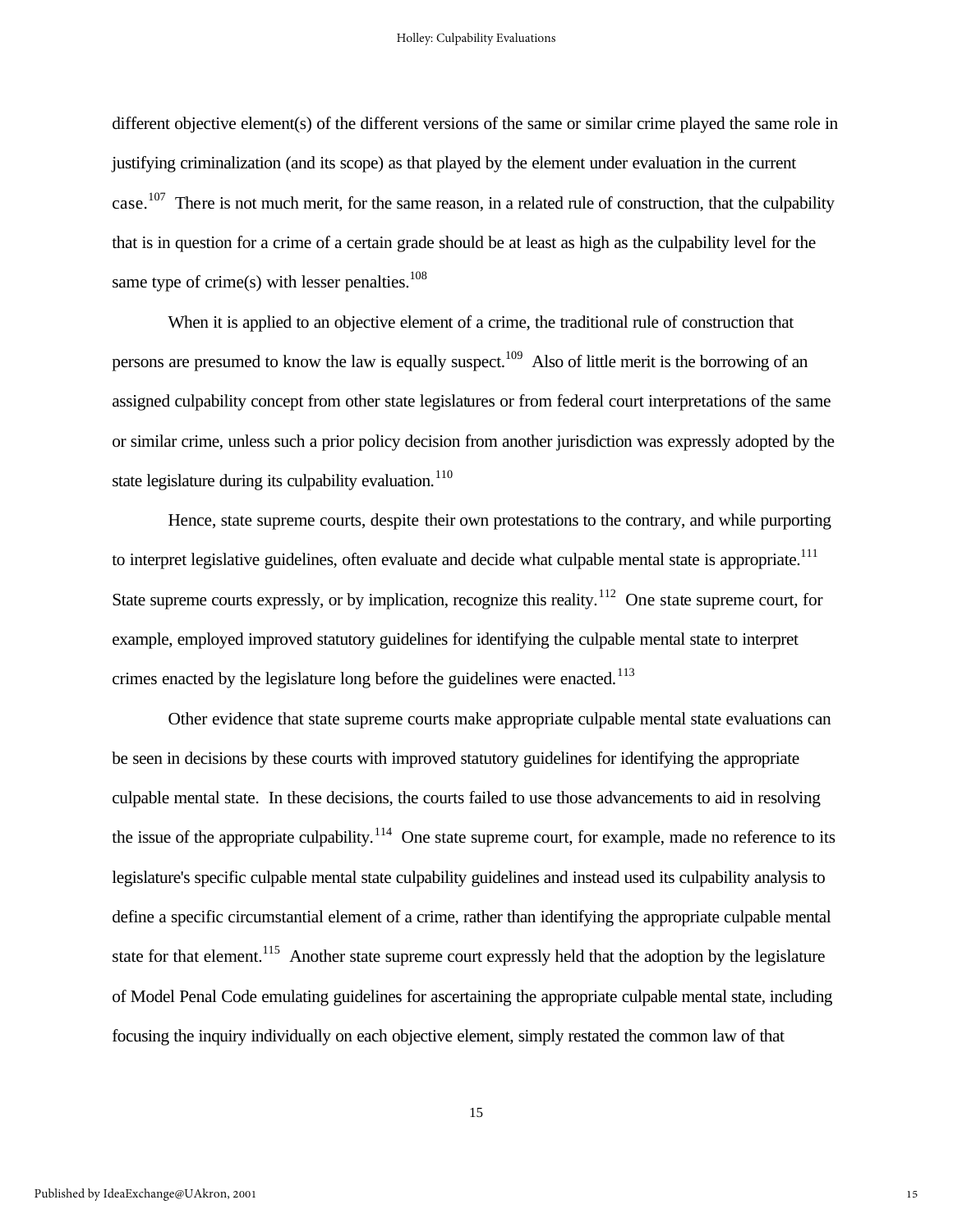different objective element(s) of the different versions of the same or similar crime played the same role in justifying criminalization (and its scope) as that played by the element under evaluation in the current case.<sup>107</sup> There is not much merit, for the same reason, in a related rule of construction, that the culpability that is in question for a crime of a certain grade should be at least as high as the culpability level for the same type of crime(s) with lesser penalties. $108$ 

When it is applied to an objective element of a crime, the traditional rule of construction that persons are presumed to know the law is equally suspect.<sup>109</sup> Also of little merit is the borrowing of an assigned culpability concept from other state legislatures or from federal court interpretations of the same or similar crime, unless such a prior policy decision from another jurisdiction was expressly adopted by the state legislature during its culpability evaluation.<sup>110</sup>

Hence, state supreme courts, despite their own protestations to the contrary, and while purporting to interpret legislative guidelines, often evaluate and decide what culpable mental state is appropriate.<sup>111</sup> State supreme courts expressly, or by implication, recognize this reality.<sup>112</sup> One state supreme court, for example, employed improved statutory guidelines for identifying the culpable mental state to interpret crimes enacted by the legislature long before the guidelines were enacted.<sup>113</sup>

Other evidence that state supreme courts make appropriate culpable mental state evaluations can be seen in decisions by these courts with improved statutory guidelines for identifying the appropriate culpable mental state. In these decisions, the courts failed to use those advancements to aid in resolving the issue of the appropriate culpability.<sup>114</sup> One state supreme court, for example, made no reference to its legislature's specific culpable mental state culpability guidelines and instead used its culpability analysis to define a specific circumstantial element of a crime, rather than identifying the appropriate culpable mental state for that element.<sup>115</sup> Another state supreme court expressly held that the adoption by the legislature of Model Penal Code emulating guidelines for ascertaining the appropriate culpable mental state, including focusing the inquiry individually on each objective element, simply restated the common law of that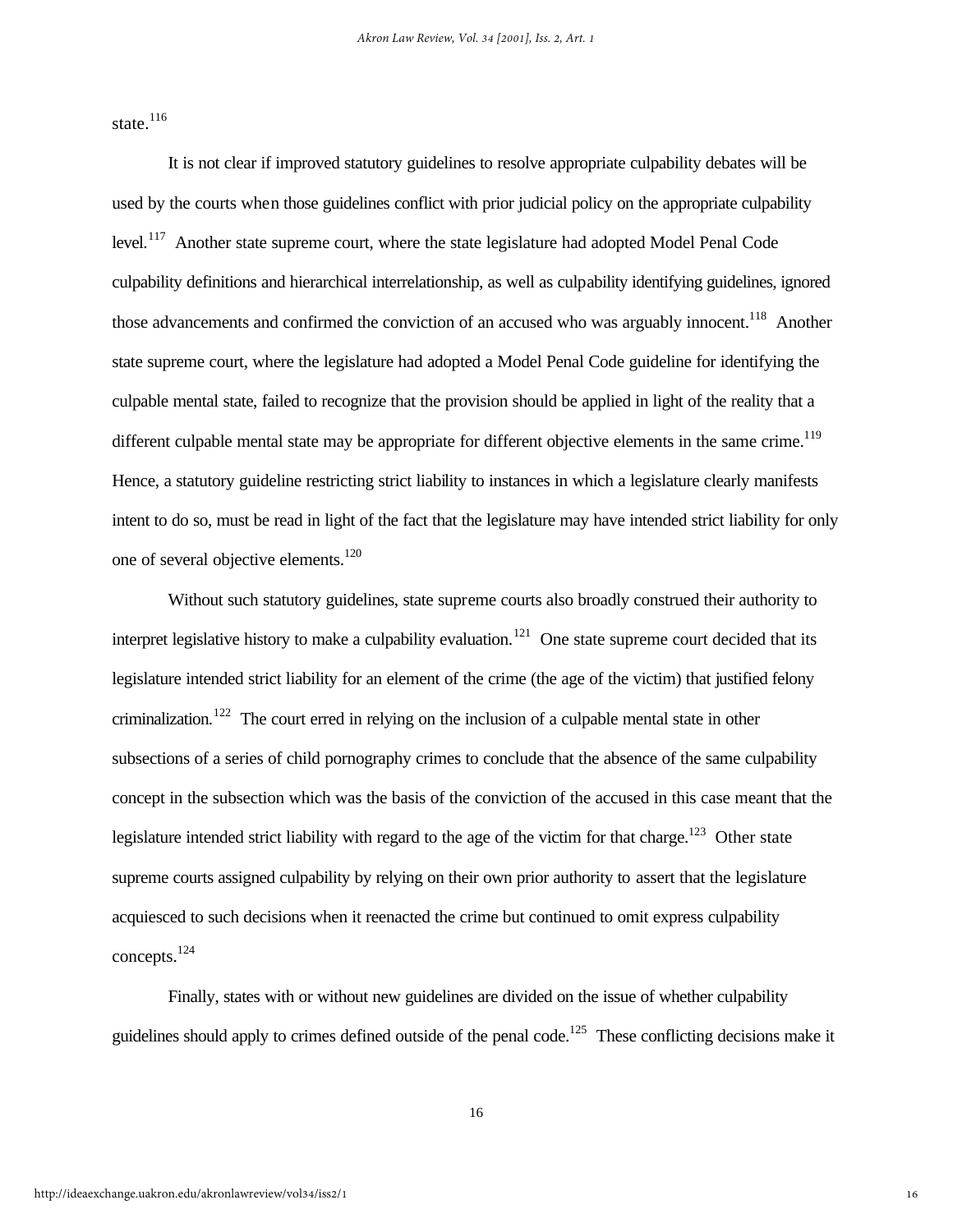state.<sup>116</sup>

It is not clear if improved statutory guidelines to resolve appropriate culpability debates will be used by the courts when those guidelines conflict with prior judicial policy on the appropriate culpability level.<sup>117</sup> Another state supreme court, where the state legislature had adopted Model Penal Code culpability definitions and hierarchical interrelationship, as well as culpability identifying guidelines, ignored those advancements and confirmed the conviction of an accused who was arguably innocent.<sup>118</sup> Another state supreme court, where the legislature had adopted a Model Penal Code guideline for identifying the culpable mental state, failed to recognize that the provision should be applied in light of the reality that a different culpable mental state may be appropriate for different objective elements in the same crime.<sup>119</sup> Hence, a statutory guideline restricting strict liability to instances in which a legislature clearly manifests intent to do so, must be read in light of the fact that the legislature may have intended strict liability for only one of several objective elements.<sup>120</sup>

Without such statutory guidelines, state supreme courts also broadly construed their authority to interpret legislative history to make a culpability evaluation.<sup>121</sup> One state supreme court decided that its legislature intended strict liability for an element of the crime (the age of the victim) that justified felony criminalization.<sup>122</sup> The court erred in relying on the inclusion of a culpable mental state in other subsections of a series of child pornography crimes to conclude that the absence of the same culpability concept in the subsection which was the basis of the conviction of the accused in this case meant that the legislature intended strict liability with regard to the age of the victim for that charge.<sup>123</sup> Other state supreme courts assigned culpability by relying on their own prior authority to assert that the legislature acquiesced to such decisions when it reenacted the crime but continued to omit express culpability concepts. $^{124}$ 

Finally, states with or without new guidelines are divided on the issue of whether culpability guidelines should apply to crimes defined outside of the penal code.<sup>125</sup> These conflicting decisions make it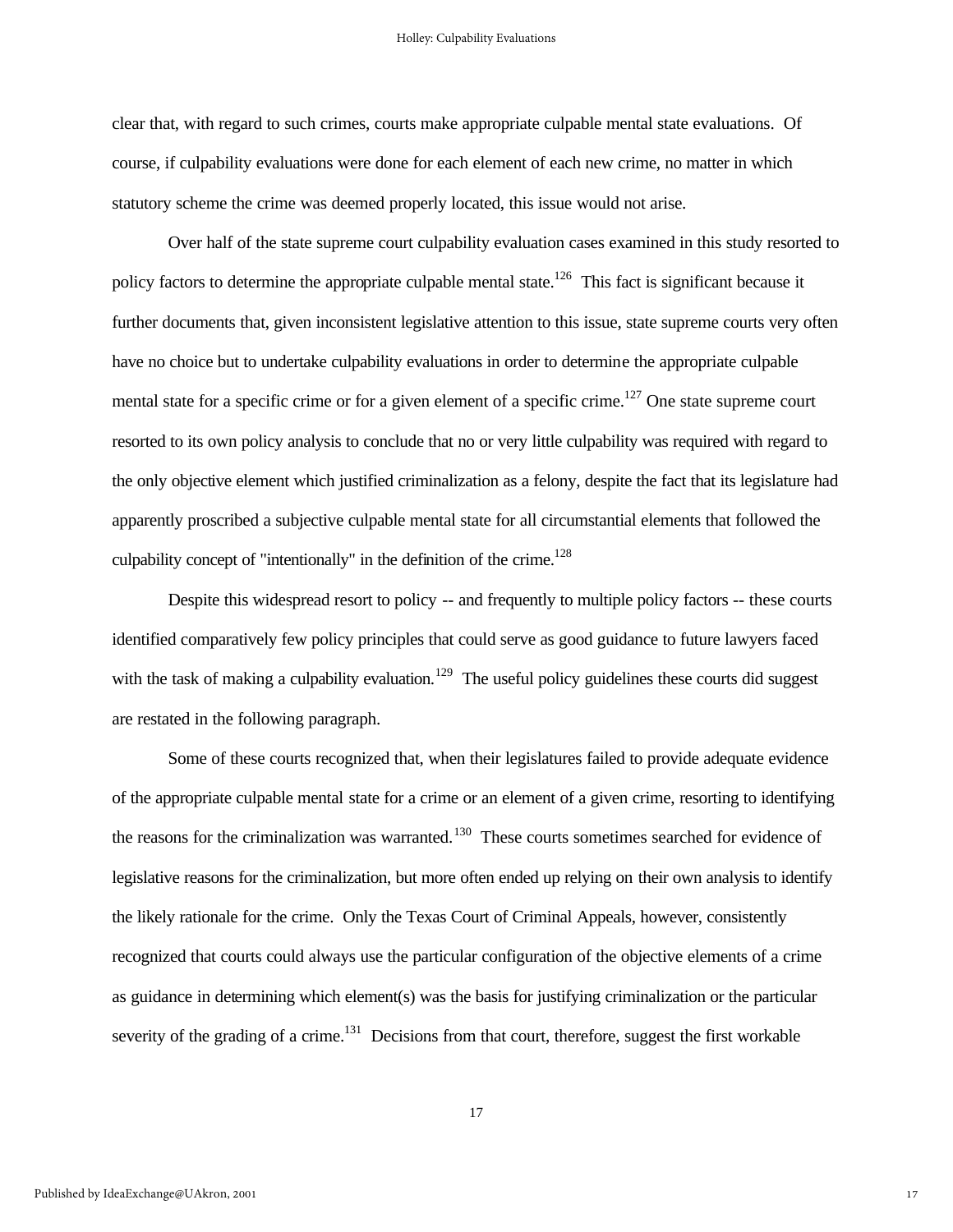clear that, with regard to such crimes, courts make appropriate culpable mental state evaluations. Of course, if culpability evaluations were done for each element of each new crime, no matter in which statutory scheme the crime was deemed properly located, this issue would not arise.

Over half of the state supreme court culpability evaluation cases examined in this study resorted to policy factors to determine the appropriate culpable mental state.<sup>126</sup> This fact is significant because it further documents that, given inconsistent legislative attention to this issue, state supreme courts very often have no choice but to undertake culpability evaluations in order to determine the appropriate culpable mental state for a specific crime or for a given element of a specific crime.<sup>127</sup> One state supreme court resorted to its own policy analysis to conclude that no or very little culpability was required with regard to the only objective element which justified criminalization as a felony, despite the fact that its legislature had apparently proscribed a subjective culpable mental state for all circumstantial elements that followed the culpability concept of "intentionally" in the definition of the crime.<sup>128</sup>

Despite this widespread resort to policy -- and frequently to multiple policy factors -- these courts identified comparatively few policy principles that could serve as good guidance to future lawyers faced with the task of making a culpability evaluation.<sup>129</sup> The useful policy guidelines these courts did suggest are restated in the following paragraph.

Some of these courts recognized that, when their legislatures failed to provide adequate evidence of the appropriate culpable mental state for a crime or an element of a given crime, resorting to identifying the reasons for the criminalization was warranted.<sup>130</sup> These courts sometimes searched for evidence of legislative reasons for the criminalization, but more often ended up relying on their own analysis to identify the likely rationale for the crime. Only the Texas Court of Criminal Appeals, however, consistently recognized that courts could always use the particular configuration of the objective elements of a crime as guidance in determining which element(s) was the basis for justifying criminalization or the particular severity of the grading of a crime.<sup>131</sup> Decisions from that court, therefore, suggest the first workable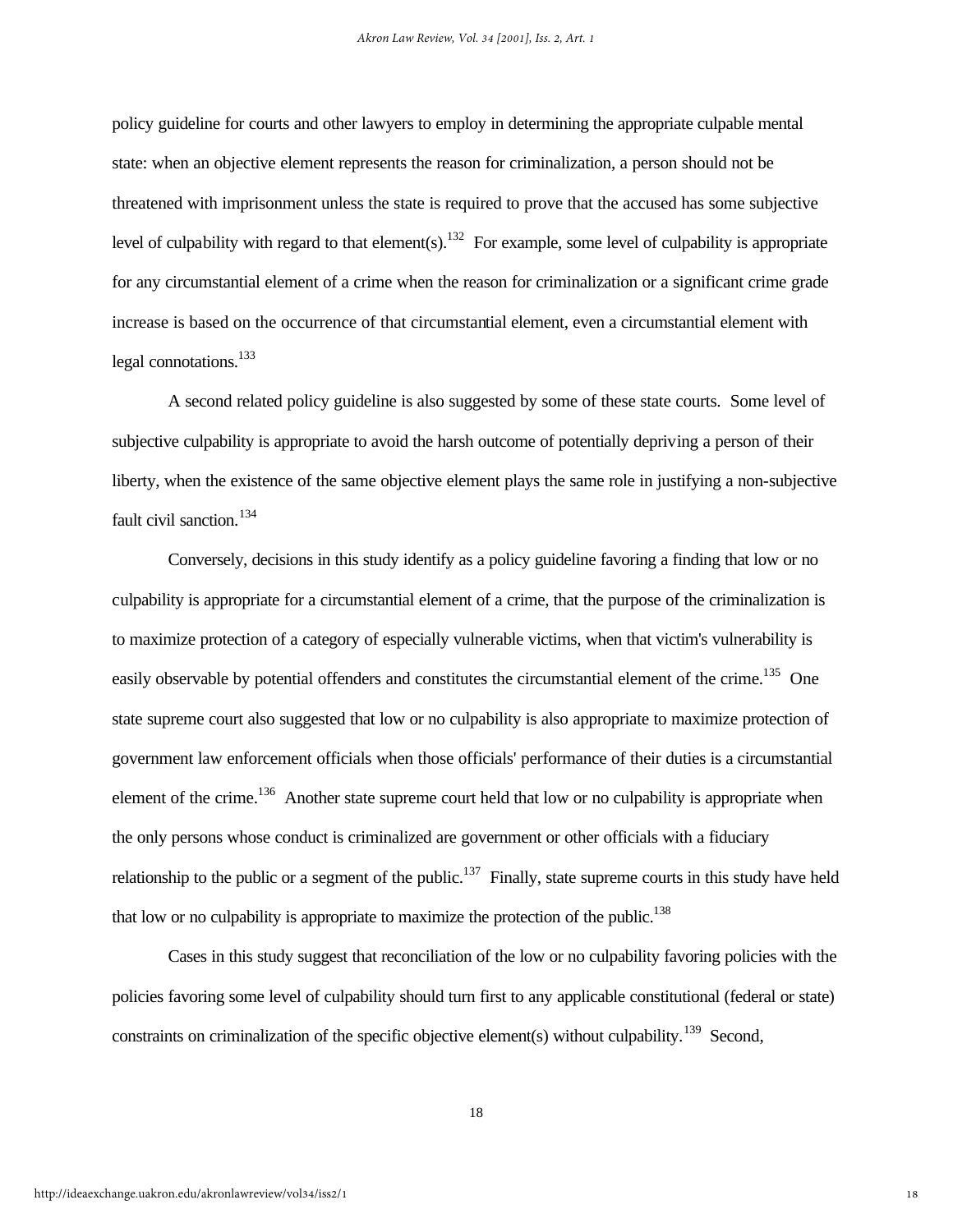policy guideline for courts and other lawyers to employ in determining the appropriate culpable mental state: when an objective element represents the reason for criminalization, a person should not be threatened with imprisonment unless the state is required to prove that the accused has some subjective level of culpability with regard to that element(s).<sup>132</sup> For example, some level of culpability is appropriate for any circumstantial element of a crime when the reason for criminalization or a significant crime grade increase is based on the occurrence of that circumstantial element, even a circumstantial element with legal connotations.<sup>133</sup>

A second related policy guideline is also suggested by some of these state courts. Some level of subjective culpability is appropriate to avoid the harsh outcome of potentially depriving a person of their liberty, when the existence of the same objective element plays the same role in justifying a non-subjective fault civil sanction. $134$ 

Conversely, decisions in this study identify as a policy guideline favoring a finding that low or no culpability is appropriate for a circumstantial element of a crime, that the purpose of the criminalization is to maximize protection of a category of especially vulnerable victims, when that victim's vulnerability is easily observable by potential offenders and constitutes the circumstantial element of the crime.<sup>135</sup> One state supreme court also suggested that low or no culpability is also appropriate to maximize protection of government law enforcement officials when those officials' performance of their duties is a circumstantial element of the crime.<sup>136</sup> Another state supreme court held that low or no culpability is appropriate when the only persons whose conduct is criminalized are government or other officials with a fiduciary relationship to the public or a segment of the public.<sup>137</sup> Finally, state supreme courts in this study have held that low or no culpability is appropriate to maximize the protection of the public.<sup>138</sup>

Cases in this study suggest that reconciliation of the low or no culpability favoring policies with the policies favoring some level of culpability should turn first to any applicable constitutional (federal or state) constraints on criminalization of the specific objective element(s) without culpability.<sup>139</sup> Second,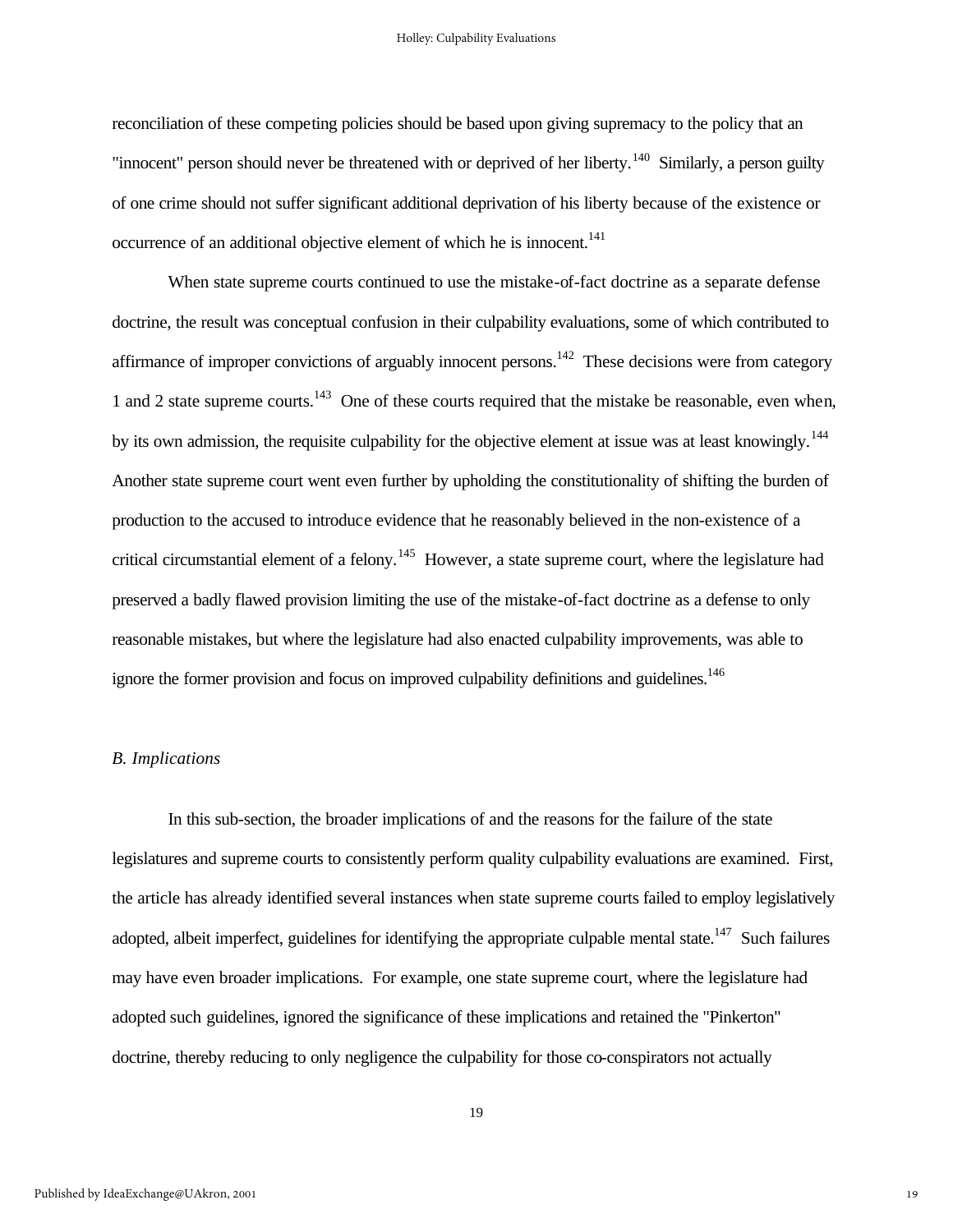reconciliation of these competing policies should be based upon giving supremacy to the policy that an "innocent" person should never be threatened with or deprived of her liberty.<sup>140</sup> Similarly, a person guilty of one crime should not suffer significant additional deprivation of his liberty because of the existence or occurrence of an additional objective element of which he is innocent.<sup>141</sup>

When state supreme courts continued to use the mistake-of-fact doctrine as a separate defense doctrine, the result was conceptual confusion in their culpability evaluations, some of which contributed to affirmance of improper convictions of arguably innocent persons.<sup>142</sup> These decisions were from category 1 and 2 state supreme courts.<sup>143</sup> One of these courts required that the mistake be reasonable, even when, by its own admission, the requisite culpability for the objective element at issue was at least knowingly.<sup>144</sup> Another state supreme court went even further by upholding the constitutionality of shifting the burden of production to the accused to introduce evidence that he reasonably believed in the non-existence of a critical circumstantial element of a felony.<sup>145</sup> However, a state supreme court, where the legislature had preserved a badly flawed provision limiting the use of the mistake-of-fact doctrine as a defense to only reasonable mistakes, but where the legislature had also enacted culpability improvements, was able to ignore the former provision and focus on improved culpability definitions and guidelines.<sup>146</sup>

#### *B. Implications*

In this sub-section, the broader implications of and the reasons for the failure of the state legislatures and supreme courts to consistently perform quality culpability evaluations are examined. First, the article has already identified several instances when state supreme courts failed to employ legislatively adopted, albeit imperfect, guidelines for identifying the appropriate culpable mental state.<sup>147</sup> Such failures may have even broader implications. For example, one state supreme court, where the legislature had adopted such guidelines, ignored the significance of these implications and retained the "Pinkerton" doctrine, thereby reducing to only negligence the culpability for those co-conspirators not actually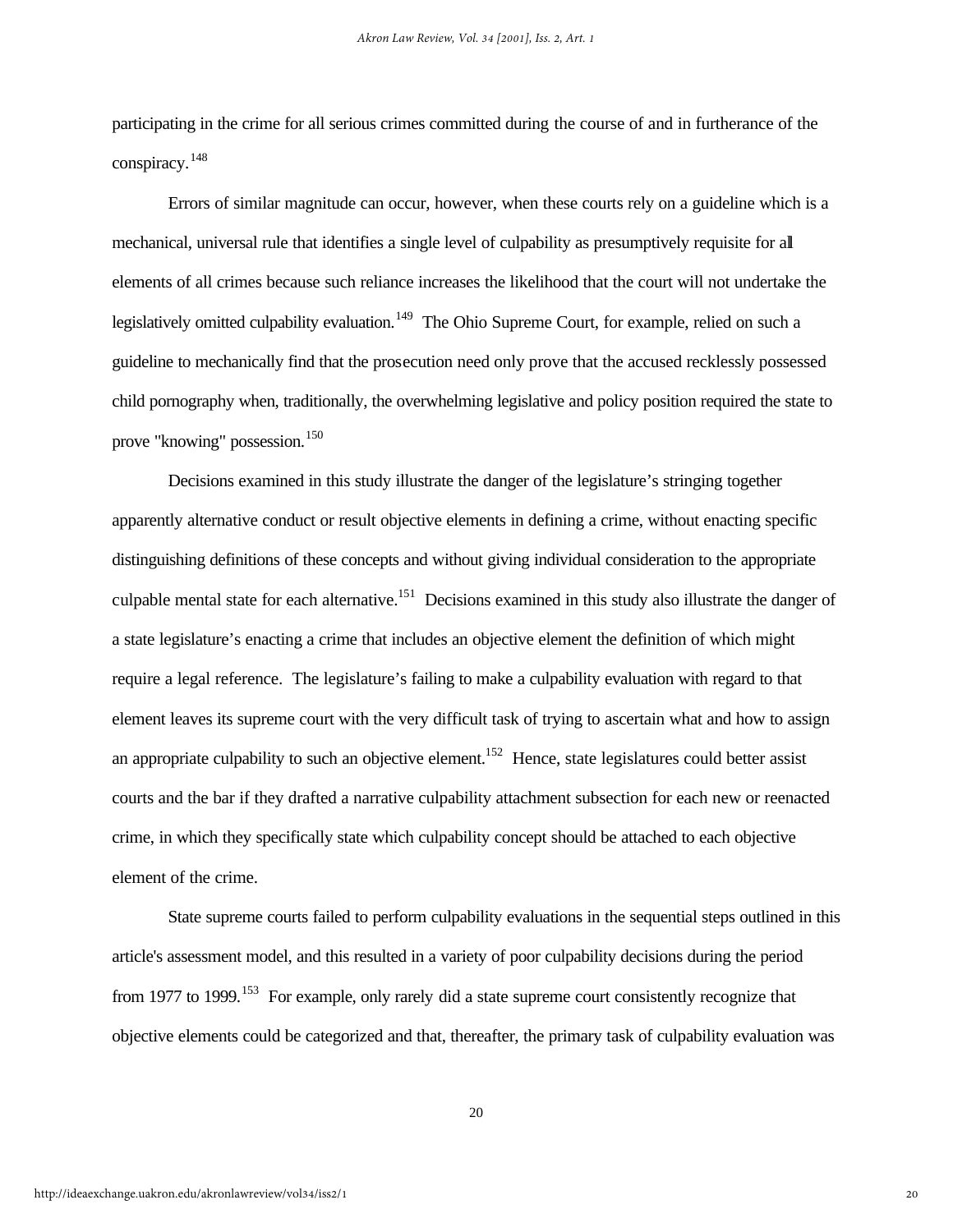participating in the crime for all serious crimes committed during the course of and in furtherance of the conspiracy.<sup>148</sup>

Errors of similar magnitude can occur, however, when these courts rely on a guideline which is a mechanical, universal rule that identifies a single level of culpability as presumptively requisite for all elements of all crimes because such reliance increases the likelihood that the court will not undertake the legislatively omitted culpability evaluation.<sup>149</sup> The Ohio Supreme Court, for example, relied on such a guideline to mechanically find that the prosecution need only prove that the accused recklessly possessed child pornography when, traditionally, the overwhelming legislative and policy position required the state to prove "knowing" possession.<sup>150</sup>

Decisions examined in this study illustrate the danger of the legislature's stringing together apparently alternative conduct or result objective elements in defining a crime, without enacting specific distinguishing definitions of these concepts and without giving individual consideration to the appropriate culpable mental state for each alternative.<sup>151</sup> Decisions examined in this study also illustrate the danger of a state legislature's enacting a crime that includes an objective element the definition of which might require a legal reference. The legislature's failing to make a culpability evaluation with regard to that element leaves its supreme court with the very difficult task of trying to ascertain what and how to assign an appropriate culpability to such an objective element.<sup>152</sup> Hence, state legislatures could better assist courts and the bar if they drafted a narrative culpability attachment subsection for each new or reenacted crime, in which they specifically state which culpability concept should be attached to each objective element of the crime.

State supreme courts failed to perform culpability evaluations in the sequential steps outlined in this article's assessment model, and this resulted in a variety of poor culpability decisions during the period from 1977 to 1999.<sup>153</sup> For example, only rarely did a state supreme court consistently recognize that objective elements could be categorized and that, thereafter, the primary task of culpability evaluation was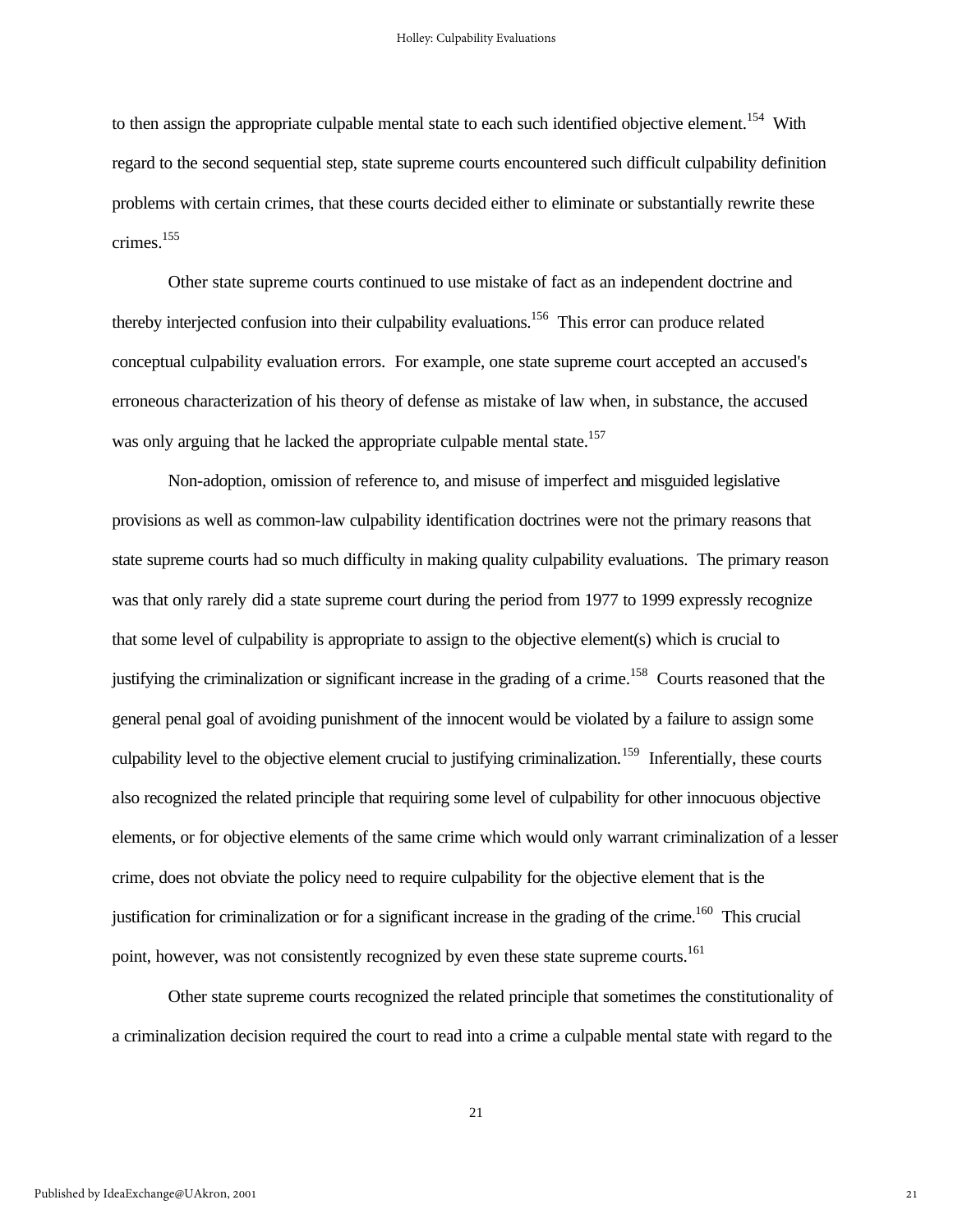to then assign the appropriate culpable mental state to each such identified objective element.<sup>154</sup> With regard to the second sequential step, state supreme courts encountered such difficult culpability definition problems with certain crimes, that these courts decided either to eliminate or substantially rewrite these crimes.<sup>155</sup>

Other state supreme courts continued to use mistake of fact as an independent doctrine and thereby interjected confusion into their culpability evaluations.<sup>156</sup> This error can produce related conceptual culpability evaluation errors. For example, one state supreme court accepted an accused's erroneous characterization of his theory of defense as mistake of law when, in substance, the accused was only arguing that he lacked the appropriate culpable mental state.<sup>157</sup>

Non-adoption, omission of reference to, and misuse of imperfect and misguided legislative provisions as well as common-law culpability identification doctrines were not the primary reasons that state supreme courts had so much difficulty in making quality culpability evaluations. The primary reason was that only rarely did a state supreme court during the period from 1977 to 1999 expressly recognize that some level of culpability is appropriate to assign to the objective element(s) which is crucial to justifying the criminalization or significant increase in the grading of a crime.<sup>158</sup> Courts reasoned that the general penal goal of avoiding punishment of the innocent would be violated by a failure to assign some culpability level to the objective element crucial to justifying criminalization.<sup>159</sup> Inferentially, these courts also recognized the related principle that requiring some level of culpability for other innocuous objective elements, or for objective elements of the same crime which would only warrant criminalization of a lesser crime, does not obviate the policy need to require culpability for the objective element that is the justification for criminalization or for a significant increase in the grading of the crime.<sup>160</sup> This crucial point, however, was not consistently recognized by even these state supreme courts.<sup>161</sup>

Other state supreme courts recognized the related principle that sometimes the constitutionality of a criminalization decision required the court to read into a crime a culpable mental state with regard to the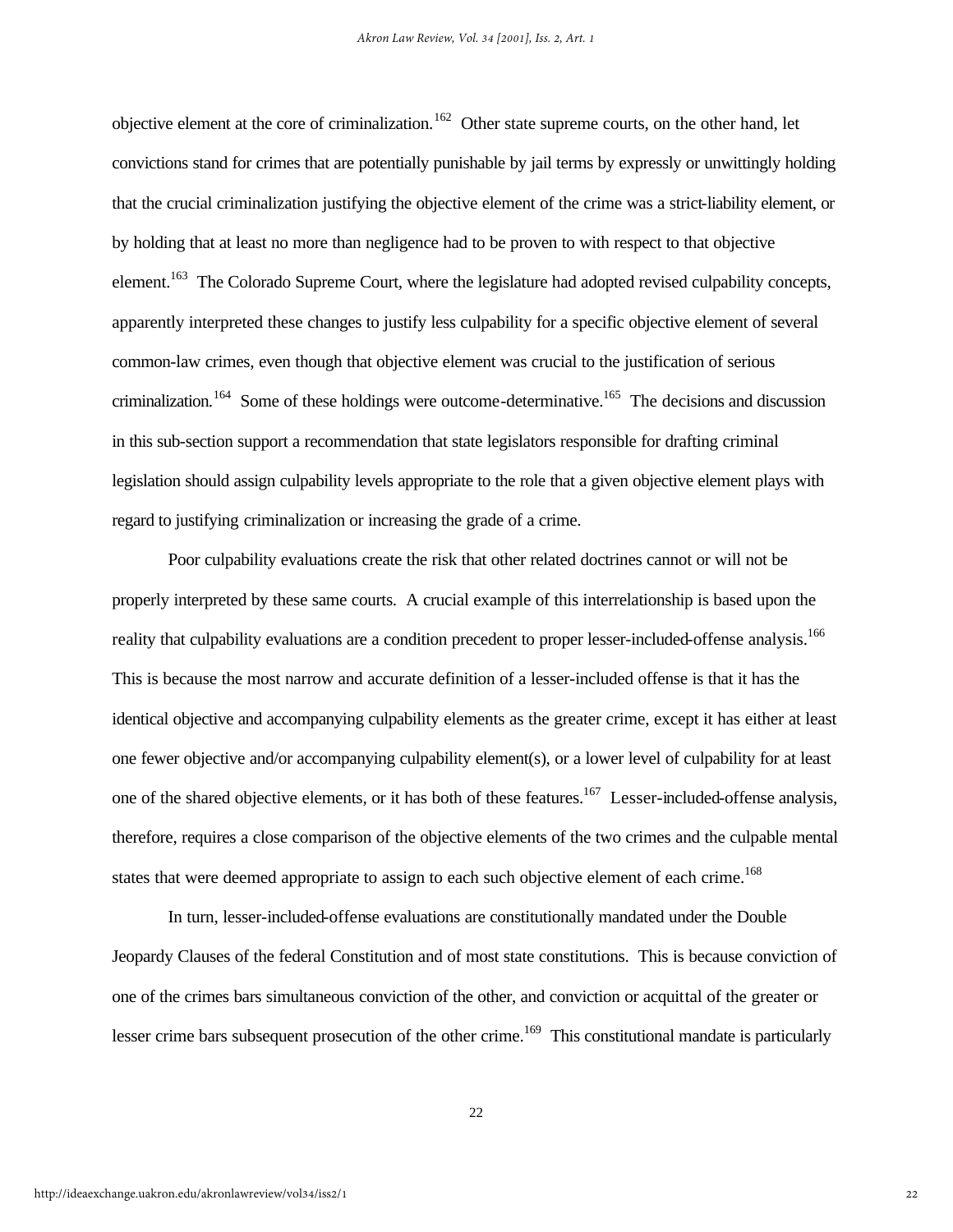objective element at the core of criminalization.<sup>162</sup> Other state supreme courts, on the other hand, let convictions stand for crimes that are potentially punishable by jail terms by expressly or unwittingly holding that the crucial criminalization justifying the objective element of the crime was a strict-liability element, or by holding that at least no more than negligence had to be proven to with respect to that objective element.<sup>163</sup> The Colorado Supreme Court, where the legislature had adopted revised culpability concepts, apparently interpreted these changes to justify less culpability for a specific objective element of several common-law crimes, even though that objective element was crucial to the justification of serious criminalization.<sup>164</sup> Some of these holdings were outcome-determinative.<sup>165</sup> The decisions and discussion in this sub-section support a recommendation that state legislators responsible for drafting criminal legislation should assign culpability levels appropriate to the role that a given objective element plays with regard to justifying criminalization or increasing the grade of a crime.

Poor culpability evaluations create the risk that other related doctrines cannot or will not be properly interpreted by these same courts. A crucial example of this interrelationship is based upon the reality that culpability evaluations are a condition precedent to proper lesser-included-offense analysis.<sup>166</sup> This is because the most narrow and accurate definition of a lesser-included offense is that it has the identical objective and accompanying culpability elements as the greater crime, except it has either at least one fewer objective and/or accompanying culpability element(s), or a lower level of culpability for at least one of the shared objective elements, or it has both of these features.<sup>167</sup> Lesser-included-offense analysis, therefore, requires a close comparison of the objective elements of the two crimes and the culpable mental states that were deemed appropriate to assign to each such objective element of each crime.<sup>168</sup>

In turn, lesser-included-offense evaluations are constitutionally mandated under the Double Jeopardy Clauses of the federal Constitution and of most state constitutions. This is because conviction of one of the crimes bars simultaneous conviction of the other, and conviction or acquittal of the greater or lesser crime bars subsequent prosecution of the other crime.<sup>169</sup> This constitutional mandate is particularly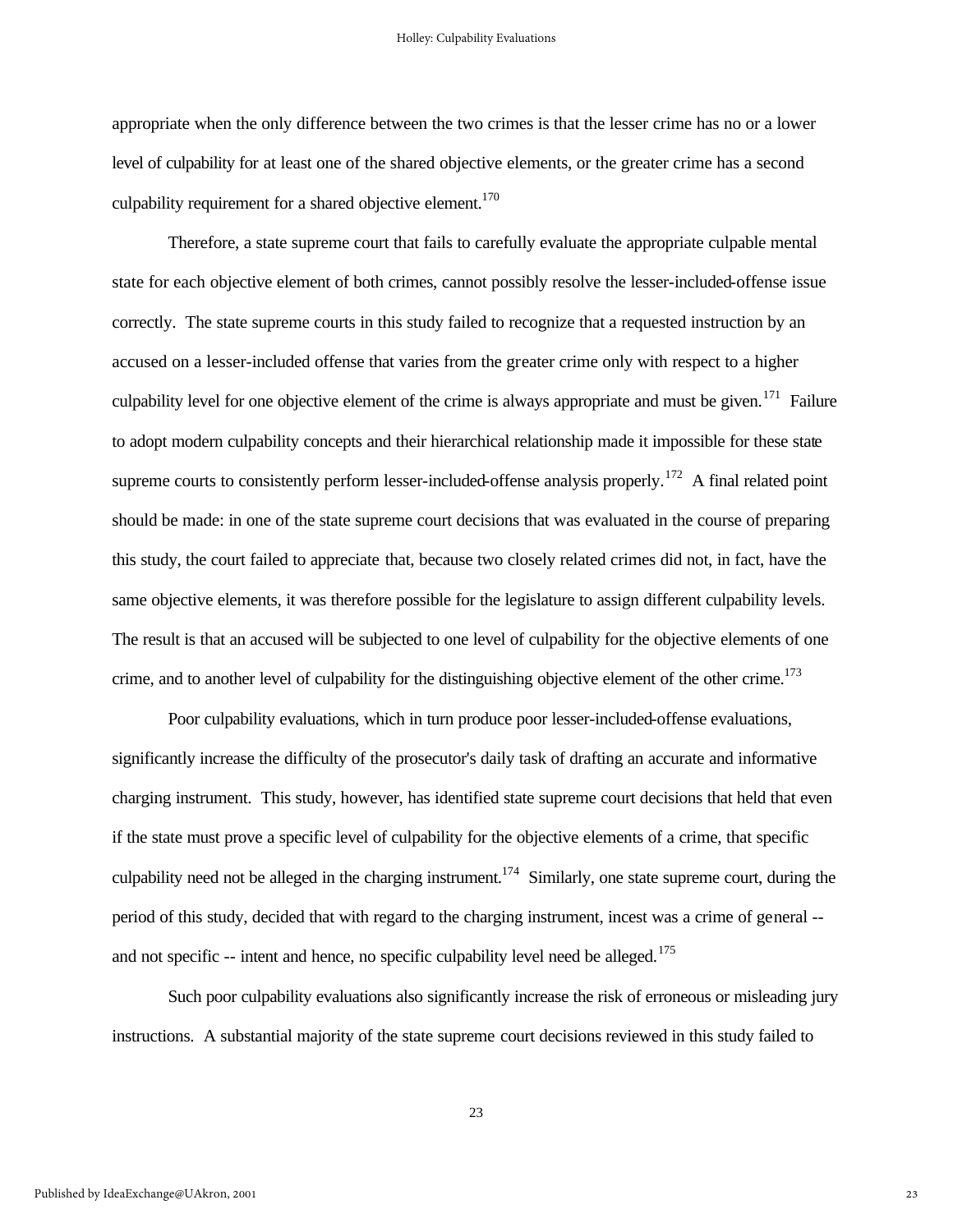appropriate when the only difference between the two crimes is that the lesser crime has no or a lower level of culpability for at least one of the shared objective elements, or the greater crime has a second culpability requirement for a shared objective element.<sup>170</sup>

Therefore, a state supreme court that fails to carefully evaluate the appropriate culpable mental state for each objective element of both crimes, cannot possibly resolve the lesser-included-offense issue correctly. The state supreme courts in this study failed to recognize that a requested instruction by an accused on a lesser-included offense that varies from the greater crime only with respect to a higher culpability level for one objective element of the crime is always appropriate and must be given.<sup>171</sup> Failure to adopt modern culpability concepts and their hierarchical relationship made it impossible for these state supreme courts to consistently perform lesser-included-offense analysis properly.<sup>172</sup> A final related point should be made: in one of the state supreme court decisions that was evaluated in the course of preparing this study, the court failed to appreciate that, because two closely related crimes did not, in fact, have the same objective elements, it was therefore possible for the legislature to assign different culpability levels. The result is that an accused will be subjected to one level of culpability for the objective elements of one crime, and to another level of culpability for the distinguishing objective element of the other crime.<sup>173</sup>

Poor culpability evaluations, which in turn produce poor lesser-included-offense evaluations, significantly increase the difficulty of the prosecutor's daily task of drafting an accurate and informative charging instrument. This study, however, has identified state supreme court decisions that held that even if the state must prove a specific level of culpability for the objective elements of a crime, that specific culpability need not be alleged in the charging instrument.<sup>174</sup> Similarly, one state supreme court, during the period of this study, decided that with regard to the charging instrument, incest was a crime of general - and not specific  $-$  intent and hence, no specific culpability level need be alleged.<sup>175</sup>

Such poor culpability evaluations also significantly increase the risk of erroneous or misleading jury instructions. A substantial majority of the state supreme court decisions reviewed in this study failed to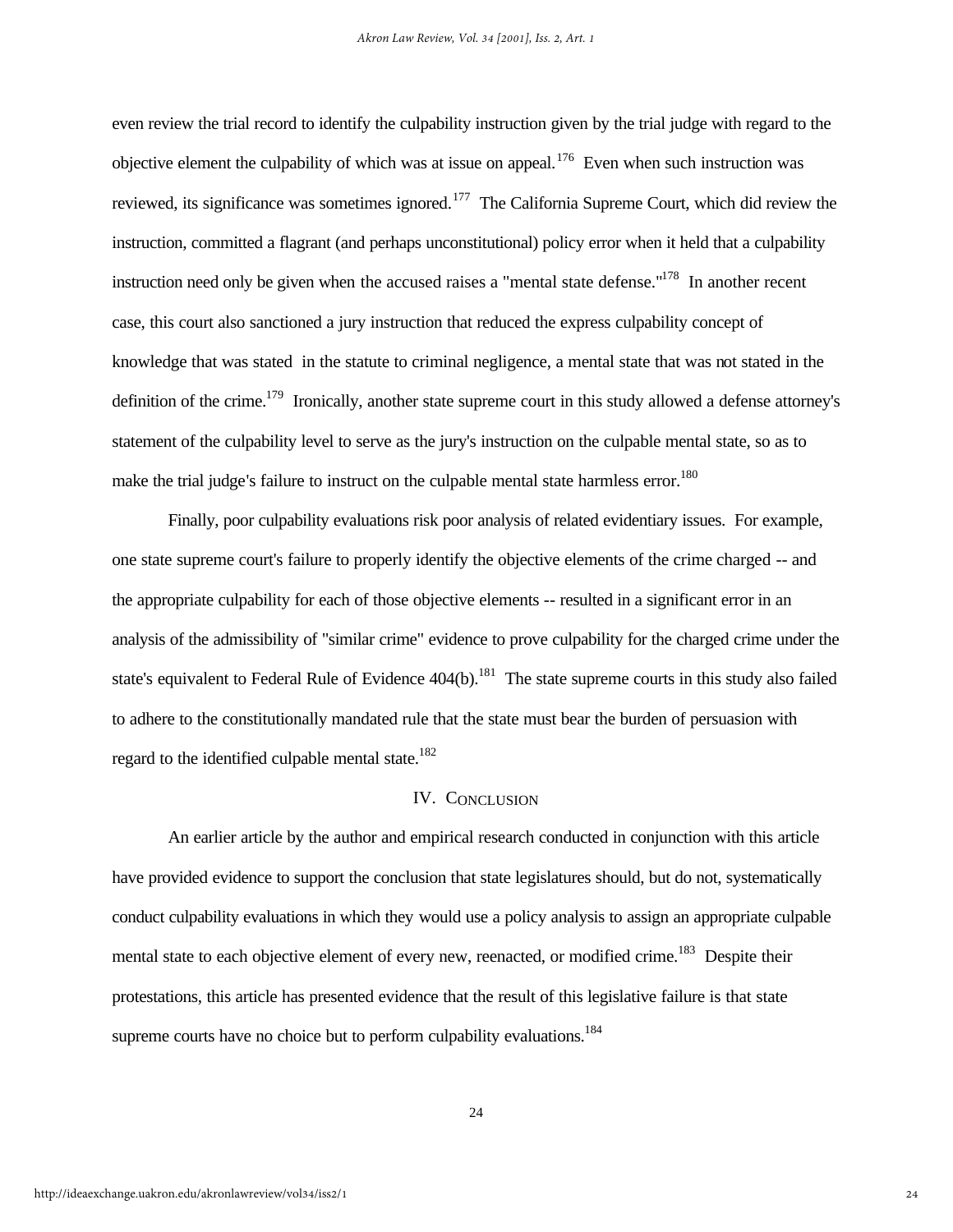even review the trial record to identify the culpability instruction given by the trial judge with regard to the objective element the culpability of which was at issue on appeal.<sup>176</sup> Even when such instruction was reviewed, its significance was sometimes ignored.<sup>177</sup> The California Supreme Court, which did review the instruction, committed a flagrant (and perhaps unconstitutional) policy error when it held that a culpability instruction need only be given when the accused raises a "mental state defense."<sup>178</sup> In another recent case, this court also sanctioned a jury instruction that reduced the express culpability concept of knowledge that was stated in the statute to criminal negligence, a mental state that was not stated in the definition of the crime.<sup>179</sup> Ironically, another state supreme court in this study allowed a defense attorney's statement of the culpability level to serve as the jury's instruction on the culpable mental state, so as to make the trial judge's failure to instruct on the culpable mental state harmless error.<sup>180</sup>

Finally, poor culpability evaluations risk poor analysis of related evidentiary issues. For example, one state supreme court's failure to properly identify the objective elements of the crime charged -- and the appropriate culpability for each of those objective elements -- resulted in a significant error in an analysis of the admissibility of "similar crime" evidence to prove culpability for the charged crime under the state's equivalent to Federal Rule of Evidence 404(b).<sup>181</sup> The state supreme courts in this study also failed to adhere to the constitutionally mandated rule that the state must bear the burden of persuasion with regard to the identified culpable mental state. $182$ 

### IV. CONCLUSION

An earlier article by the author and empirical research conducted in conjunction with this article have provided evidence to support the conclusion that state legislatures should, but do not, systematically conduct culpability evaluations in which they would use a policy analysis to assign an appropriate culpable mental state to each objective element of every new, reenacted, or modified crime.<sup>183</sup> Despite their protestations, this article has presented evidence that the result of this legislative failure is that state supreme courts have no choice but to perform culpability evaluations.<sup>184</sup>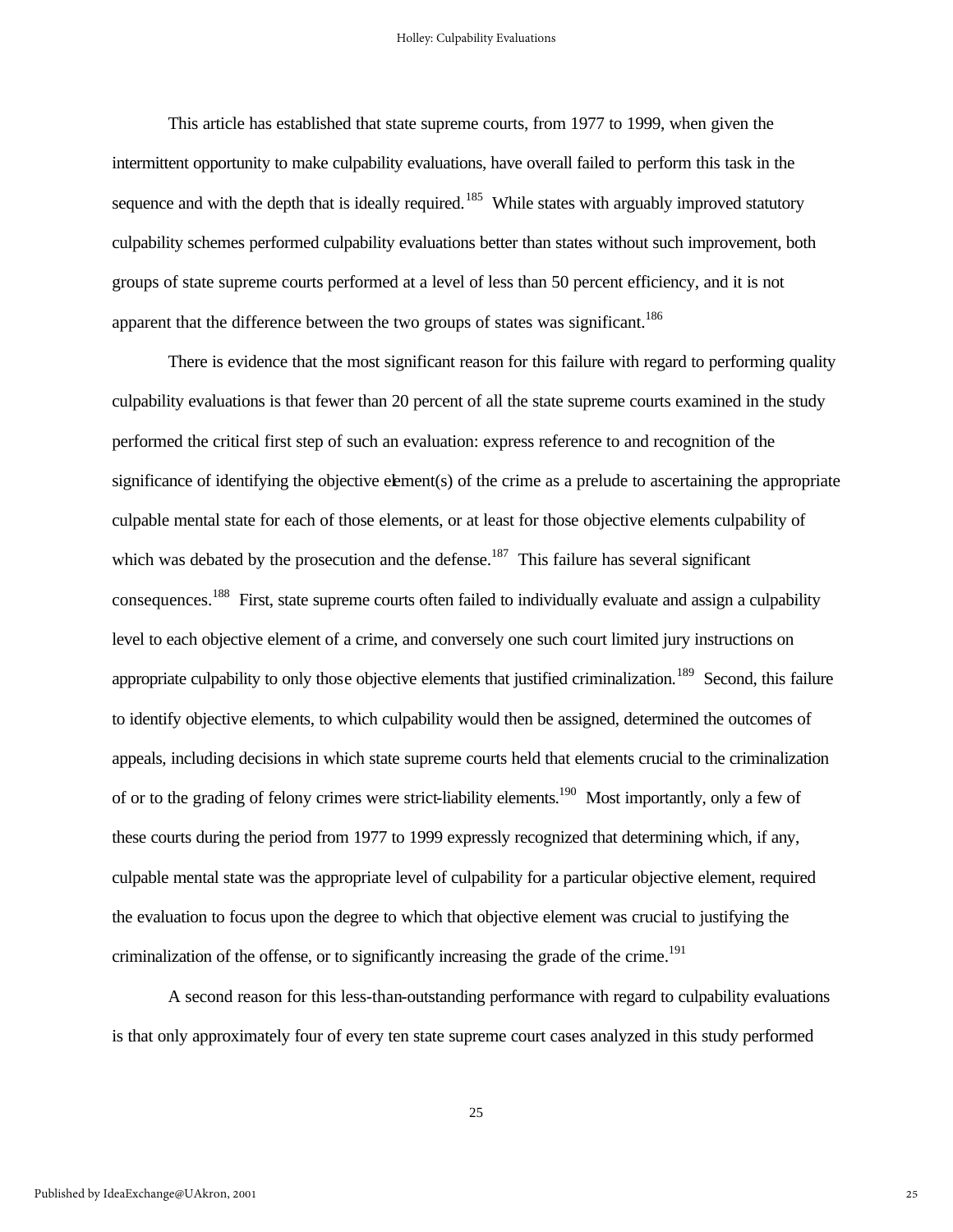This article has established that state supreme courts, from 1977 to 1999, when given the intermittent opportunity to make culpability evaluations, have overall failed to perform this task in the sequence and with the depth that is ideally required.<sup>185</sup> While states with arguably improved statutory culpability schemes performed culpability evaluations better than states without such improvement, both groups of state supreme courts performed at a level of less than 50 percent efficiency, and it is not apparent that the difference between the two groups of states was significant.<sup>186</sup>

There is evidence that the most significant reason for this failure with regard to performing quality culpability evaluations is that fewer than 20 percent of all the state supreme courts examined in the study performed the critical first step of such an evaluation: express reference to and recognition of the significance of identifying the objective element(s) of the crime as a prelude to ascertaining the appropriate culpable mental state for each of those elements, or at least for those objective elements culpability of which was debated by the prosecution and the defense.<sup>187</sup> This failure has several significant consequences.<sup>188</sup> First, state supreme courts often failed to individually evaluate and assign a culpability level to each objective element of a crime, and conversely one such court limited jury instructions on appropriate culpability to only those objective elements that justified criminalization.<sup>189</sup> Second, this failure to identify objective elements, to which culpability would then be assigned, determined the outcomes of appeals, including decisions in which state supreme courts held that elements crucial to the criminalization of or to the grading of felony crimes were strict-liability elements.<sup>190</sup> Most importantly, only a few of these courts during the period from 1977 to 1999 expressly recognized that determining which, if any, culpable mental state was the appropriate level of culpability for a particular objective element, required the evaluation to focus upon the degree to which that objective element was crucial to justifying the criminalization of the offense, or to significantly increasing the grade of the crime.<sup>191</sup>

A second reason for this less-than-outstanding performance with regard to culpability evaluations is that only approximately four of every ten state supreme court cases analyzed in this study performed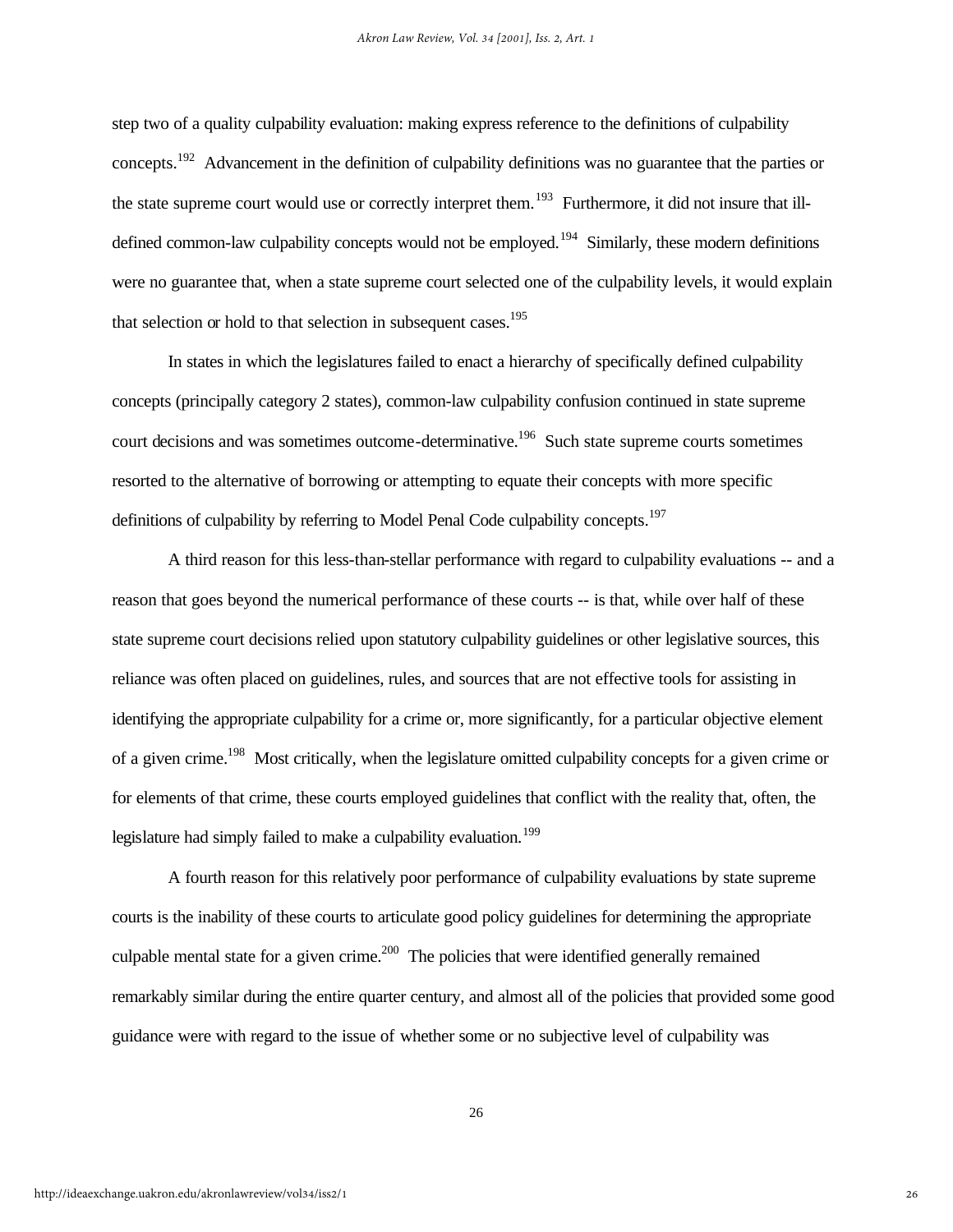step two of a quality culpability evaluation: making express reference to the definitions of culpability concepts.<sup>192</sup> Advancement in the definition of culpability definitions was no guarantee that the parties or the state supreme court would use or correctly interpret them.<sup>193</sup> Furthermore, it did not insure that illdefined common-law culpability concepts would not be employed.<sup>194</sup> Similarly, these modern definitions were no guarantee that, when a state supreme court selected one of the culpability levels, it would explain that selection or hold to that selection in subsequent cases.<sup>195</sup>

In states in which the legislatures failed to enact a hierarchy of specifically defined culpability concepts (principally category 2 states), common-law culpability confusion continued in state supreme court decisions and was sometimes outcome-determinative.<sup>196</sup> Such state supreme courts sometimes resorted to the alternative of borrowing or attempting to equate their concepts with more specific definitions of culpability by referring to Model Penal Code culpability concepts.<sup>197</sup>

A third reason for this less-than-stellar performance with regard to culpability evaluations -- and a reason that goes beyond the numerical performance of these courts -- is that, while over half of these state supreme court decisions relied upon statutory culpability guidelines or other legislative sources, this reliance was often placed on guidelines, rules, and sources that are not effective tools for assisting in identifying the appropriate culpability for a crime or, more significantly, for a particular objective element of a given crime.<sup>198</sup> Most critically, when the legislature omitted culpability concepts for a given crime or for elements of that crime, these courts employed guidelines that conflict with the reality that, often, the legislature had simply failed to make a culpability evaluation.<sup>199</sup>

A fourth reason for this relatively poor performance of culpability evaluations by state supreme courts is the inability of these courts to articulate good policy guidelines for determining the appropriate culpable mental state for a given crime.<sup>200</sup> The policies that were identified generally remained remarkably similar during the entire quarter century, and almost all of the policies that provided some good guidance were with regard to the issue of whether some or no subjective level of culpability was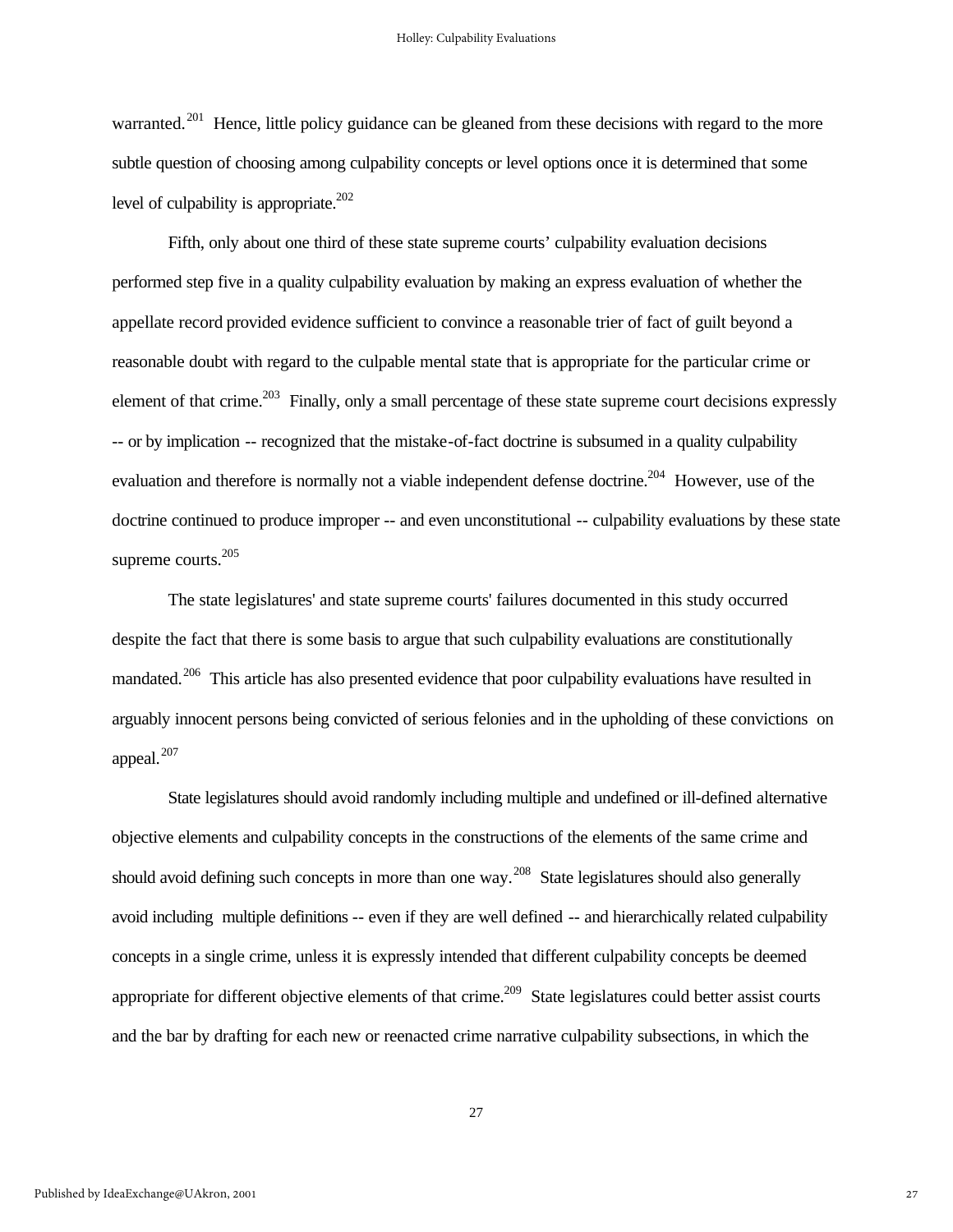warranted.<sup>201</sup> Hence, little policy guidance can be gleaned from these decisions with regard to the more subtle question of choosing among culpability concepts or level options once it is determined that some level of culpability is appropriate. $^{202}$ 

Fifth, only about one third of these state supreme courts' culpability evaluation decisions performed step five in a quality culpability evaluation by making an express evaluation of whether the appellate record provided evidence sufficient to convince a reasonable trier of fact of guilt beyond a reasonable doubt with regard to the culpable mental state that is appropriate for the particular crime or element of that crime.<sup>203</sup> Finally, only a small percentage of these state supreme court decisions expressly -- or by implication -- recognized that the mistake-of-fact doctrine is subsumed in a quality culpability evaluation and therefore is normally not a viable independent defense doctrine.<sup>204</sup> However, use of the doctrine continued to produce improper -- and even unconstitutional -- culpability evaluations by these state supreme courts.<sup>205</sup>

The state legislatures' and state supreme courts' failures documented in this study occurred despite the fact that there is some basis to argue that such culpability evaluations are constitutionally mandated.<sup>206</sup> This article has also presented evidence that poor culpability evaluations have resulted in arguably innocent persons being convicted of serious felonies and in the upholding of these convictions on appeal.<sup>207</sup>

State legislatures should avoid randomly including multiple and undefined or ill-defined alternative objective elements and culpability concepts in the constructions of the elements of the same crime and should avoid defining such concepts in more than one way.<sup>208</sup> State legislatures should also generally avoid including multiple definitions -- even if they are well defined -- and hierarchically related culpability concepts in a single crime, unless it is expressly intended that different culpability concepts be deemed appropriate for different objective elements of that crime.<sup>209</sup> State legislatures could better assist courts and the bar by drafting for each new or reenacted crime narrative culpability subsections, in which the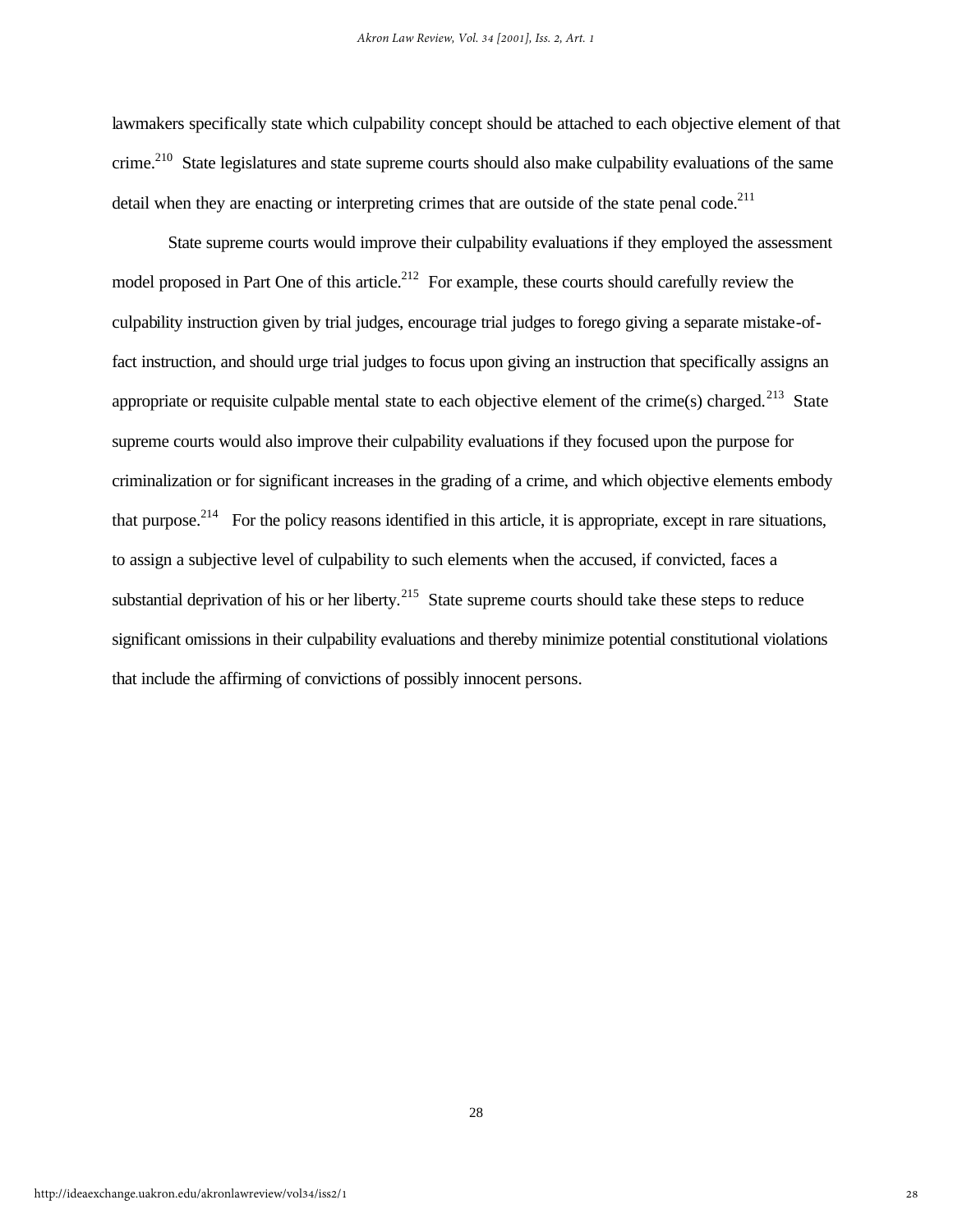lawmakers specifically state which culpability concept should be attached to each objective element of that crime.<sup>210</sup> State legislatures and state supreme courts should also make culpability evaluations of the same detail when they are enacting or interpreting crimes that are outside of the state penal code.<sup>211</sup>

State supreme courts would improve their culpability evaluations if they employed the assessment model proposed in Part One of this article.<sup>212</sup> For example, these courts should carefully review the culpability instruction given by trial judges, encourage trial judges to forego giving a separate mistake-offact instruction, and should urge trial judges to focus upon giving an instruction that specifically assigns an appropriate or requisite culpable mental state to each objective element of the crime(s) charged.<sup>213</sup> State supreme courts would also improve their culpability evaluations if they focused upon the purpose for criminalization or for significant increases in the grading of a crime, and which objective elements embody that purpose.<sup>214</sup> For the policy reasons identified in this article, it is appropriate, except in rare situations, to assign a subjective level of culpability to such elements when the accused, if convicted, faces a substantial deprivation of his or her liberty.<sup>215</sup> State supreme courts should take these steps to reduce significant omissions in their culpability evaluations and thereby minimize potential constitutional violations that include the affirming of convictions of possibly innocent persons.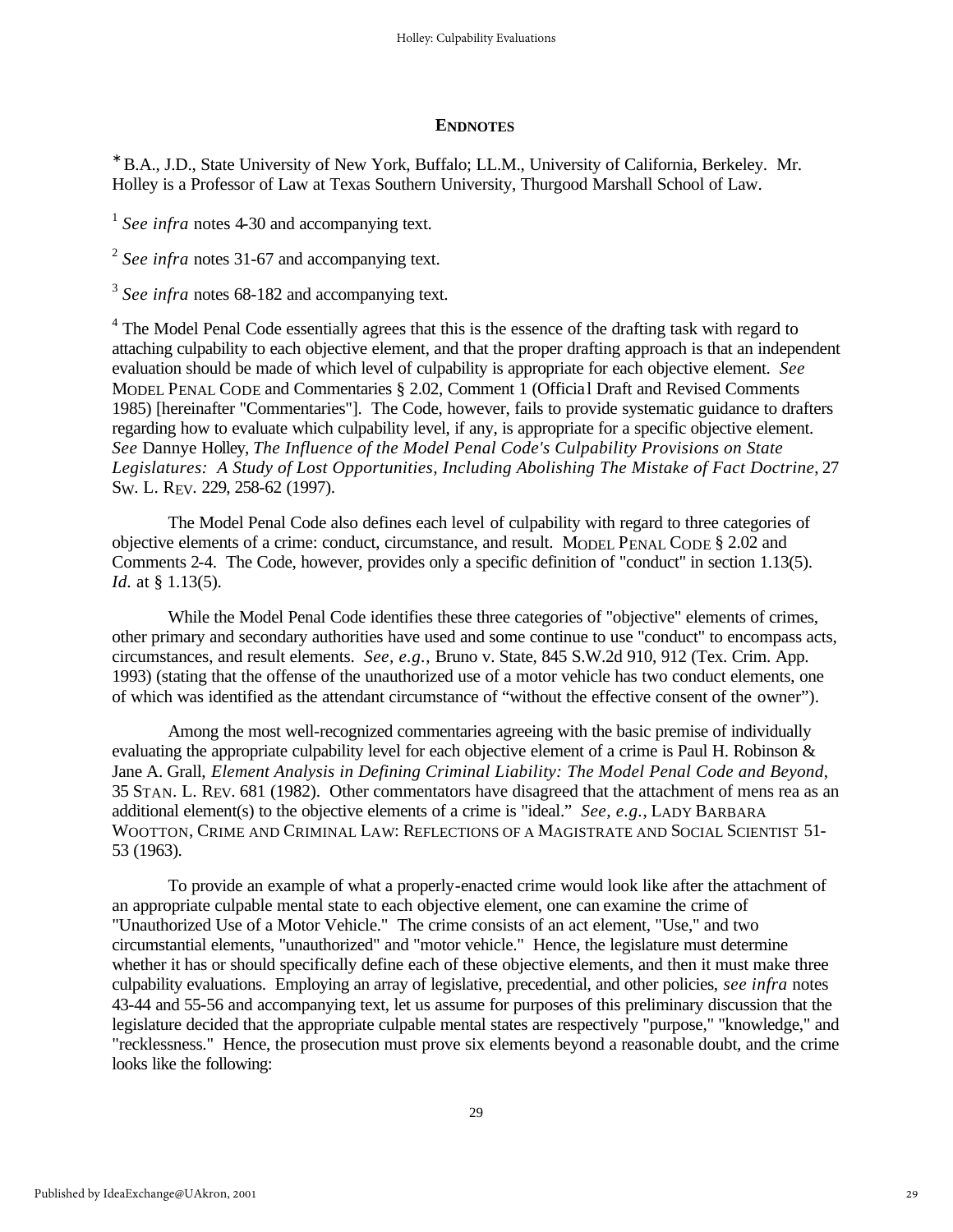#### **ENDNOTES**

∗ B.A., J.D., State University of New York, Buffalo; LL.M., University of California, Berkeley. Mr. Holley is a Professor of Law at Texas Southern University, Thurgood Marshall School of Law.

<sup>1</sup> See infra notes 4-30 and accompanying text.

<sup>2</sup> See infra notes 31-67 and accompanying text.

<sup>3</sup> See infra notes 68-182 and accompanying text.

<sup>4</sup> The Model Penal Code essentially agrees that this is the essence of the drafting task with regard to attaching culpability to each objective element, and that the proper drafting approach is that an independent evaluation should be made of which level of culpability is appropriate for each objective element. *See* MODEL PENAL CODE and Commentaries § 2.02, Comment 1 (Officia l Draft and Revised Comments 1985) [hereinafter "Commentaries"]. The Code, however, fails to provide systematic guidance to drafters regarding how to evaluate which culpability level, if any, is appropriate for a specific objective element. *See* Dannye Holley, *The Influence of the Model Penal Code's Culpability Provisions on State Legislatures: A Study of Lost Opportunities, Including Abolishing The Mistake of Fact Doctrine*, 27 SW. L. REV. 229, 258-62 (1997).

The Model Penal Code also defines each level of culpability with regard to three categories of objective elements of a crime: conduct, circumstance, and result. MODEL PENAL CODE § 2.02 and Comments 2-4. The Code, however, provides only a specific definition of "conduct" in section 1.13(5). *Id.* at § 1.13(5).

While the Model Penal Code identifies these three categories of "objective" elements of crimes, other primary and secondary authorities have used and some continue to use "conduct" to encompass acts, circumstances, and result elements. *See, e.g.,* Bruno v. State, 845 S.W.2d 910, 912 (Tex. Crim. App. 1993) (stating that the offense of the unauthorized use of a motor vehicle has two conduct elements, one of which was identified as the attendant circumstance of "without the effective consent of the owner").

Among the most well-recognized commentaries agreeing with the basic premise of individually evaluating the appropriate culpability level for each objective element of a crime is Paul H. Robinson & Jane A. Grall, *Element Analysis in Defining Criminal Liability: The Model Penal Code and Beyond*, 35 STAN. L. REV. 681 (1982). Other commentators have disagreed that the attachment of mens rea as an additional element(s) to the objective elements of a crime is "ideal." *See, e.g.*, LADY BARBARA WOOTTON, CRIME AND CRIMINAL LAW: REFLECTIONS OF A MAGISTRATE AND SOCIAL SCIENTIST 51- 53 (1963).

To provide an example of what a properly-enacted crime would look like after the attachment of an appropriate culpable mental state to each objective element, one can examine the crime of "Unauthorized Use of a Motor Vehicle." The crime consists of an act element, "Use," and two circumstantial elements, "unauthorized" and "motor vehicle." Hence, the legislature must determine whether it has or should specifically define each of these objective elements, and then it must make three culpability evaluations. Employing an array of legislative, precedential, and other policies, *see infra* notes 43-44 and 55-56 and accompanying text, let us assume for purposes of this preliminary discussion that the legislature decided that the appropriate culpable mental states are respectively "purpose," "knowledge," and "recklessness." Hence, the prosecution must prove six elements beyond a reasonable doubt, and the crime looks like the following: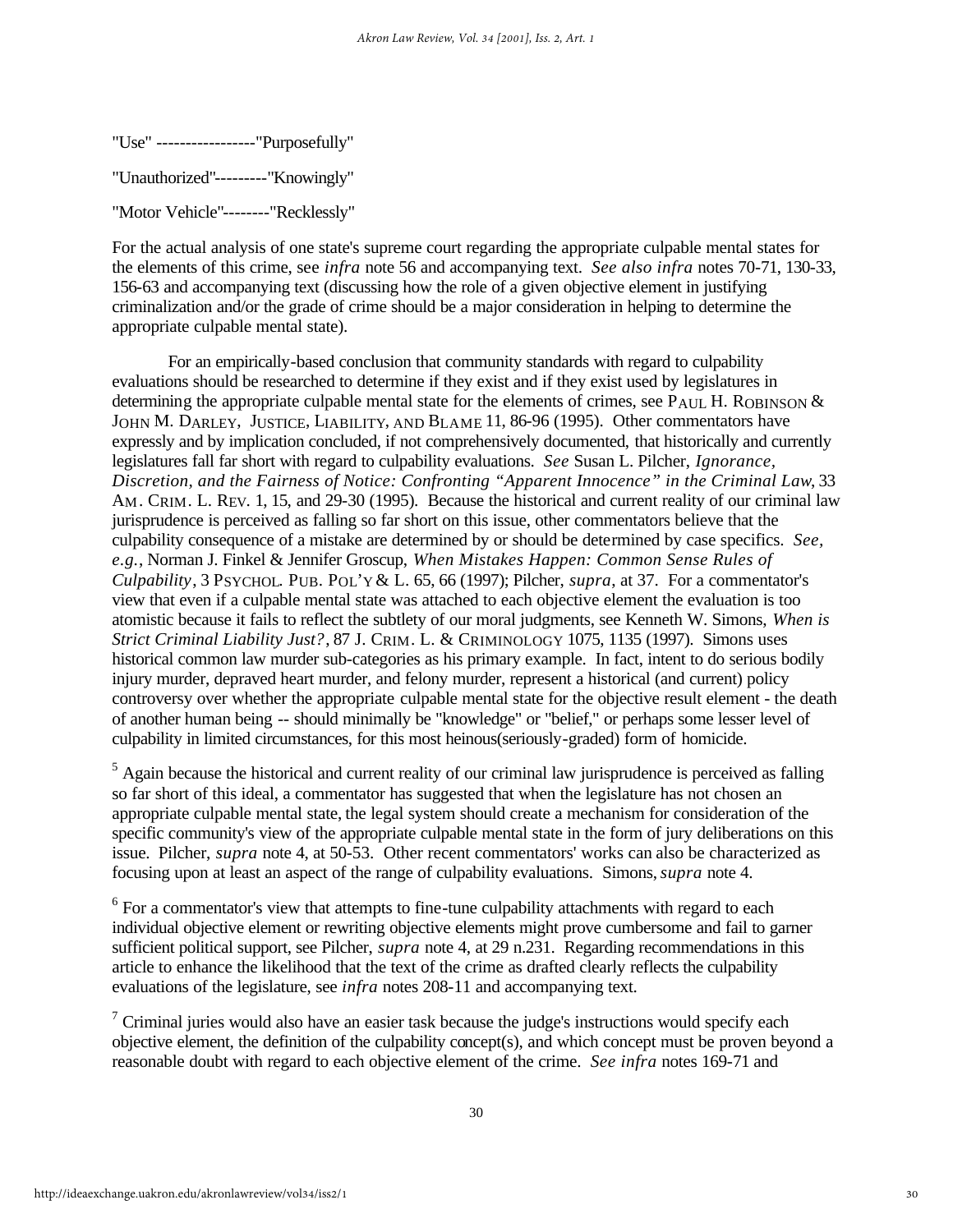"Use" -----------------"Purposefully"

"Unauthorized"---------"Knowingly"

"Motor Vehicle"--------"Recklessly"

For the actual analysis of one state's supreme court regarding the appropriate culpable mental states for the elements of this crime, see *infra* note 56 and accompanying text. *See also infra* notes 70-71, 130-33, 156-63 and accompanying text (discussing how the role of a given objective element in justifying criminalization and/or the grade of crime should be a major consideration in helping to determine the appropriate culpable mental state).

For an empirically-based conclusion that community standards with regard to culpability evaluations should be researched to determine if they exist and if they exist used by legislatures in determining the appropriate culpable mental state for the elements of crimes, see P<sub>AUL</sub> H. ROBINSON  $\&$ JOHN M. DARLEY, JUSTICE, LIABILITY, AND BLAME 11, 86-96 (1995). Other commentators have expressly and by implication concluded, if not comprehensively documented, that historically and currently legislatures fall far short with regard to culpability evaluations. *See* Susan L. Pilcher, *Ignorance, Discretion, and the Fairness of Notice: Confronting "Apparent Innocence" in the Criminal Law*, 33 AM. CRIM. L. REV. 1, 15, and 29-30 (1995). Because the historical and current reality of our criminal law jurisprudence is perceived as falling so far short on this issue, other commentators believe that the culpability consequence of a mistake are determined by or should be determined by case specifics. *See, e.g.*, Norman J. Finkel & Jennifer Groscup, *When Mistakes Happen: Common Sense Rules of Culpability*, 3 PSYCHOL. PUB. POL'Y & L. 65, 66 (1997); Pilcher, *supra*, at 37. For a commentator's view that even if a culpable mental state was attached to each objective element the evaluation is too atomistic because it fails to reflect the subtlety of our moral judgments, see Kenneth W. Simons, *When is Strict Criminal Liability Just?*, 87 J. CRIM. L. & CRIMINOLOGY 1075, 1135 (1997). Simons uses historical common law murder sub-categories as his primary example. In fact, intent to do serious bodily injury murder, depraved heart murder, and felony murder, represent a historical (and current) policy controversy over whether the appropriate culpable mental state for the objective result element - the death of another human being -- should minimally be "knowledge" or "belief," or perhaps some lesser level of culpability in limited circumstances, for this most heinous(seriously-graded) form of homicide.

 $<sup>5</sup>$  Again because the historical and current reality of our criminal law jurisprudence is perceived as falling</sup> so far short of this ideal, a commentator has suggested that when the legislature has not chosen an appropriate culpable mental state, the legal system should create a mechanism for consideration of the specific community's view of the appropriate culpable mental state in the form of jury deliberations on this issue. Pilcher, *supra* note 4, at 50-53. Other recent commentators' works can also be characterized as focusing upon at least an aspect of the range of culpability evaluations. Simons, *supra* note 4.

 $6$  For a commentator's view that attempts to fine-tune culpability attachments with regard to each individual objective element or rewriting objective elements might prove cumbersome and fail to garner sufficient political support, see Pilcher, *supra* note 4, at 29 n.231. Regarding recommendations in this article to enhance the likelihood that the text of the crime as drafted clearly reflects the culpability evaluations of the legislature, see *infra* notes 208-11 and accompanying text.

<sup>7</sup> Criminal juries would also have an easier task because the judge's instructions would specify each objective element, the definition of the culpability concept(s), and which concept must be proven beyond a reasonable doubt with regard to each objective element of the crime. *See infra* notes 169-71 and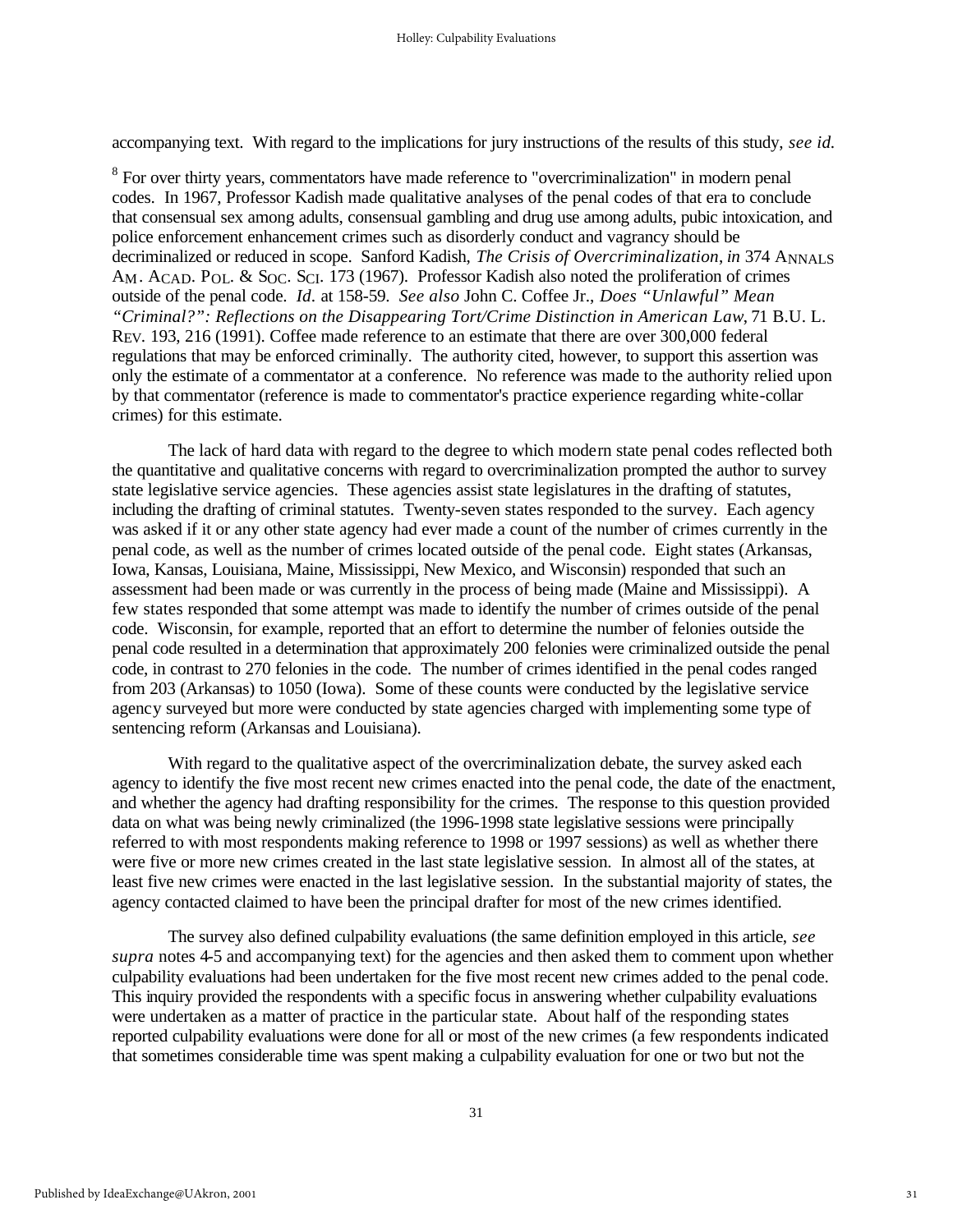accompanying text. With regard to the implications for jury instructions of the results of this study, *see id.*

 $8$  For over thirty years, commentators have made reference to "overcriminalization" in modern penal codes. In 1967, Professor Kadish made qualitative analyses of the penal codes of that era to conclude that consensual sex among adults, consensual gambling and drug use among adults, pubic intoxication, and police enforcement enhancement crimes such as disorderly conduct and vagrancy should be decriminalized or reduced in scope. Sanford Kadish, *The Crisis of Overcriminalization*, *in* 374 ANNALS AM. ACAD. POL. & SOC. SCI. 173 (1967). Professor Kadish also noted the proliferation of crimes outside of the penal code. *Id.* at 158-59. *See also* John C. Coffee Jr., *Does "Unlawful" Mean "Criminal?": Reflections on the Disappearing Tort/Crime Distinction in American Law*, 71 B.U. L. REV. 193, 216 (1991). Coffee made reference to an estimate that there are over 300,000 federal regulations that may be enforced criminally. The authority cited, however, to support this assertion was only the estimate of a commentator at a conference. No reference was made to the authority relied upon by that commentator (reference is made to commentator's practice experience regarding white-collar crimes) for this estimate.

The lack of hard data with regard to the degree to which modern state penal codes reflected both the quantitative and qualitative concerns with regard to overcriminalization prompted the author to survey state legislative service agencies. These agencies assist state legislatures in the drafting of statutes, including the drafting of criminal statutes. Twenty-seven states responded to the survey. Each agency was asked if it or any other state agency had ever made a count of the number of crimes currently in the penal code, as well as the number of crimes located outside of the penal code. Eight states (Arkansas, Iowa, Kansas, Louisiana, Maine, Mississippi, New Mexico, and Wisconsin) responded that such an assessment had been made or was currently in the process of being made (Maine and Mississippi). A few states responded that some attempt was made to identify the number of crimes outside of the penal code. Wisconsin, for example, reported that an effort to determine the number of felonies outside the penal code resulted in a determination that approximately 200 felonies were criminalized outside the penal code, in contrast to 270 felonies in the code. The number of crimes identified in the penal codes ranged from 203 (Arkansas) to 1050 (Iowa). Some of these counts were conducted by the legislative service agency surveyed but more were conducted by state agencies charged with implementing some type of sentencing reform (Arkansas and Louisiana).

With regard to the qualitative aspect of the overcriminalization debate, the survey asked each agency to identify the five most recent new crimes enacted into the penal code, the date of the enactment, and whether the agency had drafting responsibility for the crimes. The response to this question provided data on what was being newly criminalized (the 1996-1998 state legislative sessions were principally referred to with most respondents making reference to 1998 or 1997 sessions) as well as whether there were five or more new crimes created in the last state legislative session. In almost all of the states, at least five new crimes were enacted in the last legislative session. In the substantial majority of states, the agency contacted claimed to have been the principal drafter for most of the new crimes identified.

The survey also defined culpability evaluations (the same definition employed in this article, *see supra* notes 4-5 and accompanying text) for the agencies and then asked them to comment upon whether culpability evaluations had been undertaken for the five most recent new crimes added to the penal code. This inquiry provided the respondents with a specific focus in answering whether culpability evaluations were undertaken as a matter of practice in the particular state. About half of the responding states reported culpability evaluations were done for all or most of the new crimes (a few respondents indicated that sometimes considerable time was spent making a culpability evaluation for one or two but not the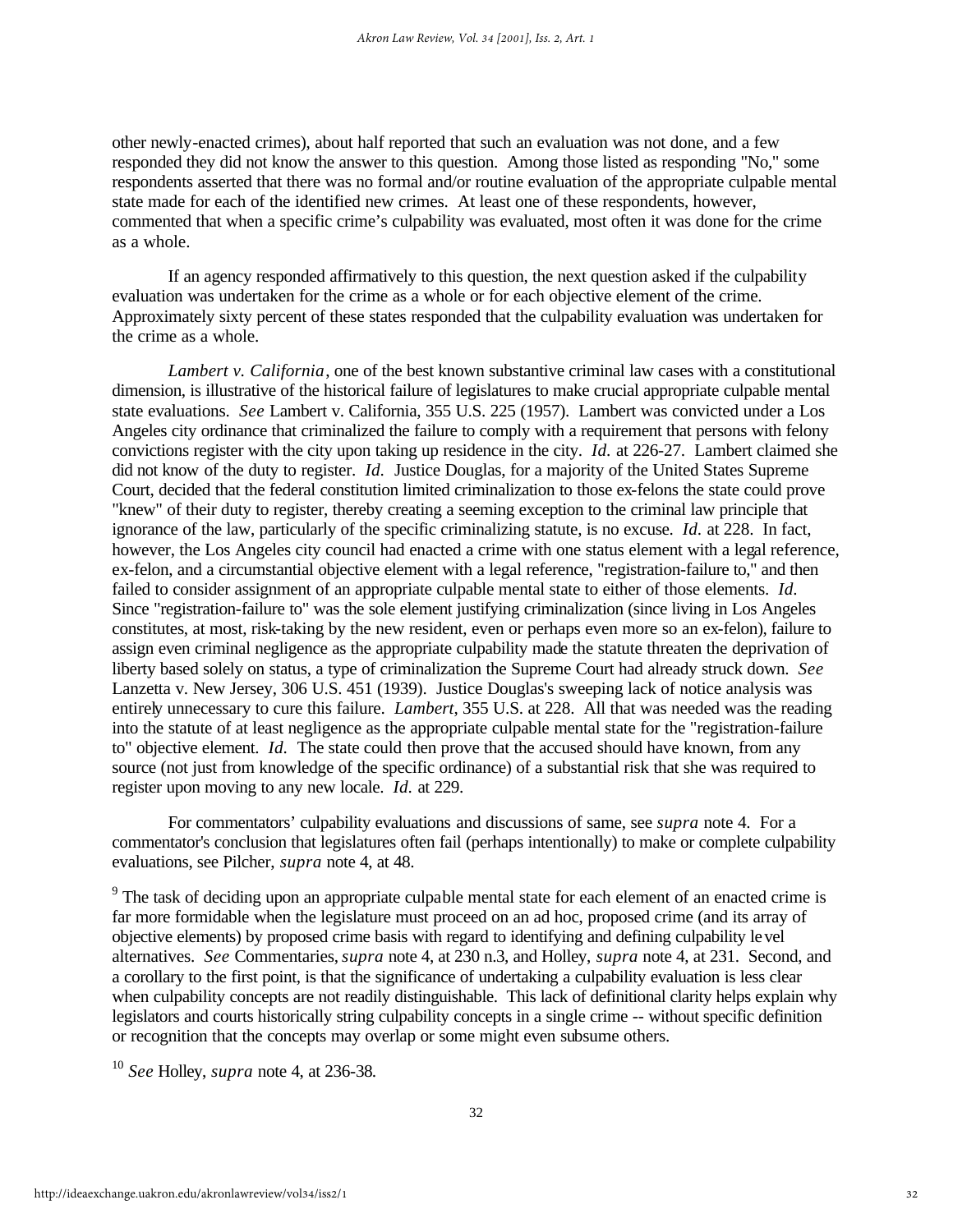other newly-enacted crimes), about half reported that such an evaluation was not done, and a few responded they did not know the answer to this question. Among those listed as responding "No," some respondents asserted that there was no formal and/or routine evaluation of the appropriate culpable mental state made for each of the identified new crimes. At least one of these respondents, however, commented that when a specific crime's culpability was evaluated, most often it was done for the crime as a whole.

If an agency responded affirmatively to this question, the next question asked if the culpability evaluation was undertaken for the crime as a whole or for each objective element of the crime. Approximately sixty percent of these states responded that the culpability evaluation was undertaken for the crime as a whole.

*Lambert v. California*, one of the best known substantive criminal law cases with a constitutional dimension, is illustrative of the historical failure of legislatures to make crucial appropriate culpable mental state evaluations. *See* Lambert v. California, 355 U.S. 225 (1957). Lambert was convicted under a Los Angeles city ordinance that criminalized the failure to comply with a requirement that persons with felony convictions register with the city upon taking up residence in the city. *Id.* at 226-27. Lambert claimed she did not know of the duty to register. *Id.* Justice Douglas, for a majority of the United States Supreme Court, decided that the federal constitution limited criminalization to those ex-felons the state could prove "knew" of their duty to register, thereby creating a seeming exception to the criminal law principle that ignorance of the law, particularly of the specific criminalizing statute, is no excuse. *Id.* at 228. In fact, however, the Los Angeles city council had enacted a crime with one status element with a legal reference, ex-felon, and a circumstantial objective element with a legal reference, "registration-failure to," and then failed to consider assignment of an appropriate culpable mental state to either of those elements. *Id.*  Since "registration-failure to" was the sole element justifying criminalization (since living in Los Angeles constitutes, at most, risk-taking by the new resident, even or perhaps even more so an ex-felon), failure to assign even criminal negligence as the appropriate culpability made the statute threaten the deprivation of liberty based solely on status, a type of criminalization the Supreme Court had already struck down. *See* Lanzetta v. New Jersey, 306 U.S. 451 (1939). Justice Douglas's sweeping lack of notice analysis was entirely unnecessary to cure this failure. *Lambert*, 355 U.S. at 228. All that was needed was the reading into the statute of at least negligence as the appropriate culpable mental state for the "registration-failure to" objective element. *Id.* The state could then prove that the accused should have known, from any source (not just from knowledge of the specific ordinance) of a substantial risk that she was required to register upon moving to any new locale. *Id.* at 229.

For commentators' culpability evaluations and discussions of same, see *supra* note 4. For a commentator's conclusion that legislatures often fail (perhaps intentionally) to make or complete culpability evaluations, see Pilcher, *supra* note 4, at 48.

<sup>9</sup> The task of deciding upon an appropriate culpable mental state for each element of an enacted crime is far more formidable when the legislature must proceed on an ad hoc, proposed crime (and its array of objective elements) by proposed crime basis with regard to identifying and defining culpability level alternatives. *See* Commentaries,*supra* note 4, at 230 n.3, and Holley, *supra* note 4, at 231. Second, and a corollary to the first point, is that the significance of undertaking a culpability evaluation is less clear when culpability concepts are not readily distinguishable. This lack of definitional clarity helps explain why legislators and courts historically string culpability concepts in a single crime -- without specific definition or recognition that the concepts may overlap or some might even subsume others.

<sup>10</sup> *See* Holley, *supra* note 4, at 236-38.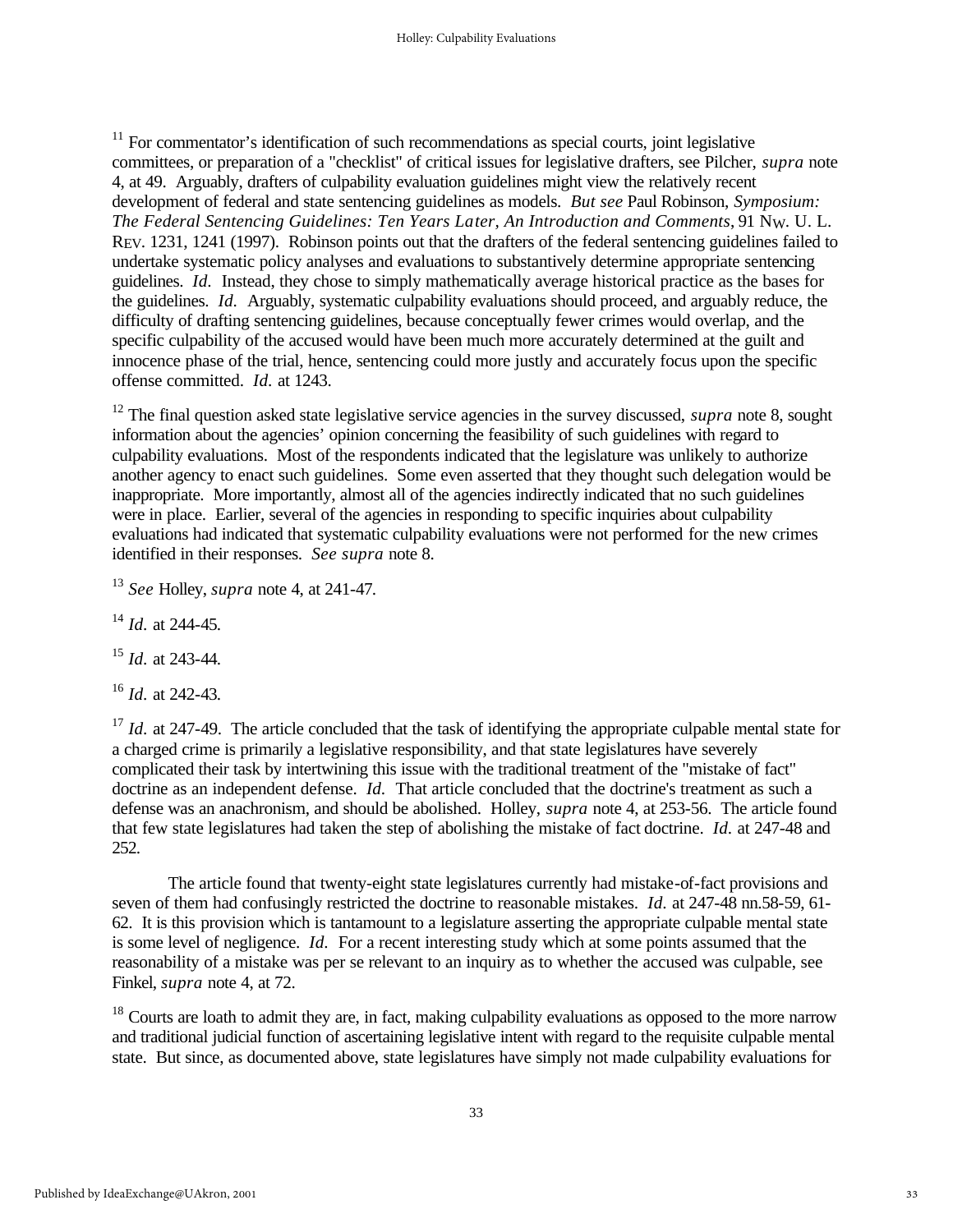$11$  For commentator's identification of such recommendations as special courts, joint legislative committees, or preparation of a "checklist" of critical issues for legislative drafters, see Pilcher, *supra* note 4, at 49. Arguably, drafters of culpability evaluation guidelines might view the relatively recent development of federal and state sentencing guidelines as models. *But see* Paul Robinson, *Symposium: The Federal Sentencing Guidelines: Ten Years Later, An Introduction and Comments*, 91 NW. U. L. REV. 1231, 1241 (1997). Robinson points out that the drafters of the federal sentencing guidelines failed to undertake systematic policy analyses and evaluations to substantively determine appropriate sentencing guidelines. *Id.* Instead, they chose to simply mathematically average historical practice as the bases for the guidelines. *Id.* Arguably, systematic culpability evaluations should proceed, and arguably reduce, the difficulty of drafting sentencing guidelines, because conceptually fewer crimes would overlap, and the specific culpability of the accused would have been much more accurately determined at the guilt and innocence phase of the trial, hence, sentencing could more justly and accurately focus upon the specific offense committed. *Id.* at 1243.

<sup>12</sup> The final question asked state legislative service agencies in the survey discussed, *supra* note 8, sought information about the agencies' opinion concerning the feasibility of such guidelines with regard to culpability evaluations. Most of the respondents indicated that the legislature was unlikely to authorize another agency to enact such guidelines. Some even asserted that they thought such delegation would be inappropriate. More importantly, almost all of the agencies indirectly indicated that no such guidelines were in place. Earlier, several of the agencies in responding to specific inquiries about culpability evaluations had indicated that systematic culpability evaluations were not performed for the new crimes identified in their responses. *See supra* note 8.

<sup>13</sup> *See* Holley, *supra* note 4, at 241-47.

<sup>14</sup> *Id.* at 244-45.

<sup>15</sup> *Id.* at 243-44.

<sup>16</sup> *Id.* at 242-43.

<sup>17</sup> *Id.* at 247-49. The article concluded that the task of identifying the appropriate culpable mental state for a charged crime is primarily a legislative responsibility, and that state legislatures have severely complicated their task by intertwining this issue with the traditional treatment of the "mistake of fact" doctrine as an independent defense. *Id.* That article concluded that the doctrine's treatment as such a defense was an anachronism, and should be abolished. Holley, *supra* note 4, at 253-56. The article found that few state legislatures had taken the step of abolishing the mistake of fact doctrine. *Id.* at 247-48 and 252.

The article found that twenty-eight state legislatures currently had mistake-of-fact provisions and seven of them had confusingly restricted the doctrine to reasonable mistakes. *Id.* at 247-48 nn.58-59, 61- 62. It is this provision which is tantamount to a legislature asserting the appropriate culpable mental state is some level of negligence. *Id.* For a recent interesting study which at some points assumed that the reasonability of a mistake was per se relevant to an inquiry as to whether the accused was culpable, see Finkel, *supra* note 4, at 72.

 $18$  Courts are loath to admit they are, in fact, making culpability evaluations as opposed to the more narrow and traditional judicial function of ascertaining legislative intent with regard to the requisite culpable mental state. But since, as documented above, state legislatures have simply not made culpability evaluations for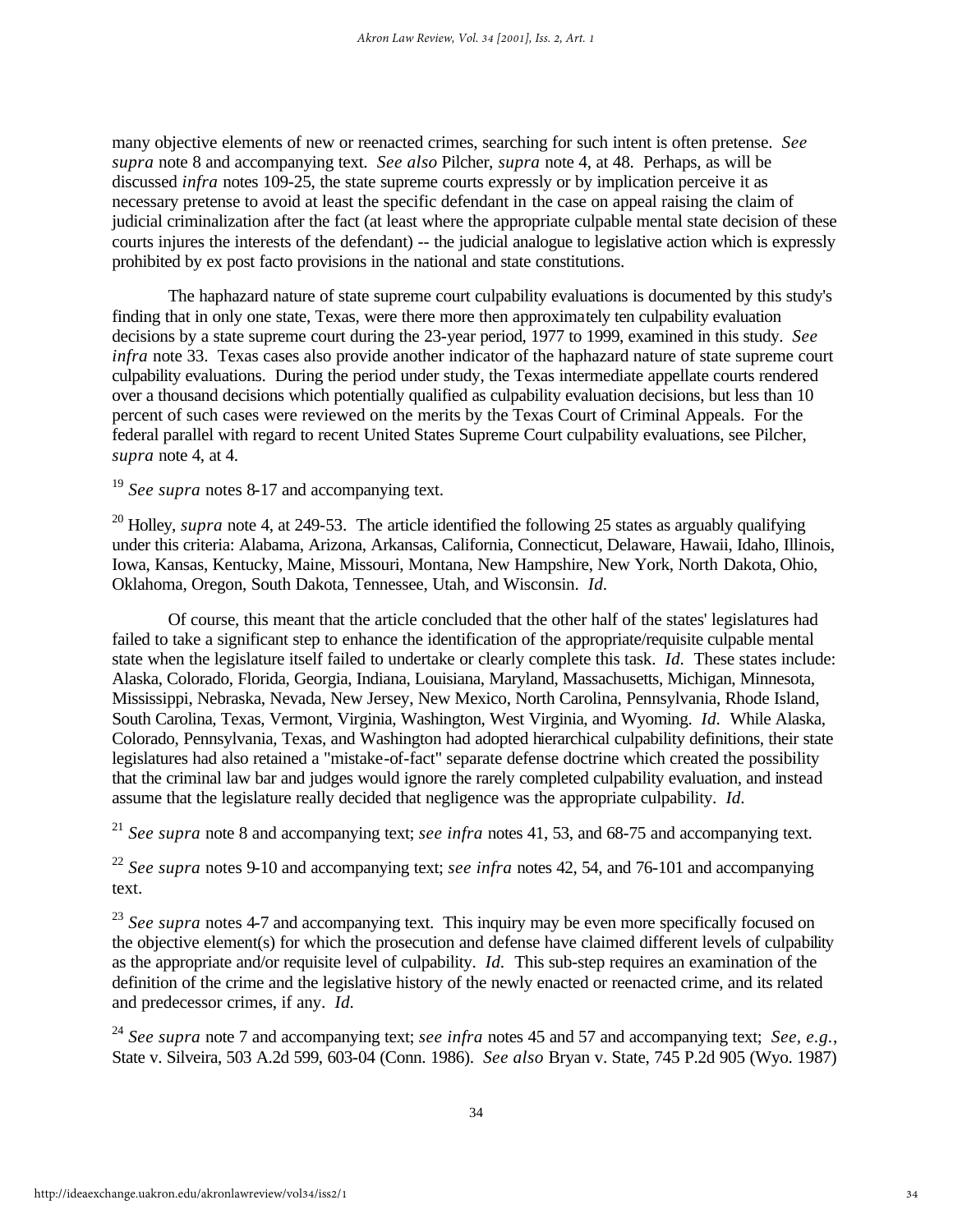many objective elements of new or reenacted crimes, searching for such intent is often pretense. *See supra* note 8 and accompanying text. *See also* Pilcher, *supra* note 4, at 48. Perhaps, as will be discussed *infra* notes 109-25, the state supreme courts expressly or by implication perceive it as necessary pretense to avoid at least the specific defendant in the case on appeal raising the claim of judicial criminalization after the fact (at least where the appropriate culpable mental state decision of these courts injures the interests of the defendant) -- the judicial analogue to legislative action which is expressly prohibited by ex post facto provisions in the national and state constitutions.

The haphazard nature of state supreme court culpability evaluations is documented by this study's finding that in only one state, Texas, were there more then approximately ten culpability evaluation decisions by a state supreme court during the 23-year period, 1977 to 1999, examined in this study. *See infra* note 33. Texas cases also provide another indicator of the haphazard nature of state supreme court culpability evaluations. During the period under study, the Texas intermediate appellate courts rendered over a thousand decisions which potentially qualified as culpability evaluation decisions, but less than 10 percent of such cases were reviewed on the merits by the Texas Court of Criminal Appeals. For the federal parallel with regard to recent United States Supreme Court culpability evaluations, see Pilcher, *supra* note 4, at 4.

<sup>19</sup> *See supra* notes 8-17 and accompanying text.

<sup>20</sup> Holley, *supra* note 4, at 249-53. The article identified the following 25 states as arguably qualifying under this criteria: Alabama, Arizona, Arkansas, California, Connecticut, Delaware, Hawaii, Idaho, Illinois, Iowa, Kansas, Kentucky, Maine, Missouri, Montana, New Hampshire, New York, North Dakota, Ohio, Oklahoma, Oregon, South Dakota, Tennessee, Utah, and Wisconsin. *Id.*

Of course, this meant that the article concluded that the other half of the states' legislatures had failed to take a significant step to enhance the identification of the appropriate/requisite culpable mental state when the legislature itself failed to undertake or clearly complete this task. *Id.* These states include: Alaska, Colorado, Florida, Georgia, Indiana, Louisiana, Maryland, Massachusetts, Michigan, Minnesota, Mississippi, Nebraska, Nevada, New Jersey, New Mexico, North Carolina, Pennsylvania, Rhode Island, South Carolina, Texas, Vermont, Virginia, Washington, West Virginia, and Wyoming. *Id.* While Alaska, Colorado, Pennsylvania, Texas, and Washington had adopted hierarchical culpability definitions, their state legislatures had also retained a "mistake-of-fact" separate defense doctrine which created the possibility that the criminal law bar and judges would ignore the rarely completed culpability evaluation, and instead assume that the legislature really decided that negligence was the appropriate culpability. *Id.*

<sup>21</sup> *See supra* note 8 and accompanying text; *see infra* notes 41, 53, and 68-75 and accompanying text.

<sup>22</sup> *See supra* notes 9-10 and accompanying text; *see infra* notes 42, 54, and 76-101 and accompanying text.

<sup>23</sup> See supra notes 4-7 and accompanying text. This inquiry may be even more specifically focused on the objective element(s) for which the prosecution and defense have claimed different levels of culpability as the appropriate and/or requisite level of culpability. *Id.* This sub-step requires an examination of the definition of the crime and the legislative history of the newly enacted or reenacted crime, and its related and predecessor crimes, if any. *Id.*

<sup>24</sup> *See supra* note 7 and accompanying text; *see infra* notes 45 and 57 and accompanying text; *See, e.g.*, State v. Silveira, 503 A.2d 599, 603-04 (Conn. 1986). *See also* Bryan v. State, 745 P.2d 905 (Wyo. 1987)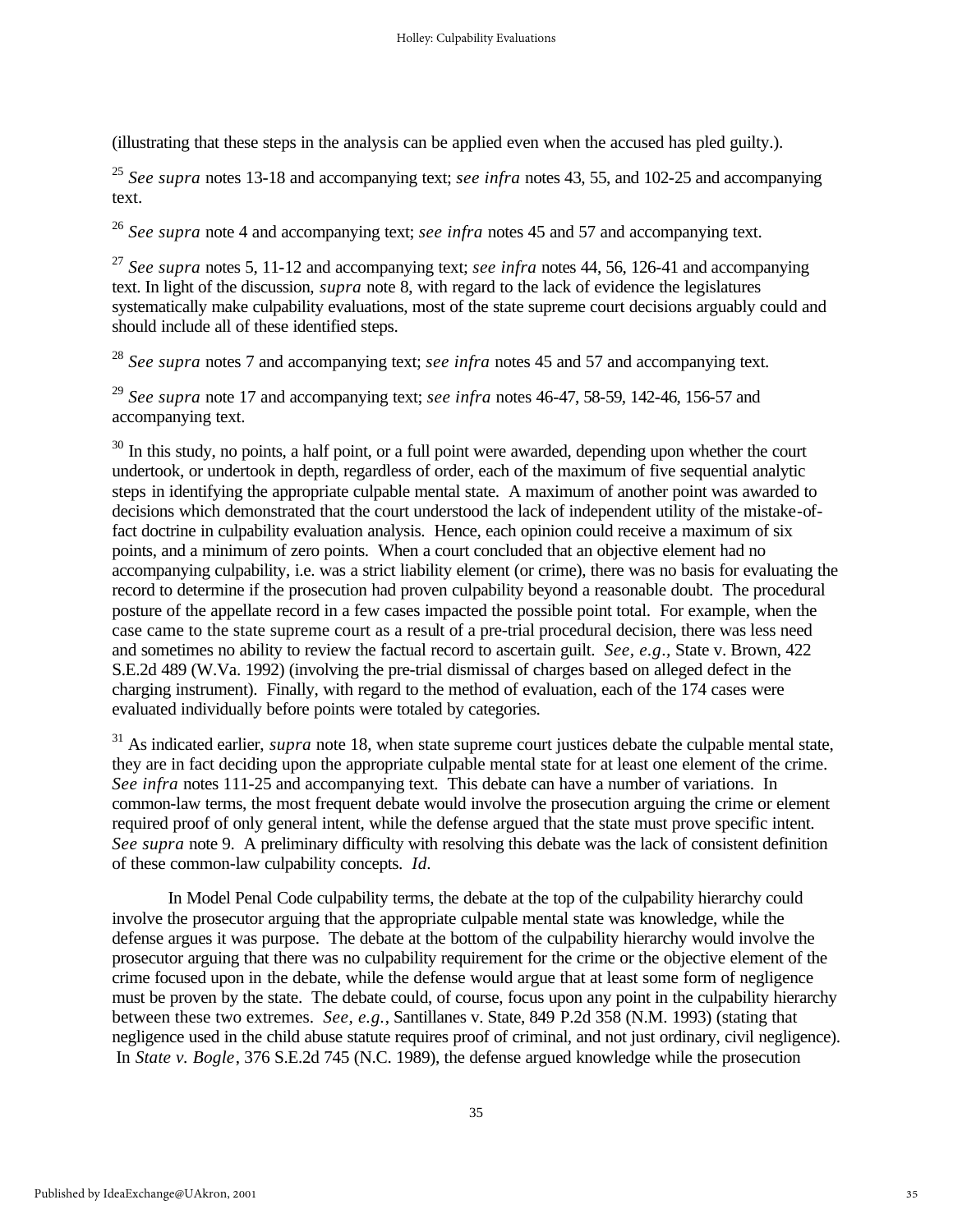(illustrating that these steps in the analysis can be applied even when the accused has pled guilty.).

<sup>25</sup> *See supra* notes 13-18 and accompanying text; *see infra* notes 43, 55, and 102-25 and accompanying text.

<sup>26</sup> *See supra* note 4 and accompanying text; *see infra* notes 45 and 57 and accompanying text.

<sup>27</sup> *See supra* notes 5, 11-12 and accompanying text; *see infra* notes 44, 56, 126-41 and accompanying text. In light of the discussion, *supra* note 8, with regard to the lack of evidence the legislatures systematically make culpability evaluations, most of the state supreme court decisions arguably could and should include all of these identified steps.

<sup>28</sup> *See supra* notes 7 and accompanying text; *see infra* notes 45 and 57 and accompanying text.

<sup>29</sup> *See supra* note 17 and accompanying text; *see infra* notes 46-47, 58-59, 142-46, 156-57 and accompanying text.

 $30$  In this study, no points, a half point, or a full point were awarded, depending upon whether the court undertook, or undertook in depth, regardless of order, each of the maximum of five sequential analytic steps in identifying the appropriate culpable mental state. A maximum of another point was awarded to decisions which demonstrated that the court understood the lack of independent utility of the mistake-offact doctrine in culpability evaluation analysis. Hence, each opinion could receive a maximum of six points, and a minimum of zero points. When a court concluded that an objective element had no accompanying culpability, i.e. was a strict liability element (or crime), there was no basis for evaluating the record to determine if the prosecution had proven culpability beyond a reasonable doubt. The procedural posture of the appellate record in a few cases impacted the possible point total. For example, when the case came to the state supreme court as a result of a pre-trial procedural decision, there was less need and sometimes no ability to review the factual record to ascertain guilt. *See, e.g*.*,* State v. Brown, 422 S.E.2d 489 (W.Va. 1992) (involving the pre-trial dismissal of charges based on alleged defect in the charging instrument). Finally, with regard to the method of evaluation, each of the 174 cases were evaluated individually before points were totaled by categories.

<sup>31</sup> As indicated earlier, *supra* note 18, when state supreme court justices debate the culpable mental state, they are in fact deciding upon the appropriate culpable mental state for at least one element of the crime. *See infra* notes 111-25 and accompanying text. This debate can have a number of variations. In common-law terms, the most frequent debate would involve the prosecution arguing the crime or element required proof of only general intent, while the defense argued that the state must prove specific intent. *See supra* note 9. A preliminary difficulty with resolving this debate was the lack of consistent definition of these common-law culpability concepts. *Id.*

In Model Penal Code culpability terms, the debate at the top of the culpability hierarchy could involve the prosecutor arguing that the appropriate culpable mental state was knowledge, while the defense argues it was purpose. The debate at the bottom of the culpability hierarchy would involve the prosecutor arguing that there was no culpability requirement for the crime or the objective element of the crime focused upon in the debate, while the defense would argue that at least some form of negligence must be proven by the state. The debate could, of course, focus upon any point in the culpability hierarchy between these two extremes. *See, e.g.*, Santillanes v. State, 849 P.2d 358 (N.M. 1993) (stating that negligence used in the child abuse statute requires proof of criminal, and not just ordinary, civil negligence). In *State v. Bogle*, 376 S.E.2d 745 (N.C. 1989), the defense argued knowledge while the prosecution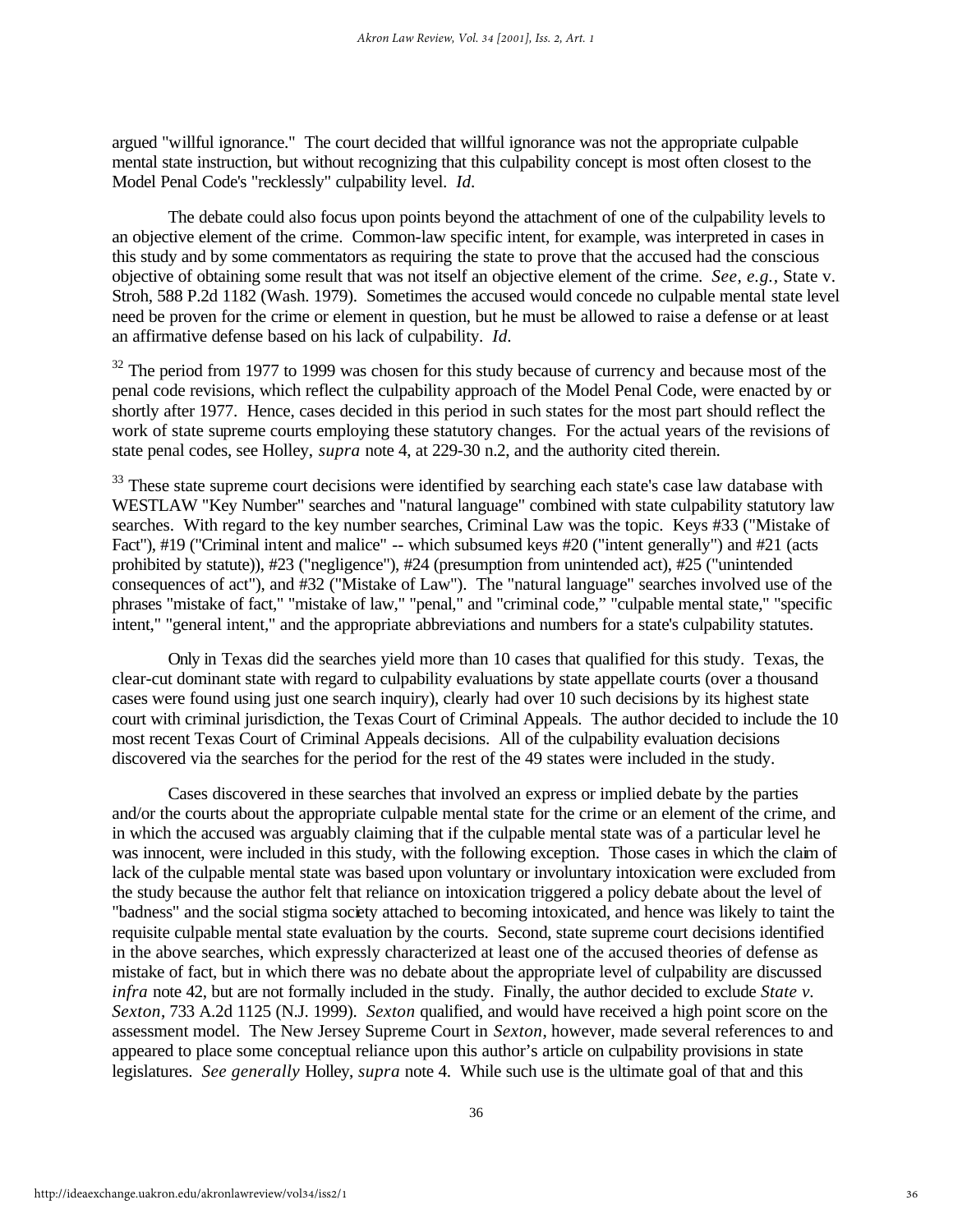argued "willful ignorance." The court decided that willful ignorance was not the appropriate culpable mental state instruction, but without recognizing that this culpability concept is most often closest to the Model Penal Code's "recklessly" culpability level. *Id.* 

The debate could also focus upon points beyond the attachment of one of the culpability levels to an objective element of the crime. Common-law specific intent, for example, was interpreted in cases in this study and by some commentators as requiring the state to prove that the accused had the conscious objective of obtaining some result that was not itself an objective element of the crime. *See, e.g.,* State v. Stroh, 588 P.2d 1182 (Wash. 1979). Sometimes the accused would concede no culpable mental state level need be proven for the crime or element in question, but he must be allowed to raise a defense or at least an affirmative defense based on his lack of culpability. *Id.*

<sup>32</sup> The period from 1977 to 1999 was chosen for this study because of currency and because most of the penal code revisions, which reflect the culpability approach of the Model Penal Code, were enacted by or shortly after 1977. Hence, cases decided in this period in such states for the most part should reflect the work of state supreme courts employing these statutory changes. For the actual years of the revisions of state penal codes, see Holley, *supra* note 4, at 229-30 n.2, and the authority cited therein.

<sup>33</sup> These state supreme court decisions were identified by searching each state's case law database with WESTLAW "Key Number" searches and "natural language" combined with state culpability statutory law searches. With regard to the key number searches, Criminal Law was the topic. Keys #33 ("Mistake of Fact"), #19 ("Criminal intent and malice" -- which subsumed keys #20 ("intent generally") and #21 (acts prohibited by statute)), #23 ("negligence"), #24 (presumption from unintended act), #25 ("unintended consequences of act"), and #32 ("Mistake of Law"). The "natural language" searches involved use of the phrases "mistake of fact," "mistake of law," "penal," and "criminal code," "culpable mental state," "specific intent," "general intent," and the appropriate abbreviations and numbers for a state's culpability statutes.

Only in Texas did the searches yield more than 10 cases that qualified for this study. Texas, the clear-cut dominant state with regard to culpability evaluations by state appellate courts (over a thousand cases were found using just one search inquiry), clearly had over 10 such decisions by its highest state court with criminal jurisdiction, the Texas Court of Criminal Appeals. The author decided to include the 10 most recent Texas Court of Criminal Appeals decisions. All of the culpability evaluation decisions discovered via the searches for the period for the rest of the 49 states were included in the study.

Cases discovered in these searches that involved an express or implied debate by the parties and/or the courts about the appropriate culpable mental state for the crime or an element of the crime, and in which the accused was arguably claiming that if the culpable mental state was of a particular level he was innocent, were included in this study, with the following exception. Those cases in which the claim of lack of the culpable mental state was based upon voluntary or involuntary intoxication were excluded from the study because the author felt that reliance on intoxication triggered a policy debate about the level of "badness" and the social stigma society attached to becoming intoxicated, and hence was likely to taint the requisite culpable mental state evaluation by the courts. Second, state supreme court decisions identified in the above searches, which expressly characterized at least one of the accused theories of defense as mistake of fact, but in which there was no debate about the appropriate level of culpability are discussed *infra* note 42, but are not formally included in the study. Finally, the author decided to exclude *State v. Sexton*, 733 A.2d 1125 (N.J. 1999). *Sexton* qualified, and would have received a high point score on the assessment model. The New Jersey Supreme Court in *Sexton*, however, made several references to and appeared to place some conceptual reliance upon this author's article on culpability provisions in state legislatures. *See generally* Holley, *supra* note 4. While such use is the ultimate goal of that and this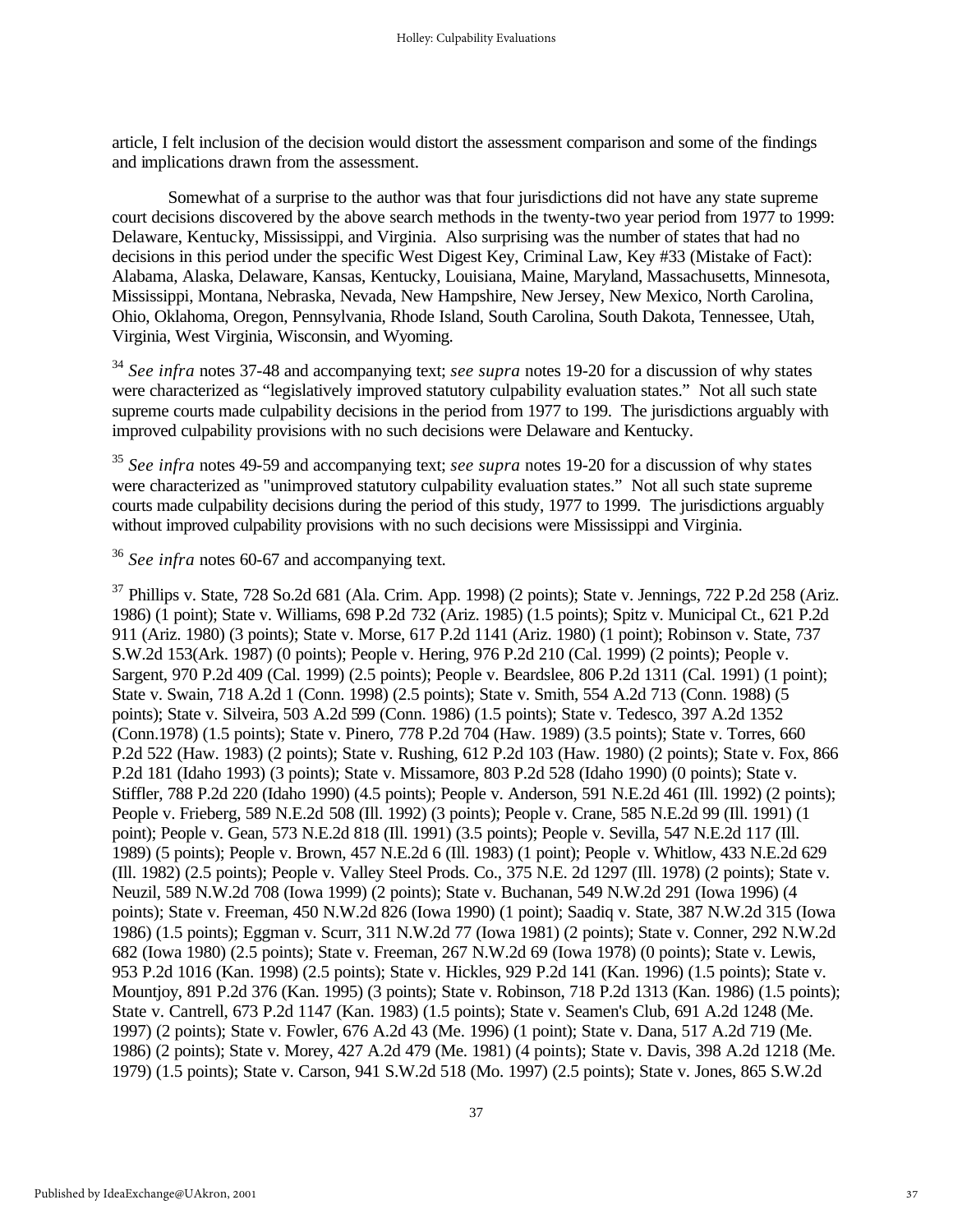article, I felt inclusion of the decision would distort the assessment comparison and some of the findings and implications drawn from the assessment.

Somewhat of a surprise to the author was that four jurisdictions did not have any state supreme court decisions discovered by the above search methods in the twenty-two year period from 1977 to 1999: Delaware, Kentucky, Mississippi, and Virginia. Also surprising was the number of states that had no decisions in this period under the specific West Digest Key, Criminal Law, Key #33 (Mistake of Fact): Alabama, Alaska, Delaware, Kansas, Kentucky, Louisiana, Maine, Maryland, Massachusetts, Minnesota, Mississippi, Montana, Nebraska, Nevada, New Hampshire, New Jersey, New Mexico, North Carolina, Ohio, Oklahoma, Oregon, Pennsylvania, Rhode Island, South Carolina, South Dakota, Tennessee, Utah, Virginia, West Virginia, Wisconsin, and Wyoming.

<sup>34</sup> *See infra* notes 37-48 and accompanying text; *see supra* notes 19-20 for a discussion of why states were characterized as "legislatively improved statutory culpability evaluation states." Not all such state supreme courts made culpability decisions in the period from 1977 to 199. The jurisdictions arguably with improved culpability provisions with no such decisions were Delaware and Kentucky.

<sup>35</sup> *See infra* notes 49-59 and accompanying text; *see supra* notes 19-20 for a discussion of why states were characterized as "unimproved statutory culpability evaluation states." Not all such state supreme courts made culpability decisions during the period of this study, 1977 to 1999. The jurisdictions arguably without improved culpability provisions with no such decisions were Mississippi and Virginia.

## <sup>36</sup> *See infra* notes 60-67 and accompanying text.

 $37$  Phillips v. State, 728 So.2d 681 (Ala. Crim. App. 1998) (2 points); State v. Jennings, 722 P.2d 258 (Ariz. 1986) (1 point); State v. Williams, 698 P.2d 732 (Ariz. 1985) (1.5 points); Spitz v. Municipal Ct., 621 P.2d 911 (Ariz. 1980) (3 points); State v. Morse, 617 P.2d 1141 (Ariz. 1980) (1 point); Robinson v. State, 737 S.W.2d 153(Ark. 1987) (0 points); People v. Hering, 976 P.2d 210 (Cal. 1999) (2 points); People v. Sargent, 970 P.2d 409 (Cal. 1999) (2.5 points); People v. Beardslee, 806 P.2d 1311 (Cal. 1991) (1 point); State v. Swain, 718 A.2d 1 (Conn. 1998) (2.5 points); State v. Smith, 554 A.2d 713 (Conn. 1988) (5 points); State v. Silveira, 503 A.2d 599 (Conn. 1986) (1.5 points); State v. Tedesco, 397 A.2d 1352 (Conn.1978) (1.5 points); State v. Pinero, 778 P.2d 704 (Haw. 1989) (3.5 points); State v. Torres, 660 P.2d 522 (Haw. 1983) (2 points); State v. Rushing, 612 P.2d 103 (Haw. 1980) (2 points); State v. Fox, 866 P.2d 181 (Idaho 1993) (3 points); State v. Missamore, 803 P.2d 528 (Idaho 1990) (0 points); State v. Stiffler, 788 P.2d 220 (Idaho 1990) (4.5 points); People v. Anderson, 591 N.E.2d 461 (Ill. 1992) (2 points); People v. Frieberg, 589 N.E.2d 508 (Ill. 1992) (3 points); People v. Crane, 585 N.E.2d 99 (Ill. 1991) (1 point); People v. Gean, 573 N.E.2d 818 (Ill. 1991) (3.5 points); People v. Sevilla, 547 N.E.2d 117 (Ill. 1989) (5 points); People v. Brown, 457 N.E.2d 6 (Ill. 1983) (1 point); People v. Whitlow, 433 N.E.2d 629 (Ill. 1982) (2.5 points); People v. Valley Steel Prods. Co., 375 N.E. 2d 1297 (Ill. 1978) (2 points); State v. Neuzil, 589 N.W.2d 708 (Iowa 1999) (2 points); State v. Buchanan, 549 N.W.2d 291 (Iowa 1996) (4 points); State v. Freeman, 450 N.W.2d 826 (Iowa 1990) (1 point); Saadiq v. State, 387 N.W.2d 315 (Iowa 1986) (1.5 points); Eggman v. Scurr, 311 N.W.2d 77 (Iowa 1981) (2 points); State v. Conner, 292 N.W.2d 682 (Iowa 1980) (2.5 points); State v. Freeman, 267 N.W.2d 69 (Iowa 1978) (0 points); State v. Lewis, 953 P.2d 1016 (Kan. 1998) (2.5 points); State v. Hickles, 929 P.2d 141 (Kan. 1996) (1.5 points); State v. Mountjoy, 891 P.2d 376 (Kan. 1995) (3 points); State v. Robinson, 718 P.2d 1313 (Kan. 1986) (1.5 points); State v. Cantrell, 673 P.2d 1147 (Kan. 1983) (1.5 points); State v. Seamen's Club, 691 A.2d 1248 (Me. 1997) (2 points); State v. Fowler, 676 A.2d 43 (Me. 1996) (1 point); State v. Dana, 517 A.2d 719 (Me. 1986) (2 points); State v. Morey, 427 A.2d 479 (Me. 1981) (4 points); State v. Davis, 398 A.2d 1218 (Me. 1979) (1.5 points); State v. Carson, 941 S.W.2d 518 (Mo. 1997) (2.5 points); State v. Jones, 865 S.W.2d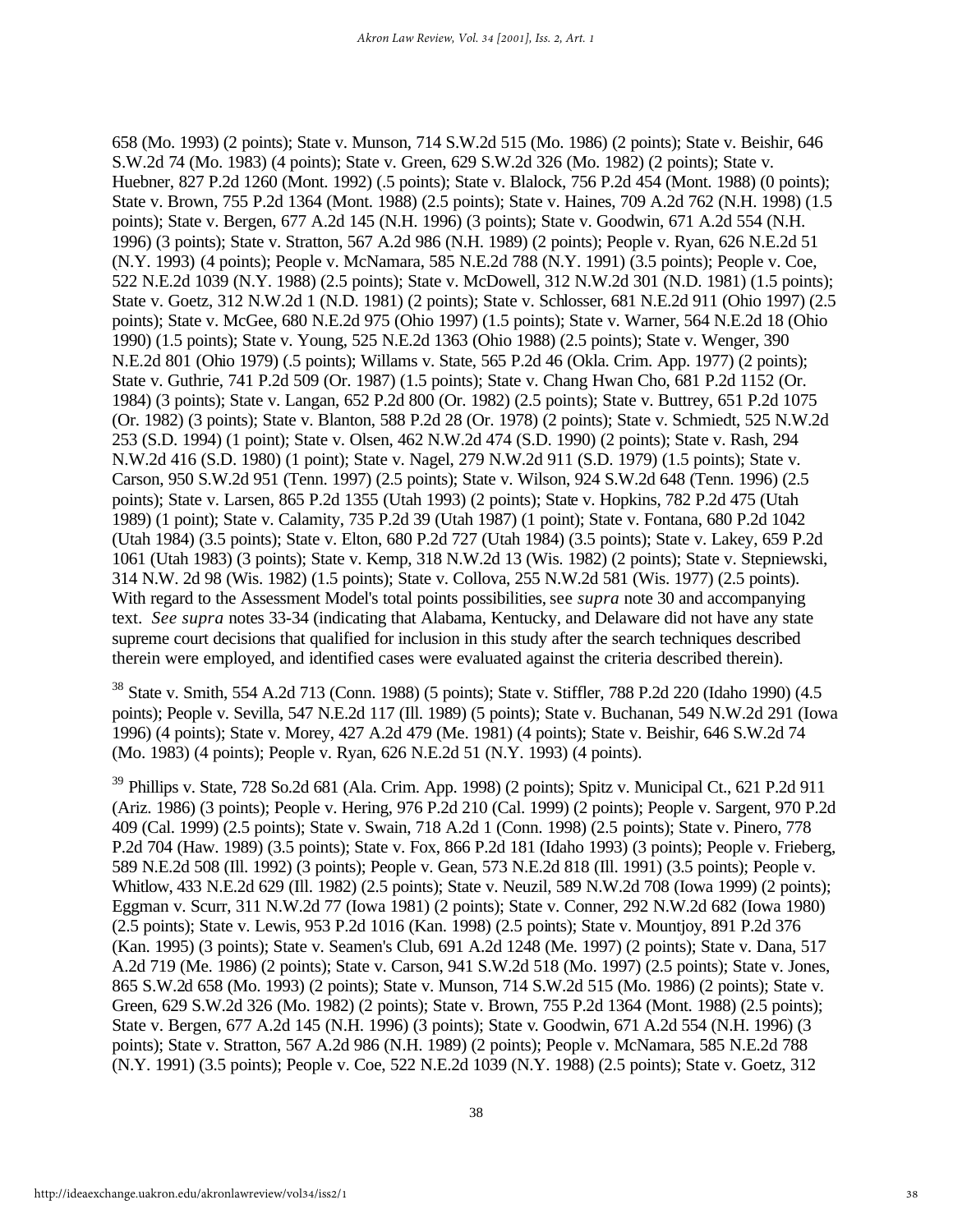658 (Mo. 1993) (2 points); State v. Munson, 714 S.W.2d 515 (Mo. 1986) (2 points); State v. Beishir, 646 S.W.2d 74 (Mo. 1983) (4 points); State v. Green, 629 S.W.2d 326 (Mo. 1982) (2 points); State v. Huebner, 827 P.2d 1260 (Mont. 1992) (.5 points); State v. Blalock, 756 P.2d 454 (Mont. 1988) (0 points); State v. Brown, 755 P.2d 1364 (Mont. 1988) (2.5 points); State v. Haines, 709 A.2d 762 (N.H. 1998) (1.5 points); State v. Bergen, 677 A.2d 145 (N.H. 1996) (3 points); State v. Goodwin, 671 A.2d 554 (N.H. 1996) (3 points); State v. Stratton, 567 A.2d 986 (N.H. 1989) (2 points); People v. Ryan, 626 N.E.2d 51 (N.Y. 1993) (4 points); People v. McNamara, 585 N.E.2d 788 (N.Y. 1991) (3.5 points); People v. Coe, 522 N.E.2d 1039 (N.Y. 1988) (2.5 points); State v. McDowell, 312 N.W.2d 301 (N.D. 1981) (1.5 points); State v. Goetz, 312 N.W.2d 1 (N.D. 1981) (2 points); State v. Schlosser, 681 N.E.2d 911 (Ohio 1997) (2.5 points); State v. McGee, 680 N.E.2d 975 (Ohio 1997) (1.5 points); State v. Warner, 564 N.E.2d 18 (Ohio 1990) (1.5 points); State v. Young, 525 N.E.2d 1363 (Ohio 1988) (2.5 points); State v. Wenger, 390 N.E.2d 801 (Ohio 1979) (.5 points); Willams v. State, 565 P.2d 46 (Okla. Crim. App. 1977) (2 points); State v. Guthrie, 741 P.2d 509 (Or. 1987) (1.5 points); State v. Chang Hwan Cho, 681 P.2d 1152 (Or. 1984) (3 points); State v. Langan, 652 P.2d 800 (Or. 1982) (2.5 points); State v. Buttrey, 651 P.2d 1075 (Or. 1982) (3 points); State v. Blanton, 588 P.2d 28 (Or. 1978) (2 points); State v. Schmiedt, 525 N.W.2d 253 (S.D. 1994) (1 point); State v. Olsen, 462 N.W.2d 474 (S.D. 1990) (2 points); State v. Rash, 294 N.W.2d 416 (S.D. 1980) (1 point); State v. Nagel, 279 N.W.2d 911 (S.D. 1979) (1.5 points); State v. Carson, 950 S.W.2d 951 (Tenn. 1997) (2.5 points); State v. Wilson, 924 S.W.2d 648 (Tenn. 1996) (2.5 points); State v. Larsen, 865 P.2d 1355 (Utah 1993) (2 points); State v. Hopkins, 782 P.2d 475 (Utah 1989) (1 point); State v. Calamity, 735 P.2d 39 (Utah 1987) (1 point); State v. Fontana, 680 P.2d 1042 (Utah 1984) (3.5 points); State v. Elton, 680 P.2d 727 (Utah 1984) (3.5 points); State v. Lakey, 659 P.2d 1061 (Utah 1983) (3 points); State v. Kemp, 318 N.W.2d 13 (Wis. 1982) (2 points); State v. Stepniewski, 314 N.W. 2d 98 (Wis. 1982) (1.5 points); State v. Collova, 255 N.W.2d 581 (Wis. 1977) (2.5 points). With regard to the Assessment Model's total points possibilities, see *supra* note 30 and accompanying text. *See supra* notes 33-34 (indicating that Alabama, Kentucky, and Delaware did not have any state supreme court decisions that qualified for inclusion in this study after the search techniques described therein were employed, and identified cases were evaluated against the criteria described therein).

 $38$  State v. Smith, 554 A.2d 713 (Conn. 1988) (5 points); State v. Stiffler, 788 P.2d 220 (Idaho 1990) (4.5 points); People v. Sevilla, 547 N.E.2d 117 (Ill. 1989) (5 points); State v. Buchanan, 549 N.W.2d 291 (Iowa 1996) (4 points); State v. Morey, 427 A.2d 479 (Me. 1981) (4 points); State v. Beishir, 646 S.W.2d 74 (Mo. 1983) (4 points); People v. Ryan, 626 N.E.2d 51 (N.Y. 1993) (4 points).

 $39$  Phillips v. State, 728 So.2d 681 (Ala. Crim. App. 1998) (2 points); Spitz v. Municipal Ct., 621 P.2d 911 (Ariz. 1986) (3 points); People v. Hering, 976 P.2d 210 (Cal. 1999) (2 points); People v. Sargent, 970 P.2d 409 (Cal. 1999) (2.5 points); State v. Swain, 718 A.2d 1 (Conn. 1998) (2.5 points); State v. Pinero, 778 P.2d 704 (Haw. 1989) (3.5 points); State v. Fox, 866 P.2d 181 (Idaho 1993) (3 points); People v. Frieberg, 589 N.E.2d 508 (Ill. 1992) (3 points); People v. Gean, 573 N.E.2d 818 (Ill. 1991) (3.5 points); People v. Whitlow, 433 N.E.2d 629 (Ill. 1982) (2.5 points); State v. Neuzil, 589 N.W.2d 708 (Iowa 1999) (2 points); Eggman v. Scurr, 311 N.W.2d 77 (Iowa 1981) (2 points); State v. Conner, 292 N.W.2d 682 (Iowa 1980) (2.5 points); State v. Lewis, 953 P.2d 1016 (Kan. 1998) (2.5 points); State v. Mountjoy, 891 P.2d 376 (Kan. 1995) (3 points); State v. Seamen's Club, 691 A.2d 1248 (Me. 1997) (2 points); State v. Dana, 517 A.2d 719 (Me. 1986) (2 points); State v. Carson, 941 S.W.2d 518 (Mo. 1997) (2.5 points); State v. Jones, 865 S.W.2d 658 (Mo. 1993) (2 points); State v. Munson, 714 S.W.2d 515 (Mo. 1986) (2 points); State v. Green, 629 S.W.2d 326 (Mo. 1982) (2 points); State v. Brown, 755 P.2d 1364 (Mont. 1988) (2.5 points); State v. Bergen, 677 A.2d 145 (N.H. 1996) (3 points); State v. Goodwin, 671 A.2d 554 (N.H. 1996) (3 points); State v. Stratton, 567 A.2d 986 (N.H. 1989) (2 points); People v. McNamara, 585 N.E.2d 788 (N.Y. 1991) (3.5 points); People v. Coe, 522 N.E.2d 1039 (N.Y. 1988) (2.5 points); State v. Goetz, 312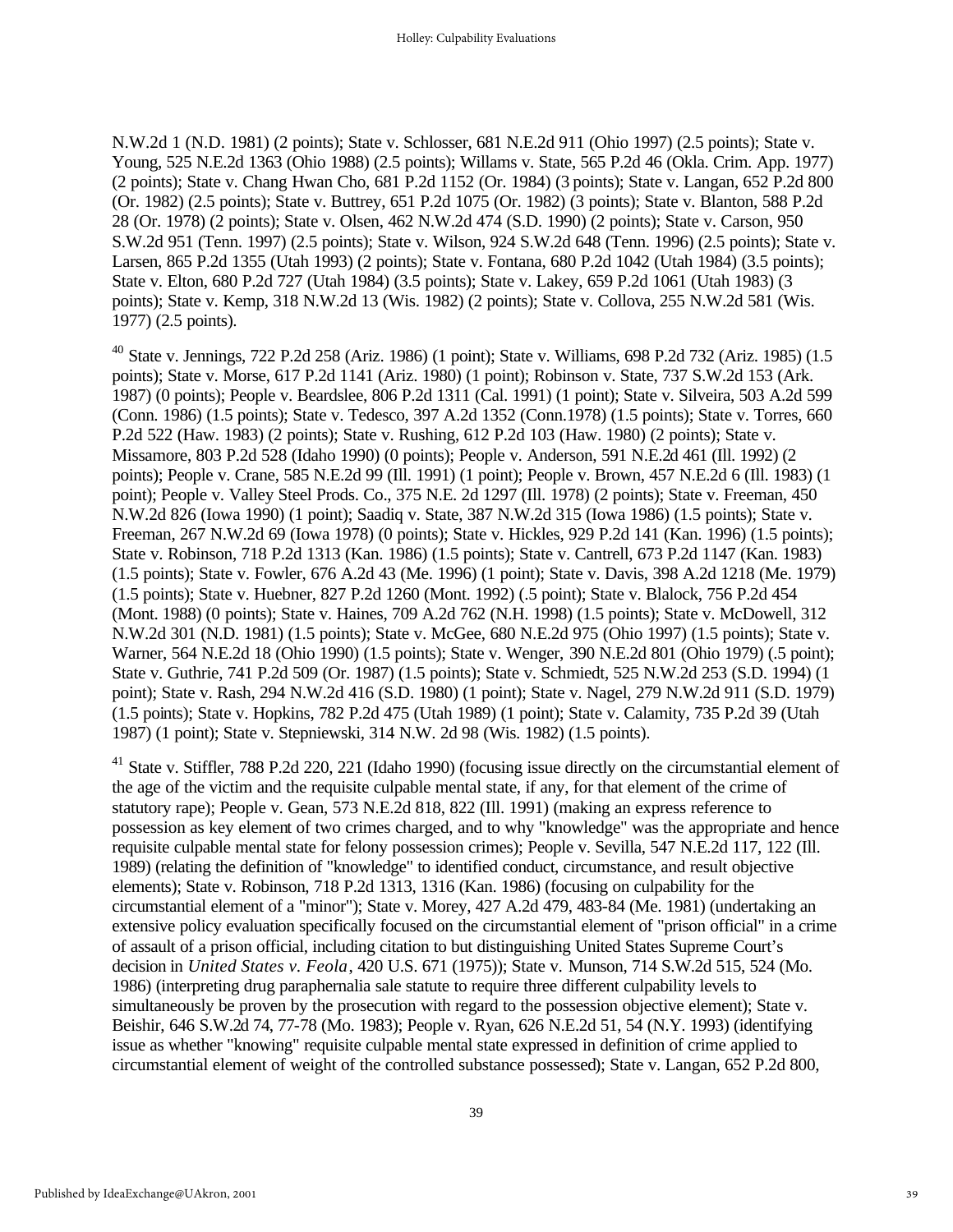N.W.2d 1 (N.D. 1981) (2 points); State v. Schlosser, 681 N.E.2d 911 (Ohio 1997) (2.5 points); State v. Young, 525 N.E.2d 1363 (Ohio 1988) (2.5 points); Willams v. State, 565 P.2d 46 (Okla. Crim. App. 1977) (2 points); State v. Chang Hwan Cho, 681 P.2d 1152 (Or. 1984) (3 points); State v. Langan, 652 P.2d 800 (Or. 1982) (2.5 points); State v. Buttrey, 651 P.2d 1075 (Or. 1982) (3 points); State v. Blanton, 588 P.2d 28 (Or. 1978) (2 points); State v. Olsen, 462 N.W.2d 474 (S.D. 1990) (2 points); State v. Carson, 950 S.W.2d 951 (Tenn. 1997) (2.5 points); State v. Wilson, 924 S.W.2d 648 (Tenn. 1996) (2.5 points); State v. Larsen, 865 P.2d 1355 (Utah 1993) (2 points); State v. Fontana, 680 P.2d 1042 (Utah 1984) (3.5 points); State v. Elton, 680 P.2d 727 (Utah 1984) (3.5 points); State v. Lakey, 659 P.2d 1061 (Utah 1983) (3 points); State v. Kemp, 318 N.W.2d 13 (Wis. 1982) (2 points); State v. Collova, 255 N.W.2d 581 (Wis. 1977) (2.5 points).

<sup>40</sup> State v. Jennings, 722 P.2d 258 (Ariz. 1986) (1 point); State v. Williams, 698 P.2d 732 (Ariz. 1985) (1.5 points); State v. Morse, 617 P.2d 1141 (Ariz. 1980) (1 point); Robinson v. State, 737 S.W.2d 153 (Ark. 1987) (0 points); People v. Beardslee, 806 P.2d 1311 (Cal. 1991) (1 point); State v. Silveira, 503 A.2d 599 (Conn. 1986) (1.5 points); State v. Tedesco, 397 A.2d 1352 (Conn.1978) (1.5 points); State v. Torres, 660 P.2d 522 (Haw. 1983) (2 points); State v. Rushing, 612 P.2d 103 (Haw. 1980) (2 points); State v. Missamore, 803 P.2d 528 (Idaho 1990) (0 points); People v. Anderson, 591 N.E.2d 461 (Ill. 1992) (2 points); People v. Crane, 585 N.E.2d 99 (Ill. 1991) (1 point); People v. Brown, 457 N.E.2d 6 (Ill. 1983) (1 point); People v. Valley Steel Prods. Co., 375 N.E. 2d 1297 (Ill. 1978) (2 points); State v. Freeman, 450 N.W.2d 826 (Iowa 1990) (1 point); Saadiq v. State, 387 N.W.2d 315 (Iowa 1986) (1.5 points); State v. Freeman, 267 N.W.2d 69 (Iowa 1978) (0 points); State v. Hickles, 929 P.2d 141 (Kan. 1996) (1.5 points); State v. Robinson, 718 P.2d 1313 (Kan. 1986) (1.5 points); State v. Cantrell, 673 P.2d 1147 (Kan. 1983) (1.5 points); State v. Fowler, 676 A.2d 43 (Me. 1996) (1 point); State v. Davis, 398 A.2d 1218 (Me. 1979) (1.5 points); State v. Huebner, 827 P.2d 1260 (Mont. 1992) (.5 point); State v. Blalock, 756 P.2d 454 (Mont. 1988) (0 points); State v. Haines, 709 A.2d 762 (N.H. 1998) (1.5 points); State v. McDowell, 312 N.W.2d 301 (N.D. 1981) (1.5 points); State v. McGee, 680 N.E.2d 975 (Ohio 1997) (1.5 points); State v. Warner, 564 N.E.2d 18 (Ohio 1990) (1.5 points); State v. Wenger, 390 N.E.2d 801 (Ohio 1979) (.5 point); State v. Guthrie, 741 P.2d 509 (Or. 1987) (1.5 points); State v. Schmiedt, 525 N.W.2d 253 (S.D. 1994) (1 point); State v. Rash, 294 N.W.2d 416 (S.D. 1980) (1 point); State v. Nagel, 279 N.W.2d 911 (S.D. 1979) (1.5 points); State v. Hopkins, 782 P.2d 475 (Utah 1989) (1 point); State v. Calamity, 735 P.2d 39 (Utah 1987) (1 point); State v. Stepniewski, 314 N.W. 2d 98 (Wis. 1982) (1.5 points).

<sup>41</sup> State v. Stiffler, 788 P.2d 220, 221 (Idaho 1990) (focusing issue directly on the circumstantial element of the age of the victim and the requisite culpable mental state, if any, for that element of the crime of statutory rape); People v. Gean, 573 N.E.2d 818, 822 (Ill. 1991) (making an express reference to possession as key element of two crimes charged, and to why "knowledge" was the appropriate and hence requisite culpable mental state for felony possession crimes); People v. Sevilla, 547 N.E.2d 117, 122 (Ill. 1989) (relating the definition of "knowledge" to identified conduct, circumstance, and result objective elements); State v. Robinson, 718 P.2d 1313, 1316 (Kan. 1986) (focusing on culpability for the circumstantial element of a "minor"); State v. Morey, 427 A.2d 479, 483-84 (Me. 1981) (undertaking an extensive policy evaluation specifically focused on the circumstantial element of "prison official" in a crime of assault of a prison official, including citation to but distinguishing United States Supreme Court's decision in *United States v. Feola*, 420 U.S. 671 (1975)); State v. Munson, 714 S.W.2d 515, 524 (Mo. 1986) (interpreting drug paraphernalia sale statute to require three different culpability levels to simultaneously be proven by the prosecution with regard to the possession objective element); State v. Beishir, 646 S.W.2d 74, 77-78 (Mo. 1983); People v. Ryan, 626 N.E.2d 51, 54 (N.Y. 1993) (identifying issue as whether "knowing" requisite culpable mental state expressed in definition of crime applied to circumstantial element of weight of the controlled substance possessed); State v. Langan, 652 P.2d 800,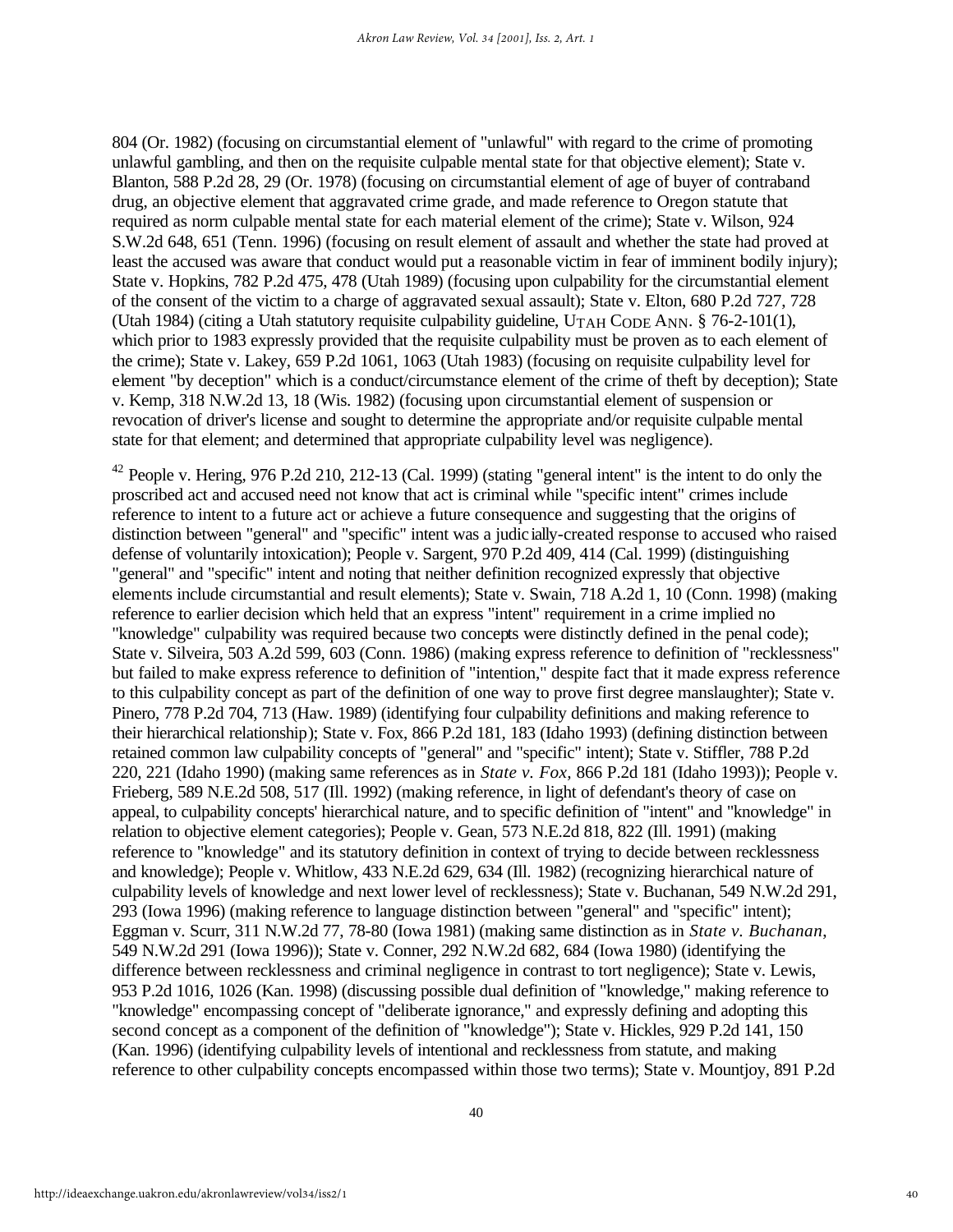804 (Or. 1982) (focusing on circumstantial element of "unlawful" with regard to the crime of promoting unlawful gambling, and then on the requisite culpable mental state for that objective element); State v. Blanton, 588 P.2d 28, 29 (Or. 1978) (focusing on circumstantial element of age of buyer of contraband drug, an objective element that aggravated crime grade, and made reference to Oregon statute that required as norm culpable mental state for each material element of the crime); State v. Wilson, 924 S.W.2d 648, 651 (Tenn. 1996) (focusing on result element of assault and whether the state had proved at least the accused was aware that conduct would put a reasonable victim in fear of imminent bodily injury); State v. Hopkins, 782 P.2d 475, 478 (Utah 1989) (focusing upon culpability for the circumstantial element of the consent of the victim to a charge of aggravated sexual assault); State v. Elton, 680 P.2d 727, 728 (Utah 1984) (citing a Utah statutory requisite culpability guideline, UTAH CODE ANN. § 76-2-101(1), which prior to 1983 expressly provided that the requisite culpability must be proven as to each element of the crime); State v. Lakey, 659 P.2d 1061, 1063 (Utah 1983) (focusing on requisite culpability level for element "by deception" which is a conduct/circumstance element of the crime of theft by deception); State v. Kemp, 318 N.W.2d 13, 18 (Wis. 1982) (focusing upon circumstantial element of suspension or revocation of driver's license and sought to determine the appropriate and/or requisite culpable mental state for that element; and determined that appropriate culpability level was negligence).

 $42$  People v. Hering, 976 P.2d 210, 212-13 (Cal. 1999) (stating "general intent" is the intent to do only the proscribed act and accused need not know that act is criminal while "specific intent" crimes include reference to intent to a future act or achieve a future consequence and suggesting that the origins of distinction between "general" and "specific" intent was a judicially-created response to accused who raised defense of voluntarily intoxication); People v. Sargent, 970 P.2d 409, 414 (Cal. 1999) (distinguishing "general" and "specific" intent and noting that neither definition recognized expressly that objective elements include circumstantial and result elements); State v. Swain, 718 A.2d 1, 10 (Conn. 1998) (making reference to earlier decision which held that an express "intent" requirement in a crime implied no "knowledge" culpability was required because two concepts were distinctly defined in the penal code); State v. Silveira, 503 A.2d 599, 603 (Conn. 1986) (making express reference to definition of "recklessness" but failed to make express reference to definition of "intention," despite fact that it made express reference to this culpability concept as part of the definition of one way to prove first degree manslaughter); State v. Pinero, 778 P.2d 704, 713 (Haw. 1989) (identifying four culpability definitions and making reference to their hierarchical relationship); State v. Fox, 866 P.2d 181, 183 (Idaho 1993) (defining distinction between retained common law culpability concepts of "general" and "specific" intent); State v. Stiffler, 788 P.2d 220, 221 (Idaho 1990) (making same references as in *State v. Fox,* 866 P.2d 181 (Idaho 1993)); People v. Frieberg, 589 N.E.2d 508, 517 (Ill. 1992) (making reference, in light of defendant's theory of case on appeal, to culpability concepts' hierarchical nature, and to specific definition of "intent" and "knowledge" in relation to objective element categories); People v. Gean, 573 N.E.2d 818, 822 (Ill. 1991) (making reference to "knowledge" and its statutory definition in context of trying to decide between recklessness and knowledge); People v. Whitlow, 433 N.E.2d 629, 634 (Ill. 1982) (recognizing hierarchical nature of culpability levels of knowledge and next lower level of recklessness); State v. Buchanan, 549 N.W.2d 291, 293 (Iowa 1996) (making reference to language distinction between "general" and "specific" intent); Eggman v. Scurr, 311 N.W.2d 77, 78-80 (Iowa 1981) (making same distinction as in *State v. Buchanan*, 549 N.W.2d 291 (Iowa 1996)); State v. Conner, 292 N.W.2d 682, 684 (Iowa 1980) (identifying the difference between recklessness and criminal negligence in contrast to tort negligence); State v. Lewis, 953 P.2d 1016, 1026 (Kan. 1998) (discussing possible dual definition of "knowledge," making reference to "knowledge" encompassing concept of "deliberate ignorance," and expressly defining and adopting this second concept as a component of the definition of "knowledge"); State v. Hickles, 929 P.2d 141, 150 (Kan. 1996) (identifying culpability levels of intentional and recklessness from statute, and making reference to other culpability concepts encompassed within those two terms); State v. Mountjoy, 891 P.2d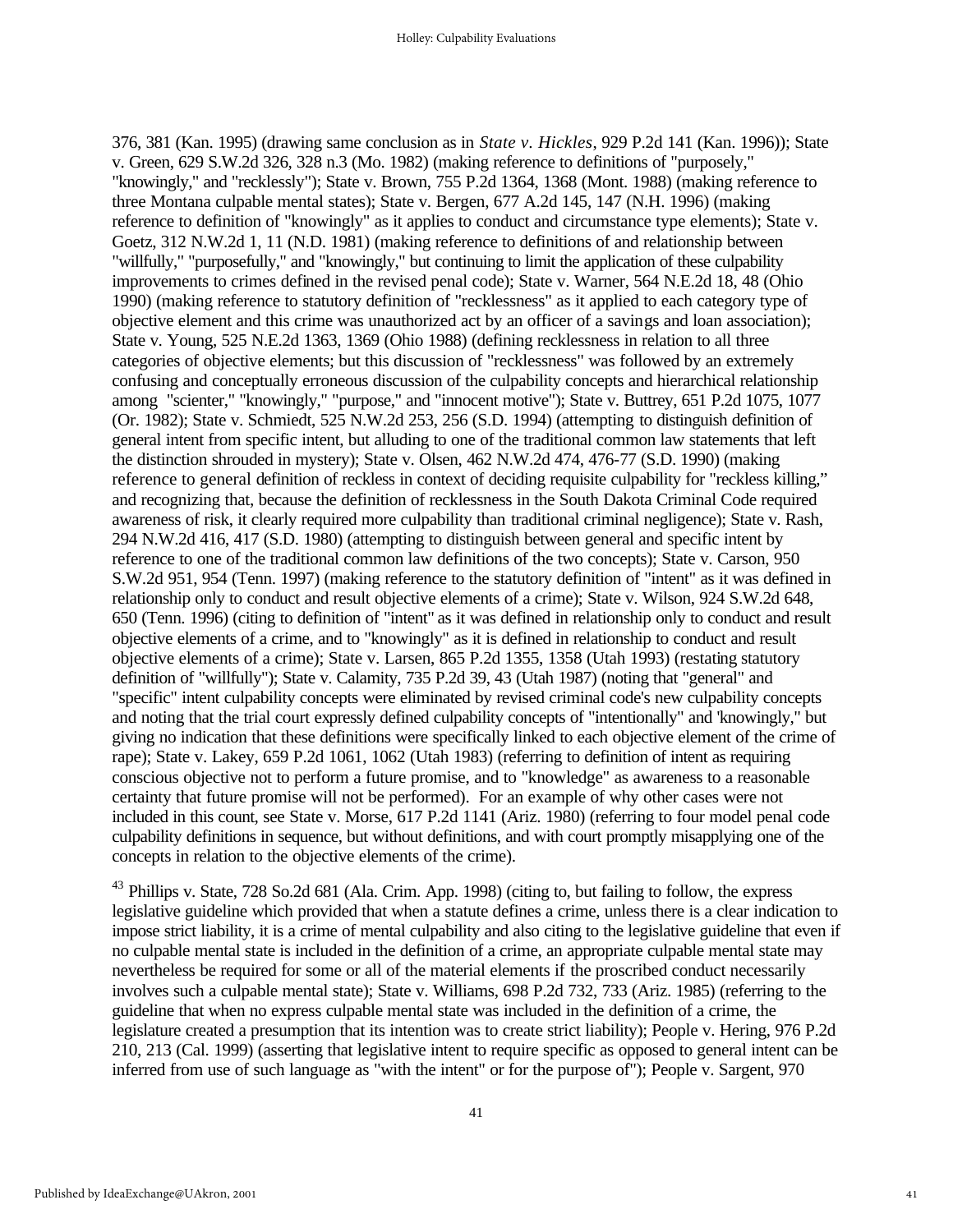376, 381 (Kan. 1995) (drawing same conclusion as in *State v. Hickles*, 929 P.2d 141 (Kan. 1996)); State v. Green, 629 S.W.2d 326, 328 n.3 (Mo. 1982) (making reference to definitions of "purposely," "knowingly," and "recklessly"); State v. Brown, 755 P.2d 1364, 1368 (Mont. 1988) (making reference to three Montana culpable mental states); State v. Bergen, 677 A.2d 145, 147 (N.H. 1996) (making reference to definition of "knowingly" as it applies to conduct and circumstance type elements); State v. Goetz, 312 N.W.2d 1, 11 (N.D. 1981) (making reference to definitions of and relationship between "willfully," "purposefully," and "knowingly," but continuing to limit the application of these culpability improvements to crimes defined in the revised penal code); State v. Warner, 564 N.E.2d 18, 48 (Ohio 1990) (making reference to statutory definition of "recklessness" as it applied to each category type of objective element and this crime was unauthorized act by an officer of a savings and loan association); State v. Young, 525 N.E.2d 1363, 1369 (Ohio 1988) (defining recklessness in relation to all three categories of objective elements; but this discussion of "recklessness" was followed by an extremely confusing and conceptually erroneous discussion of the culpability concepts and hierarchical relationship among "scienter," "knowingly," "purpose," and "innocent motive"); State v. Buttrey, 651 P.2d 1075, 1077 (Or. 1982); State v. Schmiedt, 525 N.W.2d 253, 256 (S.D. 1994) (attempting to distinguish definition of general intent from specific intent, but alluding to one of the traditional common law statements that left the distinction shrouded in mystery); State v. Olsen, 462 N.W.2d 474, 476-77 (S.D. 1990) (making reference to general definition of reckless in context of deciding requisite culpability for "reckless killing," and recognizing that, because the definition of recklessness in the South Dakota Criminal Code required awareness of risk, it clearly required more culpability than traditional criminal negligence); State v. Rash, 294 N.W.2d 416, 417 (S.D. 1980) (attempting to distinguish between general and specific intent by reference to one of the traditional common law definitions of the two concepts); State v. Carson, 950 S.W.2d 951, 954 (Tenn. 1997) (making reference to the statutory definition of "intent" as it was defined in relationship only to conduct and result objective elements of a crime); State v. Wilson, 924 S.W.2d 648, 650 (Tenn. 1996) (citing to definition of "intent" as it was defined in relationship only to conduct and result objective elements of a crime, and to "knowingly" as it is defined in relationship to conduct and result objective elements of a crime); State v. Larsen, 865 P.2d 1355, 1358 (Utah 1993) (restating statutory definition of "willfully"); State v. Calamity, 735 P.2d 39, 43 (Utah 1987) (noting that "general" and "specific" intent culpability concepts were eliminated by revised criminal code's new culpability concepts and noting that the trial court expressly defined culpability concepts of "intentionally" and 'knowingly," but giving no indication that these definitions were specifically linked to each objective element of the crime of rape); State v. Lakey, 659 P.2d 1061, 1062 (Utah 1983) (referring to definition of intent as requiring conscious objective not to perform a future promise, and to "knowledge" as awareness to a reasonable certainty that future promise will not be performed). For an example of why other cases were not included in this count, see State v. Morse, 617 P.2d 1141 (Ariz. 1980) (referring to four model penal code culpability definitions in sequence, but without definitions, and with court promptly misapplying one of the concepts in relation to the objective elements of the crime).

<sup>43</sup> Phillips v. State, 728 So.2d 681 (Ala. Crim. App. 1998) (citing to, but failing to follow, the express legislative guideline which provided that when a statute defines a crime, unless there is a clear indication to impose strict liability, it is a crime of mental culpability and also citing to the legislative guideline that even if no culpable mental state is included in the definition of a crime, an appropriate culpable mental state may nevertheless be required for some or all of the material elements if the proscribed conduct necessarily involves such a culpable mental state); State v. Williams, 698 P.2d 732, 733 (Ariz. 1985) (referring to the guideline that when no express culpable mental state was included in the definition of a crime, the legislature created a presumption that its intention was to create strict liability); People v. Hering, 976 P.2d 210, 213 (Cal. 1999) (asserting that legislative intent to require specific as opposed to general intent can be inferred from use of such language as "with the intent" or for the purpose of"); People v. Sargent, 970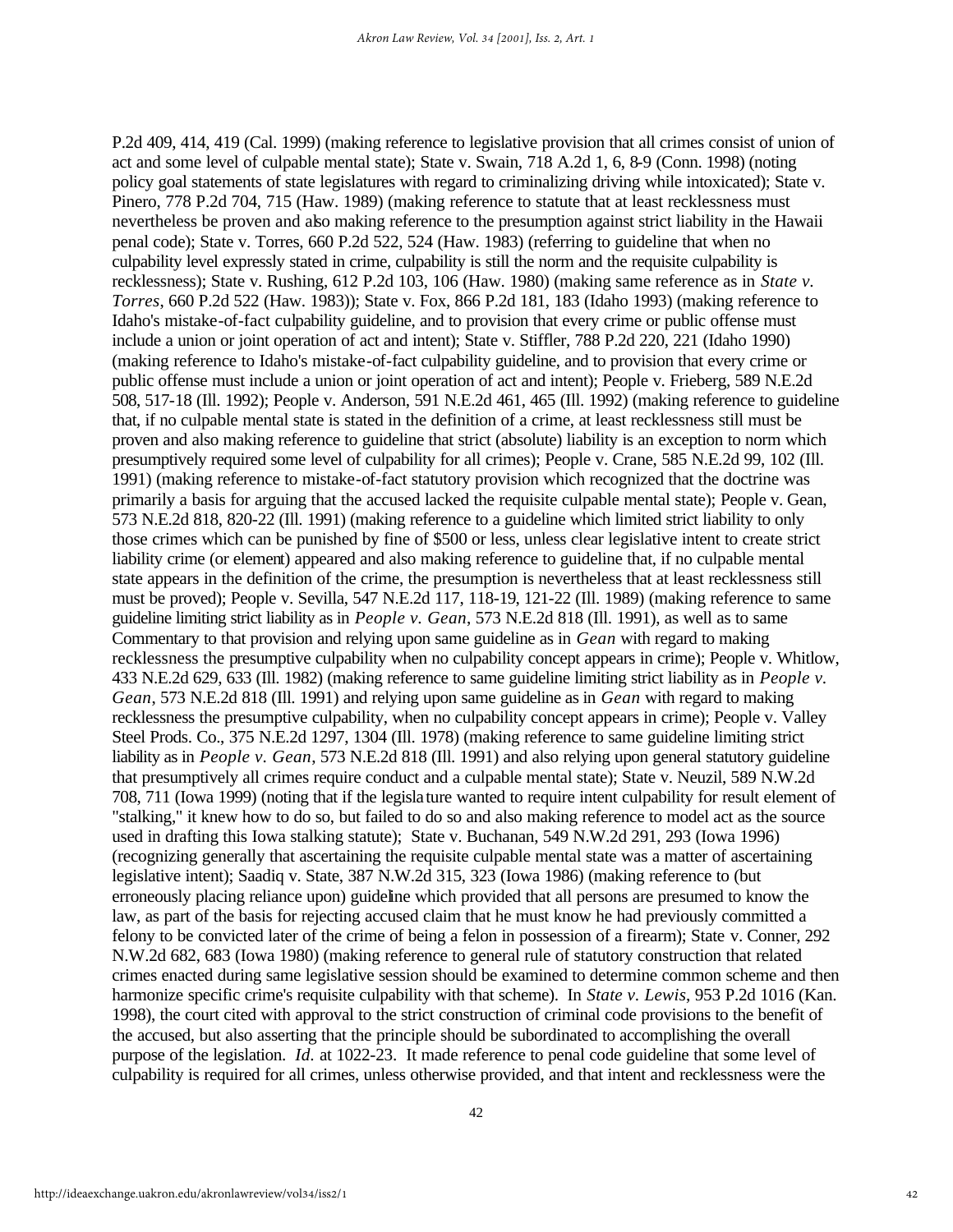P.2d 409, 414, 419 (Cal. 1999) (making reference to legislative provision that all crimes consist of union of act and some level of culpable mental state); State v. Swain, 718 A.2d 1, 6, 8-9 (Conn. 1998) (noting policy goal statements of state legislatures with regard to criminalizing driving while intoxicated); State v. Pinero, 778 P.2d 704, 715 (Haw. 1989) (making reference to statute that at least recklessness must nevertheless be proven and also making reference to the presumption against strict liability in the Hawaii penal code); State v. Torres, 660 P.2d 522, 524 (Haw. 1983) (referring to guideline that when no culpability level expressly stated in crime, culpability is still the norm and the requisite culpability is recklessness); State v. Rushing, 612 P.2d 103, 106 (Haw. 1980) (making same reference as in *State v. Torres*, 660 P.2d 522 (Haw. 1983)); State v. Fox, 866 P.2d 181, 183 (Idaho 1993) (making reference to Idaho's mistake-of-fact culpability guideline, and to provision that every crime or public offense must include a union or joint operation of act and intent); State v. Stiffler, 788 P.2d 220, 221 (Idaho 1990) (making reference to Idaho's mistake-of-fact culpability guideline, and to provision that every crime or public offense must include a union or joint operation of act and intent); People v. Frieberg, 589 N.E.2d 508, 517-18 (Ill. 1992); People v. Anderson, 591 N.E.2d 461, 465 (Ill. 1992) (making reference to guideline that, if no culpable mental state is stated in the definition of a crime, at least recklessness still must be proven and also making reference to guideline that strict (absolute) liability is an exception to norm which presumptively required some level of culpability for all crimes); People v. Crane, 585 N.E.2d 99, 102 (Ill. 1991) (making reference to mistake-of-fact statutory provision which recognized that the doctrine was primarily a basis for arguing that the accused lacked the requisite culpable mental state); People v. Gean, 573 N.E.2d 818, 820-22 (Ill. 1991) (making reference to a guideline which limited strict liability to only those crimes which can be punished by fine of \$500 or less, unless clear legislative intent to create strict liability crime (or element) appeared and also making reference to guideline that, if no culpable mental state appears in the definition of the crime, the presumption is nevertheless that at least recklessness still must be proved); People v. Sevilla, 547 N.E.2d 117, 118-19, 121-22 (Ill. 1989) (making reference to same guideline limiting strict liability as in *People v. Gean*, 573 N.E.2d 818 (Ill. 1991), as well as to same Commentary to that provision and relying upon same guideline as in *Gean* with regard to making recklessness the presumptive culpability when no culpability concept appears in crime); People v. Whitlow, 433 N.E.2d 629, 633 (Ill. 1982) (making reference to same guideline limiting strict liability as in *People v. Gean*, 573 N.E.2d 818 (Ill. 1991) and relying upon same guideline as in *Gean* with regard to making recklessness the presumptive culpability, when no culpability concept appears in crime); People v. Valley Steel Prods. Co., 375 N.E.2d 1297, 1304 (Ill. 1978) (making reference to same guideline limiting strict liability as in *People v. Gean*, 573 N.E.2d 818 (Ill. 1991) and also relying upon general statutory guideline that presumptively all crimes require conduct and a culpable mental state); State v. Neuzil, 589 N.W.2d 708, 711 (Iowa 1999) (noting that if the legislature wanted to require intent culpability for result element of "stalking," it knew how to do so, but failed to do so and also making reference to model act as the source used in drafting this Iowa stalking statute); State v. Buchanan, 549 N.W.2d 291, 293 (Iowa 1996) (recognizing generally that ascertaining the requisite culpable mental state was a matter of ascertaining legislative intent); Saadiq v. State, 387 N.W.2d 315, 323 (Iowa 1986) (making reference to (but erroneously placing reliance upon) guideline which provided that all persons are presumed to know the law, as part of the basis for rejecting accused claim that he must know he had previously committed a felony to be convicted later of the crime of being a felon in possession of a firearm); State v. Conner, 292 N.W.2d 682, 683 (Iowa 1980) (making reference to general rule of statutory construction that related crimes enacted during same legislative session should be examined to determine common scheme and then harmonize specific crime's requisite culpability with that scheme). In *State v. Lewis*, 953 P.2d 1016 (Kan. 1998), the court cited with approval to the strict construction of criminal code provisions to the benefit of the accused, but also asserting that the principle should be subordinated to accomplishing the overall purpose of the legislation. *Id.* at 1022-23. It made reference to penal code guideline that some level of culpability is required for all crimes, unless otherwise provided, and that intent and recklessness were the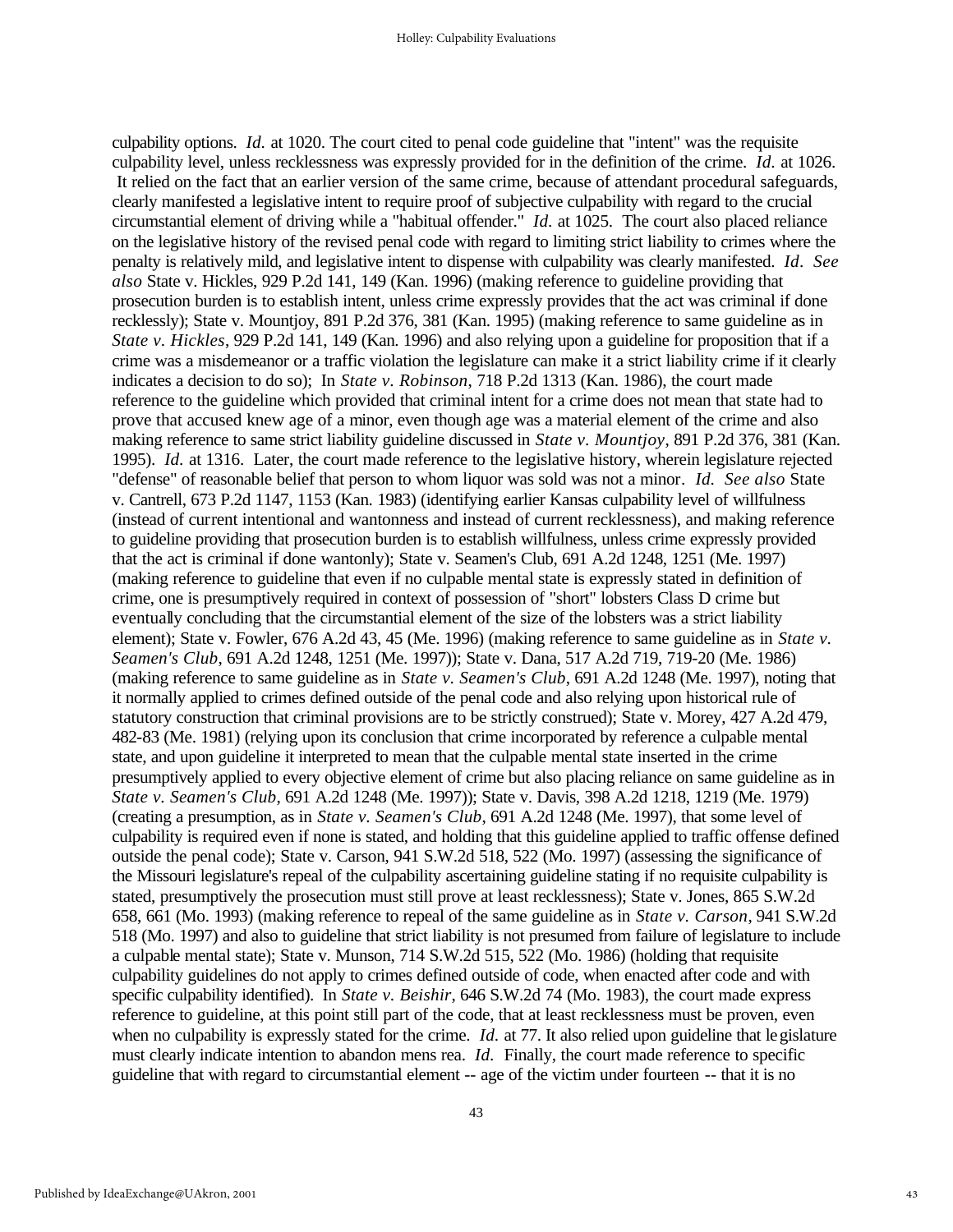culpability options. *Id.* at 1020. The court cited to penal code guideline that "intent" was the requisite culpability level, unless recklessness was expressly provided for in the definition of the crime. *Id.* at 1026. It relied on the fact that an earlier version of the same crime, because of attendant procedural safeguards, clearly manifested a legislative intent to require proof of subjective culpability with regard to the crucial circumstantial element of driving while a "habitual offender." *Id.* at 1025. The court also placed reliance on the legislative history of the revised penal code with regard to limiting strict liability to crimes where the penalty is relatively mild, and legislative intent to dispense with culpability was clearly manifested. *Id*. *See also* State v. Hickles, 929 P.2d 141, 149 (Kan. 1996) (making reference to guideline providing that prosecution burden is to establish intent, unless crime expressly provides that the act was criminal if done recklessly); State v. Mountjoy, 891 P.2d 376, 381 (Kan. 1995) (making reference to same guideline as in *State v. Hickles*, 929 P.2d 141, 149 (Kan. 1996) and also relying upon a guideline for proposition that if a crime was a misdemeanor or a traffic violation the legislature can make it a strict liability crime if it clearly indicates a decision to do so); In *State v. Robinson*, 718 P.2d 1313 (Kan. 1986), the court made reference to the guideline which provided that criminal intent for a crime does not mean that state had to prove that accused knew age of a minor, even though age was a material element of the crime and also making reference to same strict liability guideline discussed in *State v. Mountjoy*, 891 P.2d 376, 381 (Kan. 1995). *Id.* at 1316. Later, the court made reference to the legislative history, wherein legislature rejected "defense" of reasonable belief that person to whom liquor was sold was not a minor*. Id. See also* State v. Cantrell, 673 P.2d 1147, 1153 (Kan. 1983) (identifying earlier Kansas culpability level of willfulness (instead of current intentional and wantonness and instead of current recklessness), and making reference to guideline providing that prosecution burden is to establish willfulness, unless crime expressly provided that the act is criminal if done wantonly); State v. Seamen's Club, 691 A.2d 1248, 1251 (Me. 1997) (making reference to guideline that even if no culpable mental state is expressly stated in definition of crime, one is presumptively required in context of possession of "short" lobsters Class D crime but eventually concluding that the circumstantial element of the size of the lobsters was a strict liability element); State v. Fowler, 676 A.2d 43, 45 (Me. 1996) (making reference to same guideline as in *State v. Seamen's Club*, 691 A.2d 1248, 1251 (Me. 1997)); State v. Dana, 517 A.2d 719, 719-20 (Me. 1986) (making reference to same guideline as in *State v. Seamen's Club*, 691 A.2d 1248 (Me. 1997), noting that it normally applied to crimes defined outside of the penal code and also relying upon historical rule of statutory construction that criminal provisions are to be strictly construed); State v. Morey, 427 A.2d 479, 482-83 (Me. 1981) (relying upon its conclusion that crime incorporated by reference a culpable mental state, and upon guideline it interpreted to mean that the culpable mental state inserted in the crime presumptively applied to every objective element of crime but also placing reliance on same guideline as in *State v. Seamen's Club*, 691 A.2d 1248 (Me. 1997)); State v. Davis, 398 A.2d 1218, 1219 (Me. 1979) (creating a presumption, as in *State v. Seamen's Club*, 691 A.2d 1248 (Me. 1997), that some level of culpability is required even if none is stated, and holding that this guideline applied to traffic offense defined outside the penal code); State v. Carson, 941 S.W.2d 518, 522 (Mo. 1997) (assessing the significance of the Missouri legislature's repeal of the culpability ascertaining guideline stating if no requisite culpability is stated, presumptively the prosecution must still prove at least recklessness); State v. Jones, 865 S.W.2d 658, 661 (Mo. 1993) (making reference to repeal of the same guideline as in *State v. Carson*, 941 S.W.2d 518 (Mo. 1997) and also to guideline that strict liability is not presumed from failure of legislature to include a culpable mental state); State v. Munson, 714 S.W.2d 515, 522 (Mo. 1986) (holding that requisite culpability guidelines do not apply to crimes defined outside of code, when enacted after code and with specific culpability identified). In *State v. Beishir*, 646 S.W.2d 74 (Mo. 1983), the court made express reference to guideline, at this point still part of the code, that at least recklessness must be proven, even when no culpability is expressly stated for the crime. *Id.* at 77. It also relied upon guideline that legislature must clearly indicate intention to abandon mens rea. *Id.* Finally, the court made reference to specific guideline that with regard to circumstantial element -- age of the victim under fourteen -- that it is no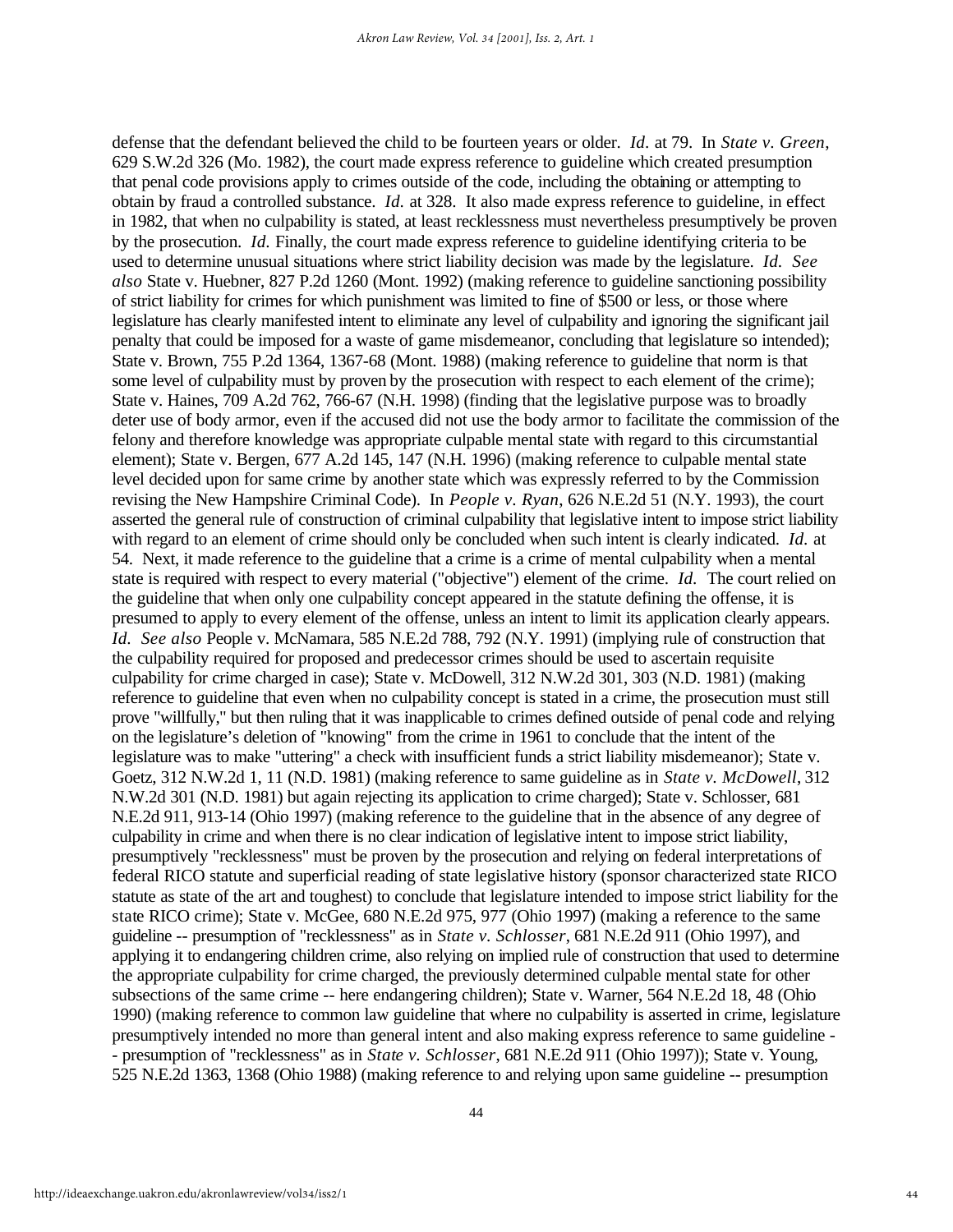defense that the defendant believed the child to be fourteen years or older. *Id.* at 79. In *State v. Green*, 629 S.W.2d 326 (Mo. 1982), the court made express reference to guideline which created presumption that penal code provisions apply to crimes outside of the code, including the obtaining or attempting to obtain by fraud a controlled substance. *Id.* at 328. It also made express reference to guideline, in effect in 1982, that when no culpability is stated, at least recklessness must nevertheless presumptively be proven by the prosecution. *Id.* Finally, the court made express reference to guideline identifying criteria to be used to determine unusual situations where strict liability decision was made by the legislature. *Id. See also* State v. Huebner, 827 P.2d 1260 (Mont. 1992) (making reference to guideline sanctioning possibility of strict liability for crimes for which punishment was limited to fine of \$500 or less, or those where legislature has clearly manifested intent to eliminate any level of culpability and ignoring the significant jail penalty that could be imposed for a waste of game misdemeanor, concluding that legislature so intended); State v. Brown, 755 P.2d 1364, 1367-68 (Mont. 1988) (making reference to guideline that norm is that some level of culpability must by proven by the prosecution with respect to each element of the crime); State v. Haines, 709 A.2d 762, 766-67 (N.H. 1998) (finding that the legislative purpose was to broadly deter use of body armor, even if the accused did not use the body armor to facilitate the commission of the felony and therefore knowledge was appropriate culpable mental state with regard to this circumstantial element); State v. Bergen, 677 A.2d 145, 147 (N.H. 1996) (making reference to culpable mental state level decided upon for same crime by another state which was expressly referred to by the Commission revising the New Hampshire Criminal Code). In *People v. Ryan*, 626 N.E.2d 51 (N.Y. 1993), the court asserted the general rule of construction of criminal culpability that legislative intent to impose strict liability with regard to an element of crime should only be concluded when such intent is clearly indicated. *Id.* at 54. Next, it made reference to the guideline that a crime is a crime of mental culpability when a mental state is required with respect to every material ("objective") element of the crime. *Id.* The court relied on the guideline that when only one culpability concept appeared in the statute defining the offense, it is presumed to apply to every element of the offense, unless an intent to limit its application clearly appears. *Id. See also* People v. McNamara, 585 N.E.2d 788, 792 (N.Y. 1991) (implying rule of construction that the culpability required for proposed and predecessor crimes should be used to ascertain requisite culpability for crime charged in case); State v. McDowell, 312 N.W.2d 301, 303 (N.D. 1981) (making reference to guideline that even when no culpability concept is stated in a crime, the prosecution must still prove "willfully," but then ruling that it was inapplicable to crimes defined outside of penal code and relying on the legislature's deletion of "knowing" from the crime in 1961 to conclude that the intent of the legislature was to make "uttering" a check with insufficient funds a strict liability misdemeanor); State v. Goetz, 312 N.W.2d 1, 11 (N.D. 1981) (making reference to same guideline as in *State v. McDowell*, 312 N.W.2d 301 (N.D. 1981) but again rejecting its application to crime charged); State v. Schlosser, 681 N.E.2d 911, 913-14 (Ohio 1997) (making reference to the guideline that in the absence of any degree of culpability in crime and when there is no clear indication of legislative intent to impose strict liability, presumptively "recklessness" must be proven by the prosecution and relying on federal interpretations of federal RICO statute and superficial reading of state legislative history (sponsor characterized state RICO statute as state of the art and toughest) to conclude that legislature intended to impose strict liability for the state RICO crime); State v. McGee, 680 N.E.2d 975, 977 (Ohio 1997) (making a reference to the same guideline -- presumption of "recklessness" as in *State v. Schlosser*, 681 N.E.2d 911 (Ohio 1997), and applying it to endangering children crime, also relying on implied rule of construction that used to determine the appropriate culpability for crime charged, the previously determined culpable mental state for other subsections of the same crime -- here endangering children); State v. Warner, 564 N.E.2d 18, 48 (Ohio 1990) (making reference to common law guideline that where no culpability is asserted in crime, legislature presumptively intended no more than general intent and also making express reference to same guideline - - presumption of "recklessness" as in *State v. Schlosser*, 681 N.E.2d 911 (Ohio 1997)); State v. Young, 525 N.E.2d 1363, 1368 (Ohio 1988) (making reference to and relying upon same guideline -- presumption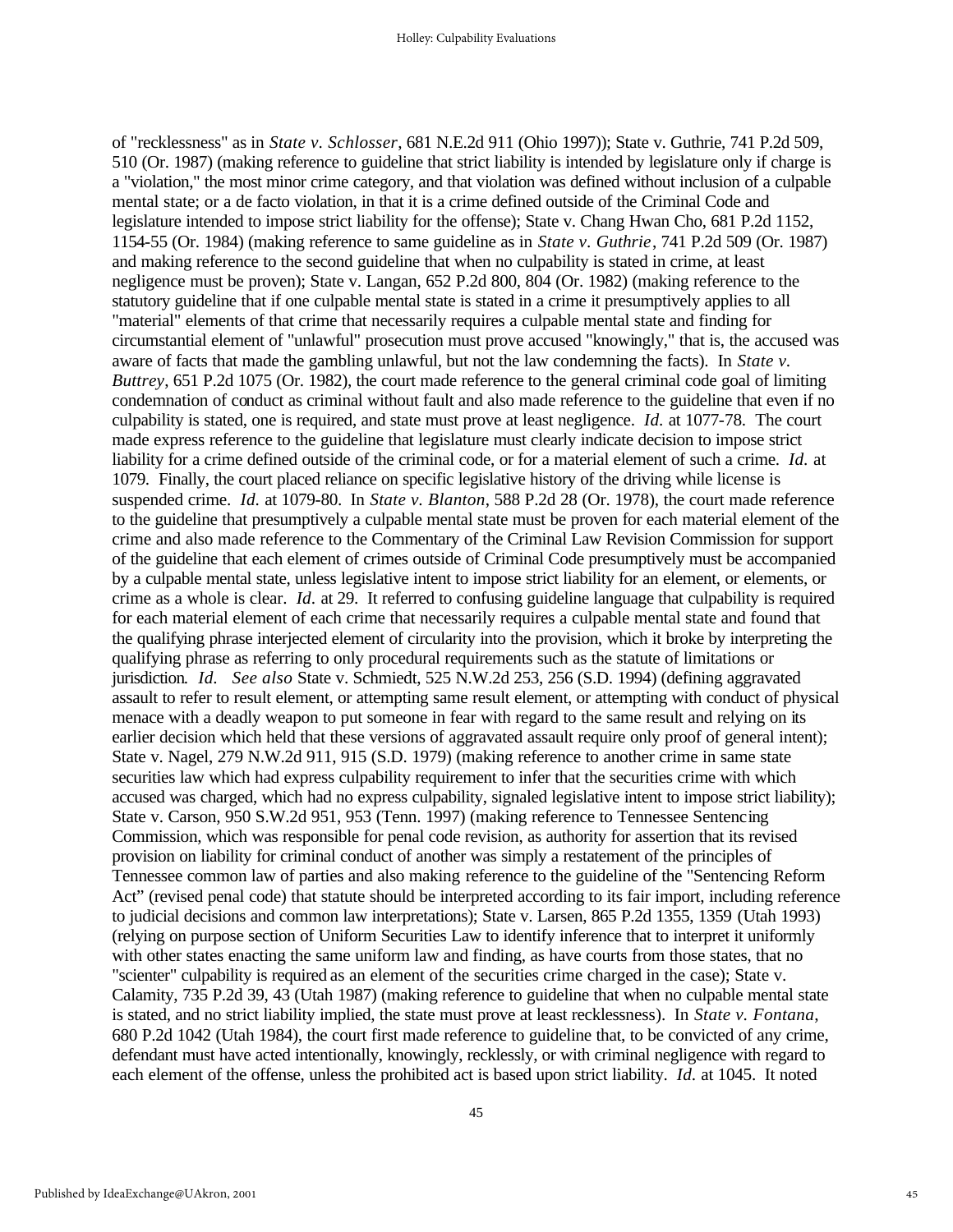of "recklessness" as in *State v. Schlosser*, 681 N.E.2d 911 (Ohio 1997)); State v. Guthrie, 741 P.2d 509, 510 (Or. 1987) (making reference to guideline that strict liability is intended by legislature only if charge is a "violation," the most minor crime category, and that violation was defined without inclusion of a culpable mental state; or a de facto violation, in that it is a crime defined outside of the Criminal Code and legislature intended to impose strict liability for the offense); State v. Chang Hwan Cho, 681 P.2d 1152, 1154-55 (Or. 1984) (making reference to same guideline as in *State v. Guthrie*, 741 P.2d 509 (Or. 1987) and making reference to the second guideline that when no culpability is stated in crime, at least negligence must be proven); State v. Langan, 652 P.2d 800, 804 (Or. 1982) (making reference to the statutory guideline that if one culpable mental state is stated in a crime it presumptively applies to all "material" elements of that crime that necessarily requires a culpable mental state and finding for circumstantial element of "unlawful" prosecution must prove accused "knowingly," that is, the accused was aware of facts that made the gambling unlawful, but not the law condemning the facts). In *State v. Buttrey*, 651 P.2d 1075 (Or. 1982), the court made reference to the general criminal code goal of limiting condemnation of conduct as criminal without fault and also made reference to the guideline that even if no culpability is stated, one is required, and state must prove at least negligence. *Id.* at 1077-78. The court made express reference to the guideline that legislature must clearly indicate decision to impose strict liability for a crime defined outside of the criminal code, or for a material element of such a crime. *Id.* at 1079. Finally, the court placed reliance on specific legislative history of the driving while license is suspended crime. *Id.* at 1079-80. In *State v. Blanton*, 588 P.2d 28 (Or. 1978), the court made reference to the guideline that presumptively a culpable mental state must be proven for each material element of the crime and also made reference to the Commentary of the Criminal Law Revision Commission for support of the guideline that each element of crimes outside of Criminal Code presumptively must be accompanied by a culpable mental state, unless legislative intent to impose strict liability for an element, or elements, or crime as a whole is clear. *Id.* at 29. It referred to confusing guideline language that culpability is required for each material element of each crime that necessarily requires a culpable mental state and found that the qualifying phrase interjected element of circularity into the provision, which it broke by interpreting the qualifying phrase as referring to only procedural requirements such as the statute of limitations or jurisdiction*. Id. See also* State v. Schmiedt, 525 N.W.2d 253, 256 (S.D. 1994) (defining aggravated assault to refer to result element, or attempting same result element, or attempting with conduct of physical menace with a deadly weapon to put someone in fear with regard to the same result and relying on its earlier decision which held that these versions of aggravated assault require only proof of general intent); State v. Nagel, 279 N.W.2d 911, 915 (S.D. 1979) (making reference to another crime in same state securities law which had express culpability requirement to infer that the securities crime with which accused was charged, which had no express culpability, signaled legislative intent to impose strict liability); State v. Carson, 950 S.W.2d 951, 953 (Tenn. 1997) (making reference to Tennessee Sentencing Commission, which was responsible for penal code revision, as authority for assertion that its revised provision on liability for criminal conduct of another was simply a restatement of the principles of Tennessee common law of parties and also making reference to the guideline of the "Sentencing Reform Act" (revised penal code) that statute should be interpreted according to its fair import, including reference to judicial decisions and common law interpretations); State v. Larsen, 865 P.2d 1355, 1359 (Utah 1993) (relying on purpose section of Uniform Securities Law to identify inference that to interpret it uniformly with other states enacting the same uniform law and finding, as have courts from those states, that no "scienter" culpability is required as an element of the securities crime charged in the case); State v. Calamity, 735 P.2d 39, 43 (Utah 1987) (making reference to guideline that when no culpable mental state is stated, and no strict liability implied, the state must prove at least recklessness). In *State v. Fontana*, 680 P.2d 1042 (Utah 1984), the court first made reference to guideline that, to be convicted of any crime, defendant must have acted intentionally, knowingly, recklessly, or with criminal negligence with regard to each element of the offense, unless the prohibited act is based upon strict liability. *Id.* at 1045. It noted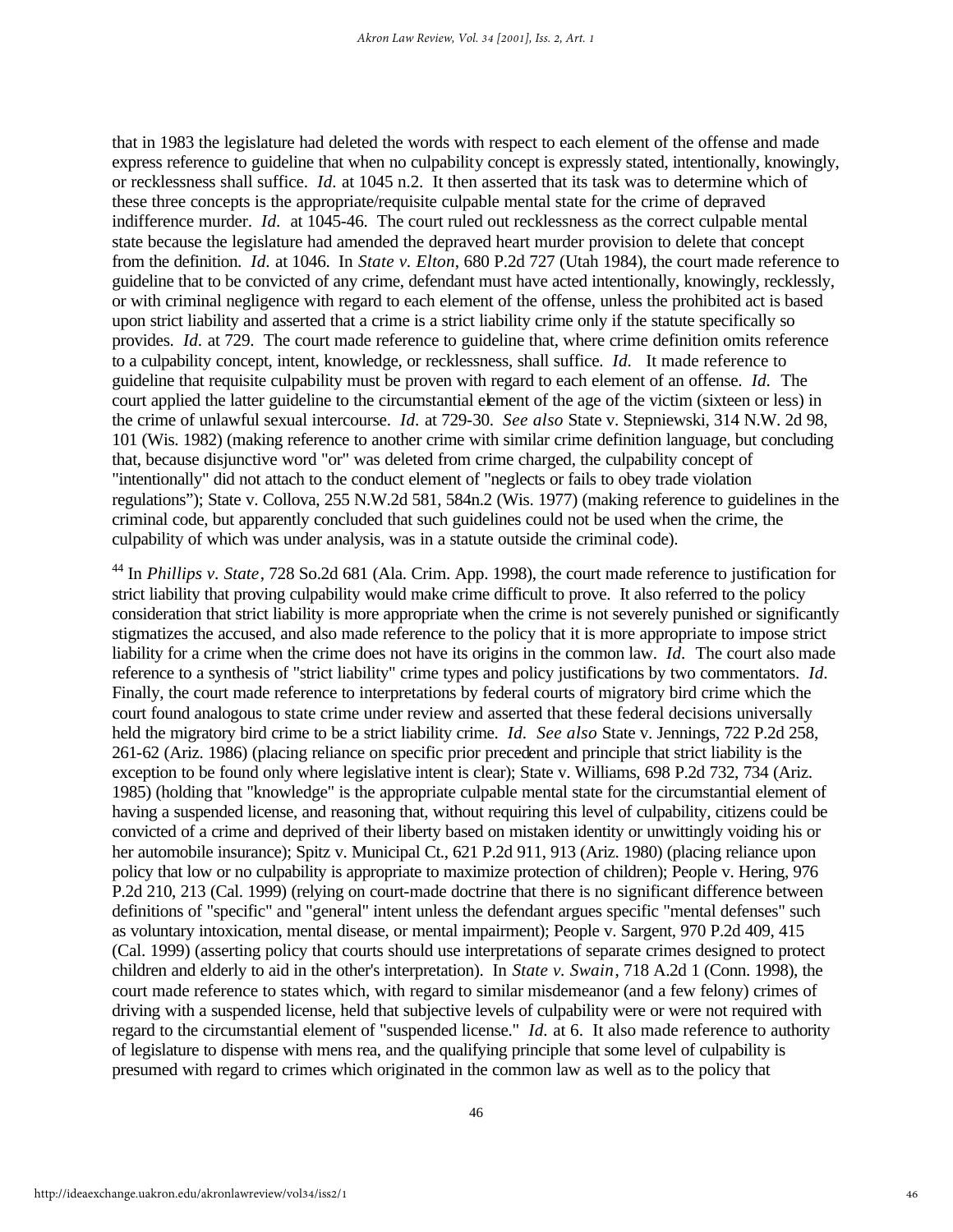that in 1983 the legislature had deleted the words with respect to each element of the offense and made express reference to guideline that when no culpability concept is expressly stated, intentionally, knowingly, or recklessness shall suffice. *Id.* at 1045 n.2. It then asserted that its task was to determine which of these three concepts is the appropriate/requisite culpable mental state for the crime of depraved indifference murder. *Id.* at 1045-46. The court ruled out recklessness as the correct culpable mental state because the legislature had amended the depraved heart murder provision to delete that concept from the definition. *Id.* at 1046. In *State v. Elton*, 680 P.2d 727 (Utah 1984), the court made reference to guideline that to be convicted of any crime, defendant must have acted intentionally, knowingly, recklessly, or with criminal negligence with regard to each element of the offense, unless the prohibited act is based upon strict liability and asserted that a crime is a strict liability crime only if the statute specifically so provides. *Id.* at 729. The court made reference to guideline that, where crime definition omits reference to a culpability concept, intent, knowledge, or recklessness, shall suffice. *Id.* It made reference to guideline that requisite culpability must be proven with regard to each element of an offense. *Id.* The court applied the latter guideline to the circumstantial element of the age of the victim (sixteen or less) in the crime of unlawful sexual intercourse. *Id.* at 729-30. *See also* State v. Stepniewski, 314 N.W. 2d 98, 101 (Wis. 1982) (making reference to another crime with similar crime definition language, but concluding that, because disjunctive word "or" was deleted from crime charged, the culpability concept of "intentionally" did not attach to the conduct element of "neglects or fails to obey trade violation regulations"); State v. Collova, 255 N.W.2d 581, 584n.2 (Wis. 1977) (making reference to guidelines in the criminal code, but apparently concluded that such guidelines could not be used when the crime, the culpability of which was under analysis, was in a statute outside the criminal code).

<sup>44</sup> In *Phillips v. State*, 728 So.2d 681 (Ala. Crim. App. 1998), the court made reference to justification for strict liability that proving culpability would make crime difficult to prove. It also referred to the policy consideration that strict liability is more appropriate when the crime is not severely punished or significantly stigmatizes the accused, and also made reference to the policy that it is more appropriate to impose strict liability for a crime when the crime does not have its origins in the common law. *Id.* The court also made reference to a synthesis of "strict liability" crime types and policy justifications by two commentators. *Id.*  Finally, the court made reference to interpretations by federal courts of migratory bird crime which the court found analogous to state crime under review and asserted that these federal decisions universally held the migratory bird crime to be a strict liability crime. *Id. See also* State v. Jennings, 722 P.2d 258, 261-62 (Ariz. 1986) (placing reliance on specific prior precedent and principle that strict liability is the exception to be found only where legislative intent is clear); State v. Williams, 698 P.2d 732, 734 (Ariz. 1985) (holding that "knowledge" is the appropriate culpable mental state for the circumstantial element of having a suspended license, and reasoning that, without requiring this level of culpability, citizens could be convicted of a crime and deprived of their liberty based on mistaken identity or unwittingly voiding his or her automobile insurance); Spitz v. Municipal Ct., 621 P.2d 911, 913 (Ariz. 1980) (placing reliance upon policy that low or no culpability is appropriate to maximize protection of children); People v. Hering, 976 P.2d 210, 213 (Cal. 1999) (relying on court-made doctrine that there is no significant difference between definitions of "specific" and "general" intent unless the defendant argues specific "mental defenses" such as voluntary intoxication, mental disease, or mental impairment); People v. Sargent, 970 P.2d 409, 415 (Cal. 1999) (asserting policy that courts should use interpretations of separate crimes designed to protect children and elderly to aid in the other's interpretation). In *State v. Swain*, 718 A.2d 1 (Conn. 1998), the court made reference to states which, with regard to similar misdemeanor (and a few felony) crimes of driving with a suspended license, held that subjective levels of culpability were or were not required with regard to the circumstantial element of "suspended license." *Id.* at 6. It also made reference to authority of legislature to dispense with mens rea, and the qualifying principle that some level of culpability is presumed with regard to crimes which originated in the common law as well as to the policy that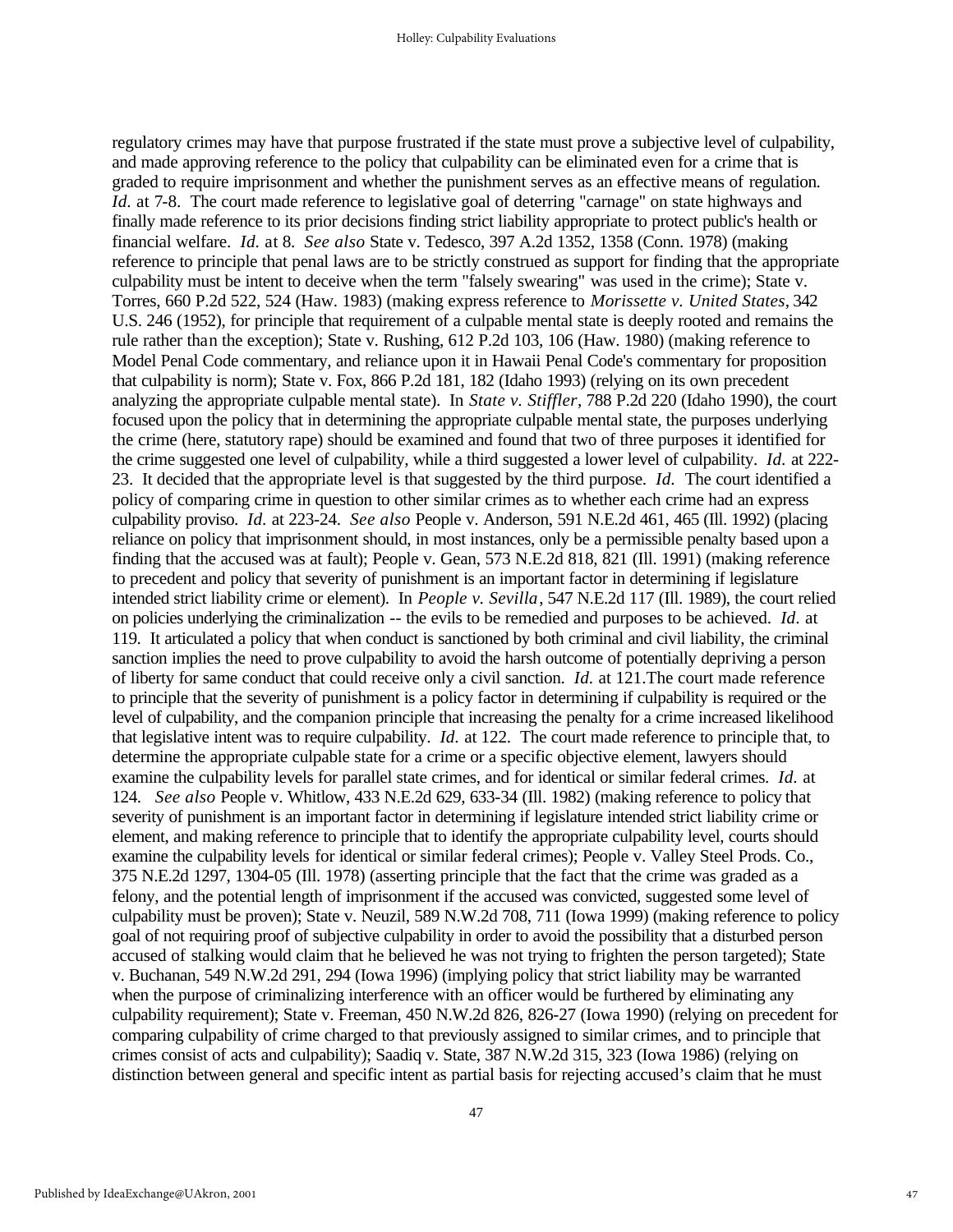regulatory crimes may have that purpose frustrated if the state must prove a subjective level of culpability, and made approving reference to the policy that culpability can be eliminated even for a crime that is graded to require imprisonment and whether the punishment serves as an effective means of regulation. *Id.* at 7-8. The court made reference to legislative goal of deterring "carnage" on state highways and finally made reference to its prior decisions finding strict liability appropriate to protect public's health or financial welfare. *Id.* at 8. *See also* State v. Tedesco, 397 A.2d 1352, 1358 (Conn. 1978) (making reference to principle that penal laws are to be strictly construed as support for finding that the appropriate culpability must be intent to deceive when the term "falsely swearing" was used in the crime); State v. Torres, 660 P.2d 522, 524 (Haw. 1983) (making express reference to *Morissette v. United States*, 342 U.S. 246 (1952), for principle that requirement of a culpable mental state is deeply rooted and remains the rule rather than the exception); State v. Rushing, 612 P.2d 103, 106 (Haw. 1980) (making reference to Model Penal Code commentary, and reliance upon it in Hawaii Penal Code's commentary for proposition that culpability is norm); State v. Fox, 866 P.2d 181, 182 (Idaho 1993) (relying on its own precedent analyzing the appropriate culpable mental state). In *State v. Stiffler*, 788 P.2d 220 (Idaho 1990), the court focused upon the policy that in determining the appropriate culpable mental state, the purposes underlying the crime (here, statutory rape) should be examined and found that two of three purposes it identified for the crime suggested one level of culpability, while a third suggested a lower level of culpability. *Id.* at 222- 23. It decided that the appropriate level is that suggested by the third purpose. *Id.* The court identified a policy of comparing crime in question to other similar crimes as to whether each crime had an express culpability proviso. *Id.* at 223-24. *See also* People v. Anderson, 591 N.E.2d 461, 465 (Ill. 1992) (placing reliance on policy that imprisonment should, in most instances, only be a permissible penalty based upon a finding that the accused was at fault); People v. Gean, 573 N.E.2d 818, 821 (Ill. 1991) (making reference to precedent and policy that severity of punishment is an important factor in determining if legislature intended strict liability crime or element). In *People v. Sevilla*, 547 N.E.2d 117 (Ill. 1989), the court relied on policies underlying the criminalization -- the evils to be remedied and purposes to be achieved. *Id.* at 119. It articulated a policy that when conduct is sanctioned by both criminal and civil liability, the criminal sanction implies the need to prove culpability to avoid the harsh outcome of potentially depriving a person of liberty for same conduct that could receive only a civil sanction. *Id.* at 121.The court made reference to principle that the severity of punishment is a policy factor in determining if culpability is required or the level of culpability, and the companion principle that increasing the penalty for a crime increased likelihood that legislative intent was to require culpability. *Id.* at 122. The court made reference to principle that, to determine the appropriate culpable state for a crime or a specific objective element, lawyers should examine the culpability levels for parallel state crimes, and for identical or similar federal crimes. *Id.* at 124. *See also* People v. Whitlow, 433 N.E.2d 629, 633-34 (Ill. 1982) (making reference to policy that severity of punishment is an important factor in determining if legislature intended strict liability crime or element, and making reference to principle that to identify the appropriate culpability level, courts should examine the culpability levels for identical or similar federal crimes); People v. Valley Steel Prods. Co., 375 N.E.2d 1297, 1304-05 (Ill. 1978) (asserting principle that the fact that the crime was graded as a felony, and the potential length of imprisonment if the accused was convicted, suggested some level of culpability must be proven); State v. Neuzil, 589 N.W.2d 708, 711 (Iowa 1999) (making reference to policy goal of not requiring proof of subjective culpability in order to avoid the possibility that a disturbed person accused of stalking would claim that he believed he was not trying to frighten the person targeted); State v. Buchanan, 549 N.W.2d 291, 294 (Iowa 1996) (implying policy that strict liability may be warranted when the purpose of criminalizing interference with an officer would be furthered by eliminating any culpability requirement); State v. Freeman, 450 N.W.2d 826, 826-27 (Iowa 1990) (relying on precedent for comparing culpability of crime charged to that previously assigned to similar crimes, and to principle that crimes consist of acts and culpability); Saadiq v. State, 387 N.W.2d 315, 323 (Iowa 1986) (relying on distinction between general and specific intent as partial basis for rejecting accused's claim that he must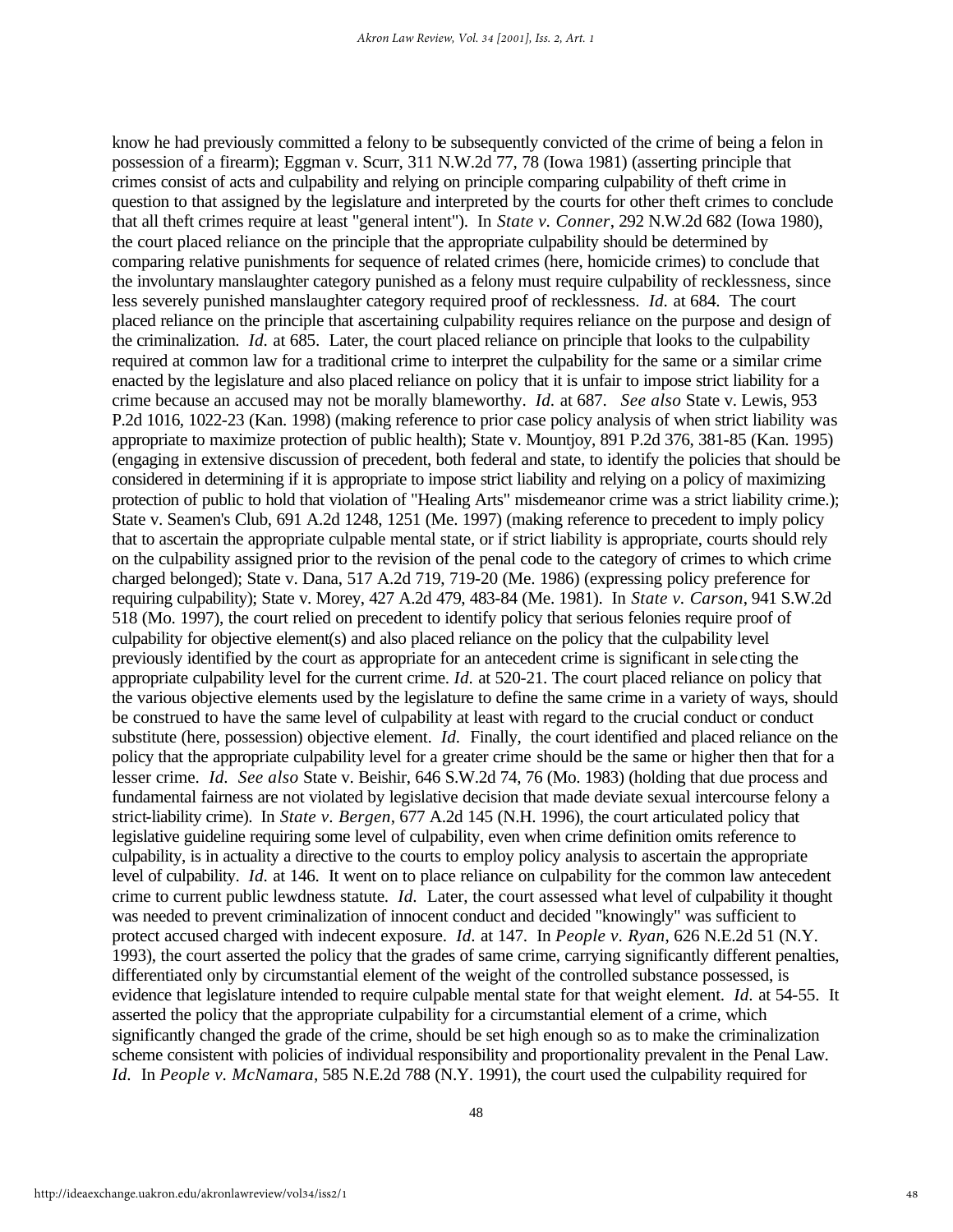know he had previously committed a felony to be subsequently convicted of the crime of being a felon in possession of a firearm); Eggman v. Scurr, 311 N.W.2d 77, 78 (Iowa 1981) (asserting principle that crimes consist of acts and culpability and relying on principle comparing culpability of theft crime in question to that assigned by the legislature and interpreted by the courts for other theft crimes to conclude that all theft crimes require at least "general intent"). In *State v. Conner*, 292 N.W.2d 682 (Iowa 1980), the court placed reliance on the principle that the appropriate culpability should be determined by comparing relative punishments for sequence of related crimes (here, homicide crimes) to conclude that the involuntary manslaughter category punished as a felony must require culpability of recklessness, since less severely punished manslaughter category required proof of recklessness. *Id.* at 684. The court placed reliance on the principle that ascertaining culpability requires reliance on the purpose and design of the criminalization. *Id.* at 685. Later, the court placed reliance on principle that looks to the culpability required at common law for a traditional crime to interpret the culpability for the same or a similar crime enacted by the legislature and also placed reliance on policy that it is unfair to impose strict liability for a crime because an accused may not be morally blameworthy. *Id.* at 687. *See also* State v. Lewis, 953 P.2d 1016, 1022-23 (Kan. 1998) (making reference to prior case policy analysis of when strict liability was appropriate to maximize protection of public health); State v. Mountjoy, 891 P.2d 376, 381-85 (Kan. 1995) (engaging in extensive discussion of precedent, both federal and state, to identify the policies that should be considered in determining if it is appropriate to impose strict liability and relying on a policy of maximizing protection of public to hold that violation of "Healing Arts" misdemeanor crime was a strict liability crime.); State v. Seamen's Club, 691 A.2d 1248, 1251 (Me. 1997) (making reference to precedent to imply policy that to ascertain the appropriate culpable mental state, or if strict liability is appropriate, courts should rely on the culpability assigned prior to the revision of the penal code to the category of crimes to which crime charged belonged); State v. Dana, 517 A.2d 719, 719-20 (Me. 1986) (expressing policy preference for requiring culpability); State v. Morey, 427 A.2d 479, 483-84 (Me. 1981). In *State v. Carson*, 941 S.W.2d 518 (Mo. 1997), the court relied on precedent to identify policy that serious felonies require proof of culpability for objective element(s) and also placed reliance on the policy that the culpability level previously identified by the court as appropriate for an antecedent crime is significant in sele cting the appropriate culpability level for the current crime. *Id.* at 520-21. The court placed reliance on policy that the various objective elements used by the legislature to define the same crime in a variety of ways, should be construed to have the same level of culpability at least with regard to the crucial conduct or conduct substitute (here, possession) objective element. *Id.* Finally, the court identified and placed reliance on the policy that the appropriate culpability level for a greater crime should be the same or higher then that for a lesser crime. *Id. See also* State v. Beishir, 646 S.W.2d 74, 76 (Mo. 1983) (holding that due process and fundamental fairness are not violated by legislative decision that made deviate sexual intercourse felony a strict-liability crime). In *State v. Bergen*, 677 A.2d 145 (N.H. 1996), the court articulated policy that legislative guideline requiring some level of culpability, even when crime definition omits reference to culpability, is in actuality a directive to the courts to employ policy analysis to ascertain the appropriate level of culpability. *Id.* at 146. It went on to place reliance on culpability for the common law antecedent crime to current public lewdness statute. *Id.* Later, the court assessed what level of culpability it thought was needed to prevent criminalization of innocent conduct and decided "knowingly" was sufficient to protect accused charged with indecent exposure. *Id.* at 147. In *People v. Ryan*, 626 N.E.2d 51 (N.Y. 1993), the court asserted the policy that the grades of same crime, carrying significantly different penalties, differentiated only by circumstantial element of the weight of the controlled substance possessed, is evidence that legislature intended to require culpable mental state for that weight element. *Id.* at 54-55. It asserted the policy that the appropriate culpability for a circumstantial element of a crime, which significantly changed the grade of the crime, should be set high enough so as to make the criminalization scheme consistent with policies of individual responsibility and proportionality prevalent in the Penal Law. *Id.* In *People v. McNamara*, 585 N.E.2d 788 (N.Y. 1991), the court used the culpability required for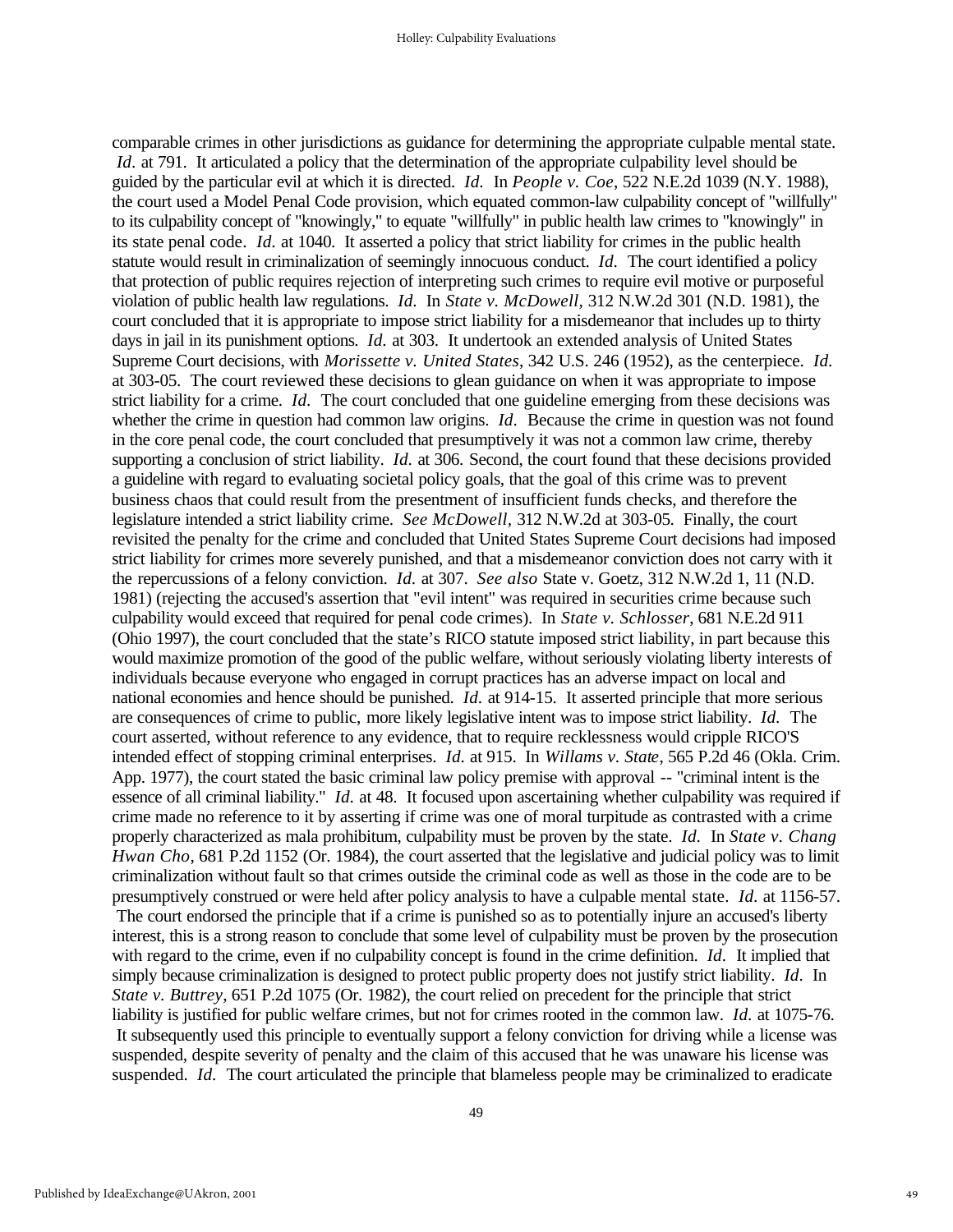comparable crimes in other jurisdictions as guidance for determining the appropriate culpable mental state. *Id.* at 791. It articulated a policy that the determination of the appropriate culpability level should be guided by the particular evil at which it is directed. *Id.* In *People v. Coe*, 522 N.E.2d 1039 (N.Y. 1988), the court used a Model Penal Code provision, which equated common-law culpability concept of "willfully" to its culpability concept of "knowingly," to equate "willfully" in public health law crimes to "knowingly" in its state penal code. *Id.* at 1040. It asserted a policy that strict liability for crimes in the public health statute would result in criminalization of seemingly innocuous conduct. *Id.* The court identified a policy that protection of public requires rejection of interpreting such crimes to require evil motive or purposeful violation of public health law regulations. *Id.* In *State v. McDowell,* 312 N.W.2d 301 (N.D. 1981), the court concluded that it is appropriate to impose strict liability for a misdemeanor that includes up to thirty days in jail in its punishment options. *Id.* at 303. It undertook an extended analysis of United States Supreme Court decisions, with *Morissette v. United States*, 342 U.S. 246 (1952), as the centerpiece. *Id.*  at 303-05. The court reviewed these decisions to glean guidance on when it was appropriate to impose strict liability for a crime. *Id.* The court concluded that one guideline emerging from these decisions was whether the crime in question had common law origins. *Id.* Because the crime in question was not found in the core penal code, the court concluded that presumptively it was not a common law crime, thereby supporting a conclusion of strict liability. *Id.* at 306. Second, the court found that these decisions provided a guideline with regard to evaluating societal policy goals, that the goal of this crime was to prevent business chaos that could result from the presentment of insufficient funds checks, and therefore the legislature intended a strict liability crime. *See McDowell,* 312 N.W.2d at 303-05. Finally, the court revisited the penalty for the crime and concluded that United States Supreme Court decisions had imposed strict liability for crimes more severely punished, and that a misdemeanor conviction does not carry with it the repercussions of a felony conviction. *Id.* at 307. *See also* State v. Goetz, 312 N.W.2d 1, 11 (N.D. 1981) (rejecting the accused's assertion that "evil intent" was required in securities crime because such culpability would exceed that required for penal code crimes). In *State v. Schlosser*, 681 N.E.2d 911 (Ohio 1997), the court concluded that the state's RICO statute imposed strict liability, in part because this would maximize promotion of the good of the public welfare, without seriously violating liberty interests of individuals because everyone who engaged in corrupt practices has an adverse impact on local and national economies and hence should be punished. *Id.* at 914-15. It asserted principle that more serious are consequences of crime to public, more likely legislative intent was to impose strict liability. *Id.* The court asserted, without reference to any evidence, that to require recklessness would cripple RICO'S intended effect of stopping criminal enterprises. *Id.* at 915. In *Willams v. State*, 565 P.2d 46 (Okla. Crim. App. 1977), the court stated the basic criminal law policy premise with approval -- "criminal intent is the essence of all criminal liability." *Id.* at 48. It focused upon ascertaining whether culpability was required if crime made no reference to it by asserting if crime was one of moral turpitude as contrasted with a crime properly characterized as mala prohibitum, culpability must be proven by the state. *Id.* In *State v. Chang Hwan Cho*, 681 P.2d 1152 (Or. 1984), the court asserted that the legislative and judicial policy was to limit criminalization without fault so that crimes outside the criminal code as well as those in the code are to be presumptively construed or were held after policy analysis to have a culpable mental state. *Id.* at 1156-57. The court endorsed the principle that if a crime is punished so as to potentially injure an accused's liberty interest, this is a strong reason to conclude that some level of culpability must be proven by the prosecution with regard to the crime, even if no culpability concept is found in the crime definition. *Id.* It implied that simply because criminalization is designed to protect public property does not justify strict liability. *Id.* In *State v. Buttrey*, 651 P.2d 1075 (Or. 1982), the court relied on precedent for the principle that strict liability is justified for public welfare crimes, but not for crimes rooted in the common law. *Id.* at 1075-76. It subsequently used this principle to eventually support a felony conviction for driving while a license was suspended, despite severity of penalty and the claim of this accused that he was unaware his license was suspended. *Id.* The court articulated the principle that blameless people may be criminalized to eradicate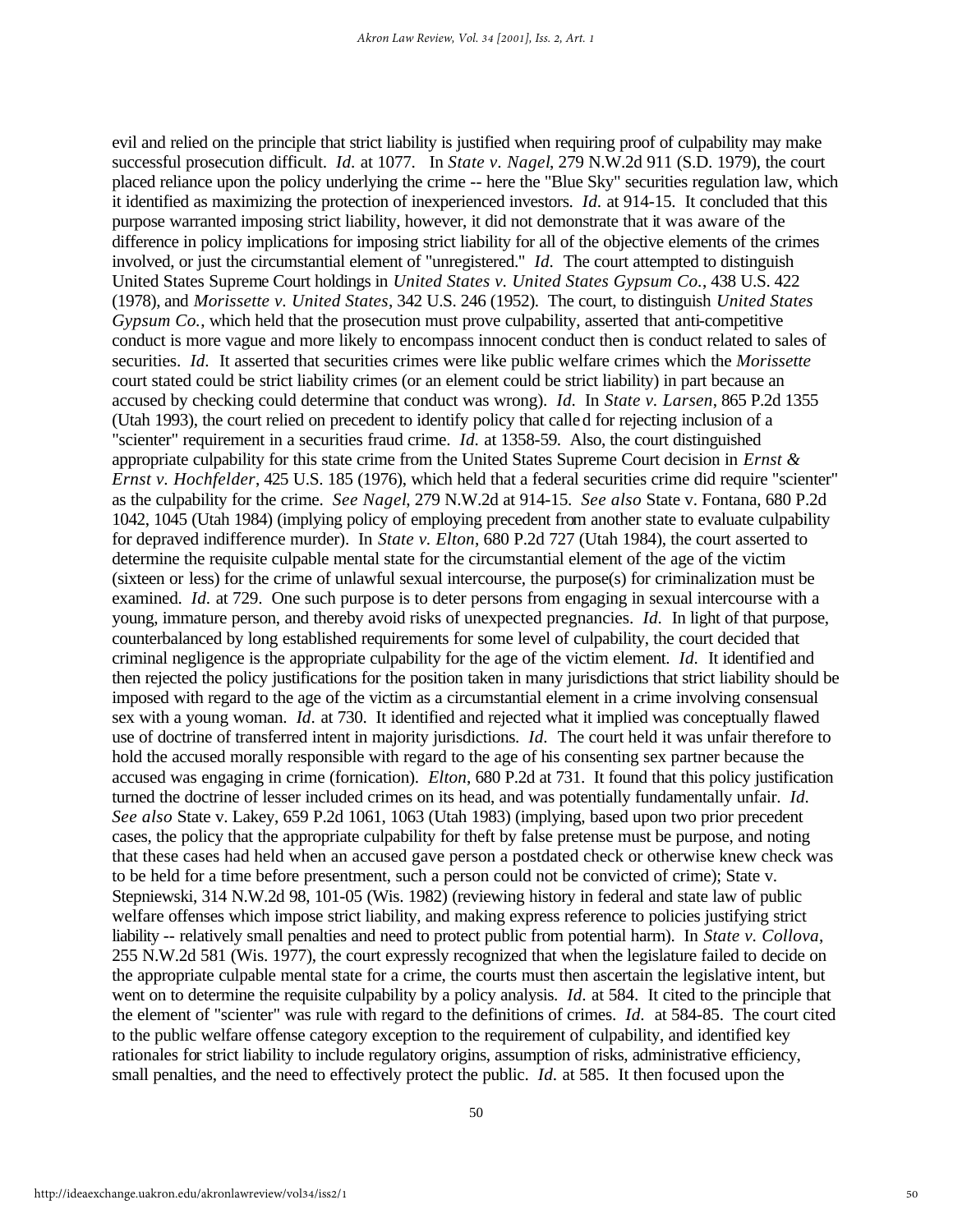evil and relied on the principle that strict liability is justified when requiring proof of culpability may make successful prosecution difficult. *Id.* at 1077. In *State v. Nagel*, 279 N.W.2d 911 (S.D. 1979), the court placed reliance upon the policy underlying the crime -- here the "Blue Sky" securities regulation law, which it identified as maximizing the protection of inexperienced investors. *Id.* at 914-15. It concluded that this purpose warranted imposing strict liability, however, it did not demonstrate that it was aware of the difference in policy implications for imposing strict liability for all of the objective elements of the crimes involved, or just the circumstantial element of "unregistered." *Id.* The court attempted to distinguish United States Supreme Court holdings in *United States v. United States Gypsum Co.*, 438 U.S. 422 (1978), and *Morissette v. United States*, 342 U.S. 246 (1952). The court, to distinguish *United States Gypsum Co.*, which held that the prosecution must prove culpability, asserted that anti-competitive conduct is more vague and more likely to encompass innocent conduct then is conduct related to sales of securities. *Id.* It asserted that securities crimes were like public welfare crimes which the *Morissette* court stated could be strict liability crimes (or an element could be strict liability) in part because an accused by checking could determine that conduct was wrong). *Id.* In *State v. Larsen*, 865 P.2d 1355 (Utah 1993), the court relied on precedent to identify policy that called for rejecting inclusion of a "scienter" requirement in a securities fraud crime. *Id.* at 1358-59. Also, the court distinguished appropriate culpability for this state crime from the United States Supreme Court decision in *Ernst & Ernst v. Hochfelder*, 425 U.S. 185 (1976), which held that a federal securities crime did require "scienter" as the culpability for the crime. *See Nagel*, 279 N.W.2d at 914-15. *See also* State v. Fontana, 680 P.2d 1042, 1045 (Utah 1984) (implying policy of employing precedent from another state to evaluate culpability for depraved indifference murder). In *State v. Elton*, 680 P.2d 727 (Utah 1984), the court asserted to determine the requisite culpable mental state for the circumstantial element of the age of the victim (sixteen or less) for the crime of unlawful sexual intercourse, the purpose(s) for criminalization must be examined. *Id.* at 729. One such purpose is to deter persons from engaging in sexual intercourse with a young, immature person, and thereby avoid risks of unexpected pregnancies. *Id.* In light of that purpose, counterbalanced by long established requirements for some level of culpability, the court decided that criminal negligence is the appropriate culpability for the age of the victim element. *Id.* It identified and then rejected the policy justifications for the position taken in many jurisdictions that strict liability should be imposed with regard to the age of the victim as a circumstantial element in a crime involving consensual sex with a young woman. *Id.* at 730. It identified and rejected what it implied was conceptually flawed use of doctrine of transferred intent in majority jurisdictions. *Id.* The court held it was unfair therefore to hold the accused morally responsible with regard to the age of his consenting sex partner because the accused was engaging in crime (fornication). *Elton*, 680 P.2d at 731. It found that this policy justification turned the doctrine of lesser included crimes on its head, and was potentially fundamentally unfair. *Id. See also* State v. Lakey, 659 P.2d 1061, 1063 (Utah 1983) (implying, based upon two prior precedent cases, the policy that the appropriate culpability for theft by false pretense must be purpose, and noting that these cases had held when an accused gave person a postdated check or otherwise knew check was to be held for a time before presentment, such a person could not be convicted of crime); State v. Stepniewski, 314 N.W.2d 98, 101-05 (Wis. 1982) (reviewing history in federal and state law of public welfare offenses which impose strict liability, and making express reference to policies justifying strict liability -- relatively small penalties and need to protect public from potential harm). In *State v. Collova*, 255 N.W.2d 581 (Wis. 1977), the court expressly recognized that when the legislature failed to decide on the appropriate culpable mental state for a crime, the courts must then ascertain the legislative intent, but went on to determine the requisite culpability by a policy analysis. *Id.* at 584. It cited to the principle that the element of "scienter" was rule with regard to the definitions of crimes. *Id.* at 584-85. The court cited to the public welfare offense category exception to the requirement of culpability, and identified key rationales for strict liability to include regulatory origins, assumption of risks, administrative efficiency, small penalties, and the need to effectively protect the public. *Id.* at 585. It then focused upon the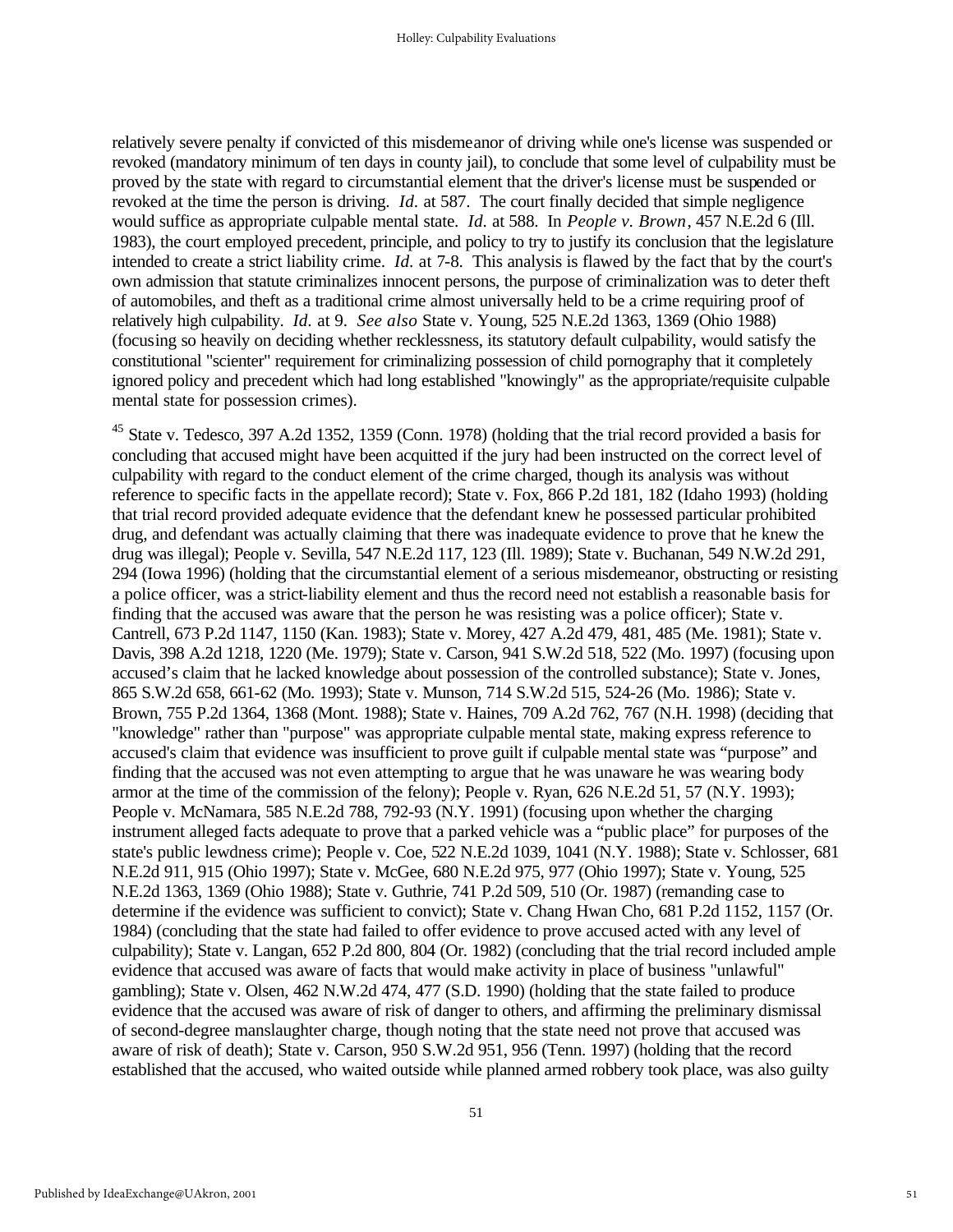relatively severe penalty if convicted of this misdemeanor of driving while one's license was suspended or revoked (mandatory minimum of ten days in county jail), to conclude that some level of culpability must be proved by the state with regard to circumstantial element that the driver's license must be suspended or revoked at the time the person is driving. *Id.* at 587. The court finally decided that simple negligence would suffice as appropriate culpable mental state. *Id.* at 588. In *People v. Brown*, 457 N.E.2d 6 (Ill. 1983), the court employed precedent, principle, and policy to try to justify its conclusion that the legislature intended to create a strict liability crime. *Id.* at 7-8. This analysis is flawed by the fact that by the court's own admission that statute criminalizes innocent persons, the purpose of criminalization was to deter theft of automobiles, and theft as a traditional crime almost universally held to be a crime requiring proof of relatively high culpability. *Id.* at 9. *See also* State v. Young, 525 N.E.2d 1363, 1369 (Ohio 1988) (focusing so heavily on deciding whether recklessness, its statutory default culpability, would satisfy the constitutional "scienter" requirement for criminalizing possession of child pornography that it completely ignored policy and precedent which had long established "knowingly" as the appropriate/requisite culpable mental state for possession crimes).

<sup>45</sup> State v. Tedesco, 397 A.2d 1352, 1359 (Conn. 1978) (holding that the trial record provided a basis for concluding that accused might have been acquitted if the jury had been instructed on the correct level of culpability with regard to the conduct element of the crime charged, though its analysis was without reference to specific facts in the appellate record); State v. Fox, 866 P.2d 181, 182 (Idaho 1993) (holding that trial record provided adequate evidence that the defendant knew he possessed particular prohibited drug, and defendant was actually claiming that there was inadequate evidence to prove that he knew the drug was illegal); People v. Sevilla, 547 N.E.2d 117, 123 (Ill. 1989); State v. Buchanan, 549 N.W.2d 291, 294 (Iowa 1996) (holding that the circumstantial element of a serious misdemeanor, obstructing or resisting a police officer, was a strict-liability element and thus the record need not establish a reasonable basis for finding that the accused was aware that the person he was resisting was a police officer); State v. Cantrell, 673 P.2d 1147, 1150 (Kan. 1983); State v. Morey, 427 A.2d 479, 481, 485 (Me. 1981); State v. Davis, 398 A.2d 1218, 1220 (Me. 1979); State v. Carson, 941 S.W.2d 518, 522 (Mo. 1997) (focusing upon accused's claim that he lacked knowledge about possession of the controlled substance); State v. Jones, 865 S.W.2d 658, 661-62 (Mo. 1993); State v. Munson, 714 S.W.2d 515, 524-26 (Mo. 1986); State v. Brown, 755 P.2d 1364, 1368 (Mont. 1988); State v. Haines, 709 A.2d 762, 767 (N.H. 1998) (deciding that "knowledge" rather than "purpose" was appropriate culpable mental state, making express reference to accused's claim that evidence was insufficient to prove guilt if culpable mental state was "purpose" and finding that the accused was not even attempting to argue that he was unaware he was wearing body armor at the time of the commission of the felony); People v. Ryan, 626 N.E.2d 51, 57 (N.Y. 1993); People v. McNamara, 585 N.E.2d 788, 792-93 (N.Y. 1991) (focusing upon whether the charging instrument alleged facts adequate to prove that a parked vehicle was a "public place" for purposes of the state's public lewdness crime); People v. Coe, 522 N.E.2d 1039, 1041 (N.Y. 1988); State v. Schlosser, 681 N.E.2d 911, 915 (Ohio 1997); State v. McGee, 680 N.E.2d 975, 977 (Ohio 1997); State v. Young, 525 N.E.2d 1363, 1369 (Ohio 1988); State v. Guthrie, 741 P.2d 509, 510 (Or. 1987) (remanding case to determine if the evidence was sufficient to convict); State v. Chang Hwan Cho, 681 P.2d 1152, 1157 (Or. 1984) (concluding that the state had failed to offer evidence to prove accused acted with any level of culpability); State v. Langan, 652 P.2d 800, 804 (Or. 1982) (concluding that the trial record included ample evidence that accused was aware of facts that would make activity in place of business "unlawful" gambling); State v. Olsen, 462 N.W.2d 474, 477 (S.D. 1990) (holding that the state failed to produce evidence that the accused was aware of risk of danger to others, and affirming the preliminary dismissal of second-degree manslaughter charge, though noting that the state need not prove that accused was aware of risk of death); State v. Carson, 950 S.W.2d 951, 956 (Tenn. 1997) (holding that the record established that the accused, who waited outside while planned armed robbery took place, was also guilty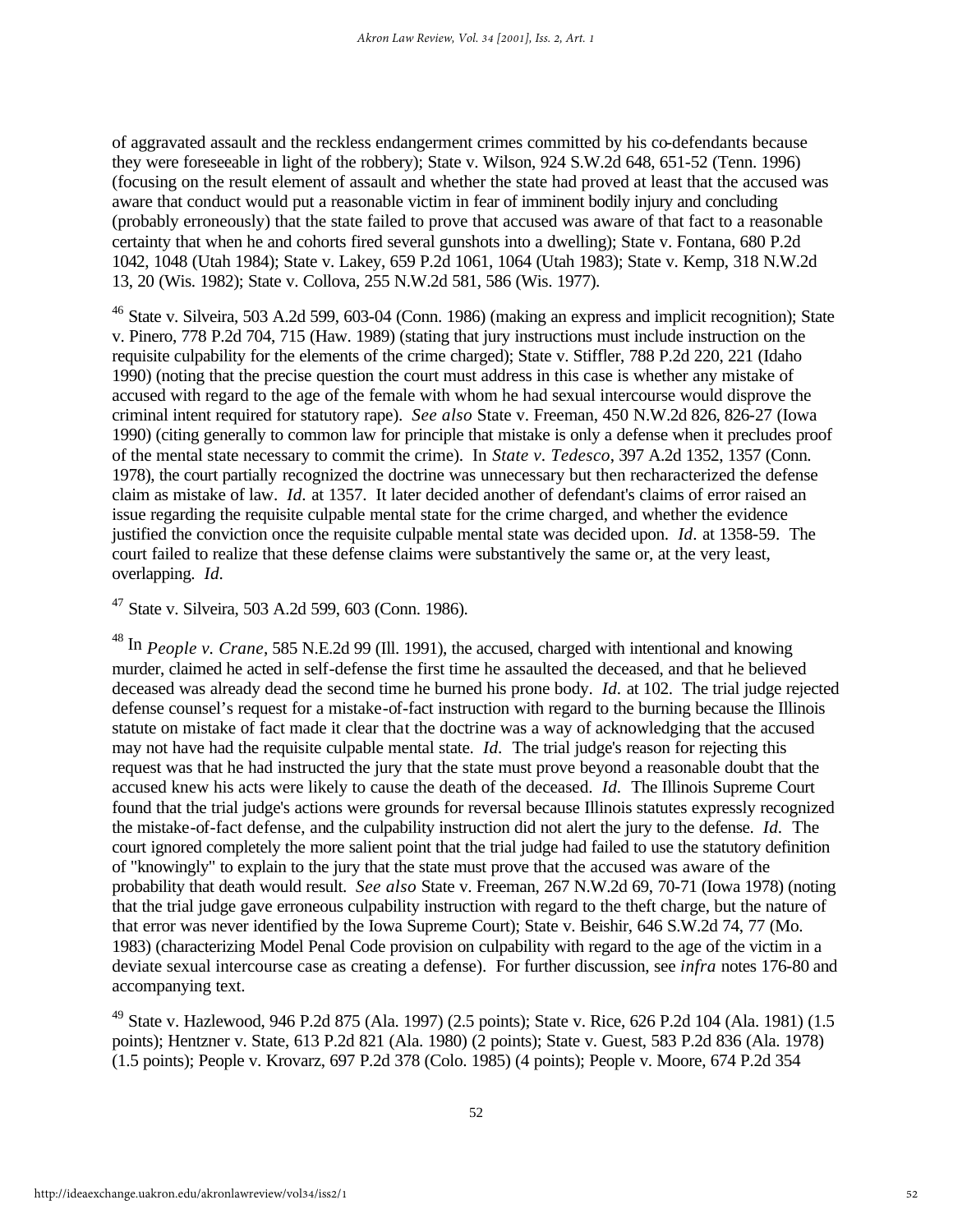of aggravated assault and the reckless endangerment crimes committed by his co-defendants because they were foreseeable in light of the robbery); State v. Wilson, 924 S.W.2d 648, 651-52 (Tenn. 1996) (focusing on the result element of assault and whether the state had proved at least that the accused was aware that conduct would put a reasonable victim in fear of imminent bodily injury and concluding (probably erroneously) that the state failed to prove that accused was aware of that fact to a reasonable certainty that when he and cohorts fired several gunshots into a dwelling); State v. Fontana, 680 P.2d 1042, 1048 (Utah 1984); State v. Lakey, 659 P.2d 1061, 1064 (Utah 1983); State v. Kemp, 318 N.W.2d 13, 20 (Wis. 1982); State v. Collova, 255 N.W.2d 581, 586 (Wis. 1977).

<sup>46</sup> State v. Silveira, 503 A.2d 599, 603-04 (Conn. 1986) (making an express and implicit recognition); State v. Pinero, 778 P.2d 704, 715 (Haw. 1989) (stating that jury instructions must include instruction on the requisite culpability for the elements of the crime charged); State v. Stiffler, 788 P.2d 220, 221 (Idaho 1990) (noting that the precise question the court must address in this case is whether any mistake of accused with regard to the age of the female with whom he had sexual intercourse would disprove the criminal intent required for statutory rape). *See also* State v. Freeman, 450 N.W.2d 826, 826-27 (Iowa 1990) (citing generally to common law for principle that mistake is only a defense when it precludes proof of the mental state necessary to commit the crime). In *State v. Tedesco*, 397 A.2d 1352, 1357 (Conn. 1978), the court partially recognized the doctrine was unnecessary but then recharacterized the defense claim as mistake of law. *Id.* at 1357. It later decided another of defendant's claims of error raised an issue regarding the requisite culpable mental state for the crime charged, and whether the evidence justified the conviction once the requisite culpable mental state was decided upon. *Id.* at 1358-59. The court failed to realize that these defense claims were substantively the same or, at the very least, overlapping. *Id.*

<sup>47</sup> State v. Silveira, 503 A.2d 599, 603 (Conn. 1986).

<sup>48</sup> In *People v. Crane*, 585 N.E.2d 99 (Ill. 1991), the accused, charged with intentional and knowing murder, claimed he acted in self-defense the first time he assaulted the deceased, and that he believed deceased was already dead the second time he burned his prone body. *Id.* at 102. The trial judge rejected defense counsel's request for a mistake-of-fact instruction with regard to the burning because the Illinois statute on mistake of fact made it clear that the doctrine was a way of acknowledging that the accused may not have had the requisite culpable mental state. *Id.* The trial judge's reason for rejecting this request was that he had instructed the jury that the state must prove beyond a reasonable doubt that the accused knew his acts were likely to cause the death of the deceased. *Id.* The Illinois Supreme Court found that the trial judge's actions were grounds for reversal because Illinois statutes expressly recognized the mistake-of-fact defense, and the culpability instruction did not alert the jury to the defense. *Id.* The court ignored completely the more salient point that the trial judge had failed to use the statutory definition of "knowingly" to explain to the jury that the state must prove that the accused was aware of the probability that death would result. *See also* State v. Freeman, 267 N.W.2d 69, 70-71 (Iowa 1978) (noting that the trial judge gave erroneous culpability instruction with regard to the theft charge, but the nature of that error was never identified by the Iowa Supreme Court); State v. Beishir, 646 S.W.2d 74, 77 (Mo. 1983) (characterizing Model Penal Code provision on culpability with regard to the age of the victim in a deviate sexual intercourse case as creating a defense). For further discussion, see *infra* notes 176-80 and accompanying text.

<sup>49</sup> State v. Hazlewood, 946 P.2d 875 (Ala. 1997) (2.5 points); State v. Rice, 626 P.2d 104 (Ala. 1981) (1.5 points); Hentzner v. State, 613 P.2d 821 (Ala. 1980) (2 points); State v. Guest, 583 P.2d 836 (Ala. 1978) (1.5 points); People v. Krovarz, 697 P.2d 378 (Colo. 1985) (4 points); People v. Moore, 674 P.2d 354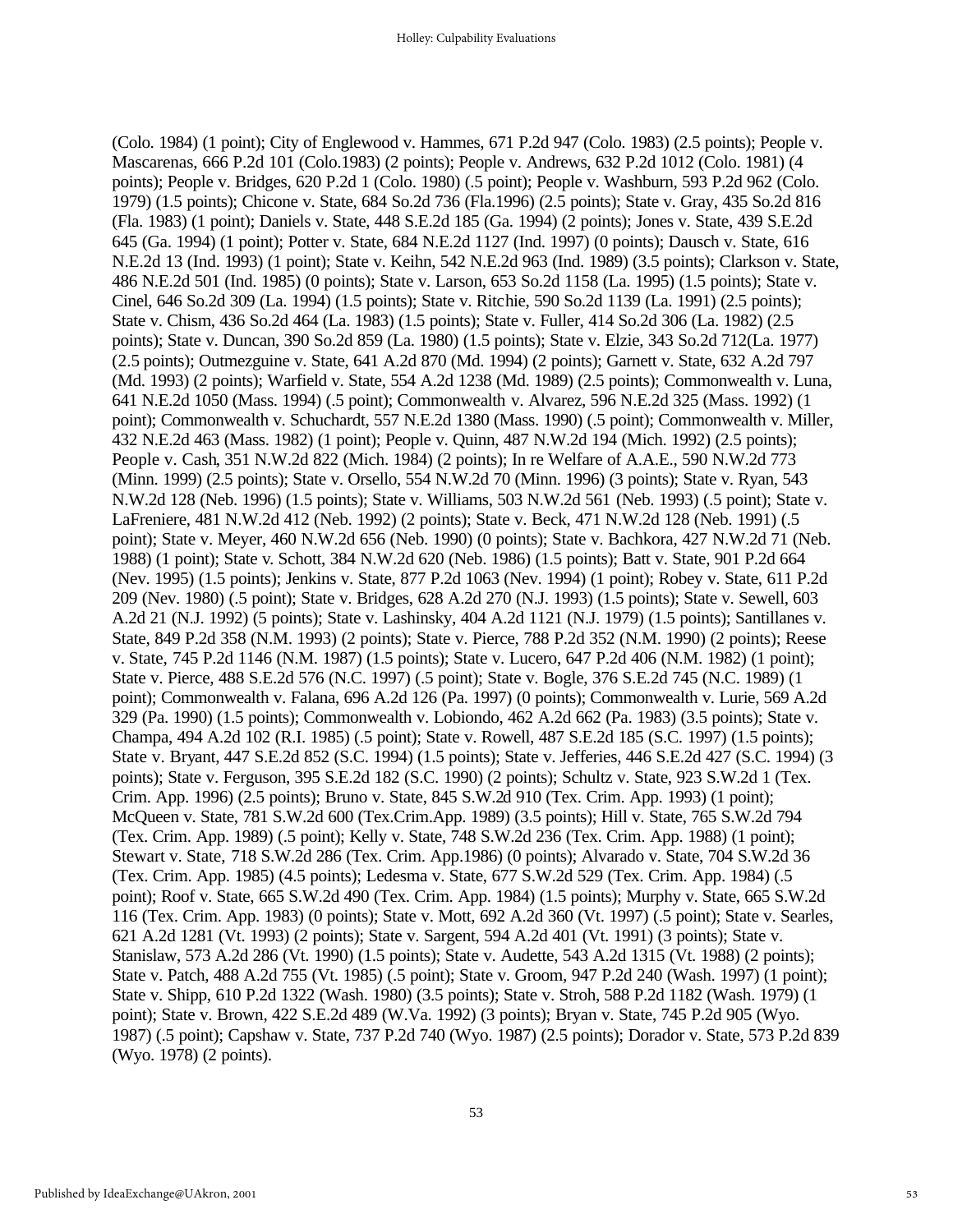(Colo. 1984) (1 point); City of Englewood v. Hammes, 671 P.2d 947 (Colo. 1983) (2.5 points); People v. Mascarenas, 666 P.2d 101 (Colo.1983) (2 points); People v. Andrews, 632 P.2d 1012 (Colo. 1981) (4 points); People v. Bridges, 620 P.2d 1 (Colo. 1980) (.5 point); People v. Washburn, 593 P.2d 962 (Colo. 1979) (1.5 points); Chicone v. State, 684 So.2d 736 (Fla.1996) (2.5 points); State v. Gray, 435 So.2d 816 (Fla. 1983) (1 point); Daniels v. State, 448 S.E.2d 185 (Ga. 1994) (2 points); Jones v. State, 439 S.E.2d 645 (Ga. 1994) (1 point); Potter v. State, 684 N.E.2d 1127 (Ind. 1997) (0 points); Dausch v. State, 616 N.E.2d 13 (Ind. 1993) (1 point); State v. Keihn, 542 N.E.2d 963 (Ind. 1989) (3.5 points); Clarkson v. State, 486 N.E.2d 501 (Ind. 1985) (0 points); State v. Larson, 653 So.2d 1158 (La. 1995) (1.5 points); State v. Cinel, 646 So.2d 309 (La. 1994) (1.5 points); State v. Ritchie, 590 So.2d 1139 (La. 1991) (2.5 points); State v. Chism, 436 So.2d 464 (La. 1983) (1.5 points); State v. Fuller, 414 So.2d 306 (La. 1982) (2.5 points); State v. Duncan, 390 So.2d 859 (La. 1980) (1.5 points); State v. Elzie, 343 So.2d 712(La. 1977) (2.5 points); Outmezguine v. State, 641 A.2d 870 (Md. 1994) (2 points); Garnett v. State, 632 A.2d 797 (Md. 1993) (2 points); Warfield v. State, 554 A.2d 1238 (Md. 1989) (2.5 points); Commonwealth v. Luna, 641 N.E.2d 1050 (Mass. 1994) (.5 point); Commonwealth v. Alvarez, 596 N.E.2d 325 (Mass. 1992) (1 point); Commonwealth v. Schuchardt, 557 N.E.2d 1380 (Mass. 1990) (.5 point); Commonwealth v. Miller, 432 N.E.2d 463 (Mass. 1982) (1 point); People v. Quinn, 487 N.W.2d 194 (Mich. 1992) (2.5 points); People v. Cash, 351 N.W.2d 822 (Mich. 1984) (2 points); In re Welfare of A.A.E., 590 N.W.2d 773 (Minn. 1999) (2.5 points); State v. Orsello, 554 N.W.2d 70 (Minn. 1996) (3 points); State v. Ryan, 543 N.W.2d 128 (Neb. 1996) (1.5 points); State v. Williams, 503 N.W.2d 561 (Neb. 1993) (.5 point); State v. LaFreniere, 481 N.W.2d 412 (Neb. 1992) (2 points); State v. Beck, 471 N.W.2d 128 (Neb. 1991) (.5 point); State v. Meyer, 460 N.W.2d 656 (Neb. 1990) (0 points); State v. Bachkora, 427 N.W.2d 71 (Neb. 1988) (1 point); State v. Schott, 384 N.W.2d 620 (Neb. 1986) (1.5 points); Batt v. State, 901 P.2d 664 (Nev. 1995) (1.5 points); Jenkins v. State, 877 P.2d 1063 (Nev. 1994) (1 point); Robey v. State, 611 P.2d 209 (Nev. 1980) (.5 point); State v. Bridges, 628 A.2d 270 (N.J. 1993) (1.5 points); State v. Sewell, 603 A.2d 21 (N.J. 1992) (5 points); State v. Lashinsky, 404 A.2d 1121 (N.J. 1979) (1.5 points); Santillanes v. State, 849 P.2d 358 (N.M. 1993) (2 points); State v. Pierce, 788 P.2d 352 (N.M. 1990) (2 points); Reese v. State, 745 P.2d 1146 (N.M. 1987) (1.5 points); State v. Lucero, 647 P.2d 406 (N.M. 1982) (1 point); State v. Pierce, 488 S.E.2d 576 (N.C. 1997) (.5 point); State v. Bogle, 376 S.E.2d 745 (N.C. 1989) (1 point); Commonwealth v. Falana, 696 A.2d 126 (Pa. 1997) (0 points); Commonwealth v. Lurie, 569 A.2d 329 (Pa. 1990) (1.5 points); Commonwealth v. Lobiondo, 462 A.2d 662 (Pa. 1983) (3.5 points); State v. Champa, 494 A.2d 102 (R.I. 1985) (.5 point); State v. Rowell, 487 S.E.2d 185 (S.C. 1997) (1.5 points); State v. Bryant, 447 S.E.2d 852 (S.C. 1994) (1.5 points); State v. Jefferies, 446 S.E.2d 427 (S.C. 1994) (3 points); State v. Ferguson, 395 S.E.2d 182 (S.C. 1990) (2 points); Schultz v. State, 923 S.W.2d 1 (Tex. Crim. App. 1996) (2.5 points); Bruno v. State, 845 S.W.2d 910 (Tex. Crim. App. 1993) (1 point); McQueen v. State, 781 S.W.2d 600 (Tex.Crim.App. 1989) (3.5 points); Hill v. State, 765 S.W.2d 794 (Tex. Crim. App. 1989) (.5 point); Kelly v. State, 748 S.W.2d 236 (Tex. Crim. App. 1988) (1 point); Stewart v. State, 718 S.W.2d 286 (Tex. Crim. App.1986) (0 points); Alvarado v. State, 704 S.W.2d 36 (Tex. Crim. App. 1985) (4.5 points); Ledesma v. State, 677 S.W.2d 529 (Tex. Crim. App. 1984) (.5 point); Roof v. State, 665 S.W.2d 490 (Tex. Crim. App. 1984) (1.5 points); Murphy v. State, 665 S.W.2d 116 (Tex. Crim. App. 1983) (0 points); State v. Mott, 692 A.2d 360 (Vt. 1997) (.5 point); State v. Searles, 621 A.2d 1281 (Vt. 1993) (2 points); State v. Sargent, 594 A.2d 401 (Vt. 1991) (3 points); State v. Stanislaw, 573 A.2d 286 (Vt. 1990) (1.5 points); State v. Audette, 543 A.2d 1315 (Vt. 1988) (2 points); State v. Patch, 488 A.2d 755 (Vt. 1985) (.5 point); State v. Groom, 947 P.2d 240 (Wash. 1997) (1 point); State v. Shipp, 610 P.2d 1322 (Wash. 1980) (3.5 points); State v. Stroh, 588 P.2d 1182 (Wash. 1979) (1 point); State v. Brown, 422 S.E.2d 489 (W.Va. 1992) (3 points); Bryan v. State, 745 P.2d 905 (Wyo. 1987) (.5 point); Capshaw v. State, 737 P.2d 740 (Wyo. 1987) (2.5 points); Dorador v. State, 573 P.2d 839 (Wyo. 1978) (2 points).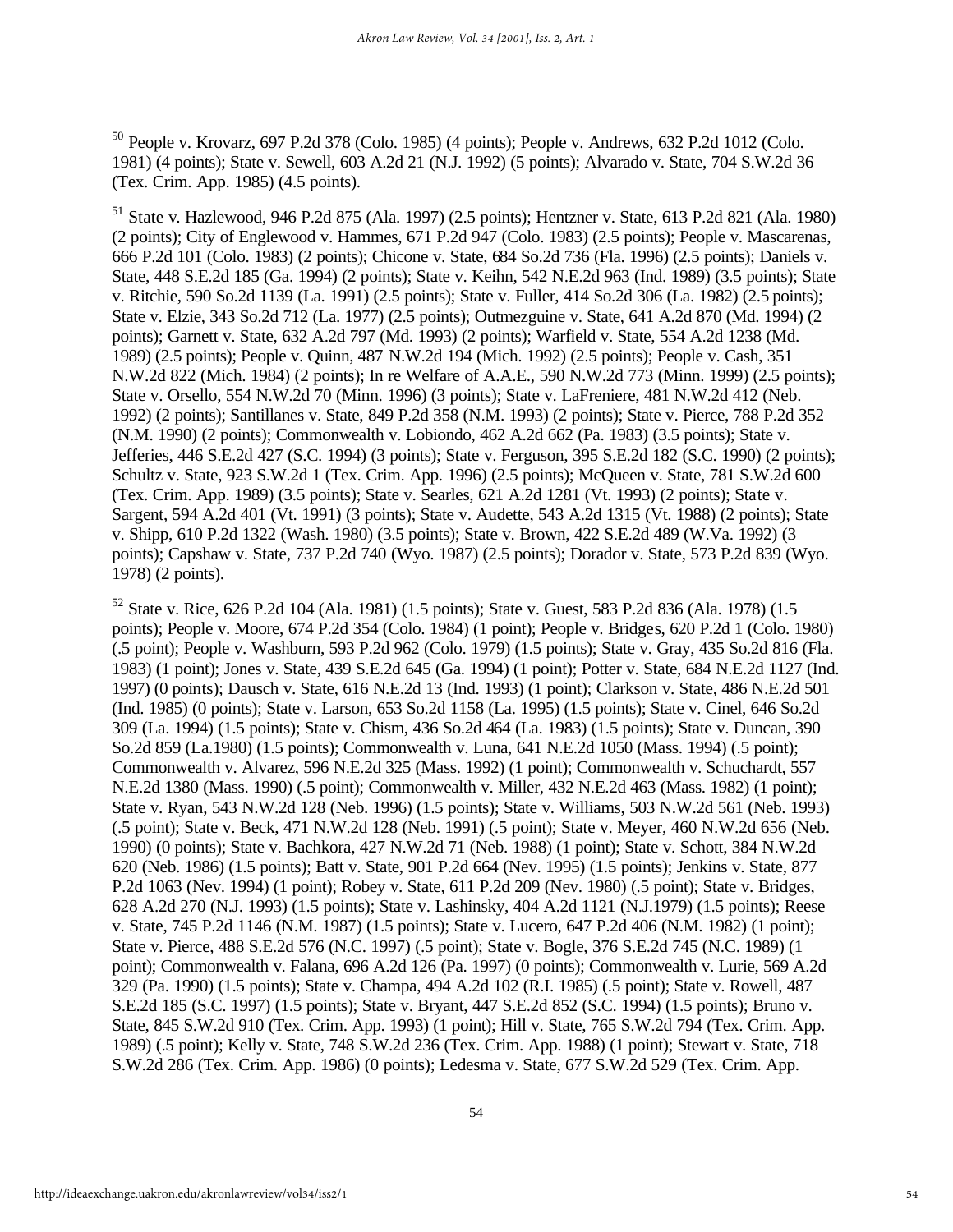<sup>50</sup> People v. Krovarz, 697 P.2d 378 (Colo. 1985) (4 points); People v. Andrews, 632 P.2d 1012 (Colo. 1981) (4 points); State v. Sewell, 603 A.2d 21 (N.J. 1992) (5 points); Alvarado v. State, 704 S.W.2d 36 (Tex. Crim. App. 1985) (4.5 points).

<sup>51</sup> State v. Hazlewood, 946 P.2d 875 (Ala. 1997) (2.5 points); Hentzner v. State, 613 P.2d 821 (Ala. 1980) (2 points); City of Englewood v. Hammes, 671 P.2d 947 (Colo. 1983) (2.5 points); People v. Mascarenas, 666 P.2d 101 (Colo. 1983) (2 points); Chicone v. State, 684 So.2d 736 (Fla. 1996) (2.5 points); Daniels v. State, 448 S.E.2d 185 (Ga. 1994) (2 points); State v. Keihn, 542 N.E.2d 963 (Ind. 1989) (3.5 points); State v. Ritchie, 590 So.2d 1139 (La. 1991) (2.5 points); State v. Fuller, 414 So.2d 306 (La. 1982) (2.5 points); State v. Elzie, 343 So.2d 712 (La. 1977) (2.5 points); Outmezguine v. State, 641 A.2d 870 (Md. 1994) (2 points); Garnett v. State, 632 A.2d 797 (Md. 1993) (2 points); Warfield v. State, 554 A.2d 1238 (Md. 1989) (2.5 points); People v. Quinn, 487 N.W.2d 194 (Mich. 1992) (2.5 points); People v. Cash, 351 N.W.2d 822 (Mich. 1984) (2 points); In re Welfare of A.A.E., 590 N.W.2d 773 (Minn. 1999) (2.5 points); State v. Orsello, 554 N.W.2d 70 (Minn. 1996) (3 points); State v. LaFreniere, 481 N.W.2d 412 (Neb. 1992) (2 points); Santillanes v. State, 849 P.2d 358 (N.M. 1993) (2 points); State v. Pierce, 788 P.2d 352 (N.M. 1990) (2 points); Commonwealth v. Lobiondo, 462 A.2d 662 (Pa. 1983) (3.5 points); State v. Jefferies, 446 S.E.2d 427 (S.C. 1994) (3 points); State v. Ferguson, 395 S.E.2d 182 (S.C. 1990) (2 points); Schultz v. State, 923 S.W.2d 1 (Tex. Crim. App. 1996) (2.5 points); McQueen v. State, 781 S.W.2d 600 (Tex. Crim. App. 1989) (3.5 points); State v. Searles, 621 A.2d 1281 (Vt. 1993) (2 points); State v. Sargent, 594 A.2d 401 (Vt. 1991) (3 points); State v. Audette, 543 A.2d 1315 (Vt. 1988) (2 points); State v. Shipp, 610 P.2d 1322 (Wash. 1980) (3.5 points); State v. Brown, 422 S.E.2d 489 (W.Va. 1992) (3 points); Capshaw v. State, 737 P.2d 740 (Wyo. 1987) (2.5 points); Dorador v. State, 573 P.2d 839 (Wyo. 1978) (2 points).

<sup>52</sup> State v. Rice, 626 P.2d 104 (Ala. 1981) (1.5 points); State v. Guest, 583 P.2d 836 (Ala. 1978) (1.5 points); People v. Moore, 674 P.2d 354 (Colo. 1984) (1 point); People v. Bridges, 620 P.2d 1 (Colo. 1980) (.5 point); People v. Washburn, 593 P.2d 962 (Colo. 1979) (1.5 points); State v. Gray, 435 So.2d 816 (Fla. 1983) (1 point); Jones v. State, 439 S.E.2d 645 (Ga. 1994) (1 point); Potter v. State, 684 N.E.2d 1127 (Ind. 1997) (0 points); Dausch v. State, 616 N.E.2d 13 (Ind. 1993) (1 point); Clarkson v. State, 486 N.E.2d 501 (Ind. 1985) (0 points); State v. Larson, 653 So.2d 1158 (La. 1995) (1.5 points); State v. Cinel, 646 So.2d 309 (La. 1994) (1.5 points); State v. Chism, 436 So.2d 464 (La. 1983) (1.5 points); State v. Duncan, 390 So.2d 859 (La.1980) (1.5 points); Commonwealth v. Luna, 641 N.E.2d 1050 (Mass. 1994) (.5 point); Commonwealth v. Alvarez, 596 N.E.2d 325 (Mass. 1992) (1 point); Commonwealth v. Schuchardt, 557 N.E.2d 1380 (Mass. 1990) (.5 point); Commonwealth v. Miller, 432 N.E.2d 463 (Mass. 1982) (1 point); State v. Ryan, 543 N.W.2d 128 (Neb. 1996) (1.5 points); State v. Williams, 503 N.W.2d 561 (Neb. 1993) (.5 point); State v. Beck, 471 N.W.2d 128 (Neb. 1991) (.5 point); State v. Meyer, 460 N.W.2d 656 (Neb. 1990) (0 points); State v. Bachkora, 427 N.W.2d 71 (Neb. 1988) (1 point); State v. Schott, 384 N.W.2d 620 (Neb. 1986) (1.5 points); Batt v. State, 901 P.2d 664 (Nev. 1995) (1.5 points); Jenkins v. State, 877 P.2d 1063 (Nev. 1994) (1 point); Robey v. State, 611 P.2d 209 (Nev. 1980) (.5 point); State v. Bridges, 628 A.2d 270 (N.J. 1993) (1.5 points); State v. Lashinsky, 404 A.2d 1121 (N.J.1979) (1.5 points); Reese v. State, 745 P.2d 1146 (N.M. 1987) (1.5 points); State v. Lucero, 647 P.2d 406 (N.M. 1982) (1 point); State v. Pierce, 488 S.E.2d 576 (N.C. 1997) (.5 point); State v. Bogle, 376 S.E.2d 745 (N.C. 1989) (1 point); Commonwealth v. Falana, 696 A.2d 126 (Pa. 1997) (0 points); Commonwealth v. Lurie, 569 A.2d 329 (Pa. 1990) (1.5 points); State v. Champa, 494 A.2d 102 (R.I. 1985) (.5 point); State v. Rowell, 487 S.E.2d 185 (S.C. 1997) (1.5 points); State v. Bryant, 447 S.E.2d 852 (S.C. 1994) (1.5 points); Bruno v. State, 845 S.W.2d 910 (Tex. Crim. App. 1993) (1 point); Hill v. State, 765 S.W.2d 794 (Tex. Crim. App. 1989) (.5 point); Kelly v. State, 748 S.W.2d 236 (Tex. Crim. App. 1988) (1 point); Stewart v. State, 718 S.W.2d 286 (Tex. Crim. App. 1986) (0 points); Ledesma v. State, 677 S.W.2d 529 (Tex. Crim. App.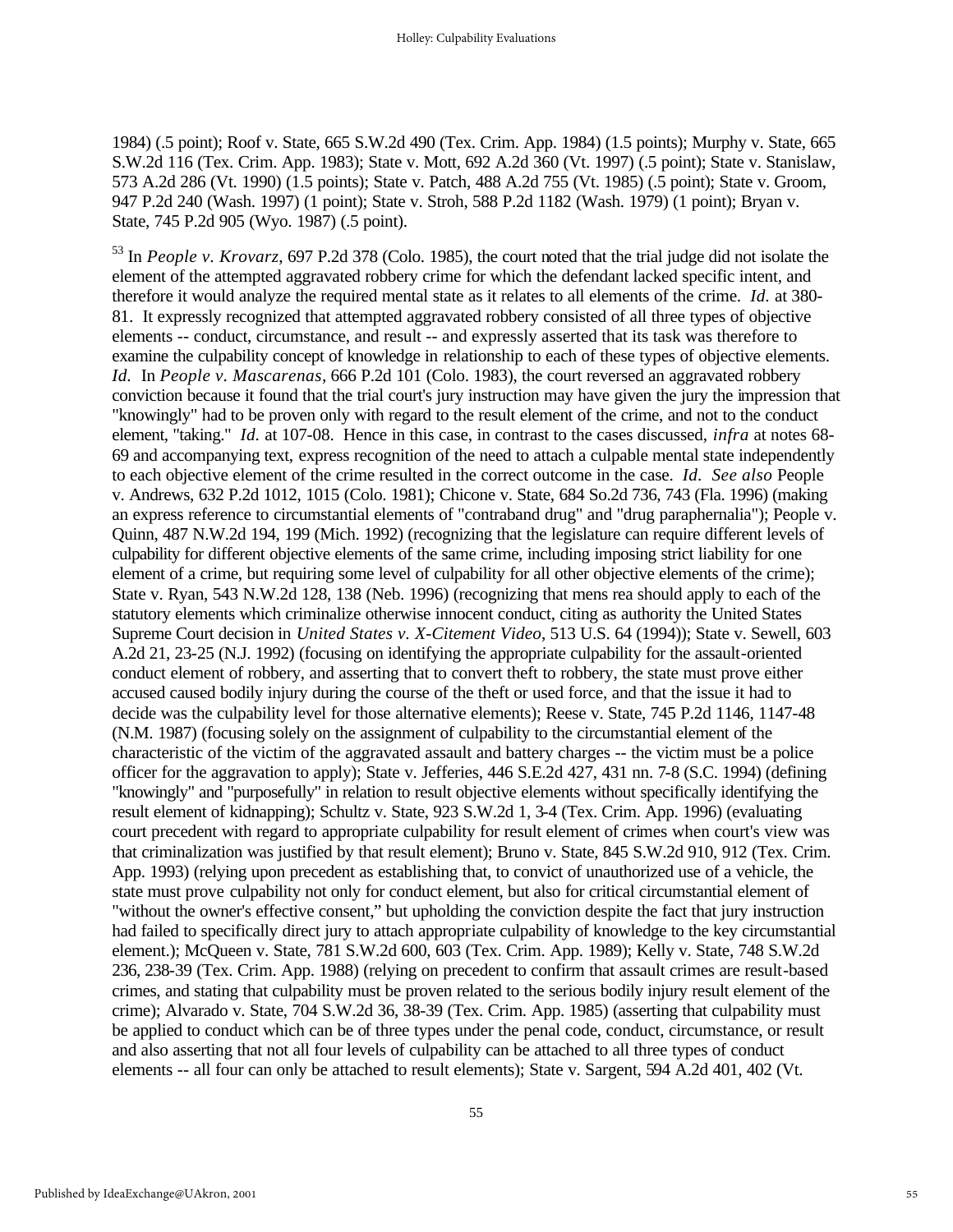1984) (.5 point); Roof v. State, 665 S.W.2d 490 (Tex. Crim. App. 1984) (1.5 points); Murphy v. State, 665 S.W.2d 116 (Tex. Crim. App. 1983); State v. Mott, 692 A.2d 360 (Vt. 1997) (.5 point); State v. Stanislaw, 573 A.2d 286 (Vt. 1990) (1.5 points); State v. Patch, 488 A.2d 755 (Vt. 1985) (.5 point); State v. Groom, 947 P.2d 240 (Wash. 1997) (1 point); State v. Stroh, 588 P.2d 1182 (Wash. 1979) (1 point); Bryan v. State, 745 P.2d 905 (Wyo. 1987) (.5 point).

<sup>53</sup> In *People v. Krovarz*, 697 P.2d 378 (Colo. 1985), the court noted that the trial judge did not isolate the element of the attempted aggravated robbery crime for which the defendant lacked specific intent, and therefore it would analyze the required mental state as it relates to all elements of the crime. *Id.* at 380- 81. It expressly recognized that attempted aggravated robbery consisted of all three types of objective elements -- conduct, circumstance, and result -- and expressly asserted that its task was therefore to examine the culpability concept of knowledge in relationship to each of these types of objective elements. *Id.* In *People v. Mascarenas*, 666 P.2d 101 (Colo. 1983), the court reversed an aggravated robbery conviction because it found that the trial court's jury instruction may have given the jury the impression that "knowingly" had to be proven only with regard to the result element of the crime, and not to the conduct element, "taking." *Id.* at 107-08. Hence in this case, in contrast to the cases discussed, *infra* at notes 68- 69 and accompanying text, express recognition of the need to attach a culpable mental state independently to each objective element of the crime resulted in the correct outcome in the case. *Id. See also* People v. Andrews, 632 P.2d 1012, 1015 (Colo. 1981); Chicone v. State, 684 So.2d 736, 743 (Fla. 1996) (making an express reference to circumstantial elements of "contraband drug" and "drug paraphernalia"); People v. Quinn, 487 N.W.2d 194, 199 (Mich. 1992) (recognizing that the legislature can require different levels of culpability for different objective elements of the same crime, including imposing strict liability for one element of a crime, but requiring some level of culpability for all other objective elements of the crime); State v. Ryan, 543 N.W.2d 128, 138 (Neb. 1996) (recognizing that mens rea should apply to each of the statutory elements which criminalize otherwise innocent conduct, citing as authority the United States Supreme Court decision in *United States v. X-Citement Video*, 513 U.S. 64 (1994)); State v. Sewell, 603 A.2d 21, 23-25 (N.J. 1992) (focusing on identifying the appropriate culpability for the assault-oriented conduct element of robbery, and asserting that to convert theft to robbery, the state must prove either accused caused bodily injury during the course of the theft or used force, and that the issue it had to decide was the culpability level for those alternative elements); Reese v. State, 745 P.2d 1146, 1147-48 (N.M. 1987) (focusing solely on the assignment of culpability to the circumstantial element of the characteristic of the victim of the aggravated assault and battery charges -- the victim must be a police officer for the aggravation to apply); State v. Jefferies, 446 S.E.2d 427, 431 nn. 7-8 (S.C. 1994) (defining "knowingly" and "purposefully" in relation to result objective elements without specifically identifying the result element of kidnapping); Schultz v. State, 923 S.W.2d 1, 3-4 (Tex. Crim. App. 1996) (evaluating court precedent with regard to appropriate culpability for result element of crimes when court's view was that criminalization was justified by that result element); Bruno v. State, 845 S.W.2d 910, 912 (Tex. Crim. App. 1993) (relying upon precedent as establishing that, to convict of unauthorized use of a vehicle, the state must prove culpability not only for conduct element, but also for critical circumstantial element of "without the owner's effective consent," but upholding the conviction despite the fact that jury instruction had failed to specifically direct jury to attach appropriate culpability of knowledge to the key circumstantial element.); McQueen v. State, 781 S.W.2d 600, 603 (Tex. Crim. App. 1989); Kelly v. State, 748 S.W.2d 236, 238-39 (Tex. Crim. App. 1988) (relying on precedent to confirm that assault crimes are result-based crimes, and stating that culpability must be proven related to the serious bodily injury result element of the crime); Alvarado v. State, 704 S.W.2d 36, 38-39 (Tex. Crim. App. 1985) (asserting that culpability must be applied to conduct which can be of three types under the penal code, conduct, circumstance, or result and also asserting that not all four levels of culpability can be attached to all three types of conduct elements -- all four can only be attached to result elements); State v. Sargent, 594 A.2d 401, 402 (Vt.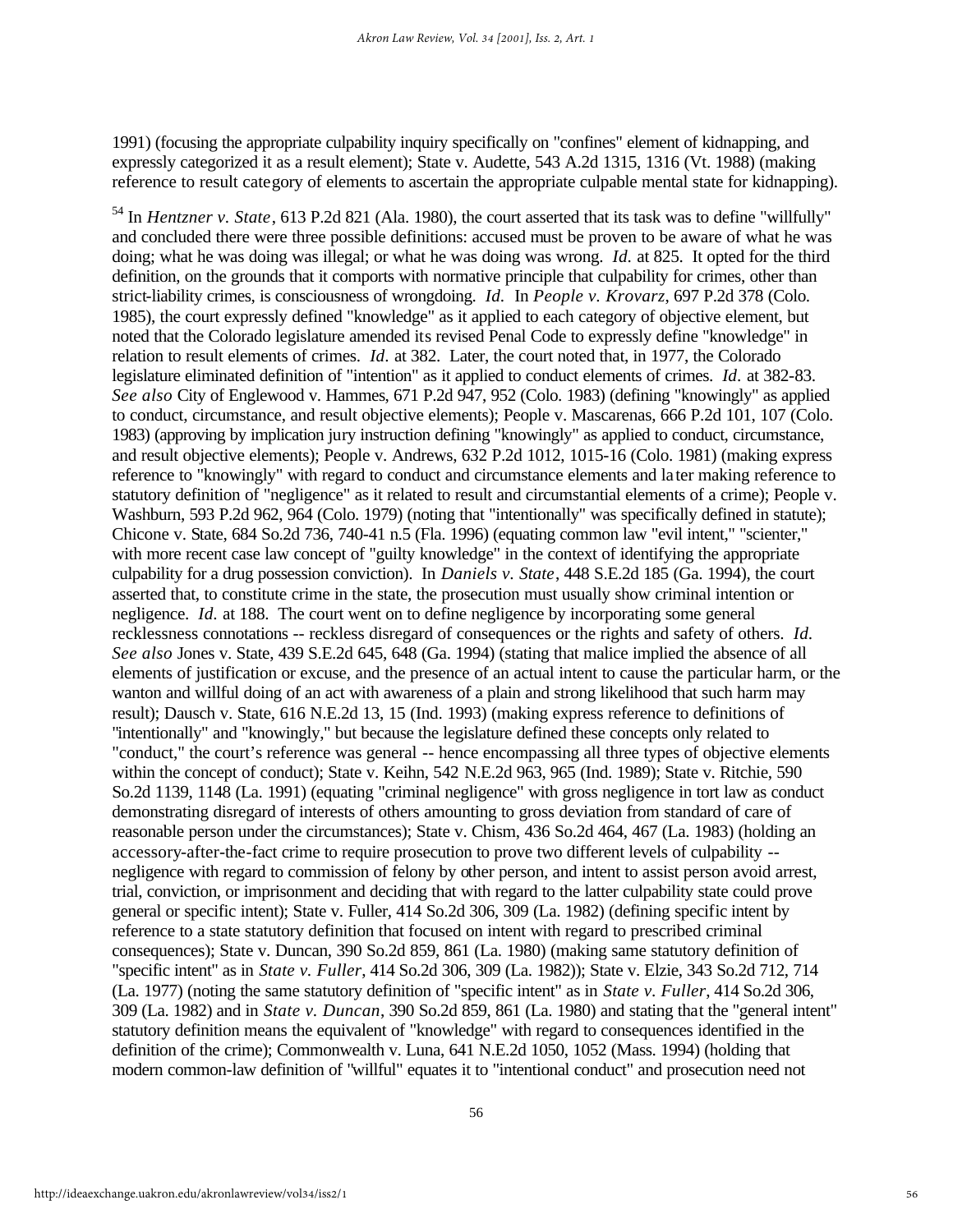1991) (focusing the appropriate culpability inquiry specifically on "confines" element of kidnapping, and expressly categorized it as a result element); State v. Audette, 543 A.2d 1315, 1316 (Vt. 1988) (making reference to result category of elements to ascertain the appropriate culpable mental state for kidnapping).

<sup>54</sup> In *Hentzner v. State*, 613 P.2d 821 (Ala. 1980), the court asserted that its task was to define "willfully" and concluded there were three possible definitions: accused must be proven to be aware of what he was doing; what he was doing was illegal; or what he was doing was wrong. *Id.* at 825. It opted for the third definition, on the grounds that it comports with normative principle that culpability for crimes, other than strict-liability crimes, is consciousness of wrongdoing. *Id.* In *People v. Krovarz*, 697 P.2d 378 (Colo. 1985), the court expressly defined "knowledge" as it applied to each category of objective element, but noted that the Colorado legislature amended its revised Penal Code to expressly define "knowledge" in relation to result elements of crimes. *Id.* at 382. Later, the court noted that, in 1977, the Colorado legislature eliminated definition of "intention" as it applied to conduct elements of crimes. *Id.* at 382-83. *See also* City of Englewood v. Hammes, 671 P.2d 947, 952 (Colo. 1983) (defining "knowingly" as applied to conduct, circumstance, and result objective elements); People v. Mascarenas, 666 P.2d 101, 107 (Colo. 1983) (approving by implication jury instruction defining "knowingly" as applied to conduct, circumstance, and result objective elements); People v. Andrews, 632 P.2d 1012, 1015-16 (Colo. 1981) (making express reference to "knowingly" with regard to conduct and circumstance elements and la ter making reference to statutory definition of "negligence" as it related to result and circumstantial elements of a crime); People v. Washburn, 593 P.2d 962, 964 (Colo. 1979) (noting that "intentionally" was specifically defined in statute); Chicone v. State, 684 So.2d 736, 740-41 n.5 (Fla. 1996) (equating common law "evil intent," "scienter," with more recent case law concept of "guilty knowledge" in the context of identifying the appropriate culpability for a drug possession conviction). In *Daniels v. State*, 448 S.E.2d 185 (Ga. 1994), the court asserted that, to constitute crime in the state, the prosecution must usually show criminal intention or negligence. *Id.* at 188. The court went on to define negligence by incorporating some general recklessness connotations -- reckless disregard of consequences or the rights and safety of others. *Id. See also* Jones v. State, 439 S.E.2d 645, 648 (Ga. 1994) (stating that malice implied the absence of all elements of justification or excuse, and the presence of an actual intent to cause the particular harm, or the wanton and willful doing of an act with awareness of a plain and strong likelihood that such harm may result); Dausch v. State, 616 N.E.2d 13, 15 (Ind. 1993) (making express reference to definitions of "intentionally" and "knowingly," but because the legislature defined these concepts only related to "conduct," the court's reference was general -- hence encompassing all three types of objective elements within the concept of conduct); State v. Keihn, 542 N.E.2d 963, 965 (Ind. 1989); State v. Ritchie, 590 So.2d 1139, 1148 (La. 1991) (equating "criminal negligence" with gross negligence in tort law as conduct demonstrating disregard of interests of others amounting to gross deviation from standard of care of reasonable person under the circumstances); State v. Chism, 436 So.2d 464, 467 (La. 1983) (holding an accessory-after-the-fact crime to require prosecution to prove two different levels of culpability - negligence with regard to commission of felony by other person, and intent to assist person avoid arrest, trial, conviction, or imprisonment and deciding that with regard to the latter culpability state could prove general or specific intent); State v. Fuller, 414 So.2d 306, 309 (La. 1982) (defining specific intent by reference to a state statutory definition that focused on intent with regard to prescribed criminal consequences); State v. Duncan, 390 So.2d 859, 861 (La. 1980) (making same statutory definition of "specific intent" as in *State v. Fuller*, 414 So.2d 306, 309 (La. 1982)); State v. Elzie, 343 So.2d 712, 714 (La. 1977) (noting the same statutory definition of "specific intent" as in *State v. Fuller*, 414 So.2d 306, 309 (La. 1982) and in *State v. Duncan*, 390 So.2d 859, 861 (La. 1980) and stating that the "general intent" statutory definition means the equivalent of "knowledge" with regard to consequences identified in the definition of the crime); Commonwealth v. Luna, 641 N.E.2d 1050, 1052 (Mass. 1994) (holding that modern common-law definition of "willful" equates it to "intentional conduct" and prosecution need not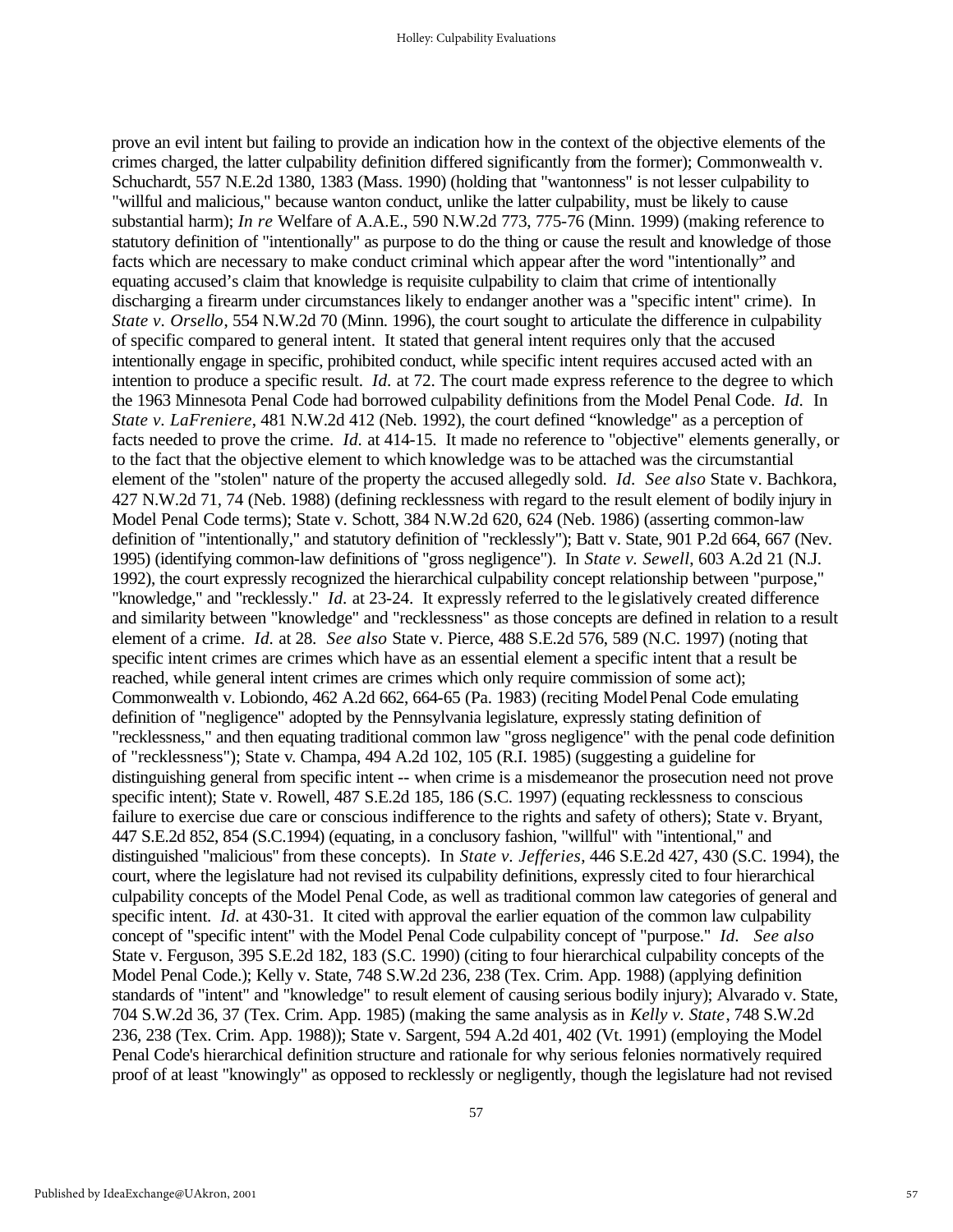prove an evil intent but failing to provide an indication how in the context of the objective elements of the crimes charged, the latter culpability definition differed significantly from the former); Commonwealth v. Schuchardt, 557 N.E.2d 1380, 1383 (Mass. 1990) (holding that "wantonness" is not lesser culpability to "willful and malicious," because wanton conduct, unlike the latter culpability, must be likely to cause substantial harm); *In re* Welfare of A.A.E., 590 N.W.2d 773, 775-76 (Minn. 1999) (making reference to statutory definition of "intentionally" as purpose to do the thing or cause the result and knowledge of those facts which are necessary to make conduct criminal which appear after the word "intentionally" and equating accused's claim that knowledge is requisite culpability to claim that crime of intentionally discharging a firearm under circumstances likely to endanger another was a "specific intent" crime). In *State v. Orsello*, 554 N.W.2d 70 (Minn. 1996), the court sought to articulate the difference in culpability of specific compared to general intent. It stated that general intent requires only that the accused intentionally engage in specific, prohibited conduct, while specific intent requires accused acted with an intention to produce a specific result. *Id.* at 72. The court made express reference to the degree to which the 1963 Minnesota Penal Code had borrowed culpability definitions from the Model Penal Code. *Id.* In *State v. LaFreniere*, 481 N.W.2d 412 (Neb. 1992), the court defined "knowledge" as a perception of facts needed to prove the crime. *Id.* at 414-15. It made no reference to "objective" elements generally, or to the fact that the objective element to which knowledge was to be attached was the circumstantial element of the "stolen" nature of the property the accused allegedly sold. *Id. See also* State v. Bachkora, 427 N.W.2d 71, 74 (Neb. 1988) (defining recklessness with regard to the result element of bodily injury in Model Penal Code terms); State v. Schott, 384 N.W.2d 620, 624 (Neb. 1986) (asserting common-law definition of "intentionally," and statutory definition of "recklessly"); Batt v. State, 901 P.2d 664, 667 (Nev. 1995) (identifying common-law definitions of "gross negligence"). In *State v. Sewell*, 603 A.2d 21 (N.J. 1992), the court expressly recognized the hierarchical culpability concept relationship between "purpose," "knowledge," and "recklessly." *Id.* at 23-24. It expressly referred to the legislatively created difference and similarity between "knowledge" and "recklessness" as those concepts are defined in relation to a result element of a crime. *Id.* at 28. *See also* State v. Pierce, 488 S.E.2d 576, 589 (N.C. 1997) (noting that specific intent crimes are crimes which have as an essential element a specific intent that a result be reached, while general intent crimes are crimes which only require commission of some act); Commonwealth v. Lobiondo, 462 A.2d 662, 664-65 (Pa. 1983) (reciting Model Penal Code emulating definition of "negligence" adopted by the Pennsylvania legislature, expressly stating definition of "recklessness," and then equating traditional common law "gross negligence" with the penal code definition of "recklessness"); State v. Champa, 494 A.2d 102, 105 (R.I. 1985) (suggesting a guideline for distinguishing general from specific intent -- when crime is a misdemeanor the prosecution need not prove specific intent); State v. Rowell, 487 S.E.2d 185, 186 (S.C. 1997) (equating recklessness to conscious failure to exercise due care or conscious indifference to the rights and safety of others); State v. Bryant, 447 S.E.2d 852, 854 (S.C.1994) (equating, in a conclusory fashion, "willful" with "intentional," and distinguished "malicious" from these concepts). In *State v. Jefferies*, 446 S.E.2d 427, 430 (S.C. 1994), the court, where the legislature had not revised its culpability definitions, expressly cited to four hierarchical culpability concepts of the Model Penal Code, as well as traditional common law categories of general and specific intent. *Id.* at 430-31. It cited with approval the earlier equation of the common law culpability concept of "specific intent" with the Model Penal Code culpability concept of "purpose." *Id. See also* State v. Ferguson, 395 S.E.2d 182, 183 (S.C. 1990) (citing to four hierarchical culpability concepts of the Model Penal Code.); Kelly v. State, 748 S.W.2d 236, 238 (Tex. Crim. App. 1988) (applying definition standards of "intent" and "knowledge" to result element of causing serious bodily injury); Alvarado v. State, 704 S.W.2d 36, 37 (Tex. Crim. App. 1985) (making the same analysis as in *Kelly v. State*, 748 S.W.2d 236, 238 (Tex. Crim. App. 1988)); State v. Sargent, 594 A.2d 401, 402 (Vt. 1991) (employing the Model Penal Code's hierarchical definition structure and rationale for why serious felonies normatively required proof of at least "knowingly" as opposed to recklessly or negligently, though the legislature had not revised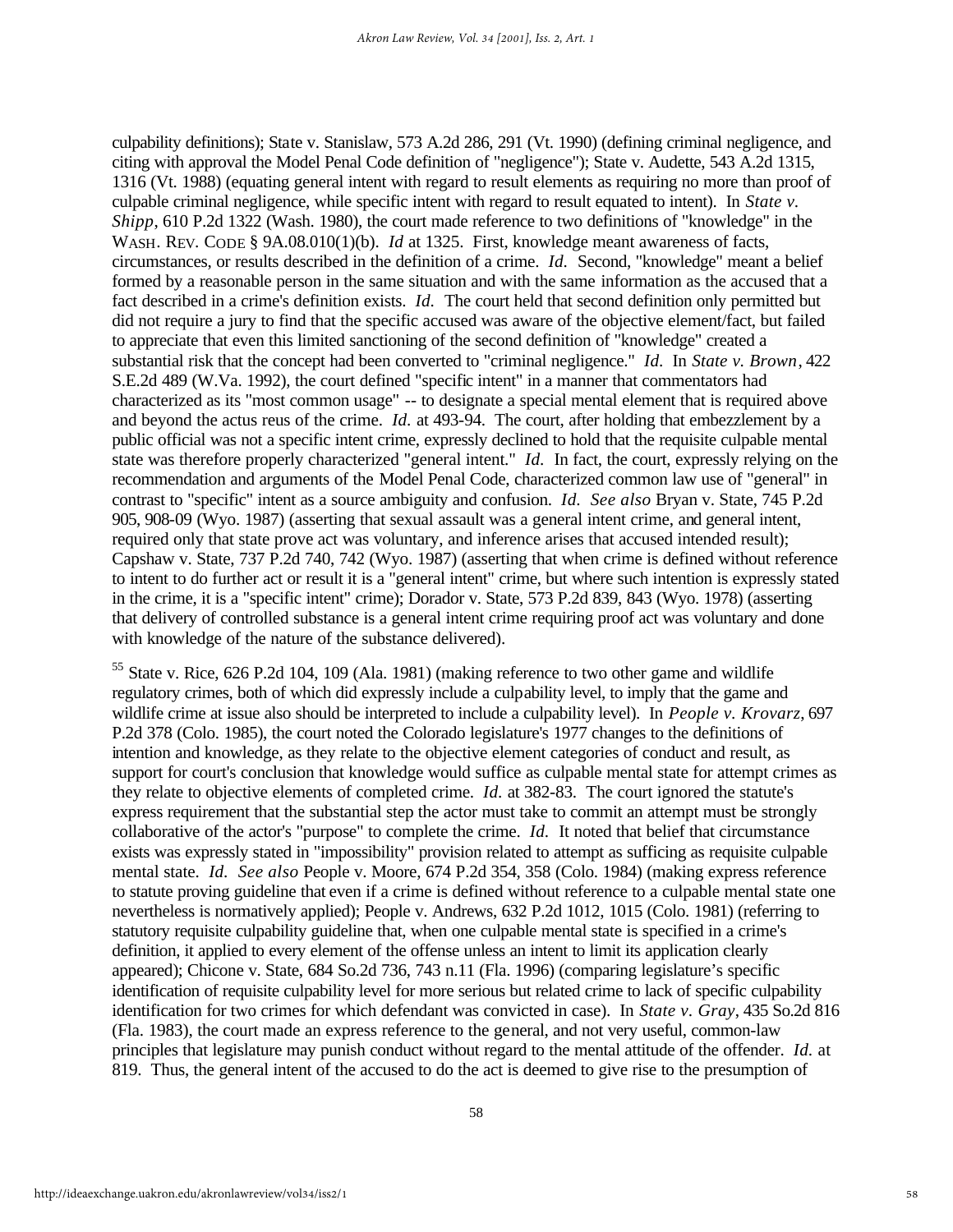culpability definitions); State v. Stanislaw, 573 A.2d 286, 291 (Vt. 1990) (defining criminal negligence, and citing with approval the Model Penal Code definition of "negligence"); State v. Audette, 543 A.2d 1315, 1316 (Vt. 1988) (equating general intent with regard to result elements as requiring no more than proof of culpable criminal negligence, while specific intent with regard to result equated to intent). In *State v. Shipp*, 610 P.2d 1322 (Wash. 1980), the court made reference to two definitions of "knowledge" in the WASH. REV. CODE § 9A.08.010(1)(b). *Id* at 1325. First, knowledge meant awareness of facts, circumstances, or results described in the definition of a crime. *Id.* Second, "knowledge" meant a belief formed by a reasonable person in the same situation and with the same information as the accused that a fact described in a crime's definition exists. *Id.* The court held that second definition only permitted but did not require a jury to find that the specific accused was aware of the objective element/fact, but failed to appreciate that even this limited sanctioning of the second definition of "knowledge" created a substantial risk that the concept had been converted to "criminal negligence." *Id.* In *State v. Brown*, 422 S.E.2d 489 (W.Va. 1992), the court defined "specific intent" in a manner that commentators had characterized as its "most common usage" -- to designate a special mental element that is required above and beyond the actus reus of the crime. *Id.* at 493-94. The court, after holding that embezzlement by a public official was not a specific intent crime, expressly declined to hold that the requisite culpable mental state was therefore properly characterized "general intent." *Id.* In fact, the court, expressly relying on the recommendation and arguments of the Model Penal Code, characterized common law use of "general" in contrast to "specific" intent as a source ambiguity and confusion. *Id. See also* Bryan v. State, 745 P.2d 905, 908-09 (Wyo. 1987) (asserting that sexual assault was a general intent crime, and general intent, required only that state prove act was voluntary, and inference arises that accused intended result); Capshaw v. State, 737 P.2d 740, 742 (Wyo. 1987) (asserting that when crime is defined without reference to intent to do further act or result it is a "general intent" crime, but where such intention is expressly stated in the crime, it is a "specific intent" crime); Dorador v. State, 573 P.2d 839, 843 (Wyo. 1978) (asserting that delivery of controlled substance is a general intent crime requiring proof act was voluntary and done with knowledge of the nature of the substance delivered).

<sup>55</sup> State v. Rice, 626 P.2d 104, 109 (Ala. 1981) (making reference to two other game and wildlife regulatory crimes, both of which did expressly include a culpability level, to imply that the game and wildlife crime at issue also should be interpreted to include a culpability level). In *People v. Krovarz*, 697 P.2d 378 (Colo. 1985), the court noted the Colorado legislature's 1977 changes to the definitions of intention and knowledge, as they relate to the objective element categories of conduct and result, as support for court's conclusion that knowledge would suffice as culpable mental state for attempt crimes as they relate to objective elements of completed crime. *Id.* at 382-83. The court ignored the statute's express requirement that the substantial step the actor must take to commit an attempt must be strongly collaborative of the actor's "purpose" to complete the crime. *Id.* It noted that belief that circumstance exists was expressly stated in "impossibility" provision related to attempt as sufficing as requisite culpable mental state. *Id. See also* People v. Moore, 674 P.2d 354, 358 (Colo. 1984) (making express reference to statute proving guideline that even if a crime is defined without reference to a culpable mental state one nevertheless is normatively applied); People v. Andrews, 632 P.2d 1012, 1015 (Colo. 1981) (referring to statutory requisite culpability guideline that, when one culpable mental state is specified in a crime's definition, it applied to every element of the offense unless an intent to limit its application clearly appeared); Chicone v. State, 684 So.2d 736, 743 n.11 (Fla. 1996) (comparing legislature's specific identification of requisite culpability level for more serious but related crime to lack of specific culpability identification for two crimes for which defendant was convicted in case). In *State v. Gray*, 435 So.2d 816 (Fla. 1983), the court made an express reference to the general, and not very useful, common-law principles that legislature may punish conduct without regard to the mental attitude of the offender. *Id.* at 819. Thus, the general intent of the accused to do the act is deemed to give rise to the presumption of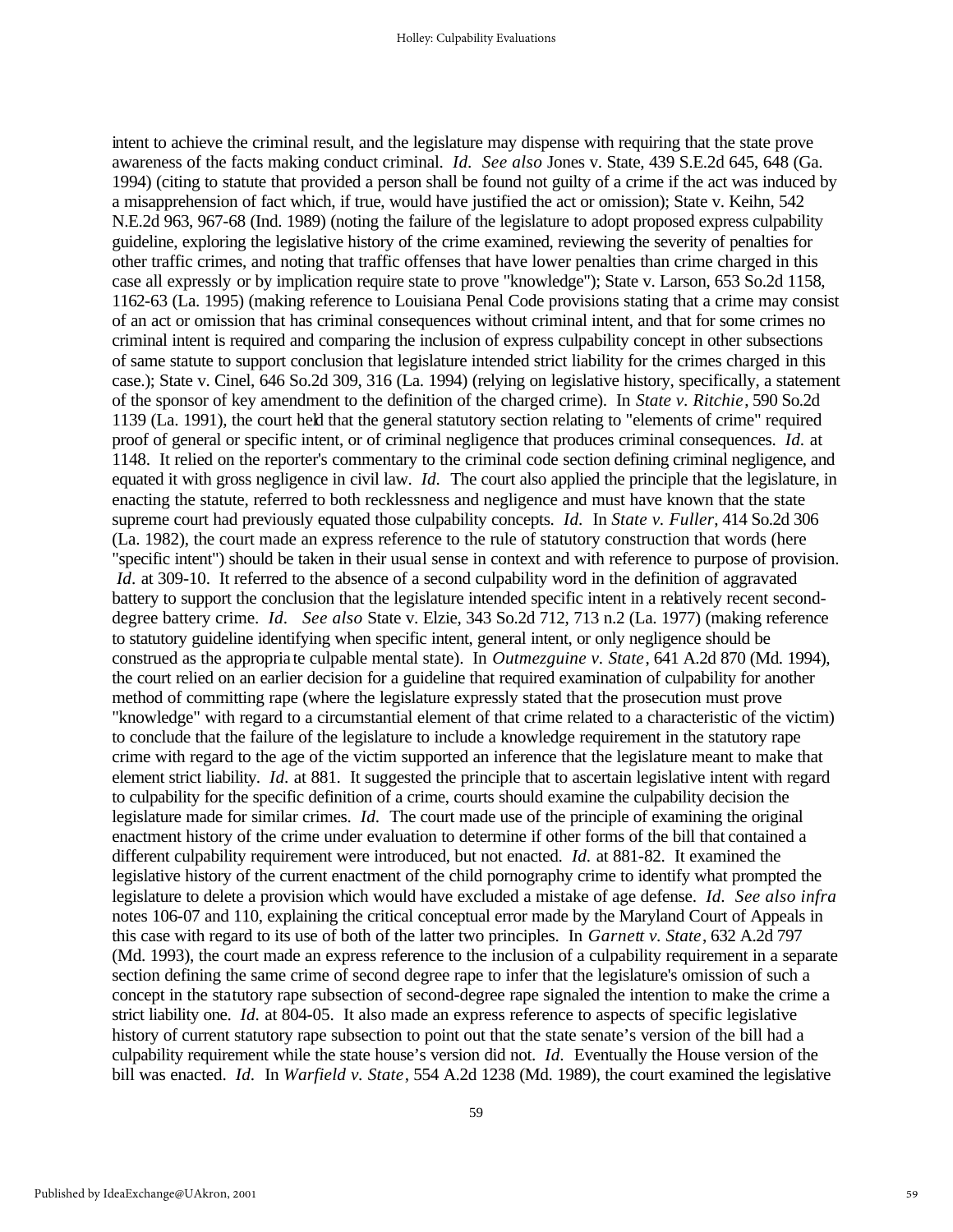intent to achieve the criminal result, and the legislature may dispense with requiring that the state prove awareness of the facts making conduct criminal. *Id. See also* Jones v. State, 439 S.E.2d 645, 648 (Ga. 1994) (citing to statute that provided a person shall be found not guilty of a crime if the act was induced by a misapprehension of fact which, if true, would have justified the act or omission); State v. Keihn, 542 N.E.2d 963, 967-68 (Ind. 1989) (noting the failure of the legislature to adopt proposed express culpability guideline, exploring the legislative history of the crime examined, reviewing the severity of penalties for other traffic crimes, and noting that traffic offenses that have lower penalties than crime charged in this case all expressly or by implication require state to prove "knowledge"); State v. Larson, 653 So.2d 1158, 1162-63 (La. 1995) (making reference to Louisiana Penal Code provisions stating that a crime may consist of an act or omission that has criminal consequences without criminal intent, and that for some crimes no criminal intent is required and comparing the inclusion of express culpability concept in other subsections of same statute to support conclusion that legislature intended strict liability for the crimes charged in this case.); State v. Cinel, 646 So.2d 309, 316 (La. 1994) (relying on legislative history, specifically, a statement of the sponsor of key amendment to the definition of the charged crime). In *State v. Ritchie*, 590 So.2d 1139 (La. 1991), the court held that the general statutory section relating to "elements of crime" required proof of general or specific intent, or of criminal negligence that produces criminal consequences. *Id.* at 1148. It relied on the reporter's commentary to the criminal code section defining criminal negligence, and equated it with gross negligence in civil law. *Id.* The court also applied the principle that the legislature, in enacting the statute, referred to both recklessness and negligence and must have known that the state supreme court had previously equated those culpability concepts. *Id.* In *State v. Fuller*, 414 So.2d 306 (La. 1982), the court made an express reference to the rule of statutory construction that words (here "specific intent") should be taken in their usual sense in context and with reference to purpose of provision. *Id.* at 309-10. It referred to the absence of a second culpability word in the definition of aggravated battery to support the conclusion that the legislature intended specific intent in a relatively recent seconddegree battery crime. *Id. See also* State v. Elzie, 343 So.2d 712, 713 n.2 (La. 1977) (making reference to statutory guideline identifying when specific intent, general intent, or only negligence should be construed as the appropria te culpable mental state). In *Outmezguine v. State*, 641 A.2d 870 (Md. 1994), the court relied on an earlier decision for a guideline that required examination of culpability for another method of committing rape (where the legislature expressly stated that the prosecution must prove "knowledge" with regard to a circumstantial element of that crime related to a characteristic of the victim) to conclude that the failure of the legislature to include a knowledge requirement in the statutory rape crime with regard to the age of the victim supported an inference that the legislature meant to make that element strict liability. *Id.* at 881. It suggested the principle that to ascertain legislative intent with regard to culpability for the specific definition of a crime, courts should examine the culpability decision the legislature made for similar crimes. *Id.* The court made use of the principle of examining the original enactment history of the crime under evaluation to determine if other forms of the bill that contained a different culpability requirement were introduced, but not enacted. *Id.* at 881-82. It examined the legislative history of the current enactment of the child pornography crime to identify what prompted the legislature to delete a provision which would have excluded a mistake of age defense. *Id. See also infra* notes 106-07 and 110, explaining the critical conceptual error made by the Maryland Court of Appeals in this case with regard to its use of both of the latter two principles. In *Garnett v. State*, 632 A.2d 797 (Md. 1993), the court made an express reference to the inclusion of a culpability requirement in a separate section defining the same crime of second degree rape to infer that the legislature's omission of such a concept in the statutory rape subsection of second-degree rape signaled the intention to make the crime a strict liability one. *Id.* at 804-05. It also made an express reference to aspects of specific legislative history of current statutory rape subsection to point out that the state senate's version of the bill had a culpability requirement while the state house's version did not. *Id.* Eventually the House version of the bill was enacted. *Id.* In *Warfield v. State*, 554 A.2d 1238 (Md. 1989), the court examined the legislative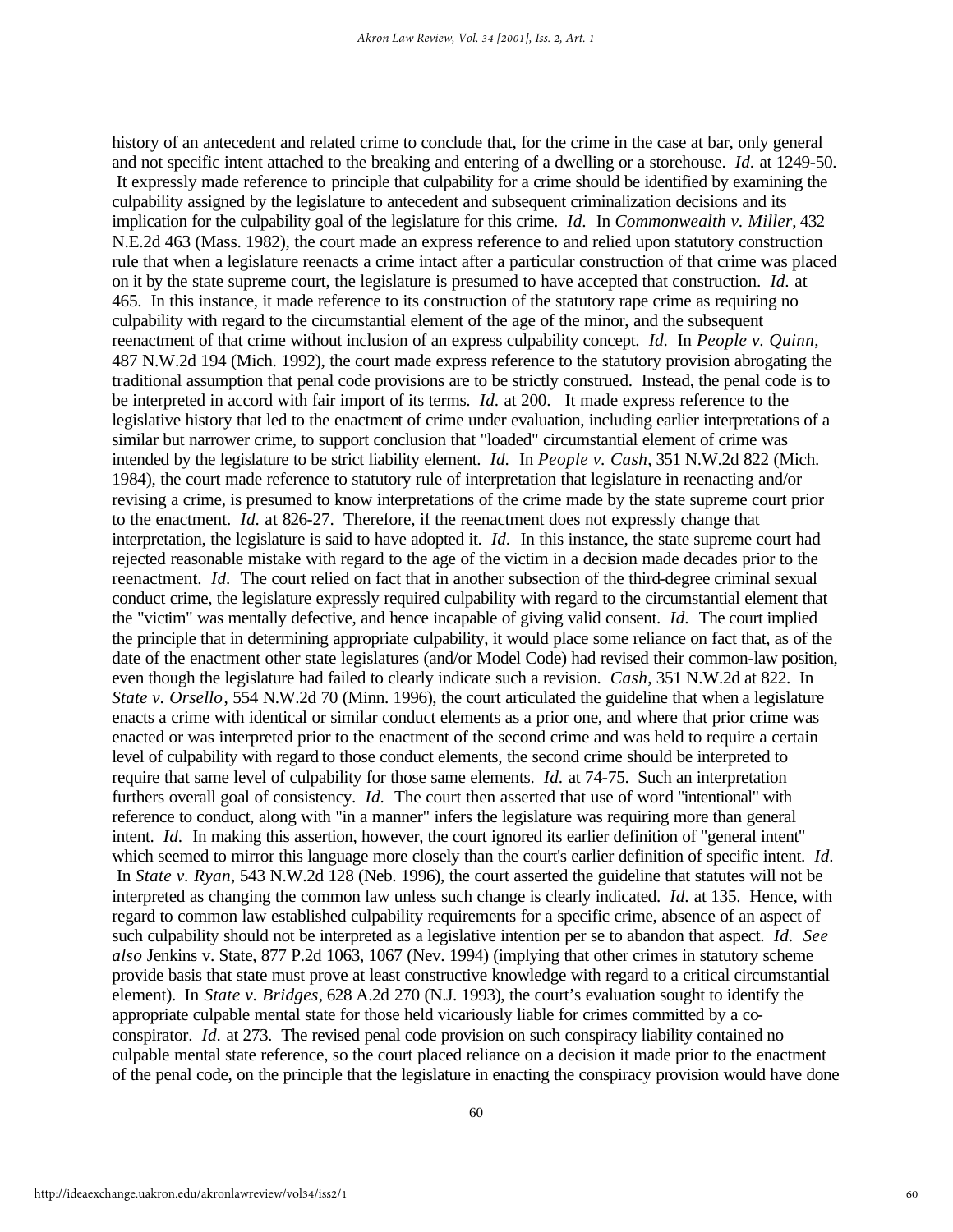history of an antecedent and related crime to conclude that, for the crime in the case at bar, only general and not specific intent attached to the breaking and entering of a dwelling or a storehouse. *Id.* at 1249-50. It expressly made reference to principle that culpability for a crime should be identified by examining the culpability assigned by the legislature to antecedent and subsequent criminalization decisions and its implication for the culpability goal of the legislature for this crime. *Id.* In *Commonwealth v. Miller*, 432 N.E.2d 463 (Mass. 1982), the court made an express reference to and relied upon statutory construction rule that when a legislature reenacts a crime intact after a particular construction of that crime was placed on it by the state supreme court, the legislature is presumed to have accepted that construction. *Id.* at 465. In this instance, it made reference to its construction of the statutory rape crime as requiring no culpability with regard to the circumstantial element of the age of the minor, and the subsequent reenactment of that crime without inclusion of an express culpability concept. *Id.* In *People v. Quinn*, 487 N.W.2d 194 (Mich. 1992), the court made express reference to the statutory provision abrogating the traditional assumption that penal code provisions are to be strictly construed. Instead, the penal code is to be interpreted in accord with fair import of its terms. *Id.* at 200. It made express reference to the legislative history that led to the enactment of crime under evaluation, including earlier interpretations of a similar but narrower crime, to support conclusion that "loaded" circumstantial element of crime was intended by the legislature to be strict liability element. *Id.* In *People v. Cash*, 351 N.W.2d 822 (Mich. 1984), the court made reference to statutory rule of interpretation that legislature in reenacting and/or revising a crime, is presumed to know interpretations of the crime made by the state supreme court prior to the enactment. *Id.* at 826-27. Therefore, if the reenactment does not expressly change that interpretation, the legislature is said to have adopted it. *Id.* In this instance, the state supreme court had rejected reasonable mistake with regard to the age of the victim in a decision made decades prior to the reenactment. *Id.* The court relied on fact that in another subsection of the third-degree criminal sexual conduct crime, the legislature expressly required culpability with regard to the circumstantial element that the "victim" was mentally defective, and hence incapable of giving valid consent. *Id.* The court implied the principle that in determining appropriate culpability, it would place some reliance on fact that, as of the date of the enactment other state legislatures (and/or Model Code) had revised their common-law position, even though the legislature had failed to clearly indicate such a revision. *Cash*, 351 N.W.2d at 822. In *State v. Orsello*, 554 N.W.2d 70 (Minn. 1996), the court articulated the guideline that when a legislature enacts a crime with identical or similar conduct elements as a prior one, and where that prior crime was enacted or was interpreted prior to the enactment of the second crime and was held to require a certain level of culpability with regard to those conduct elements, the second crime should be interpreted to require that same level of culpability for those same elements. *Id.* at 74-75. Such an interpretation furthers overall goal of consistency. *Id.* The court then asserted that use of word "intentional" with reference to conduct, along with "in a manner" infers the legislature was requiring more than general intent. *Id.* In making this assertion, however, the court ignored its earlier definition of "general intent" which seemed to mirror this language more closely than the court's earlier definition of specific intent. *Id.* In *State v. Ryan*, 543 N.W.2d 128 (Neb. 1996), the court asserted the guideline that statutes will not be interpreted as changing the common law unless such change is clearly indicated. *Id.* at 135. Hence, with regard to common law established culpability requirements for a specific crime, absence of an aspect of such culpability should not be interpreted as a legislative intention per se to abandon that aspect. *Id. See also* Jenkins v. State, 877 P.2d 1063, 1067 (Nev. 1994) (implying that other crimes in statutory scheme provide basis that state must prove at least constructive knowledge with regard to a critical circumstantial element). In *State v. Bridges*, 628 A.2d 270 (N.J. 1993), the court's evaluation sought to identify the appropriate culpable mental state for those held vicariously liable for crimes committed by a coconspirator. *Id.* at 273. The revised penal code provision on such conspiracy liability contained no culpable mental state reference, so the court placed reliance on a decision it made prior to the enactment of the penal code, on the principle that the legislature in enacting the conspiracy provision would have done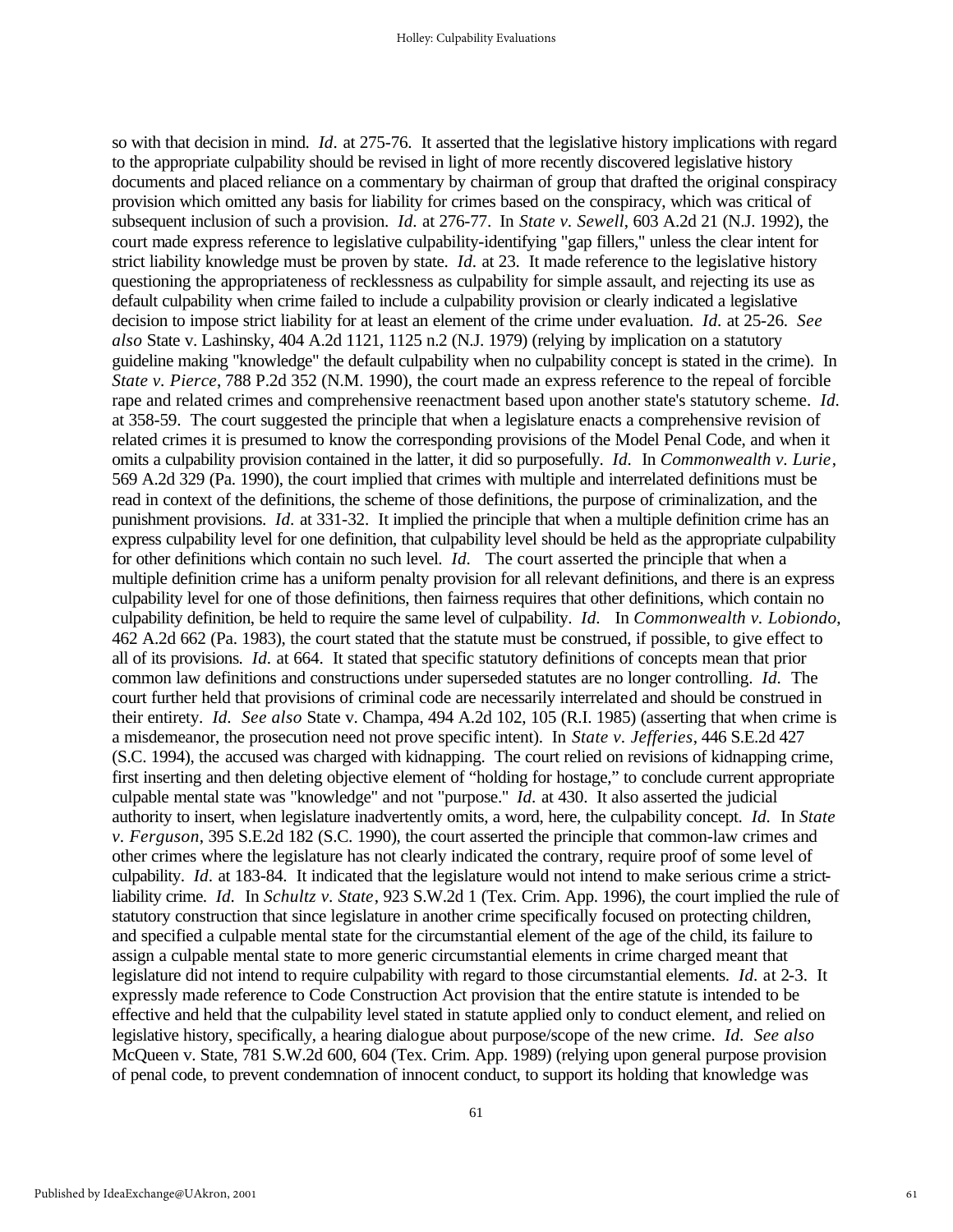so with that decision in mind. *Id.* at 275-76. It asserted that the legislative history implications with regard to the appropriate culpability should be revised in light of more recently discovered legislative history documents and placed reliance on a commentary by chairman of group that drafted the original conspiracy provision which omitted any basis for liability for crimes based on the conspiracy, which was critical of subsequent inclusion of such a provision. *Id.* at 276-77. In *State v. Sewell*, 603 A.2d 21 (N.J. 1992), the court made express reference to legislative culpability-identifying "gap fillers," unless the clear intent for strict liability knowledge must be proven by state. *Id.* at 23. It made reference to the legislative history questioning the appropriateness of recklessness as culpability for simple assault, and rejecting its use as default culpability when crime failed to include a culpability provision or clearly indicated a legislative decision to impose strict liability for at least an element of the crime under evaluation. *Id.* at 25-26. *See also* State v. Lashinsky, 404 A.2d 1121, 1125 n.2 (N.J. 1979) (relying by implication on a statutory guideline making "knowledge" the default culpability when no culpability concept is stated in the crime). In *State v. Pierce*, 788 P.2d 352 (N.M. 1990), the court made an express reference to the repeal of forcible rape and related crimes and comprehensive reenactment based upon another state's statutory scheme. *Id.*  at 358-59. The court suggested the principle that when a legislature enacts a comprehensive revision of related crimes it is presumed to know the corresponding provisions of the Model Penal Code, and when it omits a culpability provision contained in the latter, it did so purposefully. *Id.* In *Commonwealth v. Lurie*, 569 A.2d 329 (Pa. 1990), the court implied that crimes with multiple and interrelated definitions must be read in context of the definitions, the scheme of those definitions, the purpose of criminalization, and the punishment provisions. *Id.* at 331-32. It implied the principle that when a multiple definition crime has an express culpability level for one definition, that culpability level should be held as the appropriate culpability for other definitions which contain no such level. *Id.* The court asserted the principle that when a multiple definition crime has a uniform penalty provision for all relevant definitions, and there is an express culpability level for one of those definitions, then fairness requires that other definitions, which contain no culpability definition, be held to require the same level of culpability. *Id.* In *Commonwealth v. Lobiondo*, 462 A.2d 662 (Pa. 1983), the court stated that the statute must be construed, if possible, to give effect to all of its provisions. *Id.* at 664. It stated that specific statutory definitions of concepts mean that prior common law definitions and constructions under superseded statutes are no longer controlling. *Id.* The court further held that provisions of criminal code are necessarily interrelated and should be construed in their entirety. *Id. See also* State v. Champa, 494 A.2d 102, 105 (R.I. 1985) (asserting that when crime is a misdemeanor, the prosecution need not prove specific intent). In *State v. Jefferies*, 446 S.E.2d 427 (S.C. 1994), the accused was charged with kidnapping. The court relied on revisions of kidnapping crime, first inserting and then deleting objective element of "holding for hostage," to conclude current appropriate culpable mental state was "knowledge" and not "purpose." *Id.* at 430. It also asserted the judicial authority to insert, when legislature inadvertently omits, a word, here, the culpability concept. *Id.* In *State v. Ferguson*, 395 S.E.2d 182 (S.C. 1990), the court asserted the principle that common-law crimes and other crimes where the legislature has not clearly indicated the contrary, require proof of some level of culpability. *Id.* at 183-84. It indicated that the legislature would not intend to make serious crime a strictliability crime. *Id.* In *Schultz v. State*, 923 S.W.2d 1 (Tex. Crim. App. 1996), the court implied the rule of statutory construction that since legislature in another crime specifically focused on protecting children, and specified a culpable mental state for the circumstantial element of the age of the child, its failure to assign a culpable mental state to more generic circumstantial elements in crime charged meant that legislature did not intend to require culpability with regard to those circumstantial elements. *Id.* at 2-3. It expressly made reference to Code Construction Act provision that the entire statute is intended to be effective and held that the culpability level stated in statute applied only to conduct element, and relied on legislative history, specifically, a hearing dialogue about purpose/scope of the new crime. *Id. See also* McQueen v. State, 781 S.W.2d 600, 604 (Tex. Crim. App. 1989) (relying upon general purpose provision of penal code, to prevent condemnation of innocent conduct, to support its holding that knowledge was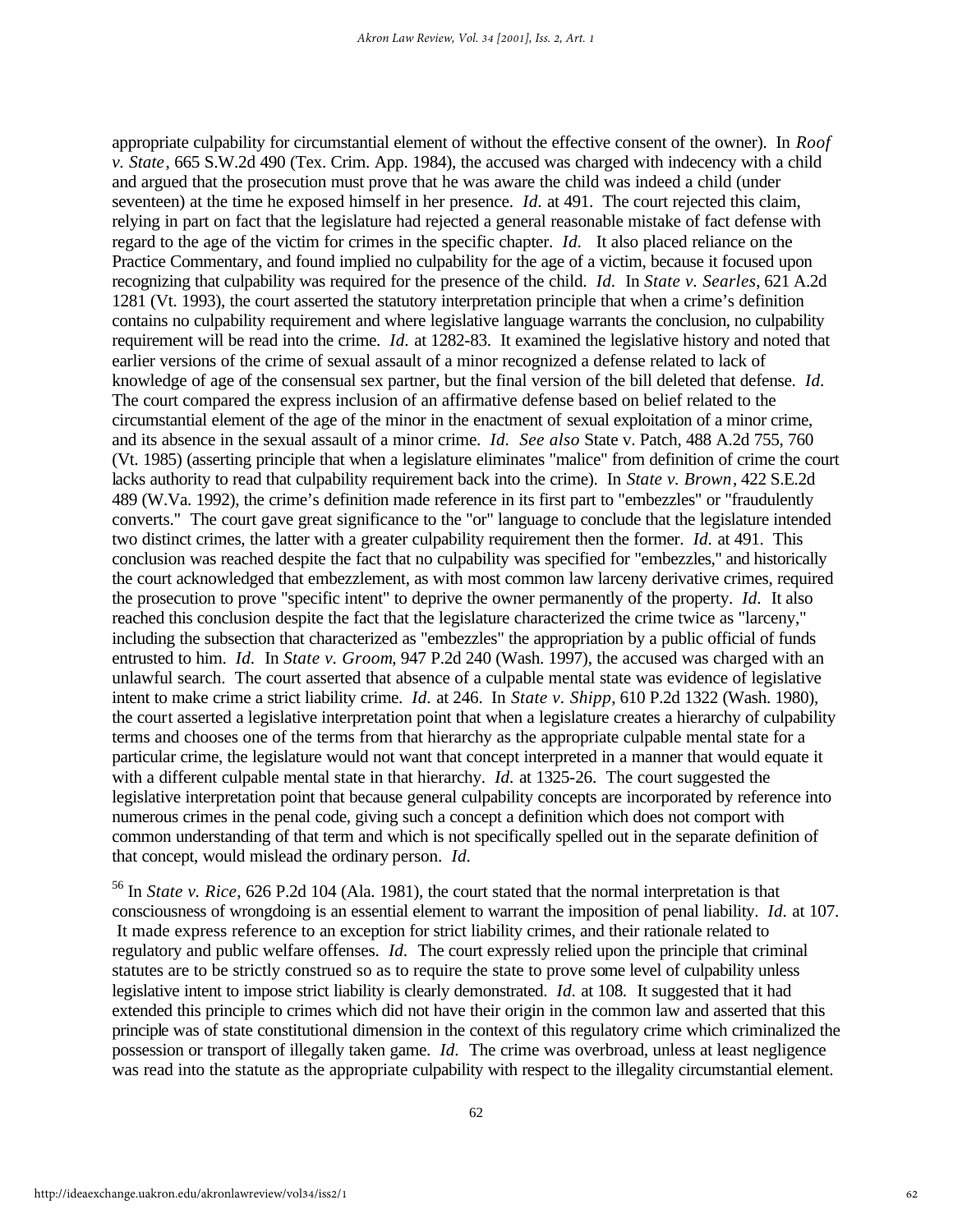appropriate culpability for circumstantial element of without the effective consent of the owner). In *Roof v. State*, 665 S.W.2d 490 (Tex. Crim. App. 1984), the accused was charged with indecency with a child and argued that the prosecution must prove that he was aware the child was indeed a child (under seventeen) at the time he exposed himself in her presence. *Id.* at 491. The court rejected this claim, relying in part on fact that the legislature had rejected a general reasonable mistake of fact defense with regard to the age of the victim for crimes in the specific chapter. *Id.* It also placed reliance on the Practice Commentary, and found implied no culpability for the age of a victim, because it focused upon recognizing that culpability was required for the presence of the child. *Id.* In *State v. Searles*, 621 A.2d 1281 (Vt. 1993), the court asserted the statutory interpretation principle that when a crime's definition contains no culpability requirement and where legislative language warrants the conclusion, no culpability requirement will be read into the crime. *Id.* at 1282-83. It examined the legislative history and noted that earlier versions of the crime of sexual assault of a minor recognized a defense related to lack of knowledge of age of the consensual sex partner, but the final version of the bill deleted that defense. *Id.*  The court compared the express inclusion of an affirmative defense based on belief related to the circumstantial element of the age of the minor in the enactment of sexual exploitation of a minor crime, and its absence in the sexual assault of a minor crime. *Id. See also* State v. Patch, 488 A.2d 755, 760 (Vt. 1985) (asserting principle that when a legislature eliminates "malice" from definition of crime the court lacks authority to read that culpability requirement back into the crime). In *State v. Brown*, 422 S.E.2d 489 (W.Va. 1992), the crime's definition made reference in its first part to "embezzles" or "fraudulently converts." The court gave great significance to the "or" language to conclude that the legislature intended two distinct crimes, the latter with a greater culpability requirement then the former. *Id.* at 491. This conclusion was reached despite the fact that no culpability was specified for "embezzles," and historically the court acknowledged that embezzlement, as with most common law larceny derivative crimes, required the prosecution to prove "specific intent" to deprive the owner permanently of the property. *Id.* It also reached this conclusion despite the fact that the legislature characterized the crime twice as "larceny," including the subsection that characterized as "embezzles" the appropriation by a public official of funds entrusted to him. *Id.* In *State v. Groom*, 947 P.2d 240 (Wash. 1997), the accused was charged with an unlawful search. The court asserted that absence of a culpable mental state was evidence of legislative intent to make crime a strict liability crime. *Id.* at 246. In *State v. Shipp*, 610 P.2d 1322 (Wash. 1980), the court asserted a legislative interpretation point that when a legislature creates a hierarchy of culpability terms and chooses one of the terms from that hierarchy as the appropriate culpable mental state for a particular crime, the legislature would not want that concept interpreted in a manner that would equate it with a different culpable mental state in that hierarchy. *Id.* at 1325-26. The court suggested the legislative interpretation point that because general culpability concepts are incorporated by reference into numerous crimes in the penal code, giving such a concept a definition which does not comport with common understanding of that term and which is not specifically spelled out in the separate definition of that concept, would mislead the ordinary person. *Id.*

<sup>56</sup> In *State v. Rice*, 626 P.2d 104 (Ala. 1981), the court stated that the normal interpretation is that consciousness of wrongdoing is an essential element to warrant the imposition of penal liability. *Id.* at 107. It made express reference to an exception for strict liability crimes, and their rationale related to regulatory and public welfare offenses. *Id.* The court expressly relied upon the principle that criminal statutes are to be strictly construed so as to require the state to prove some level of culpability unless legislative intent to impose strict liability is clearly demonstrated. *Id.* at 108.It suggested that it had extended this principle to crimes which did not have their origin in the common law and asserted that this principle was of state constitutional dimension in the context of this regulatory crime which criminalized the possession or transport of illegally taken game. *Id.* The crime was overbroad, unless at least negligence was read into the statute as the appropriate culpability with respect to the illegality circumstantial element.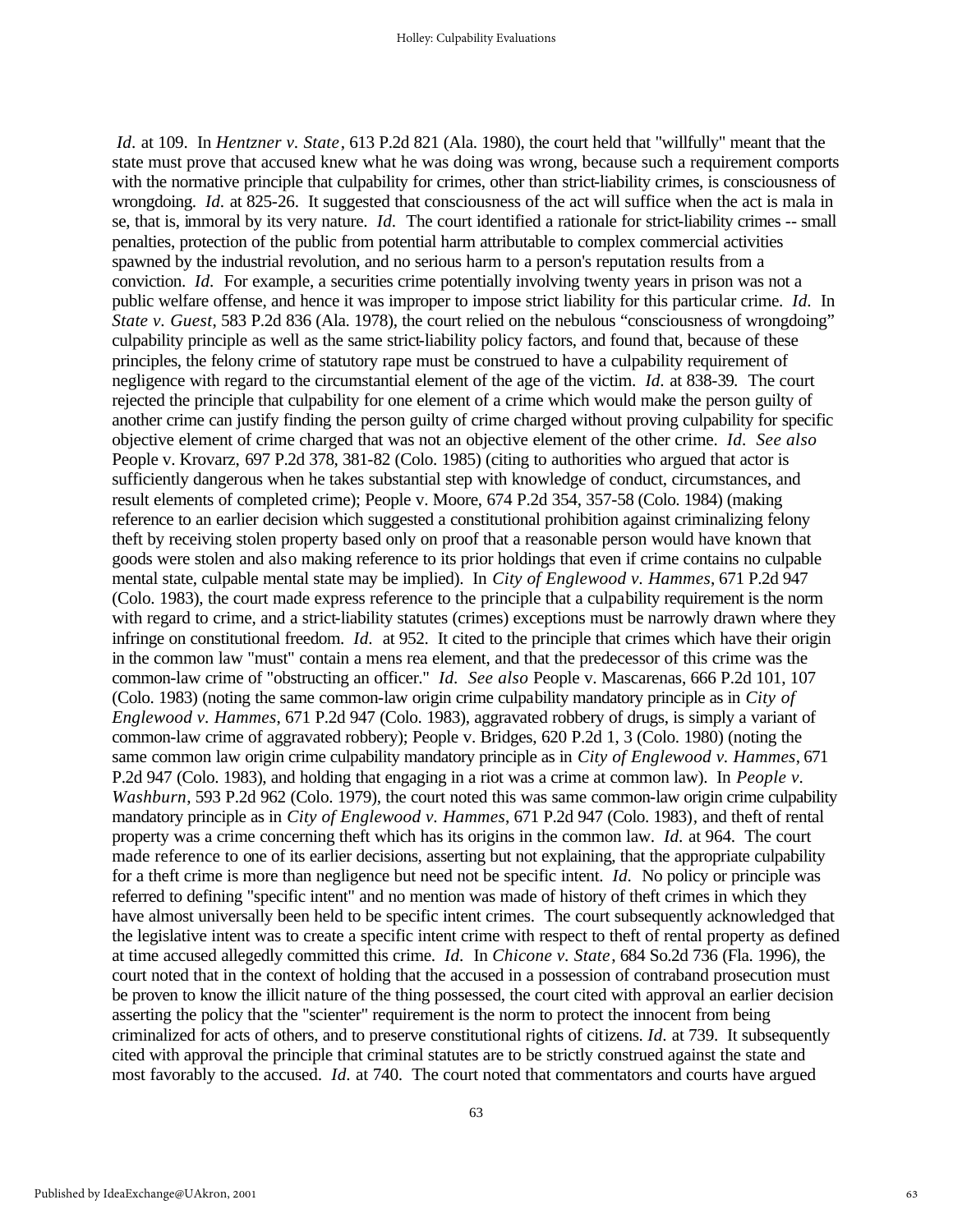*Id.* at 109. In *Hentzner v. State*, 613 P.2d 821 (Ala. 1980), the court held that "willfully" meant that the state must prove that accused knew what he was doing was wrong, because such a requirement comports with the normative principle that culpability for crimes, other than strict-liability crimes, is consciousness of wrongdoing. *Id.* at 825-26. It suggested that consciousness of the act will suffice when the act is mala in se, that is, immoral by its very nature. *Id.* The court identified a rationale for strict-liability crimes -- small penalties, protection of the public from potential harm attributable to complex commercial activities spawned by the industrial revolution, and no serious harm to a person's reputation results from a conviction. *Id.* For example, a securities crime potentially involving twenty years in prison was not a public welfare offense, and hence it was improper to impose strict liability for this particular crime. *Id.* In *State v. Guest*, 583 P.2d 836 (Ala. 1978), the court relied on the nebulous "consciousness of wrongdoing" culpability principle as well as the same strict-liability policy factors, and found that, because of these principles, the felony crime of statutory rape must be construed to have a culpability requirement of negligence with regard to the circumstantial element of the age of the victim. *Id.* at 838-39. The court rejected the principle that culpability for one element of a crime which would make the person guilty of another crime can justify finding the person guilty of crime charged without proving culpability for specific objective element of crime charged that was not an objective element of the other crime. *Id. See also* People v. Krovarz, 697 P.2d 378, 381-82 (Colo. 1985) (citing to authorities who argued that actor is sufficiently dangerous when he takes substantial step with knowledge of conduct, circumstances, and result elements of completed crime); People v. Moore, 674 P.2d 354, 357-58 (Colo. 1984) (making reference to an earlier decision which suggested a constitutional prohibition against criminalizing felony theft by receiving stolen property based only on proof that a reasonable person would have known that goods were stolen and also making reference to its prior holdings that even if crime contains no culpable mental state, culpable mental state may be implied). In *City of Englewood v. Hammes*, 671 P.2d 947 (Colo. 1983), the court made express reference to the principle that a culpability requirement is the norm with regard to crime, and a strict-liability statutes (crimes) exceptions must be narrowly drawn where they infringe on constitutional freedom. *Id.* at 952. It cited to the principle that crimes which have their origin in the common law "must" contain a mens rea element, and that the predecessor of this crime was the common-law crime of "obstructing an officer." *Id. See also* People v. Mascarenas, 666 P.2d 101, 107 (Colo. 1983) (noting the same common-law origin crime culpability mandatory principle as in *City of Englewood v. Hammes*, 671 P.2d 947 (Colo. 1983), aggravated robbery of drugs, is simply a variant of common-law crime of aggravated robbery); People v. Bridges, 620 P.2d 1, 3 (Colo. 1980) (noting the same common law origin crime culpability mandatory principle as in *City of Englewood v. Hammes*, 671 P.2d 947 (Colo. 1983), and holding that engaging in a riot was a crime at common law). In *People v. Washburn*, 593 P.2d 962 (Colo. 1979), the court noted this was same common-law origin crime culpability mandatory principle as in *City of Englewood v. Hammes*, 671 P.2d 947 (Colo. 1983)*,* and theft of rental property was a crime concerning theft which has its origins in the common law. *Id.* at 964. The court made reference to one of its earlier decisions, asserting but not explaining, that the appropriate culpability for a theft crime is more than negligence but need not be specific intent. *Id.* No policy or principle was referred to defining "specific intent" and no mention was made of history of theft crimes in which they have almost universally been held to be specific intent crimes. The court subsequently acknowledged that the legislative intent was to create a specific intent crime with respect to theft of rental property as defined at time accused allegedly committed this crime. *Id.* In *Chicone v. State*, 684 So.2d 736 (Fla. 1996), the court noted that in the context of holding that the accused in a possession of contraband prosecution must be proven to know the illicit nature of the thing possessed, the court cited with approval an earlier decision asserting the policy that the "scienter" requirement is the norm to protect the innocent from being criminalized for acts of others, and to preserve constitutional rights of citizens. *Id.* at 739. It subsequently cited with approval the principle that criminal statutes are to be strictly construed against the state and most favorably to the accused. *Id.* at 740. The court noted that commentators and courts have argued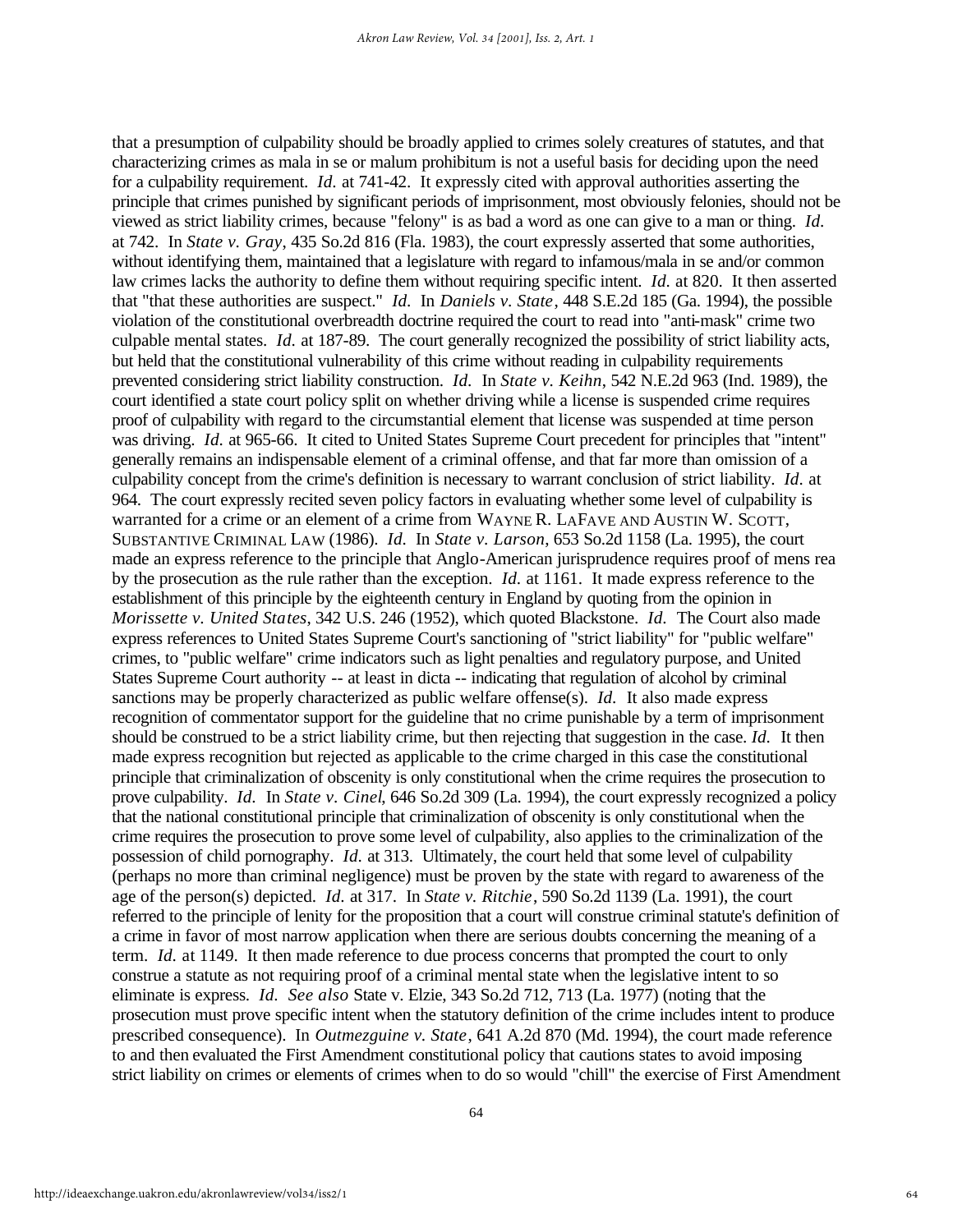that a presumption of culpability should be broadly applied to crimes solely creatures of statutes, and that characterizing crimes as mala in se or malum prohibitum is not a useful basis for deciding upon the need for a culpability requirement. *Id.* at 741-42. It expressly cited with approval authorities asserting the principle that crimes punished by significant periods of imprisonment, most obviously felonies, should not be viewed as strict liability crimes, because "felony" is as bad a word as one can give to a man or thing. *Id.*  at 742. In *State v. Gray*, 435 So.2d 816 (Fla. 1983), the court expressly asserted that some authorities, without identifying them, maintained that a legislature with regard to infamous/mala in se and/or common law crimes lacks the authority to define them without requiring specific intent. *Id.* at 820. It then asserted that "that these authorities are suspect." *Id.* In *Daniels v. State*, 448 S.E.2d 185 (Ga. 1994), the possible violation of the constitutional overbreadth doctrine required the court to read into "anti-mask" crime two culpable mental states. *Id.* at 187-89. The court generally recognized the possibility of strict liability acts, but held that the constitutional vulnerability of this crime without reading in culpability requirements prevented considering strict liability construction. *Id.* In *State v. Keihn*, 542 N.E.2d 963 (Ind. 1989), the court identified a state court policy split on whether driving while a license is suspended crime requires proof of culpability with regard to the circumstantial element that license was suspended at time person was driving. *Id.* at 965-66. It cited to United States Supreme Court precedent for principles that "intent" generally remains an indispensable element of a criminal offense, and that far more than omission of a culpability concept from the crime's definition is necessary to warrant conclusion of strict liability. *Id.* at 964. The court expressly recited seven policy factors in evaluating whether some level of culpability is warranted for a crime or an element of a crime from WAYNE R. LAFAVE AND AUSTIN W. SCOTT, SUBSTANTIVE CRIMINAL LAW (1986). *Id.* In *State v. Larson*, 653 So.2d 1158 (La. 1995), the court made an express reference to the principle that Anglo-American jurisprudence requires proof of mens rea by the prosecution as the rule rather than the exception. *Id.* at 1161. It made express reference to the establishment of this principle by the eighteenth century in England by quoting from the opinion in *Morissette v. United States*, 342 U.S. 246 (1952), which quoted Blackstone. *Id.* The Court also made express references to United States Supreme Court's sanctioning of "strict liability" for "public welfare" crimes, to "public welfare" crime indicators such as light penalties and regulatory purpose, and United States Supreme Court authority -- at least in dicta -- indicating that regulation of alcohol by criminal sanctions may be properly characterized as public welfare offense(s). *Id.* It also made express recognition of commentator support for the guideline that no crime punishable by a term of imprisonment should be construed to be a strict liability crime, but then rejecting that suggestion in the case. *Id.* It then made express recognition but rejected as applicable to the crime charged in this case the constitutional principle that criminalization of obscenity is only constitutional when the crime requires the prosecution to prove culpability. *Id.* In *State v. Cinel*, 646 So.2d 309 (La. 1994), the court expressly recognized a policy that the national constitutional principle that criminalization of obscenity is only constitutional when the crime requires the prosecution to prove some level of culpability, also applies to the criminalization of the possession of child pornography. *Id.* at 313. Ultimately, the court held that some level of culpability (perhaps no more than criminal negligence) must be proven by the state with regard to awareness of the age of the person(s) depicted. *Id.* at 317. In *State v. Ritchie*, 590 So.2d 1139 (La. 1991), the court referred to the principle of lenity for the proposition that a court will construe criminal statute's definition of a crime in favor of most narrow application when there are serious doubts concerning the meaning of a term. *Id.* at 1149. It then made reference to due process concerns that prompted the court to only construe a statute as not requiring proof of a criminal mental state when the legislative intent to so eliminate is express. *Id. See also* State v. Elzie, 343 So.2d 712, 713 (La. 1977) (noting that the prosecution must prove specific intent when the statutory definition of the crime includes intent to produce prescribed consequence). In *Outmezguine v. State*, 641 A.2d 870 (Md. 1994), the court made reference to and then evaluated the First Amendment constitutional policy that cautions states to avoid imposing strict liability on crimes or elements of crimes when to do so would "chill" the exercise of First Amendment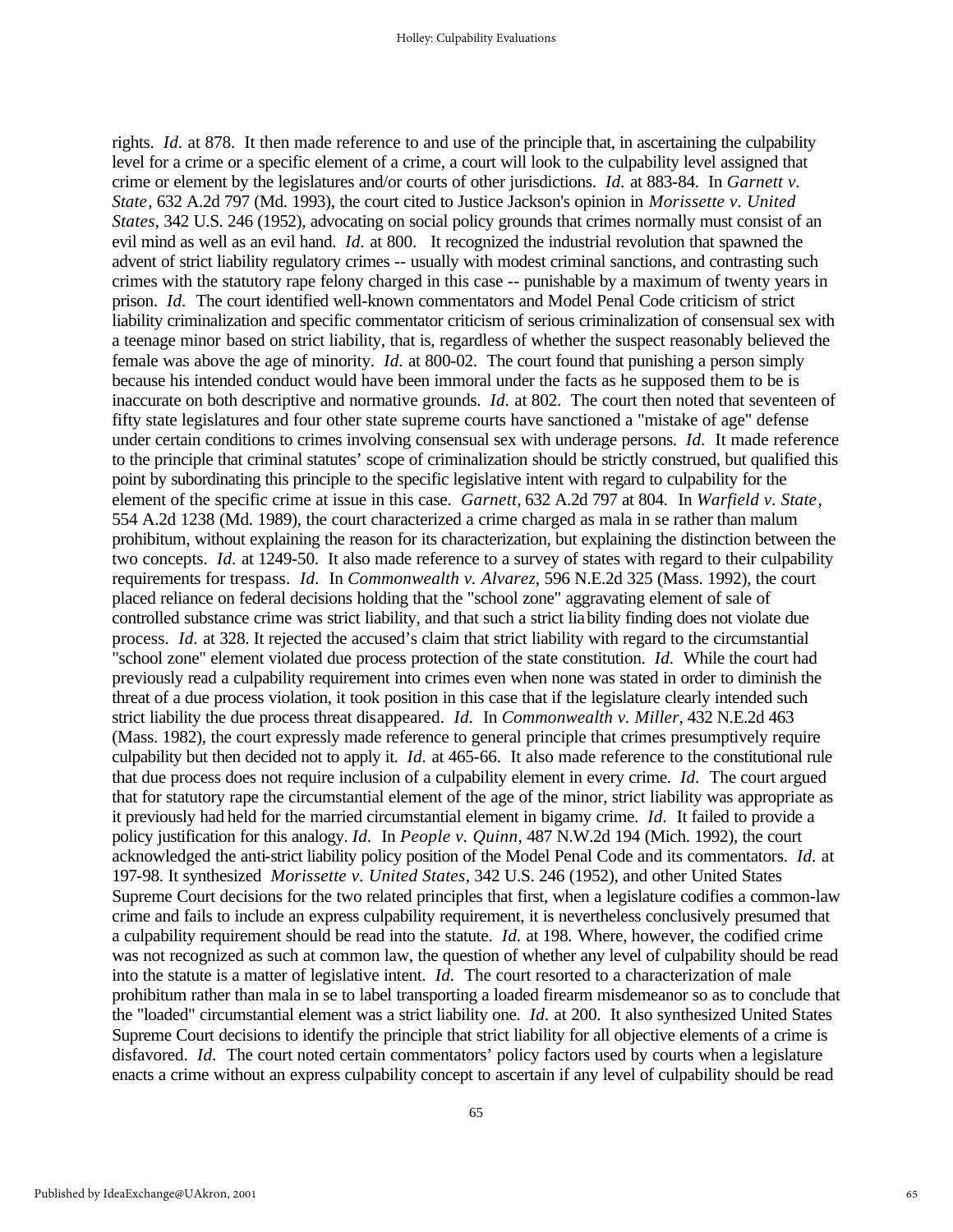rights. *Id.* at 878. It then made reference to and use of the principle that, in ascertaining the culpability level for a crime or a specific element of a crime, a court will look to the culpability level assigned that crime or element by the legislatures and/or courts of other jurisdictions. *Id.* at 883-84. In *Garnett v. State*, 632 A.2d 797 (Md. 1993), the court cited to Justice Jackson's opinion in *Morissette v. United States*, 342 U.S. 246 (1952), advocating on social policy grounds that crimes normally must consist of an evil mind as well as an evil hand. *Id.* at 800. It recognized the industrial revolution that spawned the advent of strict liability regulatory crimes -- usually with modest criminal sanctions, and contrasting such crimes with the statutory rape felony charged in this case -- punishable by a maximum of twenty years in prison. *Id.* The court identified well-known commentators and Model Penal Code criticism of strict liability criminalization and specific commentator criticism of serious criminalization of consensual sex with a teenage minor based on strict liability, that is, regardless of whether the suspect reasonably believed the female was above the age of minority. *Id.* at 800-02. The court found that punishing a person simply because his intended conduct would have been immoral under the facts as he supposed them to be is inaccurate on both descriptive and normative grounds. *Id.* at 802. The court then noted that seventeen of fifty state legislatures and four other state supreme courts have sanctioned a "mistake of age" defense under certain conditions to crimes involving consensual sex with underage persons. *Id.* It made reference to the principle that criminal statutes' scope of criminalization should be strictly construed, but qualified this point by subordinating this principle to the specific legislative intent with regard to culpability for the element of the specific crime at issue in this case. *Garnett*, 632 A.2d 797 at 804.In *Warfield v. State*, 554 A.2d 1238 (Md. 1989), the court characterized a crime charged as mala in se rather than malum prohibitum, without explaining the reason for its characterization, but explaining the distinction between the two concepts. *Id.* at 1249-50. It also made reference to a survey of states with regard to their culpability requirements for trespass. *Id.* In *Commonwealth v. Alvarez*, 596 N.E.2d 325 (Mass. 1992), the court placed reliance on federal decisions holding that the "school zone" aggravating element of sale of controlled substance crime was strict liability, and that such a strict liability finding does not violate due process. *Id.* at 328. It rejected the accused's claim that strict liability with regard to the circumstantial "school zone" element violated due process protection of the state constitution. *Id.* While the court had previously read a culpability requirement into crimes even when none was stated in order to diminish the threat of a due process violation, it took position in this case that if the legislature clearly intended such strict liability the due process threat disappeared. *Id.* In *Commonwealth v. Miller*, 432 N.E.2d 463 (Mass. 1982), the court expressly made reference to general principle that crimes presumptively require culpability but then decided not to apply it. *Id.* at 465-66. It also made reference to the constitutional rule that due process does not require inclusion of a culpability element in every crime. *Id.* The court argued that for statutory rape the circumstantial element of the age of the minor, strict liability was appropriate as it previously had held for the married circumstantial element in bigamy crime. *Id.* It failed to provide a policy justification for this analogy. *Id.* In *People v. Quinn*, 487 N.W.2d 194 (Mich. 1992), the court acknowledged the anti-strict liability policy position of the Model Penal Code and its commentators. *Id.* at 197-98. It synthesized *Morissette v. United States*, 342 U.S. 246 (1952), and other United States Supreme Court decisions for the two related principles that first, when a legislature codifies a common-law crime and fails to include an express culpability requirement, it is nevertheless conclusively presumed that a culpability requirement should be read into the statute. *Id.* at 198. Where, however, the codified crime was not recognized as such at common law, the question of whether any level of culpability should be read into the statute is a matter of legislative intent. *Id.* The court resorted to a characterization of male prohibitum rather than mala in se to label transporting a loaded firearm misdemeanor so as to conclude that the "loaded" circumstantial element was a strict liability one. *Id.* at 200. It also synthesized United States Supreme Court decisions to identify the principle that strict liability for all objective elements of a crime is disfavored. *Id.* The court noted certain commentators' policy factors used by courts when a legislature enacts a crime without an express culpability concept to ascertain if any level of culpability should be read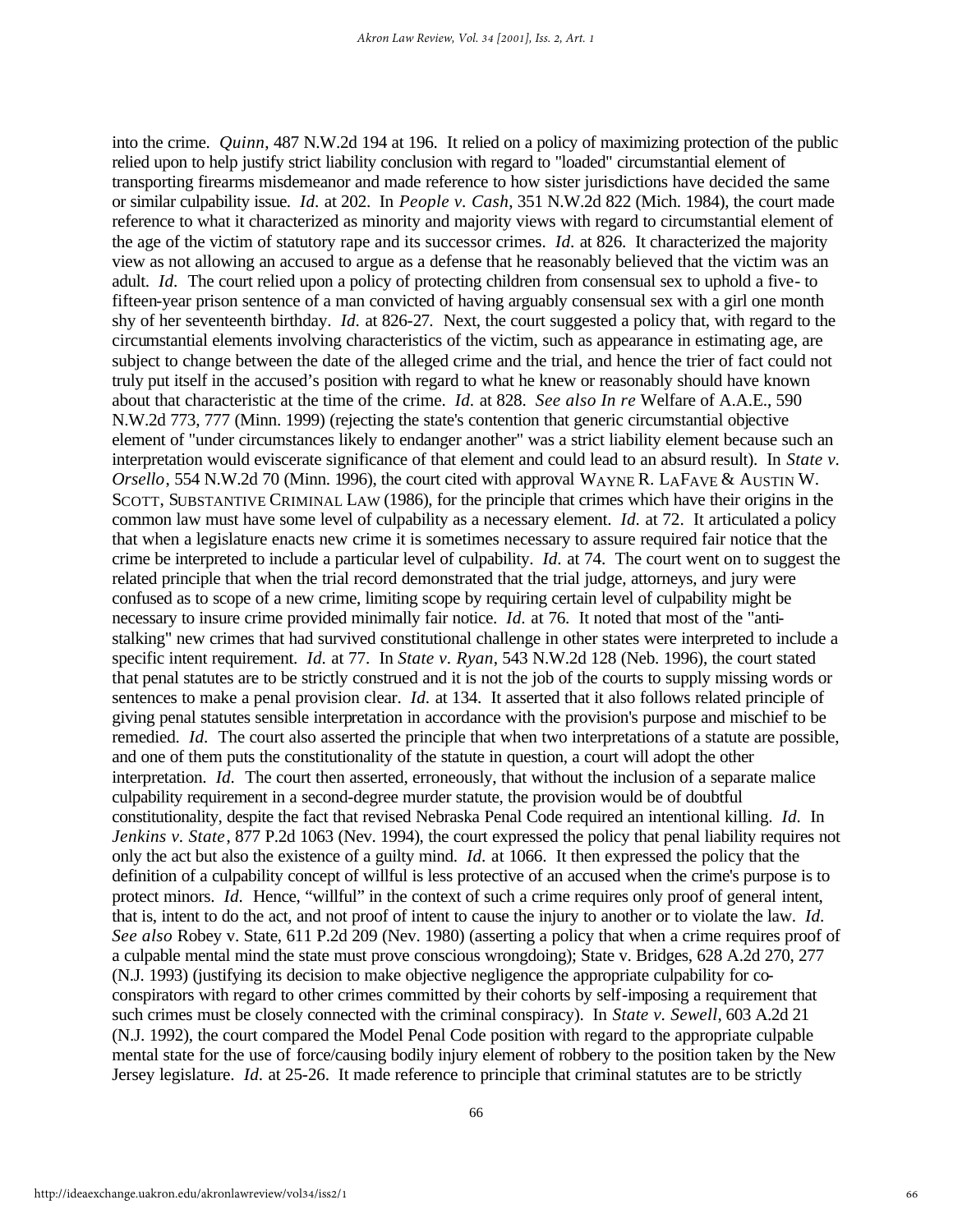into the crime. *Quinn*, 487 N.W.2d 194 at 196. It relied on a policy of maximizing protection of the public relied upon to help justify strict liability conclusion with regard to "loaded" circumstantial element of transporting firearms misdemeanor and made reference to how sister jurisdictions have decided the same or similar culpability issue. *Id.* at 202. In *People v. Cash*, 351 N.W.2d 822 (Mich. 1984), the court made reference to what it characterized as minority and majority views with regard to circumstantial element of the age of the victim of statutory rape and its successor crimes. *Id.* at 826. It characterized the majority view as not allowing an accused to argue as a defense that he reasonably believed that the victim was an adult. *Id.* The court relied upon a policy of protecting children from consensual sex to uphold a five- to fifteen-year prison sentence of a man convicted of having arguably consensual sex with a girl one month shy of her seventeenth birthday. *Id.* at 826-27.Next, the court suggested a policy that, with regard to the circumstantial elements involving characteristics of the victim, such as appearance in estimating age, are subject to change between the date of the alleged crime and the trial, and hence the trier of fact could not truly put itself in the accused's position with regard to what he knew or reasonably should have known about that characteristic at the time of the crime. *Id.* at 828. *See also In re* Welfare of A.A.E., 590 N.W.2d 773, 777 (Minn. 1999) (rejecting the state's contention that generic circumstantial objective element of "under circumstances likely to endanger another" was a strict liability element because such an interpretation would eviscerate significance of that element and could lead to an absurd result). In *State v. Orsello*, 554 N.W.2d 70 (Minn. 1996), the court cited with approval WAYNE R. LAFAVE & AUSTIN W. SCOTT, SUBSTANTIVE CRIMINAL LAW (1986), for the principle that crimes which have their origins in the common law must have some level of culpability as a necessary element. *Id.* at 72. It articulated a policy that when a legislature enacts new crime it is sometimes necessary to assure required fair notice that the crime be interpreted to include a particular level of culpability. *Id.* at 74. The court went on to suggest the related principle that when the trial record demonstrated that the trial judge, attorneys, and jury were confused as to scope of a new crime, limiting scope by requiring certain level of culpability might be necessary to insure crime provided minimally fair notice. *Id.* at 76. It noted that most of the "antistalking" new crimes that had survived constitutional challenge in other states were interpreted to include a specific intent requirement. *Id.* at 77. In *State v. Ryan*, 543 N.W.2d 128 (Neb. 1996), the court stated that penal statutes are to be strictly construed and it is not the job of the courts to supply missing words or sentences to make a penal provision clear. *Id.* at 134. It asserted that it also follows related principle of giving penal statutes sensible interpretation in accordance with the provision's purpose and mischief to be remedied. *Id.* The court also asserted the principle that when two interpretations of a statute are possible, and one of them puts the constitutionality of the statute in question, a court will adopt the other interpretation. *Id.* The court then asserted, erroneously, that without the inclusion of a separate malice culpability requirement in a second-degree murder statute, the provision would be of doubtful constitutionality, despite the fact that revised Nebraska Penal Code required an intentional killing. *Id.* In *Jenkins v. State*, 877 P.2d 1063 (Nev. 1994), the court expressed the policy that penal liability requires not only the act but also the existence of a guilty mind. *Id.* at 1066. It then expressed the policy that the definition of a culpability concept of willful is less protective of an accused when the crime's purpose is to protect minors. *Id.* Hence, "willful" in the context of such a crime requires only proof of general intent, that is, intent to do the act, and not proof of intent to cause the injury to another or to violate the law. *Id. See also* Robey v. State, 611 P.2d 209 (Nev. 1980) (asserting a policy that when a crime requires proof of a culpable mental mind the state must prove conscious wrongdoing); State v. Bridges, 628 A.2d 270, 277 (N.J. 1993) (justifying its decision to make objective negligence the appropriate culpability for coconspirators with regard to other crimes committed by their cohorts by self-imposing a requirement that such crimes must be closely connected with the criminal conspiracy). In *State v. Sewell*, 603 A.2d 21 (N.J. 1992), the court compared the Model Penal Code position with regard to the appropriate culpable mental state for the use of force/causing bodily injury element of robbery to the position taken by the New Jersey legislature. *Id.* at 25-26. It made reference to principle that criminal statutes are to be strictly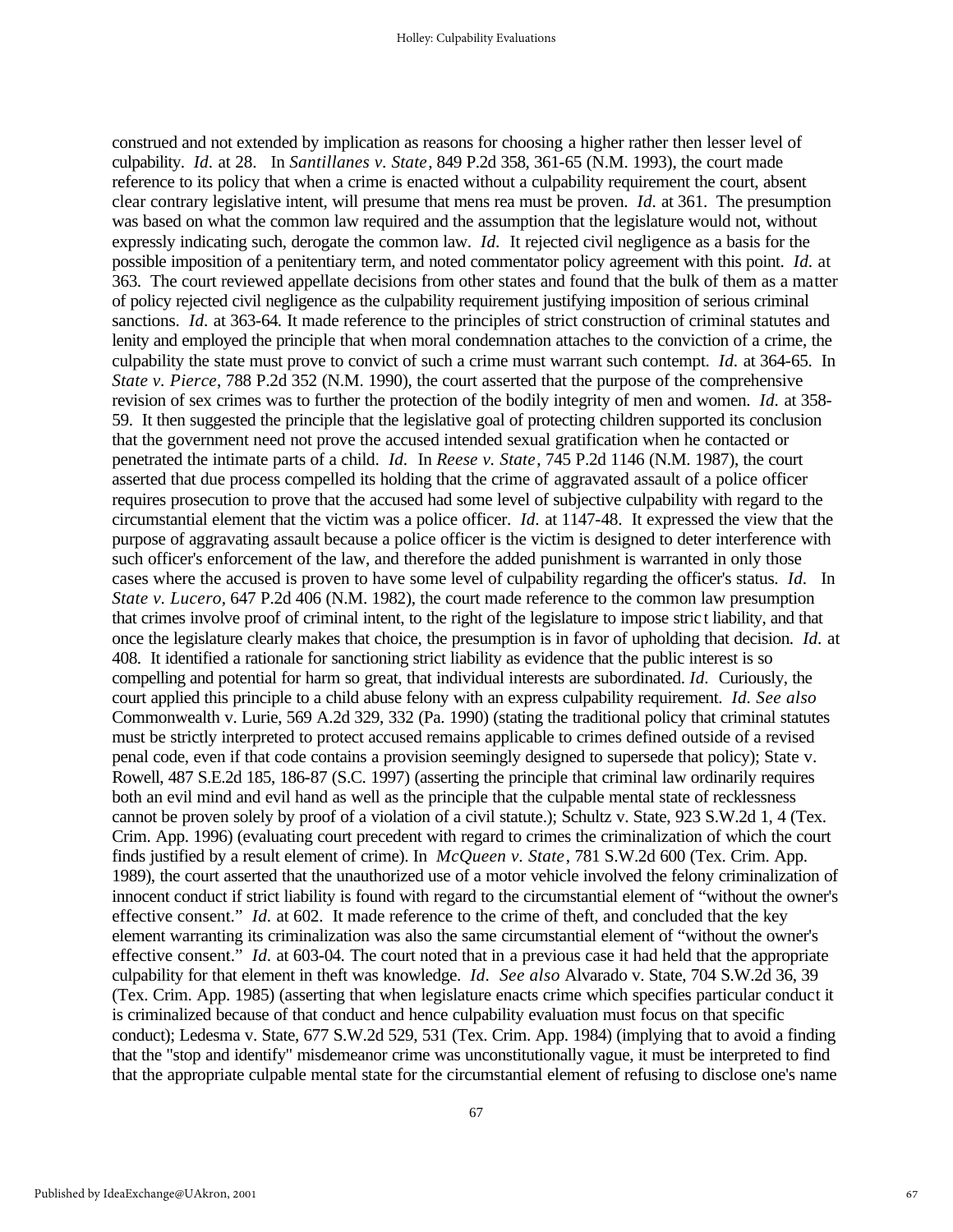construed and not extended by implication as reasons for choosing a higher rather then lesser level of culpability. *Id.* at 28. In *Santillanes v. State*, 849 P.2d 358, 361-65 (N.M. 1993), the court made reference to its policy that when a crime is enacted without a culpability requirement the court, absent clear contrary legislative intent, will presume that mens rea must be proven. *Id.* at 361. The presumption was based on what the common law required and the assumption that the legislature would not, without expressly indicating such, derogate the common law. *Id.* It rejected civil negligence as a basis for the possible imposition of a penitentiary term, and noted commentator policy agreement with this point. *Id.* at 363. The court reviewed appellate decisions from other states and found that the bulk of them as a matter of policy rejected civil negligence as the culpability requirement justifying imposition of serious criminal sanctions. *Id.* at 363-64. It made reference to the principles of strict construction of criminal statutes and lenity and employed the principle that when moral condemnation attaches to the conviction of a crime, the culpability the state must prove to convict of such a crime must warrant such contempt. *Id.* at 364-65. In *State v. Pierce*, 788 P.2d 352 (N.M. 1990), the court asserted that the purpose of the comprehensive revision of sex crimes was to further the protection of the bodily integrity of men and women. *Id.* at 358- 59. It then suggested the principle that the legislative goal of protecting children supported its conclusion that the government need not prove the accused intended sexual gratification when he contacted or penetrated the intimate parts of a child. *Id.* In *Reese v. State*, 745 P.2d 1146 (N.M. 1987), the court asserted that due process compelled its holding that the crime of aggravated assault of a police officer requires prosecution to prove that the accused had some level of subjective culpability with regard to the circumstantial element that the victim was a police officer. *Id.* at 1147-48. It expressed the view that the purpose of aggravating assault because a police officer is the victim is designed to deter interference with such officer's enforcement of the law, and therefore the added punishment is warranted in only those cases where the accused is proven to have some level of culpability regarding the officer's status. *Id.* In *State v. Lucero*, 647 P.2d 406 (N.M. 1982), the court made reference to the common law presumption that crimes involve proof of criminal intent, to the right of the legislature to impose strict liability, and that once the legislature clearly makes that choice, the presumption is in favor of upholding that decision. *Id.* at 408. It identified a rationale for sanctioning strict liability as evidence that the public interest is so compelling and potential for harm so great, that individual interests are subordinated. *Id.* Curiously, the court applied this principle to a child abuse felony with an express culpability requirement. *Id. See also* Commonwealth v. Lurie, 569 A.2d 329, 332 (Pa. 1990) (stating the traditional policy that criminal statutes must be strictly interpreted to protect accused remains applicable to crimes defined outside of a revised penal code, even if that code contains a provision seemingly designed to supersede that policy); State v. Rowell, 487 S.E.2d 185, 186-87 (S.C. 1997) (asserting the principle that criminal law ordinarily requires both an evil mind and evil hand as well as the principle that the culpable mental state of recklessness cannot be proven solely by proof of a violation of a civil statute.); Schultz v. State, 923 S.W.2d 1, 4 (Tex. Crim. App. 1996) (evaluating court precedent with regard to crimes the criminalization of which the court finds justified by a result element of crime). In *McQueen v. State*, 781 S.W.2d 600 (Tex. Crim. App. 1989), the court asserted that the unauthorized use of a motor vehicle involved the felony criminalization of innocent conduct if strict liability is found with regard to the circumstantial element of "without the owner's effective consent." *Id.* at 602. It made reference to the crime of theft, and concluded that the key element warranting its criminalization was also the same circumstantial element of "without the owner's effective consent." *Id.* at 603-04. The court noted that in a previous case it had held that the appropriate culpability for that element in theft was knowledge. *Id. See also* Alvarado v. State, 704 S.W.2d 36, 39 (Tex. Crim. App. 1985) (asserting that when legislature enacts crime which specifies particular conduct it is criminalized because of that conduct and hence culpability evaluation must focus on that specific conduct); Ledesma v. State, 677 S.W.2d 529, 531 (Tex. Crim. App. 1984) (implying that to avoid a finding that the "stop and identify" misdemeanor crime was unconstitutionally vague, it must be interpreted to find that the appropriate culpable mental state for the circumstantial element of refusing to disclose one's name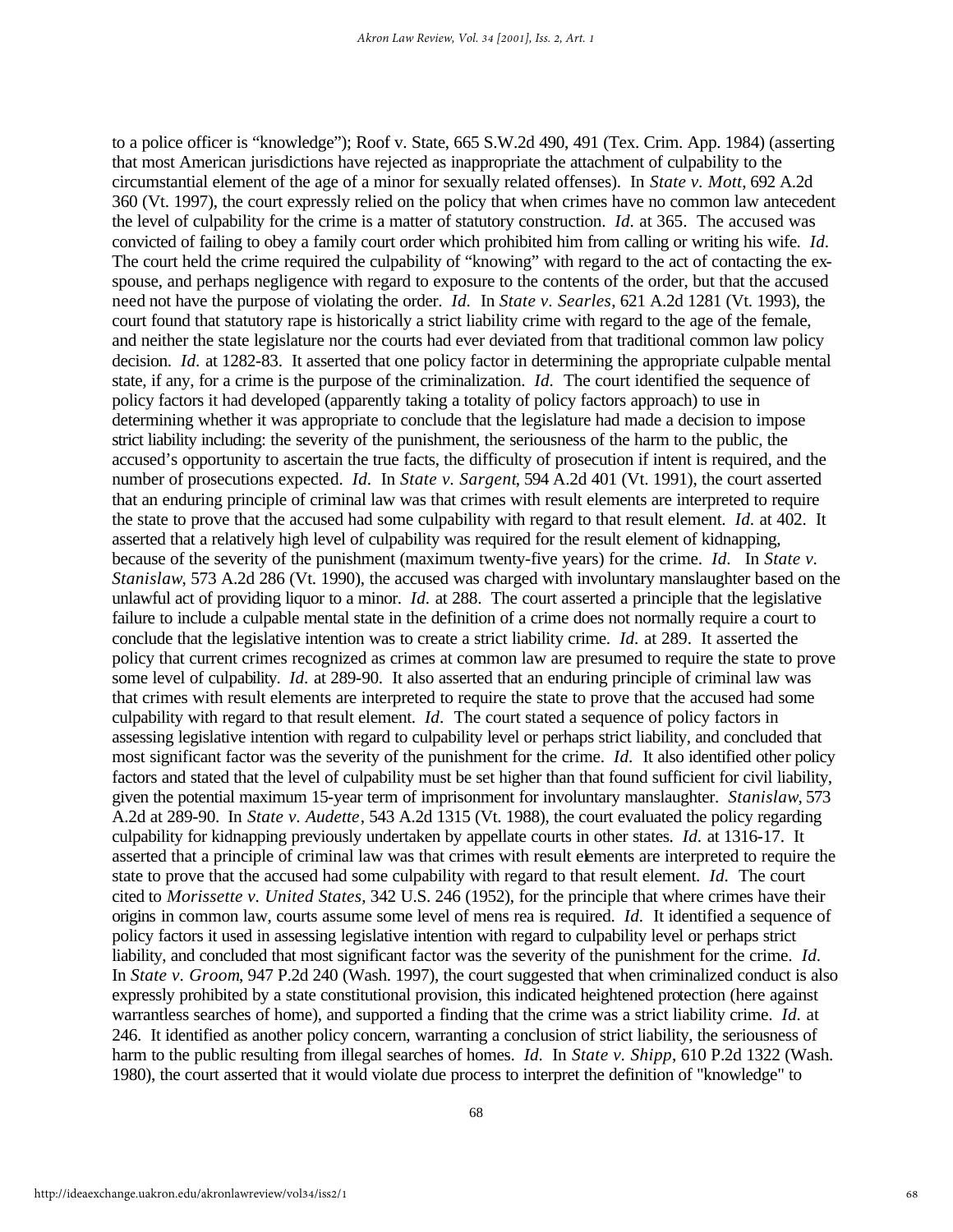to a police officer is "knowledge"); Roof v. State, 665 S.W.2d 490, 491 (Tex. Crim. App. 1984) (asserting that most American jurisdictions have rejected as inappropriate the attachment of culpability to the circumstantial element of the age of a minor for sexually related offenses). In *State v. Mott*, 692 A.2d 360 (Vt. 1997), the court expressly relied on the policy that when crimes have no common law antecedent the level of culpability for the crime is a matter of statutory construction. *Id.* at 365. The accused was convicted of failing to obey a family court order which prohibited him from calling or writing his wife. *Id.*  The court held the crime required the culpability of "knowing" with regard to the act of contacting the exspouse, and perhaps negligence with regard to exposure to the contents of the order, but that the accused need not have the purpose of violating the order. *Id.* In *State v. Searles*, 621 A.2d 1281 (Vt. 1993), the court found that statutory rape is historically a strict liability crime with regard to the age of the female, and neither the state legislature nor the courts had ever deviated from that traditional common law policy decision. *Id.* at 1282-83. It asserted that one policy factor in determining the appropriate culpable mental state, if any, for a crime is the purpose of the criminalization. *Id.* The court identified the sequence of policy factors it had developed (apparently taking a totality of policy factors approach) to use in determining whether it was appropriate to conclude that the legislature had made a decision to impose strict liability including: the severity of the punishment, the seriousness of the harm to the public, the accused's opportunity to ascertain the true facts, the difficulty of prosecution if intent is required, and the number of prosecutions expected. *Id.* In *State v. Sargent*, 594 A.2d 401 (Vt. 1991), the court asserted that an enduring principle of criminal law was that crimes with result elements are interpreted to require the state to prove that the accused had some culpability with regard to that result element. *Id.* at 402. It asserted that a relatively high level of culpability was required for the result element of kidnapping, because of the severity of the punishment (maximum twenty-five years) for the crime. *Id.* In *State v. Stanislaw*, 573 A.2d 286 (Vt. 1990), the accused was charged with involuntary manslaughter based on the unlawful act of providing liquor to a minor. *Id.* at 288. The court asserted a principle that the legislative failure to include a culpable mental state in the definition of a crime does not normally require a court to conclude that the legislative intention was to create a strict liability crime. *Id.* at 289. It asserted the policy that current crimes recognized as crimes at common law are presumed to require the state to prove some level of culpability. *Id.* at 289-90. It also asserted that an enduring principle of criminal law was that crimes with result elements are interpreted to require the state to prove that the accused had some culpability with regard to that result element. *Id.* The court stated a sequence of policy factors in assessing legislative intention with regard to culpability level or perhaps strict liability, and concluded that most significant factor was the severity of the punishment for the crime. *Id.* It also identified other policy factors and stated that the level of culpability must be set higher than that found sufficient for civil liability, given the potential maximum 15-year term of imprisonment for involuntary manslaughter. *Stanislaw*, 573 A.2d at 289-90. In *State v. Audette*, 543 A.2d 1315 (Vt. 1988), the court evaluated the policy regarding culpability for kidnapping previously undertaken by appellate courts in other states. *Id.* at 1316-17. It asserted that a principle of criminal law was that crimes with result elements are interpreted to require the state to prove that the accused had some culpability with regard to that result element. *Id.* The court cited to *Morissette v. United States*, 342 U.S. 246 (1952), for the principle that where crimes have their origins in common law, courts assume some level of mens rea is required. *Id.* It identified a sequence of policy factors it used in assessing legislative intention with regard to culpability level or perhaps strict liability, and concluded that most significant factor was the severity of the punishment for the crime. *Id.*  In *State v. Groom*, 947 P.2d 240 (Wash. 1997), the court suggested that when criminalized conduct is also expressly prohibited by a state constitutional provision, this indicated heightened protection (here against warrantless searches of home), and supported a finding that the crime was a strict liability crime. *Id.* at 246. It identified as another policy concern, warranting a conclusion of strict liability, the seriousness of harm to the public resulting from illegal searches of homes. *Id.* In *State v. Shipp*, 610 P.2d 1322 (Wash. 1980), the court asserted that it would violate due process to interpret the definition of "knowledge" to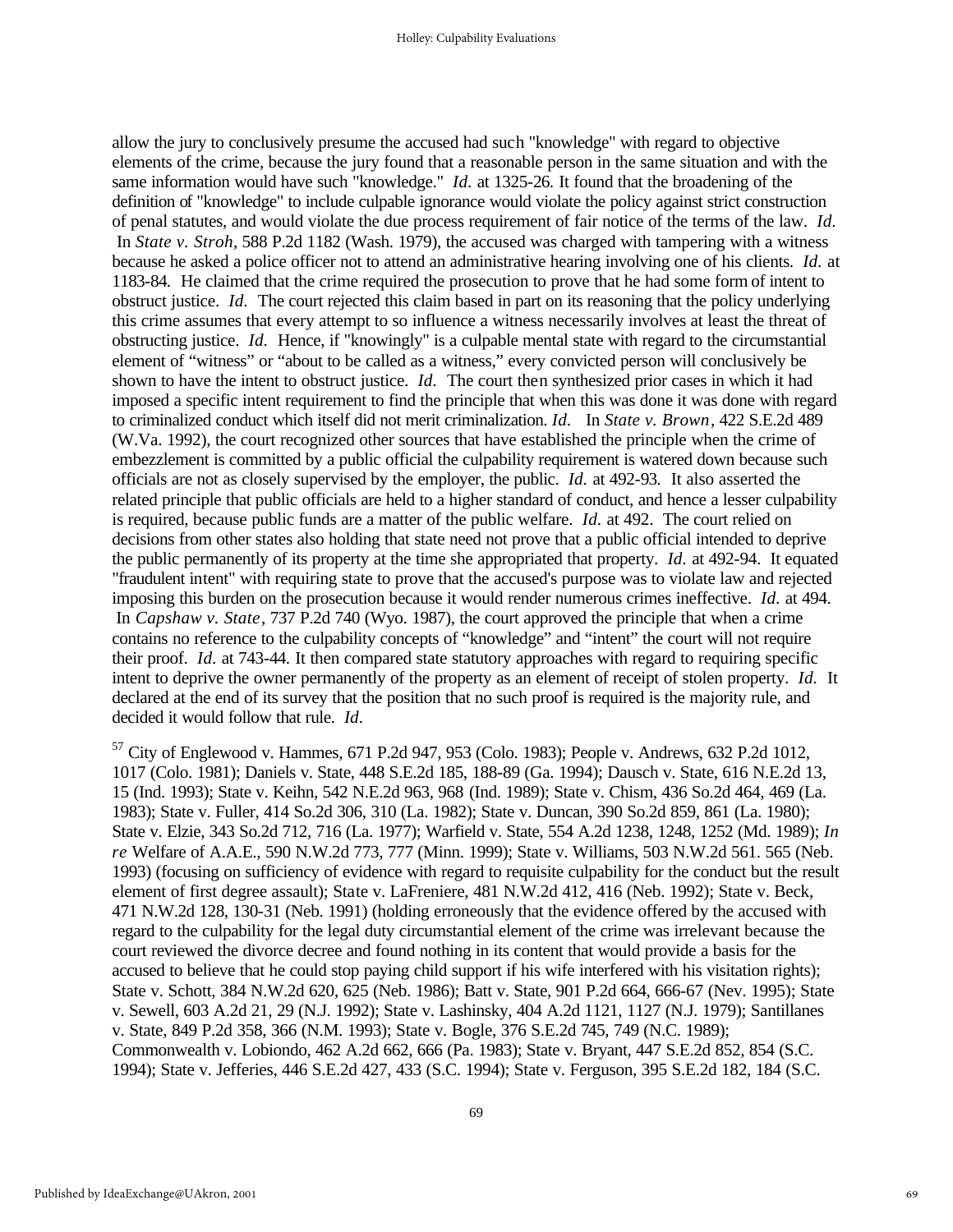allow the jury to conclusively presume the accused had such "knowledge" with regard to objective elements of the crime, because the jury found that a reasonable person in the same situation and with the same information would have such "knowledge." *Id.* at 1325-26. It found that the broadening of the definition of "knowledge" to include culpable ignorance would violate the policy against strict construction of penal statutes, and would violate the due process requirement of fair notice of the terms of the law. *Id.*  In *State v. Stroh*, 588 P.2d 1182 (Wash. 1979), the accused was charged with tampering with a witness because he asked a police officer not to attend an administrative hearing involving one of his clients. *Id.* at 1183-84.He claimed that the crime required the prosecution to prove that he had some form of intent to obstruct justice. *Id.* The court rejected this claim based in part on its reasoning that the policy underlying this crime assumes that every attempt to so influence a witness necessarily involves at least the threat of obstructing justice. *Id.* Hence, if "knowingly" is a culpable mental state with regard to the circumstantial element of "witness" or "about to be called as a witness," every convicted person will conclusively be shown to have the intent to obstruct justice. *Id.* The court then synthesized prior cases in which it had imposed a specific intent requirement to find the principle that when this was done it was done with regard to criminalized conduct which itself did not merit criminalization. *Id.* In *State v. Brown*, 422 S.E.2d 489 (W.Va. 1992), the court recognized other sources that have established the principle when the crime of embezzlement is committed by a public official the culpability requirement is watered down because such officials are not as closely supervised by the employer, the public. *Id.* at 492-93.It also asserted the related principle that public officials are held to a higher standard of conduct, and hence a lesser culpability is required, because public funds are a matter of the public welfare. *Id.* at 492. The court relied on decisions from other states also holding that state need not prove that a public official intended to deprive the public permanently of its property at the time she appropriated that property. *Id.* at 492-94. It equated "fraudulent intent" with requiring state to prove that the accused's purpose was to violate law and rejected imposing this burden on the prosecution because it would render numerous crimes ineffective. *Id.* at 494. In *Capshaw v. State*, 737 P.2d 740 (Wyo. 1987), the court approved the principle that when a crime contains no reference to the culpability concepts of "knowledge" and "intent" the court will not require their proof. *Id.* at 743-44. It then compared state statutory approaches with regard to requiring specific intent to deprive the owner permanently of the property as an element of receipt of stolen property. *Id.* It declared at the end of its survey that the position that no such proof is required is the majority rule, and decided it would follow that rule. *Id.*

 $57$  City of Englewood v. Hammes, 671 P.2d 947, 953 (Colo. 1983); People v. Andrews, 632 P.2d 1012, 1017 (Colo. 1981); Daniels v. State, 448 S.E.2d 185, 188-89 (Ga. 1994); Dausch v. State, 616 N.E.2d 13, 15 (Ind. 1993); State v. Keihn, 542 N.E.2d 963, 968 (Ind. 1989); State v. Chism, 436 So.2d 464, 469 (La. 1983); State v. Fuller, 414 So.2d 306, 310 (La. 1982); State v. Duncan, 390 So.2d 859, 861 (La. 1980); State v. Elzie, 343 So.2d 712, 716 (La. 1977); Warfield v. State, 554 A.2d 1238, 1248, 1252 (Md. 1989); *In re* Welfare of A.A.E., 590 N.W.2d 773, 777 (Minn. 1999); State v. Williams, 503 N.W.2d 561. 565 (Neb. 1993) (focusing on sufficiency of evidence with regard to requisite culpability for the conduct but the result element of first degree assault); State v. LaFreniere, 481 N.W.2d 412, 416 (Neb. 1992); State v. Beck, 471 N.W.2d 128, 130-31 (Neb. 1991) (holding erroneously that the evidence offered by the accused with regard to the culpability for the legal duty circumstantial element of the crime was irrelevant because the court reviewed the divorce decree and found nothing in its content that would provide a basis for the accused to believe that he could stop paying child support if his wife interfered with his visitation rights); State v. Schott, 384 N.W.2d 620, 625 (Neb. 1986); Batt v. State, 901 P.2d 664, 666-67 (Nev. 1995); State v. Sewell, 603 A.2d 21, 29 (N.J. 1992); State v. Lashinsky, 404 A.2d 1121, 1127 (N.J. 1979); Santillanes v. State, 849 P.2d 358, 366 (N.M. 1993); State v. Bogle, 376 S.E.2d 745, 749 (N.C. 1989); Commonwealth v. Lobiondo, 462 A.2d 662, 666 (Pa. 1983); State v. Bryant, 447 S.E.2d 852, 854 (S.C. 1994); State v. Jefferies, 446 S.E.2d 427, 433 (S.C. 1994); State v. Ferguson, 395 S.E.2d 182, 184 (S.C.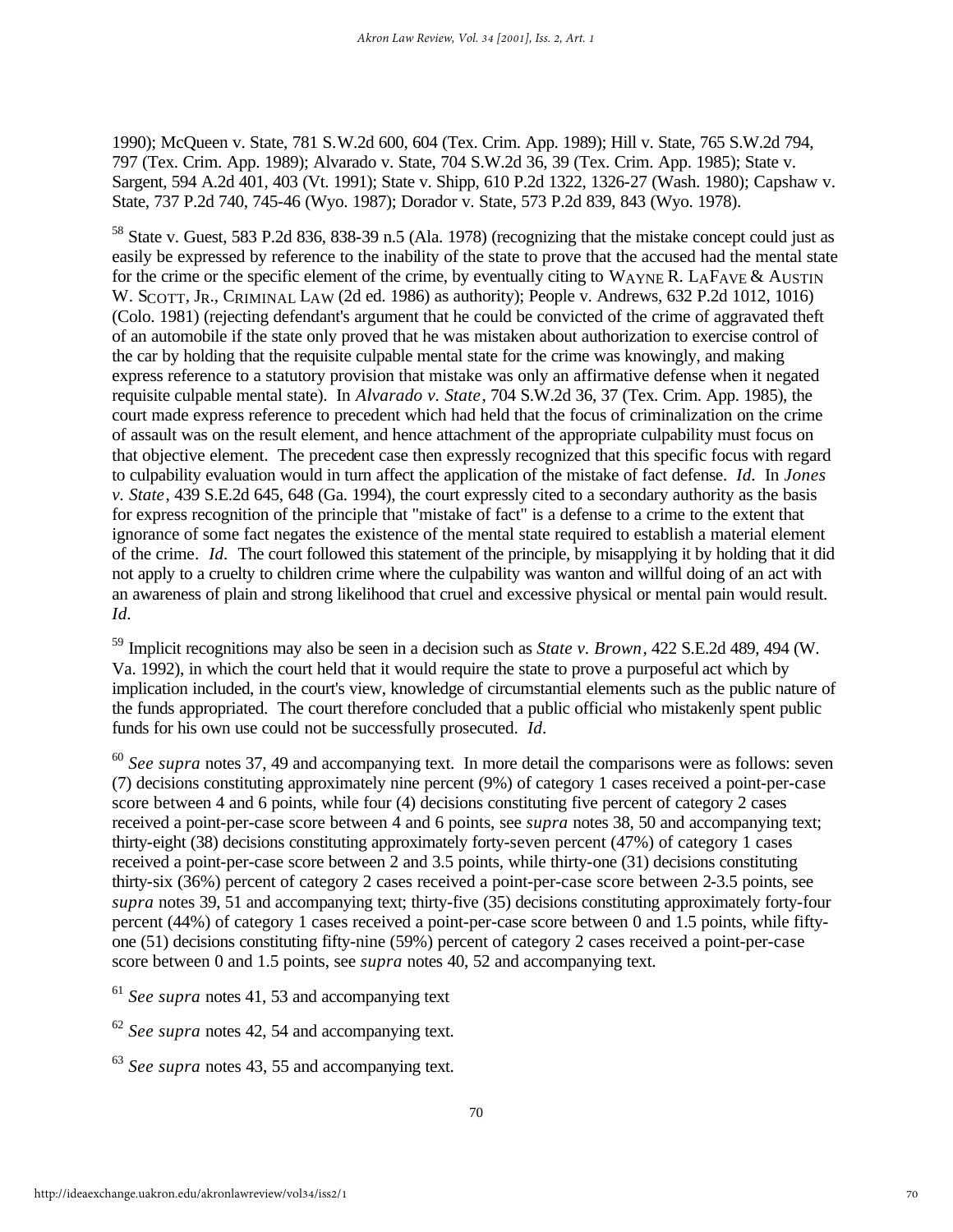1990); McQueen v. State, 781 S.W.2d 600, 604 (Tex. Crim. App. 1989); Hill v. State, 765 S.W.2d 794, 797 (Tex. Crim. App. 1989); Alvarado v. State, 704 S.W.2d 36, 39 (Tex. Crim. App. 1985); State v. Sargent, 594 A.2d 401, 403 (Vt. 1991); State v. Shipp, 610 P.2d 1322, 1326-27 (Wash. 1980); Capshaw v. State, 737 P.2d 740, 745-46 (Wyo. 1987); Dorador v. State, 573 P.2d 839, 843 (Wyo. 1978).

<sup>58</sup> State v. Guest, 583 P.2d 836, 838-39 n.5 (Ala. 1978) (recognizing that the mistake concept could just as easily be expressed by reference to the inability of the state to prove that the accused had the mental state for the crime or the specific element of the crime, by eventually citing to WAYNE R. LAFAVE & AUSTIN W. SCOTT, JR., CRIMINAL LAW (2d ed. 1986) as authority); People v. Andrews, 632 P.2d 1012, 1016) (Colo. 1981) (rejecting defendant's argument that he could be convicted of the crime of aggravated theft of an automobile if the state only proved that he was mistaken about authorization to exercise control of the car by holding that the requisite culpable mental state for the crime was knowingly, and making express reference to a statutory provision that mistake was only an affirmative defense when it negated requisite culpable mental state). In *Alvarado v. State*, 704 S.W.2d 36, 37 (Tex. Crim. App. 1985), the court made express reference to precedent which had held that the focus of criminalization on the crime of assault was on the result element, and hence attachment of the appropriate culpability must focus on that objective element. The precedent case then expressly recognized that this specific focus with regard to culpability evaluation would in turn affect the application of the mistake of fact defense. *Id.* In *Jones v. State*, 439 S.E.2d 645, 648 (Ga. 1994), the court expressly cited to a secondary authority as the basis for express recognition of the principle that "mistake of fact" is a defense to a crime to the extent that ignorance of some fact negates the existence of the mental state required to establish a material element of the crime. *Id.* The court followed this statement of the principle, by misapplying it by holding that it did not apply to a cruelty to children crime where the culpability was wanton and willful doing of an act with an awareness of plain and strong likelihood that cruel and excessive physical or mental pain would result. *Id.*

<sup>59</sup> Implicit recognitions may also be seen in a decision such as *State v. Brown*, 422 S.E.2d 489, 494 (W. Va. 1992), in which the court held that it would require the state to prove a purposeful act which by implication included, in the court's view, knowledge of circumstantial elements such as the public nature of the funds appropriated. The court therefore concluded that a public official who mistakenly spent public funds for his own use could not be successfully prosecuted. *Id.*

<sup>60</sup> *See supra* notes 37, 49 and accompanying text. In more detail the comparisons were as follows: seven (7) decisions constituting approximately nine percent (9%) of category 1 cases received a point-per-case score between 4 and 6 points, while four (4) decisions constituting five percent of category 2 cases received a point-per-case score between 4 and 6 points, see *supra* notes 38, 50 and accompanying text; thirty-eight (38) decisions constituting approximately forty-seven percent (47%) of category 1 cases received a point-per-case score between 2 and 3.5 points, while thirty-one (31) decisions constituting thirty-six (36%) percent of category 2 cases received a point-per-case score between 2-3.5 points, see *supra* notes 39, 51 and accompanying text; thirty-five (35) decisions constituting approximately forty-four percent (44%) of category 1 cases received a point-per-case score between 0 and 1.5 points, while fiftyone (51) decisions constituting fifty-nine (59%) percent of category 2 cases received a point-per-case score between 0 and 1.5 points, see *supra* notes 40, 52 and accompanying text.

<sup>61</sup> *See supra* notes 41, 53 and accompanying text

<sup>62</sup> *See supra* notes 42, 54 and accompanying text.

<sup>63</sup> *See supra* notes 43, 55 and accompanying text.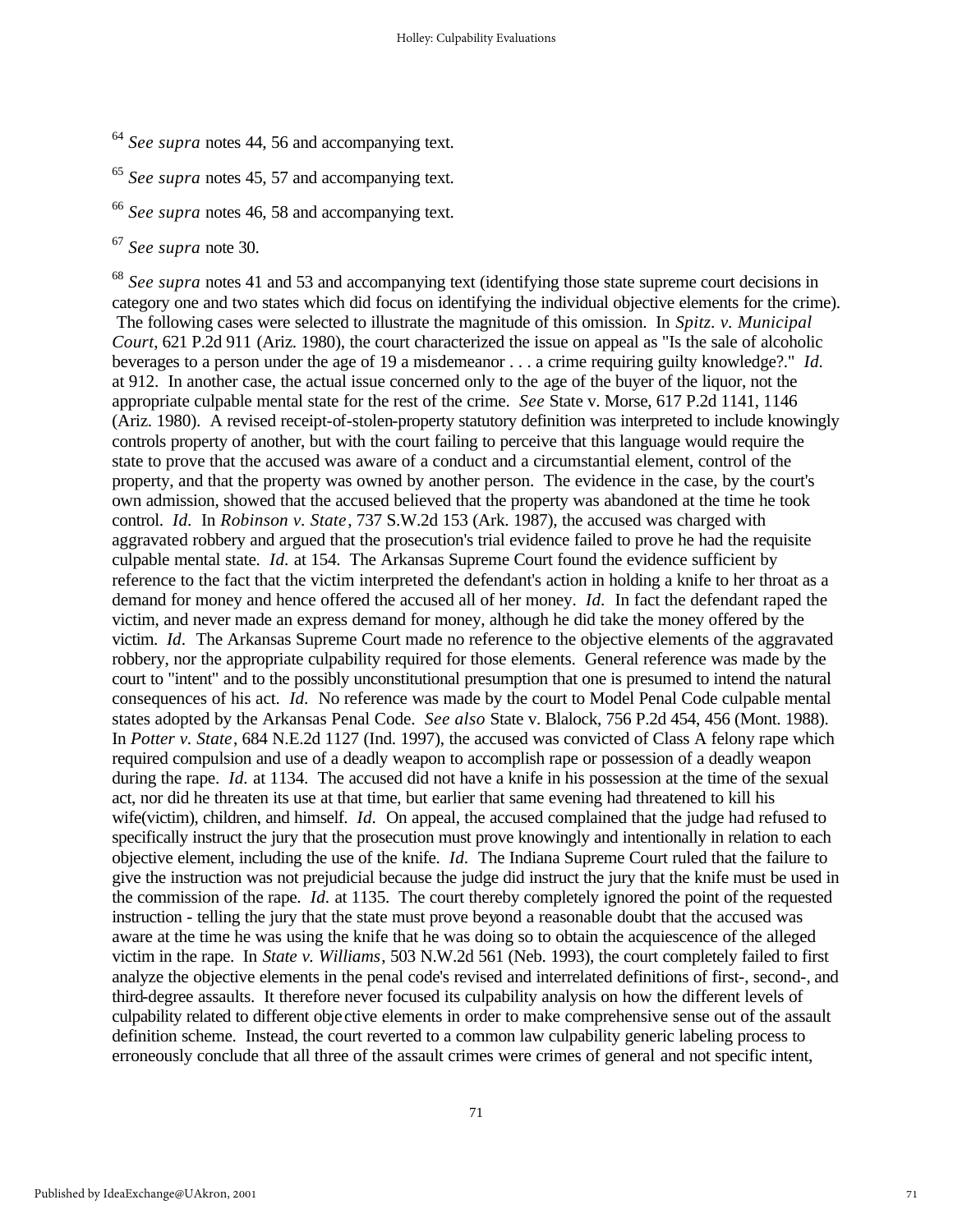- <sup>64</sup> *See supra* notes 44, 56 and accompanying text.
- <sup>65</sup> *See supra* notes 45, 57 and accompanying text.
- <sup>66</sup> *See supra* notes 46, 58 and accompanying text.
- <sup>67</sup> *See supra* note 30.

<sup>68</sup> *See supra* notes 41 and 53 and accompanying text (identifying those state supreme court decisions in category one and two states which did focus on identifying the individual objective elements for the crime). The following cases were selected to illustrate the magnitude of this omission. In *Spitz. v. Municipal Court*, 621 P.2d 911 (Ariz. 1980), the court characterized the issue on appeal as "Is the sale of alcoholic beverages to a person under the age of 19 a misdemeanor . . . a crime requiring guilty knowledge?." *Id.* at 912. In another case, the actual issue concerned only to the age of the buyer of the liquor, not the appropriate culpable mental state for the rest of the crime. *See* State v. Morse, 617 P.2d 1141, 1146 (Ariz. 1980). A revised receipt-of-stolen-property statutory definition was interpreted to include knowingly controls property of another, but with the court failing to perceive that this language would require the state to prove that the accused was aware of a conduct and a circumstantial element, control of the property, and that the property was owned by another person. The evidence in the case, by the court's own admission, showed that the accused believed that the property was abandoned at the time he took control. *Id.* In *Robinson v. State*, 737 S.W.2d 153 (Ark. 1987), the accused was charged with aggravated robbery and argued that the prosecution's trial evidence failed to prove he had the requisite culpable mental state. *Id.* at 154. The Arkansas Supreme Court found the evidence sufficient by reference to the fact that the victim interpreted the defendant's action in holding a knife to her throat as a demand for money and hence offered the accused all of her money. *Id.* In fact the defendant raped the victim, and never made an express demand for money, although he did take the money offered by the victim. *Id.* The Arkansas Supreme Court made no reference to the objective elements of the aggravated robbery, nor the appropriate culpability required for those elements. General reference was made by the court to "intent" and to the possibly unconstitutional presumption that one is presumed to intend the natural consequences of his act. *Id.* No reference was made by the court to Model Penal Code culpable mental states adopted by the Arkansas Penal Code. *See also* State v. Blalock, 756 P.2d 454, 456 (Mont. 1988). In *Potter v. State*, 684 N.E.2d 1127 (Ind. 1997), the accused was convicted of Class A felony rape which required compulsion and use of a deadly weapon to accomplish rape or possession of a deadly weapon during the rape. *Id.* at 1134. The accused did not have a knife in his possession at the time of the sexual act, nor did he threaten its use at that time, but earlier that same evening had threatened to kill his wife(victim), children, and himself. *Id.* On appeal, the accused complained that the judge had refused to specifically instruct the jury that the prosecution must prove knowingly and intentionally in relation to each objective element, including the use of the knife. *Id.* The Indiana Supreme Court ruled that the failure to give the instruction was not prejudicial because the judge did instruct the jury that the knife must be used in the commission of the rape. *Id.* at 1135. The court thereby completely ignored the point of the requested instruction - telling the jury that the state must prove beyond a reasonable doubt that the accused was aware at the time he was using the knife that he was doing so to obtain the acquiescence of the alleged victim in the rape. In *State v. Williams*, 503 N.W.2d 561 (Neb. 1993), the court completely failed to first analyze the objective elements in the penal code's revised and interrelated definitions of first-, second-, and third-degree assaults. It therefore never focused its culpability analysis on how the different levels of culpability related to different objective elements in order to make comprehensive sense out of the assault definition scheme. Instead, the court reverted to a common law culpability generic labeling process to erroneously conclude that all three of the assault crimes were crimes of general and not specific intent,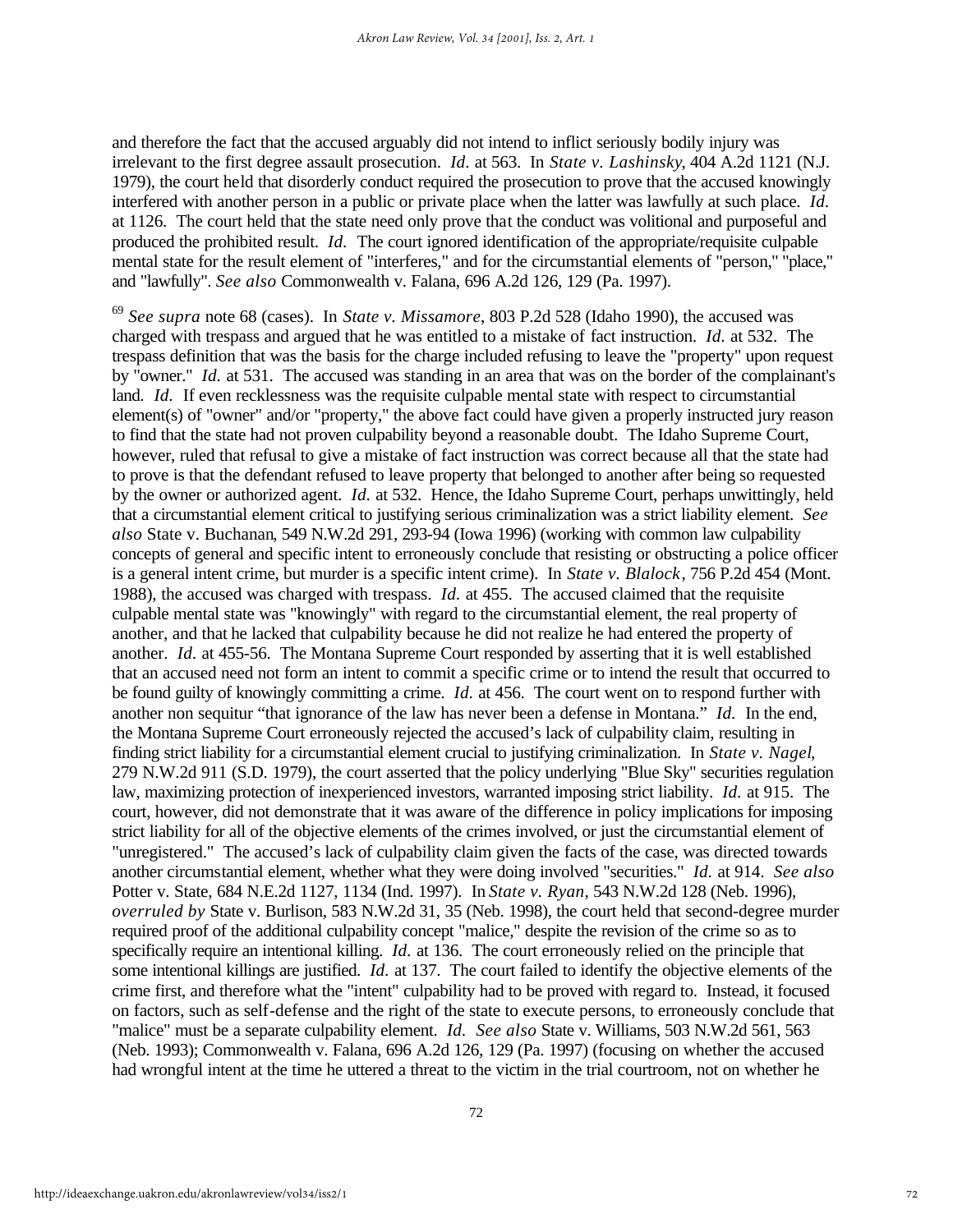and therefore the fact that the accused arguably did not intend to inflict seriously bodily injury was irrelevant to the first degree assault prosecution. *Id.* at 563. In *State v. Lashinsky*, 404 A.2d 1121 (N.J. 1979), the court held that disorderly conduct required the prosecution to prove that the accused knowingly interfered with another person in a public or private place when the latter was lawfully at such place. *Id.* at 1126. The court held that the state need only prove that the conduct was volitional and purposeful and produced the prohibited result. *Id.* The court ignored identification of the appropriate/requisite culpable mental state for the result element of "interferes," and for the circumstantial elements of "person," "place," and "lawfully". *See also* Commonwealth v. Falana, 696 A.2d 126, 129 (Pa. 1997).

<sup>69</sup> *See supra* note 68 (cases). In *State v. Missamore*, 803 P.2d 528 (Idaho 1990), the accused was charged with trespass and argued that he was entitled to a mistake of fact instruction. *Id.* at 532. The trespass definition that was the basis for the charge included refusing to leave the "property" upon request by "owner." *Id.* at 531. The accused was standing in an area that was on the border of the complainant's land. *Id.* If even recklessness was the requisite culpable mental state with respect to circumstantial element(s) of "owner" and/or "property," the above fact could have given a properly instructed jury reason to find that the state had not proven culpability beyond a reasonable doubt. The Idaho Supreme Court, however, ruled that refusal to give a mistake of fact instruction was correct because all that the state had to prove is that the defendant refused to leave property that belonged to another after being so requested by the owner or authorized agent. *Id.* at 532. Hence, the Idaho Supreme Court, perhaps unwittingly, held that a circumstantial element critical to justifying serious criminalization was a strict liability element. *See also* State v. Buchanan, 549 N.W.2d 291, 293-94 (Iowa 1996) (working with common law culpability concepts of general and specific intent to erroneously conclude that resisting or obstructing a police officer is a general intent crime, but murder is a specific intent crime). In *State v. Blalock*, 756 P.2d 454 (Mont. 1988), the accused was charged with trespass. *Id.* at 455. The accused claimed that the requisite culpable mental state was "knowingly" with regard to the circumstantial element, the real property of another, and that he lacked that culpability because he did not realize he had entered the property of another. *Id.* at 455-56. The Montana Supreme Court responded by asserting that it is well established that an accused need not form an intent to commit a specific crime or to intend the result that occurred to be found guilty of knowingly committing a crime. *Id.* at 456. The court went on to respond further with another non sequitur "that ignorance of the law has never been a defense in Montana." *Id.* In the end, the Montana Supreme Court erroneously rejected the accused's lack of culpability claim, resulting in finding strict liability for a circumstantial element crucial to justifying criminalization. In *State v. Nagel*, 279 N.W.2d 911 (S.D. 1979), the court asserted that the policy underlying "Blue Sky" securities regulation law, maximizing protection of inexperienced investors, warranted imposing strict liability. *Id.* at 915. The court, however, did not demonstrate that it was aware of the difference in policy implications for imposing strict liability for all of the objective elements of the crimes involved, or just the circumstantial element of "unregistered." The accused's lack of culpability claim given the facts of the case, was directed towards another circumstantial element, whether what they were doing involved "securities." *Id.* at 914. *See also* Potter v. State, 684 N.E.2d 1127, 1134 (Ind. 1997). In *State v. Ryan*, 543 N.W.2d 128 (Neb. 1996), *overruled by* State v. Burlison, 583 N.W.2d 31, 35 (Neb. 1998), the court held that second-degree murder required proof of the additional culpability concept "malice," despite the revision of the crime so as to specifically require an intentional killing. *Id.* at 136. The court erroneously relied on the principle that some intentional killings are justified. *Id.* at 137. The court failed to identify the objective elements of the crime first, and therefore what the "intent" culpability had to be proved with regard to. Instead, it focused on factors, such as self-defense and the right of the state to execute persons, to erroneously conclude that "malice" must be a separate culpability element. *Id. See also* State v. Williams, 503 N.W.2d 561, 563 (Neb. 1993); Commonwealth v. Falana, 696 A.2d 126, 129 (Pa. 1997) (focusing on whether the accused had wrongful intent at the time he uttered a threat to the victim in the trial courtroom, not on whether he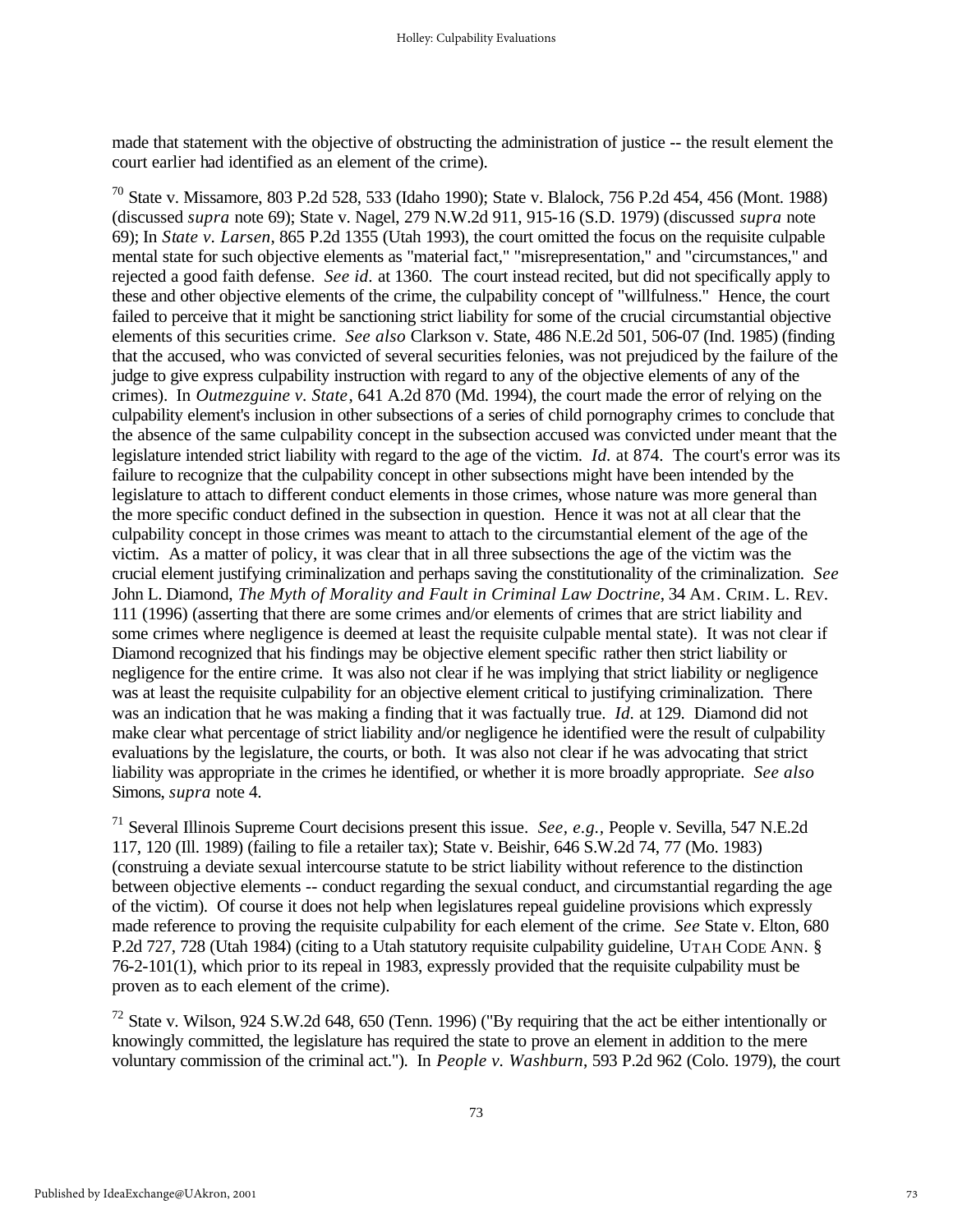made that statement with the objective of obstructing the administration of justice -- the result element the court earlier had identified as an element of the crime).

<sup>70</sup> State v. Missamore, 803 P.2d 528, 533 (Idaho 1990); State v. Blalock, 756 P.2d 454, 456 (Mont. 1988) (discussed *supra* note 69); State v. Nagel, 279 N.W.2d 911, 915-16 (S.D. 1979) (discussed *supra* note 69); In *State v. Larsen*, 865 P.2d 1355 (Utah 1993), the court omitted the focus on the requisite culpable mental state for such objective elements as "material fact," "misrepresentation," and "circumstances," and rejected a good faith defense. *See id.* at 1360. The court instead recited, but did not specifically apply to these and other objective elements of the crime, the culpability concept of "willfulness." Hence, the court failed to perceive that it might be sanctioning strict liability for some of the crucial circumstantial objective elements of this securities crime. *See also* Clarkson v. State, 486 N.E.2d 501, 506-07 (Ind. 1985) (finding that the accused, who was convicted of several securities felonies, was not prejudiced by the failure of the judge to give express culpability instruction with regard to any of the objective elements of any of the crimes). In *Outmezguine v. State*, 641 A.2d 870 (Md. 1994), the court made the error of relying on the culpability element's inclusion in other subsections of a series of child pornography crimes to conclude that the absence of the same culpability concept in the subsection accused was convicted under meant that the legislature intended strict liability with regard to the age of the victim. *Id.* at 874. The court's error was its failure to recognize that the culpability concept in other subsections might have been intended by the legislature to attach to different conduct elements in those crimes, whose nature was more general than the more specific conduct defined in the subsection in question. Hence it was not at all clear that the culpability concept in those crimes was meant to attach to the circumstantial element of the age of the victim. As a matter of policy, it was clear that in all three subsections the age of the victim was the crucial element justifying criminalization and perhaps saving the constitutionality of the criminalization. *See* John L. Diamond, *The Myth of Morality and Fault in Criminal Law Doctrine*, 34 AM. CRIM. L. REV. 111 (1996) (asserting that there are some crimes and/or elements of crimes that are strict liability and some crimes where negligence is deemed at least the requisite culpable mental state). It was not clear if Diamond recognized that his findings may be objective element specific rather then strict liability or negligence for the entire crime. It was also not clear if he was implying that strict liability or negligence was at least the requisite culpability for an objective element critical to justifying criminalization. There was an indication that he was making a finding that it was factually true. *Id.* at 129. Diamond did not make clear what percentage of strict liability and/or negligence he identified were the result of culpability evaluations by the legislature, the courts, or both. It was also not clear if he was advocating that strict liability was appropriate in the crimes he identified, or whether it is more broadly appropriate. *See also* Simons, *supra* note 4.

<sup>71</sup> Several Illinois Supreme Court decisions present this issue. *See, e.g.,* People v. Sevilla, 547 N.E.2d 117, 120 (Ill. 1989) (failing to file a retailer tax); State v. Beishir, 646 S.W.2d 74, 77 (Mo. 1983) (construing a deviate sexual intercourse statute to be strict liability without reference to the distinction between objective elements -- conduct regarding the sexual conduct, and circumstantial regarding the age of the victim). Of course it does not help when legislatures repeal guideline provisions which expressly made reference to proving the requisite culpability for each element of the crime. *See* State v. Elton, 680 P.2d 727, 728 (Utah 1984) (citing to a Utah statutory requisite culpability guideline, UTAH CODE ANN. § 76-2-101(1), which prior to its repeal in 1983, expressly provided that the requisite culpability must be proven as to each element of the crime).

 $72$  State v. Wilson, 924 S.W.2d 648, 650 (Tenn. 1996) ("By requiring that the act be either intentionally or knowingly committed, the legislature has required the state to prove an element in addition to the mere voluntary commission of the criminal act."). In *People v. Washburn*, 593 P.2d 962 (Colo. 1979), the court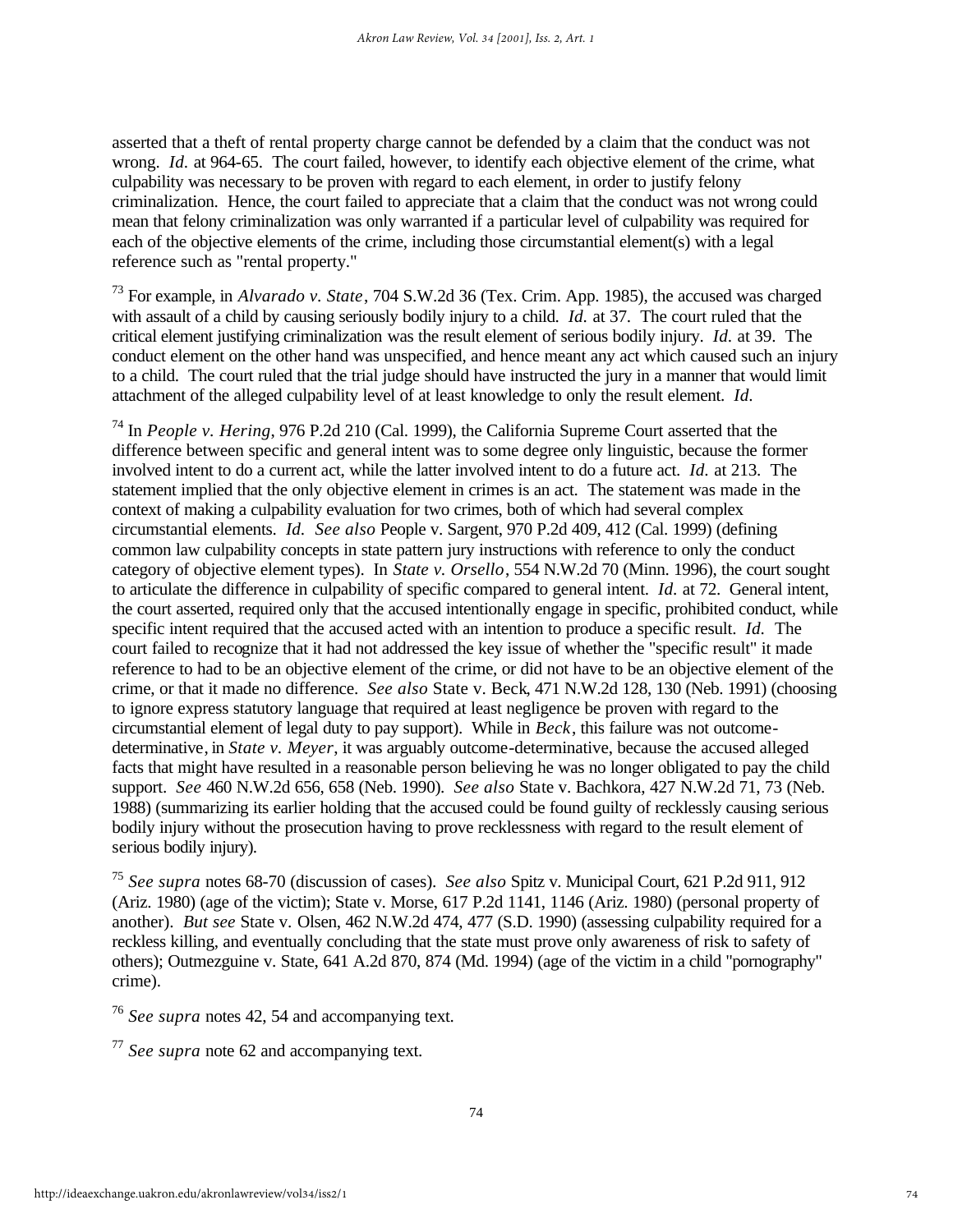asserted that a theft of rental property charge cannot be defended by a claim that the conduct was not wrong. *Id.* at 964-65. The court failed, however, to identify each objective element of the crime, what culpability was necessary to be proven with regard to each element, in order to justify felony criminalization. Hence, the court failed to appreciate that a claim that the conduct was not wrong could mean that felony criminalization was only warranted if a particular level of culpability was required for each of the objective elements of the crime, including those circumstantial element(s) with a legal reference such as "rental property."

<sup>73</sup> For example, in *Alvarado v. State*, 704 S.W.2d 36 (Tex. Crim. App. 1985), the accused was charged with assault of a child by causing seriously bodily injury to a child. *Id.* at 37. The court ruled that the critical element justifying criminalization was the result element of serious bodily injury. *Id.* at 39. The conduct element on the other hand was unspecified, and hence meant any act which caused such an injury to a child. The court ruled that the trial judge should have instructed the jury in a manner that would limit attachment of the alleged culpability level of at least knowledge to only the result element. *Id.*

<sup>74</sup> In *People v. Hering*, 976 P.2d 210 (Cal. 1999), the California Supreme Court asserted that the difference between specific and general intent was to some degree only linguistic, because the former involved intent to do a current act, while the latter involved intent to do a future act. *Id.* at 213. The statement implied that the only objective element in crimes is an act. The statement was made in the context of making a culpability evaluation for two crimes, both of which had several complex circumstantial elements. *Id. See also* People v. Sargent, 970 P.2d 409, 412 (Cal. 1999) (defining common law culpability concepts in state pattern jury instructions with reference to only the conduct category of objective element types). In *State v. Orsello*, 554 N.W.2d 70 (Minn. 1996), the court sought to articulate the difference in culpability of specific compared to general intent. *Id.* at 72. General intent, the court asserted, required only that the accused intentionally engage in specific, prohibited conduct, while specific intent required that the accused acted with an intention to produce a specific result. *Id.* The court failed to recognize that it had not addressed the key issue of whether the "specific result" it made reference to had to be an objective element of the crime, or did not have to be an objective element of the crime, or that it made no difference. *See also* State v. Beck, 471 N.W.2d 128, 130 (Neb. 1991) (choosing to ignore express statutory language that required at least negligence be proven with regard to the circumstantial element of legal duty to pay support). While in *Beck*, this failure was not outcomedeterminative, in *State v. Meyer*, it was arguably outcome-determinative, because the accused alleged facts that might have resulted in a reasonable person believing he was no longer obligated to pay the child support. *See* 460 N.W.2d 656, 658 (Neb. 1990). *See also* State v. Bachkora, 427 N.W.2d 71, 73 (Neb. 1988) (summarizing its earlier holding that the accused could be found guilty of recklessly causing serious bodily injury without the prosecution having to prove recklessness with regard to the result element of serious bodily injury).

<sup>75</sup> *See supra* notes 68-70 (discussion of cases). *See also* Spitz v. Municipal Court, 621 P.2d 911, 912 (Ariz. 1980) (age of the victim); State v. Morse, 617 P.2d 1141, 1146 (Ariz. 1980) (personal property of another). *But see* State v. Olsen, 462 N.W.2d 474, 477 (S.D. 1990) (assessing culpability required for a reckless killing, and eventually concluding that the state must prove only awareness of risk to safety of others); Outmezguine v. State, 641 A.2d 870, 874 (Md. 1994) (age of the victim in a child "pornography" crime).

<sup>76</sup> *See supra* notes 42, 54 and accompanying text.

<sup>77</sup> *See supra* note 62 and accompanying text.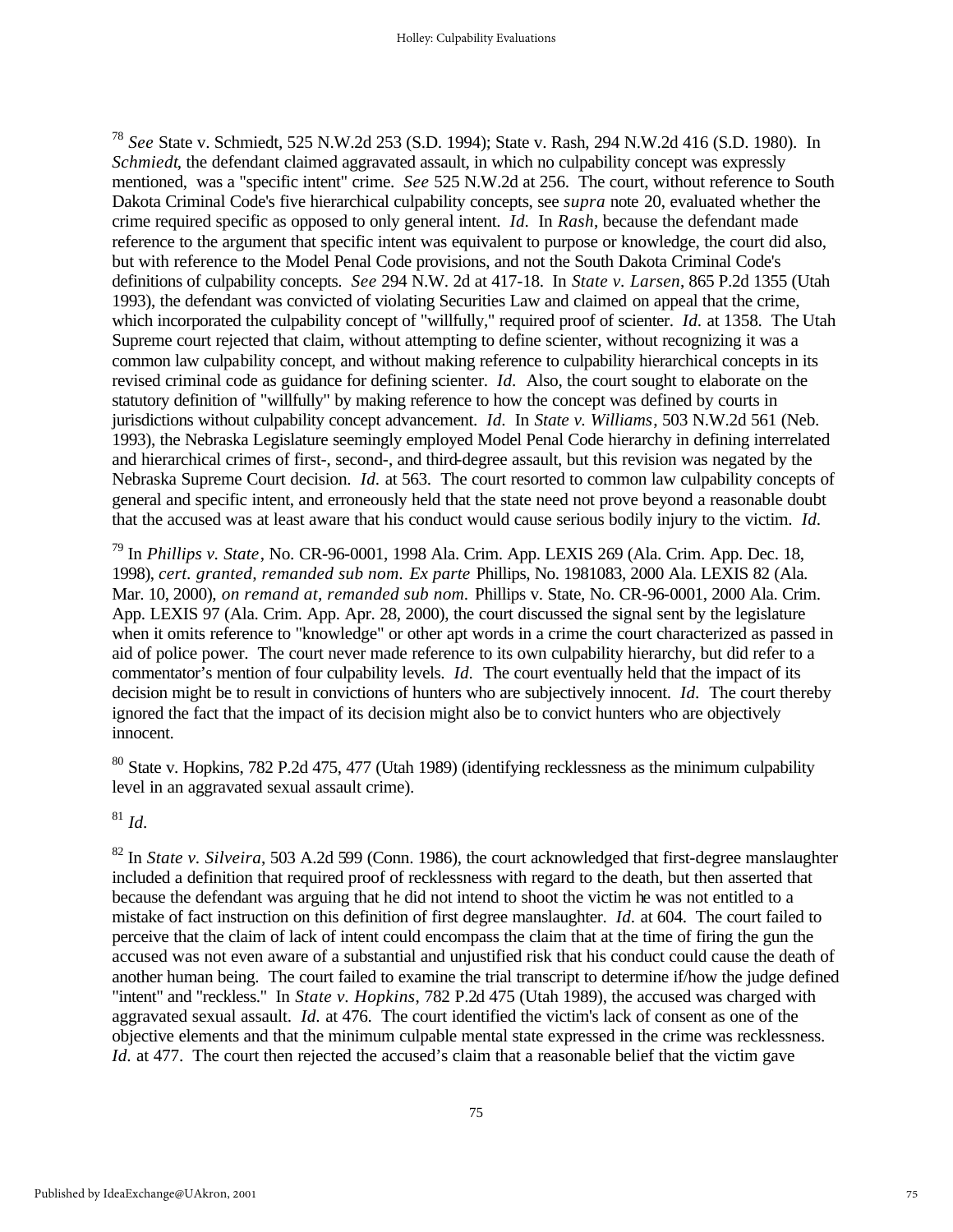<sup>78</sup> *See* State v. Schmiedt, 525 N.W.2d 253 (S.D. 1994); State v. Rash, 294 N.W.2d 416 (S.D. 1980). In *Schmiedt*, the defendant claimed aggravated assault, in which no culpability concept was expressly mentioned, was a "specific intent" crime. *See* 525 N.W.2d at 256. The court, without reference to South Dakota Criminal Code's five hierarchical culpability concepts, see *supra* note 20, evaluated whether the crime required specific as opposed to only general intent. *Id.* In *Rash*, because the defendant made reference to the argument that specific intent was equivalent to purpose or knowledge, the court did also, but with reference to the Model Penal Code provisions, and not the South Dakota Criminal Code's definitions of culpability concepts. *See* 294 N.W. 2d at 417-18. In *State v. Larsen*, 865 P.2d 1355 (Utah 1993), the defendant was convicted of violating Securities Law and claimed on appeal that the crime, which incorporated the culpability concept of "willfully," required proof of scienter. *Id.* at 1358. The Utah Supreme court rejected that claim, without attempting to define scienter, without recognizing it was a common law culpability concept, and without making reference to culpability hierarchical concepts in its revised criminal code as guidance for defining scienter. *Id.* Also, the court sought to elaborate on the statutory definition of "willfully" by making reference to how the concept was defined by courts in jurisdictions without culpability concept advancement. *Id.* In *State v. Williams*, 503 N.W.2d 561 (Neb. 1993), the Nebraska Legislature seemingly employed Model Penal Code hierarchy in defining interrelated and hierarchical crimes of first-, second-, and third-degree assault, but this revision was negated by the Nebraska Supreme Court decision. *Id.* at 563. The court resorted to common law culpability concepts of general and specific intent, and erroneously held that the state need not prove beyond a reasonable doubt that the accused was at least aware that his conduct would cause serious bodily injury to the victim. *Id.*

<sup>79</sup> In *Phillips v. State*, No. CR-96-0001, 1998 Ala. Crim. App. LEXIS 269 (Ala. Crim. App. Dec. 18, 1998), *cert. granted, remanded sub nom. Ex parte* Phillips, No. 1981083, 2000 Ala. LEXIS 82 (Ala. Mar. 10, 2000), *on remand at, remanded sub nom.* Phillips v. State, No. CR-96-0001, 2000 Ala. Crim. App. LEXIS 97 (Ala. Crim. App. Apr. 28, 2000), the court discussed the signal sent by the legislature when it omits reference to "knowledge" or other apt words in a crime the court characterized as passed in aid of police power. The court never made reference to its own culpability hierarchy, but did refer to a commentator's mention of four culpability levels. *Id.* The court eventually held that the impact of its decision might be to result in convictions of hunters who are subjectively innocent. *Id.* The court thereby ignored the fact that the impact of its decision might also be to convict hunters who are objectively innocent.

<sup>80</sup> State v. Hopkins, 782 P.2d 475, 477 (Utah 1989) (identifying recklessness as the minimum culpability level in an aggravated sexual assault crime).

<sup>81</sup> *Id.*

<sup>82</sup> In *State v. Silveira*, 503 A.2d 599 (Conn. 1986), the court acknowledged that first-degree manslaughter included a definition that required proof of recklessness with regard to the death, but then asserted that because the defendant was arguing that he did not intend to shoot the victim he was not entitled to a mistake of fact instruction on this definition of first degree manslaughter. *Id.* at 604. The court failed to perceive that the claim of lack of intent could encompass the claim that at the time of firing the gun the accused was not even aware of a substantial and unjustified risk that his conduct could cause the death of another human being. The court failed to examine the trial transcript to determine if/how the judge defined "intent" and "reckless." In *State v. Hopkins*, 782 P.2d 475 (Utah 1989), the accused was charged with aggravated sexual assault. *Id.* at 476. The court identified the victim's lack of consent as one of the objective elements and that the minimum culpable mental state expressed in the crime was recklessness. *Id.* at 477. The court then rejected the accused's claim that a reasonable belief that the victim gave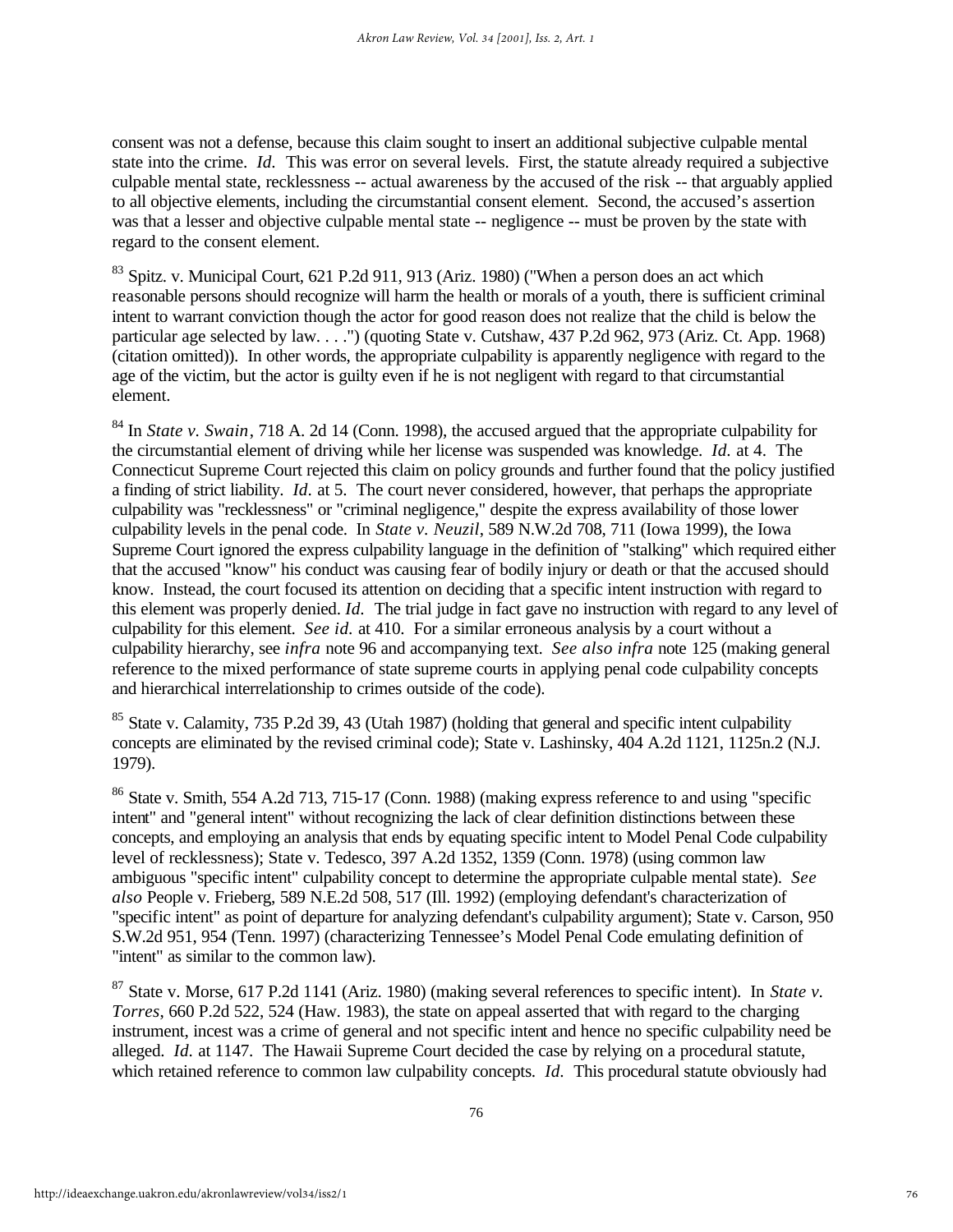consent was not a defense, because this claim sought to insert an additional subjective culpable mental state into the crime. *Id.* This was error on several levels. First, the statute already required a subjective culpable mental state, recklessness -- actual awareness by the accused of the risk -- that arguably applied to all objective elements, including the circumstantial consent element. Second, the accused's assertion was that a lesser and objective culpable mental state -- negligence -- must be proven by the state with regard to the consent element.

 $83$  Spitz. v. Municipal Court, 621 P.2d 911, 913 (Ariz. 1980) ("When a person does an act which reasonable persons should recognize will harm the health or morals of a youth, there is sufficient criminal intent to warrant conviction though the actor for good reason does not realize that the child is below the particular age selected by law. . . .") (quoting State v. Cutshaw, 437 P.2d 962, 973 (Ariz. Ct. App. 1968) (citation omitted)). In other words, the appropriate culpability is apparently negligence with regard to the age of the victim, but the actor is guilty even if he is not negligent with regard to that circumstantial element.

<sup>84</sup> In *State v. Swain*, 718 A. 2d 14 (Conn. 1998), the accused argued that the appropriate culpability for the circumstantial element of driving while her license was suspended was knowledge. *Id.* at 4. The Connecticut Supreme Court rejected this claim on policy grounds and further found that the policy justified a finding of strict liability. *Id.* at 5. The court never considered, however, that perhaps the appropriate culpability was "recklessness" or "criminal negligence," despite the express availability of those lower culpability levels in the penal code. In *State v. Neuzil*, 589 N.W.2d 708, 711 (Iowa 1999), the Iowa Supreme Court ignored the express culpability language in the definition of "stalking" which required either that the accused "know" his conduct was causing fear of bodily injury or death or that the accused should know. Instead, the court focused its attention on deciding that a specific intent instruction with regard to this element was properly denied. *Id.* The trial judge in fact gave no instruction with regard to any level of culpability for this element. *See id.* at 410. For a similar erroneous analysis by a court without a culpability hierarchy, see *infra* note 96 and accompanying text. *See also infra* note 125 (making general reference to the mixed performance of state supreme courts in applying penal code culpability concepts and hierarchical interrelationship to crimes outside of the code).

<sup>85</sup> State v. Calamity, 735 P.2d 39, 43 (Utah 1987) (holding that general and specific intent culpability concepts are eliminated by the revised criminal code); State v. Lashinsky, 404 A.2d 1121, 1125n.2 (N.J. 1979).

<sup>86</sup> State v. Smith, 554 A.2d 713, 715-17 (Conn. 1988) (making express reference to and using "specific intent" and "general intent" without recognizing the lack of clear definition distinctions between these concepts, and employing an analysis that ends by equating specific intent to Model Penal Code culpability level of recklessness); State v. Tedesco, 397 A.2d 1352, 1359 (Conn. 1978) (using common law ambiguous "specific intent" culpability concept to determine the appropriate culpable mental state). *See also* People v. Frieberg, 589 N.E.2d 508, 517 (Ill. 1992) (employing defendant's characterization of "specific intent" as point of departure for analyzing defendant's culpability argument); State v. Carson, 950 S.W.2d 951, 954 (Tenn. 1997) (characterizing Tennessee's Model Penal Code emulating definition of "intent" as similar to the common law).

<sup>87</sup> State v. Morse, 617 P.2d 1141 (Ariz. 1980) (making several references to specific intent). In *State v. Torres*, 660 P.2d 522, 524 (Haw. 1983), the state on appeal asserted that with regard to the charging instrument, incest was a crime of general and not specific intent and hence no specific culpability need be alleged. *Id.* at 1147. The Hawaii Supreme Court decided the case by relying on a procedural statute, which retained reference to common law culpability concepts. *Id.* This procedural statute obviously had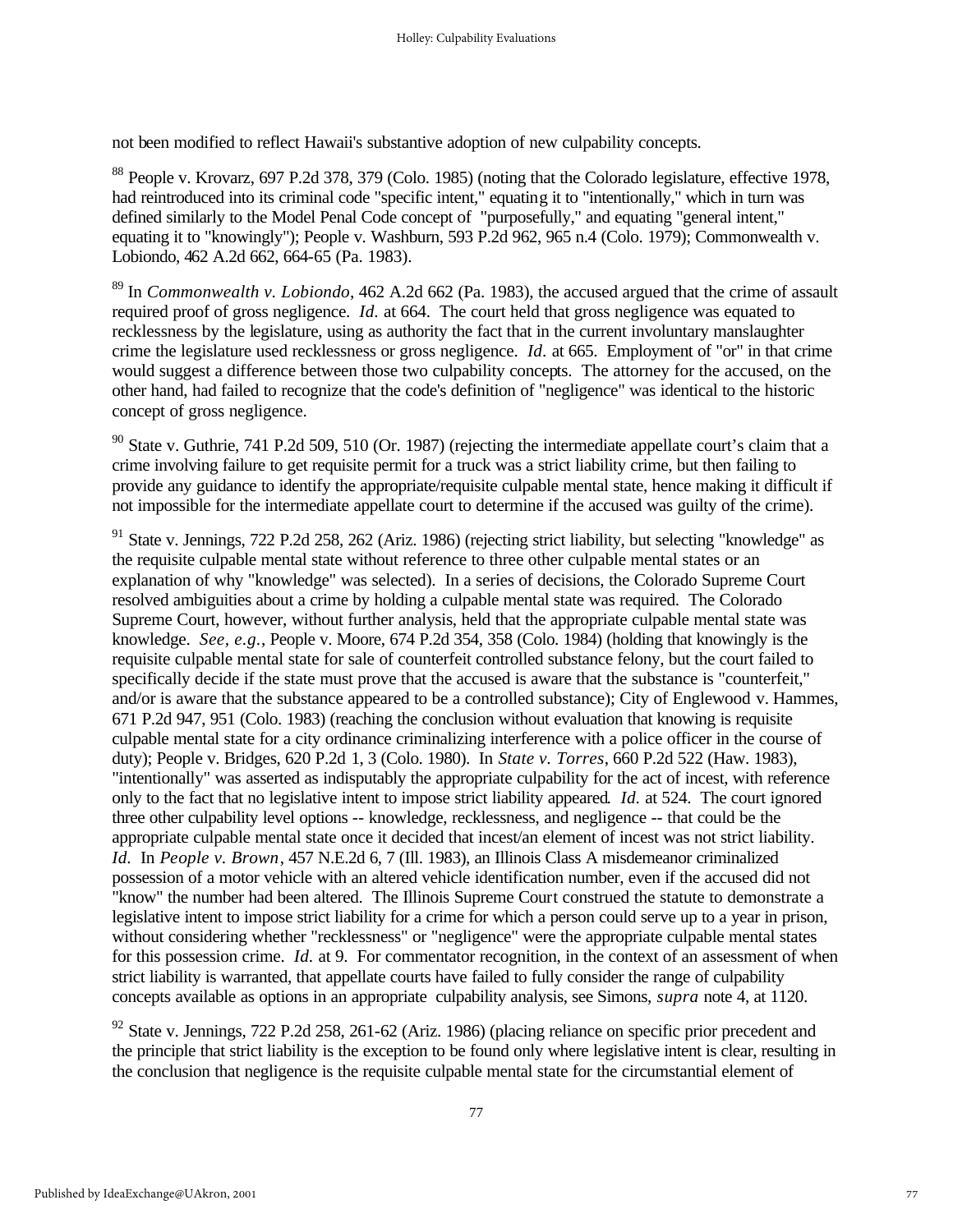not been modified to reflect Hawaii's substantive adoption of new culpability concepts.

<sup>88</sup> People v. Krovarz, 697 P.2d 378, 379 (Colo. 1985) (noting that the Colorado legislature, effective 1978, had reintroduced into its criminal code "specific intent," equating it to "intentionally," which in turn was defined similarly to the Model Penal Code concept of "purposefully," and equating "general intent," equating it to "knowingly"); People v. Washburn, 593 P.2d 962, 965 n.4 (Colo. 1979); Commonwealth v. Lobiondo, 462 A.2d 662, 664-65 (Pa. 1983).

<sup>89</sup> In *Commonwealth v. Lobiondo*, 462 A.2d 662 (Pa. 1983), the accused argued that the crime of assault required proof of gross negligence. *Id.* at 664. The court held that gross negligence was equated to recklessness by the legislature, using as authority the fact that in the current involuntary manslaughter crime the legislature used recklessness or gross negligence. *Id.* at 665. Employment of "or" in that crime would suggest a difference between those two culpability concepts. The attorney for the accused, on the other hand, had failed to recognize that the code's definition of "negligence" was identical to the historic concept of gross negligence.

<sup>90</sup> State v. Guthrie, 741 P.2d 509, 510 (Or. 1987) (rejecting the intermediate appellate court's claim that a crime involving failure to get requisite permit for a truck was a strict liability crime, but then failing to provide any guidance to identify the appropriate/requisite culpable mental state, hence making it difficult if not impossible for the intermediate appellate court to determine if the accused was guilty of the crime).

<sup>91</sup> State v. Jennings, 722 P.2d 258, 262 (Ariz. 1986) (rejecting strict liability, but selecting "knowledge" as the requisite culpable mental state without reference to three other culpable mental states or an explanation of why "knowledge" was selected). In a series of decisions, the Colorado Supreme Court resolved ambiguities about a crime by holding a culpable mental state was required. The Colorado Supreme Court, however, without further analysis, held that the appropriate culpable mental state was knowledge. *See, e.g.*, People v. Moore, 674 P.2d 354, 358 (Colo. 1984) (holding that knowingly is the requisite culpable mental state for sale of counterfeit controlled substance felony, but the court failed to specifically decide if the state must prove that the accused is aware that the substance is "counterfeit," and/or is aware that the substance appeared to be a controlled substance); City of Englewood v. Hammes, 671 P.2d 947, 951 (Colo. 1983) (reaching the conclusion without evaluation that knowing is requisite culpable mental state for a city ordinance criminalizing interference with a police officer in the course of duty); People v. Bridges, 620 P.2d 1, 3 (Colo. 1980). In *State v. Torres*, 660 P.2d 522 (Haw. 1983), "intentionally" was asserted as indisputably the appropriate culpability for the act of incest, with reference only to the fact that no legislative intent to impose strict liability appeared. *Id.* at 524. The court ignored three other culpability level options -- knowledge, recklessness, and negligence -- that could be the appropriate culpable mental state once it decided that incest/an element of incest was not strict liability. *Id.* In *People v. Brown*, 457 N.E.2d 6, 7 (Ill. 1983), an Illinois Class A misdemeanor criminalized possession of a motor vehicle with an altered vehicle identification number, even if the accused did not "know" the number had been altered. The Illinois Supreme Court construed the statute to demonstrate a legislative intent to impose strict liability for a crime for which a person could serve up to a year in prison, without considering whether "recklessness" or "negligence" were the appropriate culpable mental states for this possession crime. *Id.* at 9. For commentator recognition, in the context of an assessment of when strict liability is warranted, that appellate courts have failed to fully consider the range of culpability concepts available as options in an appropriate culpability analysis, see Simons, *supra* note 4, at 1120.

<sup>92</sup> State v. Jennings, 722 P.2d 258, 261-62 (Ariz. 1986) (placing reliance on specific prior precedent and the principle that strict liability is the exception to be found only where legislative intent is clear, resulting in the conclusion that negligence is the requisite culpable mental state for the circumstantial element of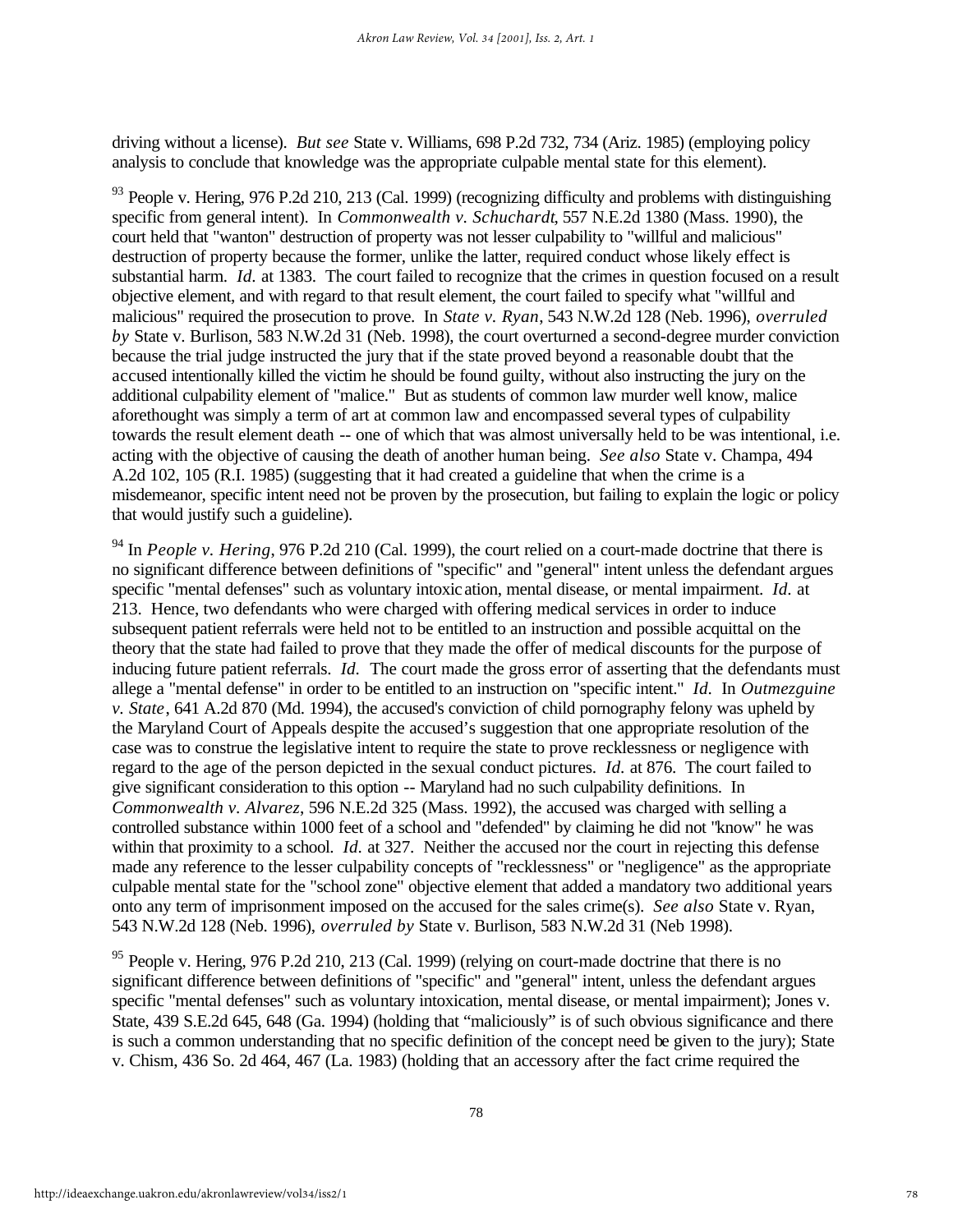driving without a license). *But see* State v. Williams, 698 P.2d 732, 734 (Ariz. 1985) (employing policy analysis to conclude that knowledge was the appropriate culpable mental state for this element).

 $93$  People v. Hering, 976 P.2d 210, 213 (Cal. 1999) (recognizing difficulty and problems with distinguishing specific from general intent). In *Commonwealth v. Schuchardt*, 557 N.E.2d 1380 (Mass. 1990), the court held that "wanton" destruction of property was not lesser culpability to "willful and malicious" destruction of property because the former, unlike the latter, required conduct whose likely effect is substantial harm. *Id.* at 1383. The court failed to recognize that the crimes in question focused on a result objective element, and with regard to that result element, the court failed to specify what "willful and malicious" required the prosecution to prove. In *State v. Ryan*, 543 N.W.2d 128 (Neb. 1996), *overruled by* State v. Burlison, 583 N.W.2d 31 (Neb. 1998), the court overturned a second-degree murder conviction because the trial judge instructed the jury that if the state proved beyond a reasonable doubt that the accused intentionally killed the victim he should be found guilty, without also instructing the jury on the additional culpability element of "malice." But as students of common law murder well know, malice aforethought was simply a term of art at common law and encompassed several types of culpability towards the result element death -- one of which that was almost universally held to be was intentional, i.e. acting with the objective of causing the death of another human being. *See also* State v. Champa, 494 A.2d 102, 105 (R.I. 1985) (suggesting that it had created a guideline that when the crime is a misdemeanor, specific intent need not be proven by the prosecution, but failing to explain the logic or policy that would justify such a guideline).

<sup>94</sup> In *People v. Hering*, 976 P.2d 210 (Cal. 1999), the court relied on a court-made doctrine that there is no significant difference between definitions of "specific" and "general" intent unless the defendant argues specific "mental defenses" such as voluntary intoxic ation, mental disease, or mental impairment. *Id.* at 213. Hence, two defendants who were charged with offering medical services in order to induce subsequent patient referrals were held not to be entitled to an instruction and possible acquittal on the theory that the state had failed to prove that they made the offer of medical discounts for the purpose of inducing future patient referrals. *Id.* The court made the gross error of asserting that the defendants must allege a "mental defense" in order to be entitled to an instruction on "specific intent." *Id.* In *Outmezguine v. State*, 641 A.2d 870 (Md. 1994), the accused's conviction of child pornography felony was upheld by the Maryland Court of Appeals despite the accused's suggestion that one appropriate resolution of the case was to construe the legislative intent to require the state to prove recklessness or negligence with regard to the age of the person depicted in the sexual conduct pictures. *Id.* at 876. The court failed to give significant consideration to this option -- Maryland had no such culpability definitions. In *Commonwealth v. Alvarez*, 596 N.E.2d 325 (Mass. 1992), the accused was charged with selling a controlled substance within 1000 feet of a school and "defended" by claiming he did not "know" he was within that proximity to a school. *Id.* at 327. Neither the accused nor the court in rejecting this defense made any reference to the lesser culpability concepts of "recklessness" or "negligence" as the appropriate culpable mental state for the "school zone" objective element that added a mandatory two additional years onto any term of imprisonment imposed on the accused for the sales crime(s). *See also* State v. Ryan, 543 N.W.2d 128 (Neb. 1996), *overruled by* State v. Burlison, 583 N.W.2d 31 (Neb 1998).

<sup>95</sup> People v. Hering, 976 P.2d 210, 213 (Cal. 1999) (relying on court-made doctrine that there is no significant difference between definitions of "specific" and "general" intent, unless the defendant argues specific "mental defenses" such as voluntary intoxication, mental disease, or mental impairment); Jones v. State, 439 S.E.2d 645, 648 (Ga. 1994) (holding that "maliciously" is of such obvious significance and there is such a common understanding that no specific definition of the concept need be given to the jury); State v. Chism, 436 So. 2d 464, 467 (La. 1983) (holding that an accessory after the fact crime required the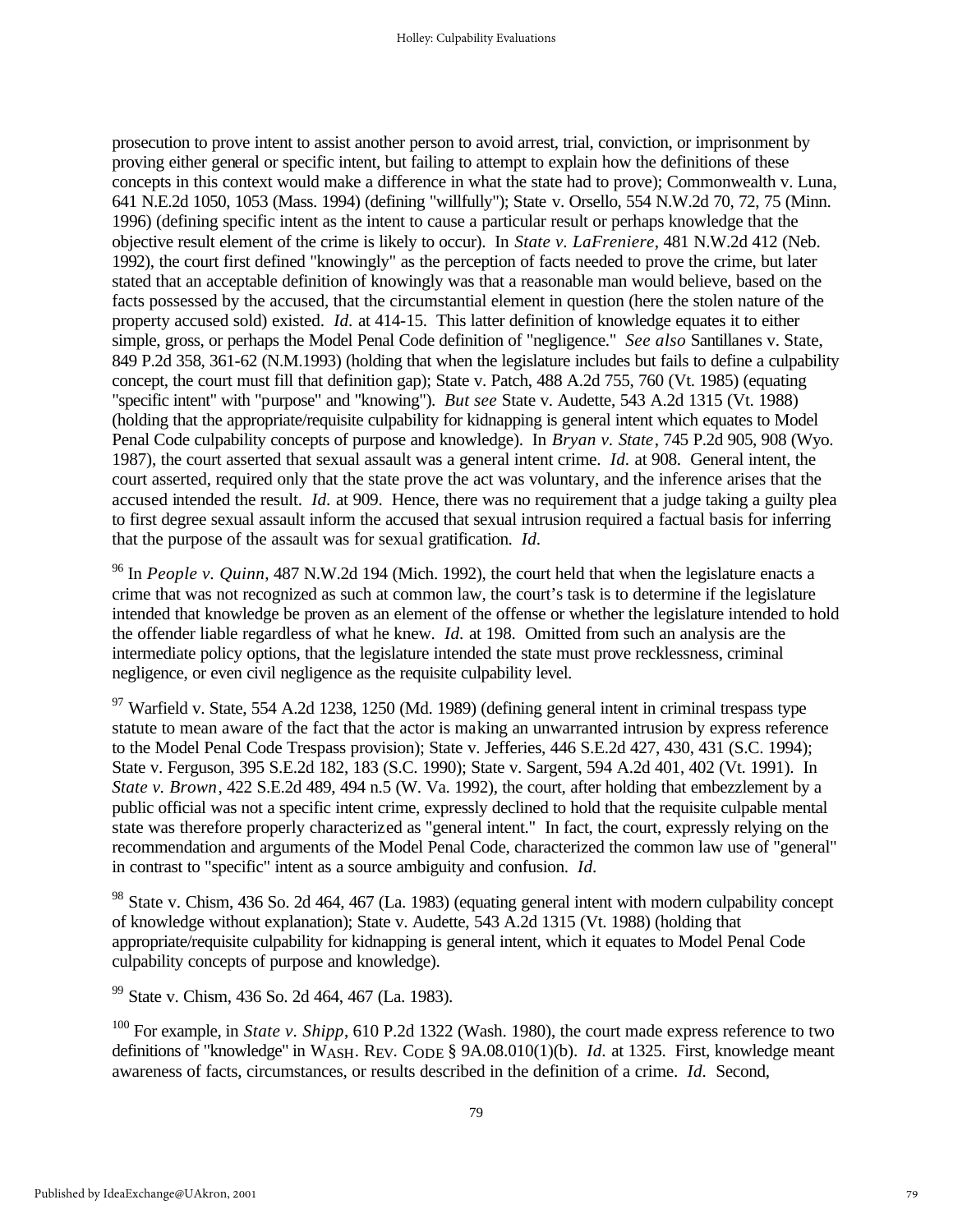prosecution to prove intent to assist another person to avoid arrest, trial, conviction, or imprisonment by proving either general or specific intent, but failing to attempt to explain how the definitions of these concepts in this context would make a difference in what the state had to prove); Commonwealth v. Luna, 641 N.E.2d 1050, 1053 (Mass. 1994) (defining "willfully"); State v. Orsello, 554 N.W.2d 70, 72, 75 (Minn. 1996) (defining specific intent as the intent to cause a particular result or perhaps knowledge that the objective result element of the crime is likely to occur). In *State v. LaFreniere*, 481 N.W.2d 412 (Neb. 1992), the court first defined "knowingly" as the perception of facts needed to prove the crime, but later stated that an acceptable definition of knowingly was that a reasonable man would believe, based on the facts possessed by the accused, that the circumstantial element in question (here the stolen nature of the property accused sold) existed. *Id.* at 414-15. This latter definition of knowledge equates it to either simple, gross, or perhaps the Model Penal Code definition of "negligence." *See also* Santillanes v. State, 849 P.2d 358, 361-62 (N.M.1993) (holding that when the legislature includes but fails to define a culpability concept, the court must fill that definition gap); State v. Patch, 488 A.2d 755, 760 (Vt. 1985) (equating "specific intent" with "purpose" and "knowing"). *But see* State v. Audette, 543 A.2d 1315 (Vt. 1988) (holding that the appropriate/requisite culpability for kidnapping is general intent which equates to Model Penal Code culpability concepts of purpose and knowledge). In *Bryan v. State*, 745 P.2d 905, 908 (Wyo. 1987), the court asserted that sexual assault was a general intent crime. *Id.* at 908. General intent, the court asserted, required only that the state prove the act was voluntary, and the inference arises that the accused intended the result. *Id.* at 909. Hence, there was no requirement that a judge taking a guilty plea to first degree sexual assault inform the accused that sexual intrusion required a factual basis for inferring that the purpose of the assault was for sexual gratification. *Id.*

<sup>96</sup> In *People v. Quinn*, 487 N.W.2d 194 (Mich. 1992), the court held that when the legislature enacts a crime that was not recognized as such at common law, the court's task is to determine if the legislature intended that knowledge be proven as an element of the offense or whether the legislature intended to hold the offender liable regardless of what he knew. *Id.* at 198. Omitted from such an analysis are the intermediate policy options, that the legislature intended the state must prove recklessness, criminal negligence, or even civil negligence as the requisite culpability level.

<sup>97</sup> Warfield v. State, 554 A.2d 1238, 1250 (Md. 1989) (defining general intent in criminal trespass type statute to mean aware of the fact that the actor is making an unwarranted intrusion by express reference to the Model Penal Code Trespass provision); State v. Jefferies, 446 S.E.2d 427, 430, 431 (S.C. 1994); State v. Ferguson, 395 S.E.2d 182, 183 (S.C. 1990); State v. Sargent, 594 A.2d 401, 402 (Vt. 1991). In *State v. Brown*, 422 S.E.2d 489, 494 n.5 (W. Va. 1992), the court, after holding that embezzlement by a public official was not a specific intent crime, expressly declined to hold that the requisite culpable mental state was therefore properly characterized as "general intent." In fact, the court, expressly relying on the recommendation and arguments of the Model Penal Code, characterized the common law use of "general" in contrast to "specific" intent as a source ambiguity and confusion. *Id.*

<sup>98</sup> State v. Chism, 436 So. 2d 464, 467 (La. 1983) (equating general intent with modern culpability concept of knowledge without explanation); State v. Audette, 543 A.2d 1315 (Vt. 1988) (holding that appropriate/requisite culpability for kidnapping is general intent, which it equates to Model Penal Code culpability concepts of purpose and knowledge).

<sup>99</sup> State v. Chism, 436 So. 2d 464, 467 (La. 1983).

<sup>100</sup> For example, in *State v. Shipp*, 610 P.2d 1322 (Wash. 1980), the court made express reference to two definitions of "knowledge" in WASH. REV. CODE § 9A.08.010(1)(b). *Id.* at 1325. First, knowledge meant awareness of facts, circumstances, or results described in the definition of a crime. *Id.* Second,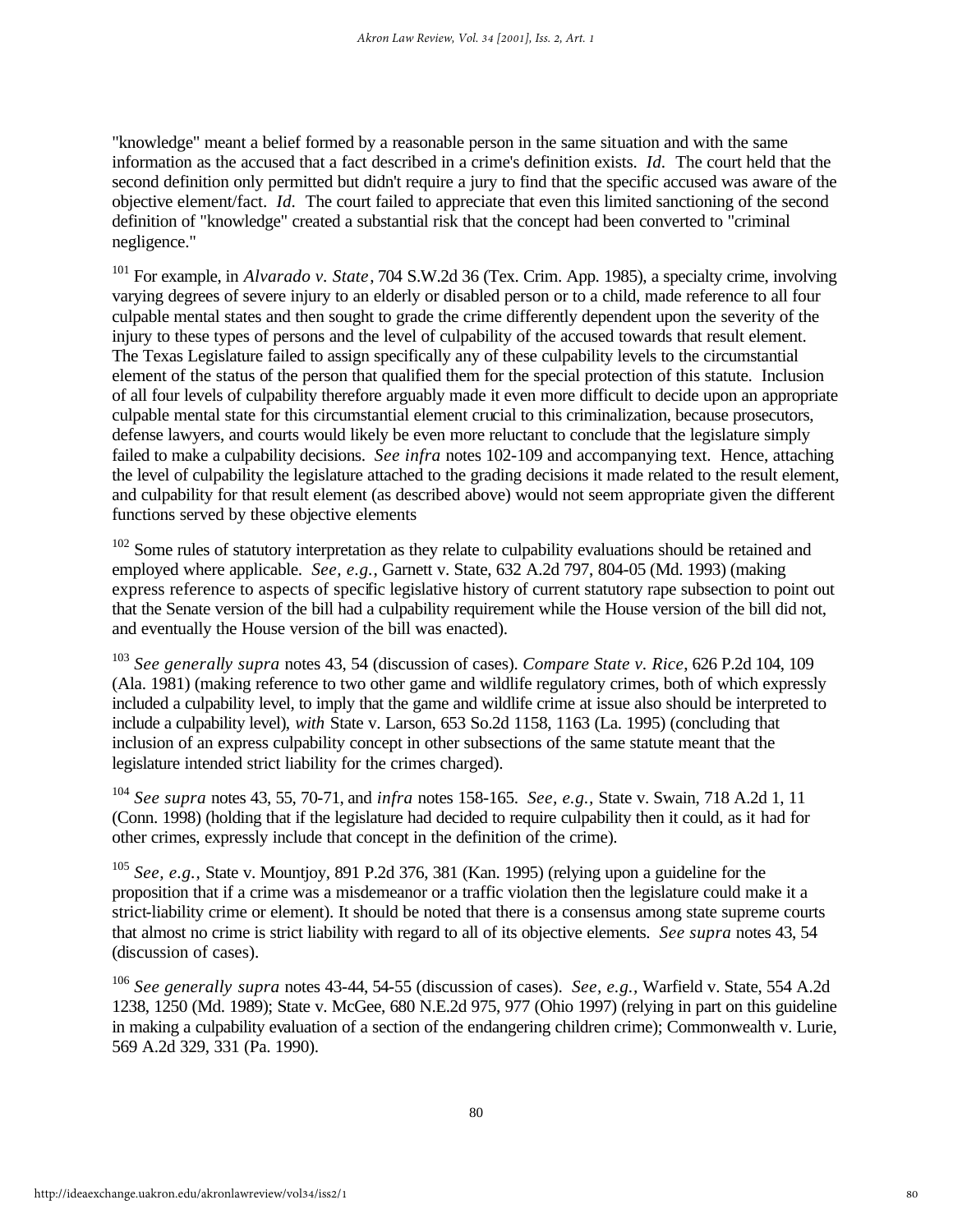"knowledge" meant a belief formed by a reasonable person in the same situation and with the same information as the accused that a fact described in a crime's definition exists. *Id.* The court held that the second definition only permitted but didn't require a jury to find that the specific accused was aware of the objective element/fact. *Id.* The court failed to appreciate that even this limited sanctioning of the second definition of "knowledge" created a substantial risk that the concept had been converted to "criminal negligence."

<sup>101</sup> For example, in *Alvarado v. State*, 704 S.W.2d 36 (Tex. Crim. App. 1985), a specialty crime, involving varying degrees of severe injury to an elderly or disabled person or to a child, made reference to all four culpable mental states and then sought to grade the crime differently dependent upon the severity of the injury to these types of persons and the level of culpability of the accused towards that result element. The Texas Legislature failed to assign specifically any of these culpability levels to the circumstantial element of the status of the person that qualified them for the special protection of this statute. Inclusion of all four levels of culpability therefore arguably made it even more difficult to decide upon an appropriate culpable mental state for this circumstantial element crucial to this criminalization, because prosecutors, defense lawyers, and courts would likely be even more reluctant to conclude that the legislature simply failed to make a culpability decisions. *See infra* notes 102-109 and accompanying text. Hence, attaching the level of culpability the legislature attached to the grading decisions it made related to the result element, and culpability for that result element (as described above) would not seem appropriate given the different functions served by these objective elements

 $102$  Some rules of statutory interpretation as they relate to culpability evaluations should be retained and employed where applicable. *See, e.g.*, Garnett v. State, 632 A.2d 797, 804-05 (Md. 1993) (making express reference to aspects of specific legislative history of current statutory rape subsection to point out that the Senate version of the bill had a culpability requirement while the House version of the bill did not, and eventually the House version of the bill was enacted).

<sup>103</sup> *See generally supra* notes 43, 54 (discussion of cases). *Compare State v. Rice*, 626 P.2d 104, 109 (Ala. 1981) (making reference to two other game and wildlife regulatory crimes, both of which expressly included a culpability level, to imply that the game and wildlife crime at issue also should be interpreted to include a culpability level), *with* State v. Larson, 653 So.2d 1158, 1163 (La. 1995) (concluding that inclusion of an express culpability concept in other subsections of the same statute meant that the legislature intended strict liability for the crimes charged).

<sup>104</sup> *See supra* notes 43, 55, 70-71, and *infra* notes 158-165. *See, e.g.,* State v. Swain, 718 A.2d 1, 11 (Conn. 1998) (holding that if the legislature had decided to require culpability then it could, as it had for other crimes, expressly include that concept in the definition of the crime).

<sup>105</sup> *See, e.g.,* State v. Mountjoy, 891 P.2d 376, 381 (Kan. 1995) (relying upon a guideline for the proposition that if a crime was a misdemeanor or a traffic violation then the legislature could make it a strict-liability crime or element). It should be noted that there is a consensus among state supreme courts that almost no crime is strict liability with regard to all of its objective elements. *See supra* notes 43, 54 (discussion of cases).

<sup>106</sup> *See generally supra* notes 43-44, 54-55 (discussion of cases). *See, e.g.,* Warfield v. State, 554 A.2d 1238, 1250 (Md. 1989); State v. McGee, 680 N.E.2d 975, 977 (Ohio 1997) (relying in part on this guideline in making a culpability evaluation of a section of the endangering children crime); Commonwealth v. Lurie, 569 A.2d 329, 331 (Pa. 1990).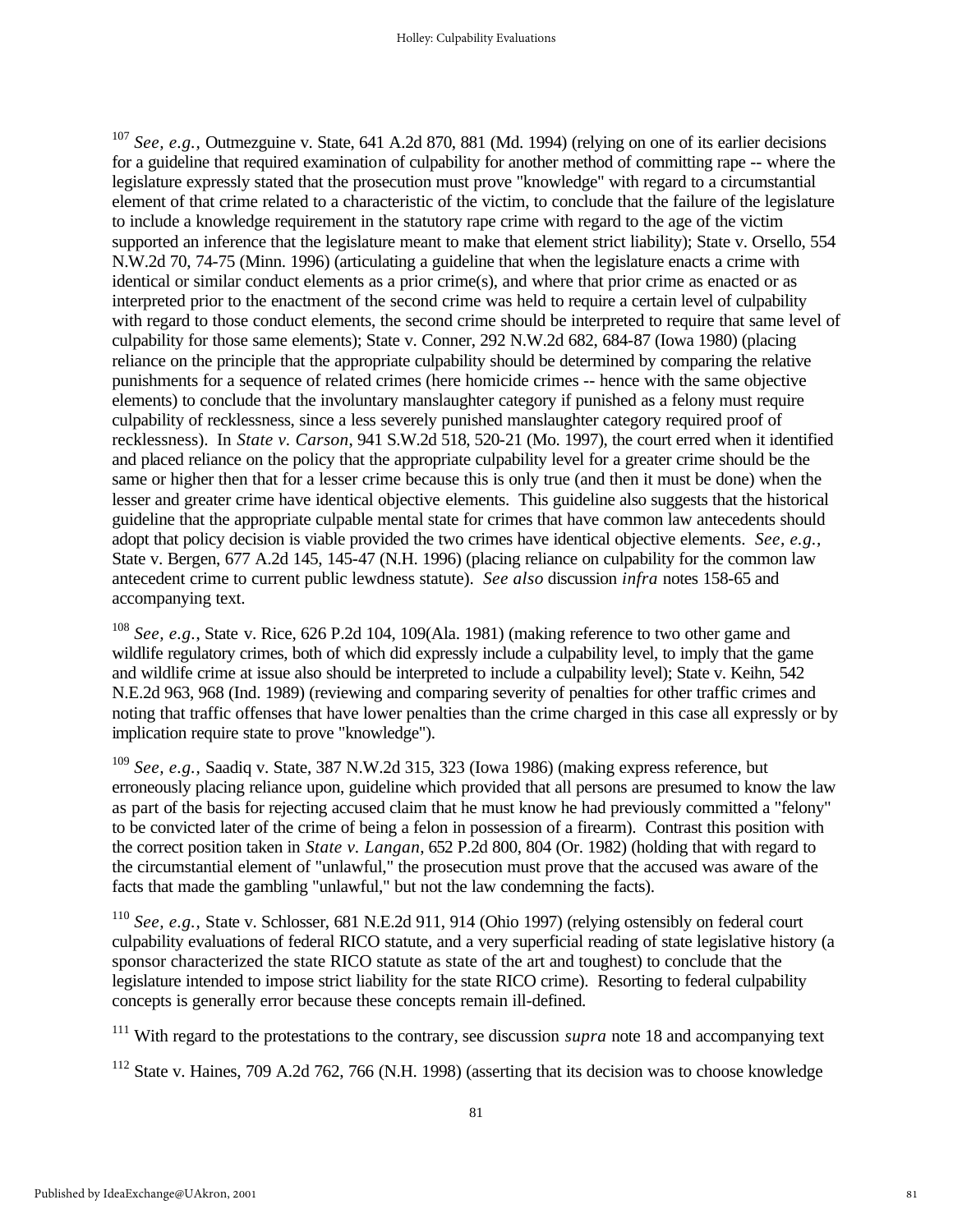<sup>107</sup> *See, e.g.,* Outmezguine v. State, 641 A.2d 870, 881 (Md. 1994) (relying on one of its earlier decisions for a guideline that required examination of culpability for another method of committing rape -- where the legislature expressly stated that the prosecution must prove "knowledge" with regard to a circumstantial element of that crime related to a characteristic of the victim, to conclude that the failure of the legislature to include a knowledge requirement in the statutory rape crime with regard to the age of the victim supported an inference that the legislature meant to make that element strict liability); State v. Orsello, 554 N.W.2d 70, 74-75 (Minn. 1996) (articulating a guideline that when the legislature enacts a crime with identical or similar conduct elements as a prior crime(s), and where that prior crime as enacted or as interpreted prior to the enactment of the second crime was held to require a certain level of culpability with regard to those conduct elements, the second crime should be interpreted to require that same level of culpability for those same elements); State v. Conner, 292 N.W.2d 682, 684-87 (Iowa 1980) (placing reliance on the principle that the appropriate culpability should be determined by comparing the relative punishments for a sequence of related crimes (here homicide crimes -- hence with the same objective elements) to conclude that the involuntary manslaughter category if punished as a felony must require culpability of recklessness, since a less severely punished manslaughter category required proof of recklessness). In *State v. Carson*, 941 S.W.2d 518, 520-21 (Mo. 1997), the court erred when it identified and placed reliance on the policy that the appropriate culpability level for a greater crime should be the same or higher then that for a lesser crime because this is only true (and then it must be done) when the lesser and greater crime have identical objective elements. This guideline also suggests that the historical guideline that the appropriate culpable mental state for crimes that have common law antecedents should adopt that policy decision is viable provided the two crimes have identical objective elements. *See, e.g.,* State v. Bergen, 677 A.2d 145, 145-47 (N.H. 1996) (placing reliance on culpability for the common law antecedent crime to current public lewdness statute). *See also* discussion *infra* notes 158-65 and accompanying text.

<sup>108</sup> *See, e.g.*, State v. Rice, 626 P.2d 104, 109(Ala. 1981) (making reference to two other game and wildlife regulatory crimes, both of which did expressly include a culpability level, to imply that the game and wildlife crime at issue also should be interpreted to include a culpability level); State v. Keihn, 542 N.E.2d 963, 968 (Ind. 1989) (reviewing and comparing severity of penalties for other traffic crimes and noting that traffic offenses that have lower penalties than the crime charged in this case all expressly or by implication require state to prove "knowledge").

<sup>109</sup> *See, e.g.,* Saadiq v. State, 387 N.W.2d 315, 323 (Iowa 1986) (making express reference, but erroneously placing reliance upon, guideline which provided that all persons are presumed to know the law as part of the basis for rejecting accused claim that he must know he had previously committed a "felony" to be convicted later of the crime of being a felon in possession of a firearm). Contrast this position with the correct position taken in *State v. Langan*, 652 P.2d 800, 804 (Or. 1982) (holding that with regard to the circumstantial element of "unlawful," the prosecution must prove that the accused was aware of the facts that made the gambling "unlawful," but not the law condemning the facts).

<sup>110</sup> *See, e.g.,* State v. Schlosser, 681 N.E.2d 911, 914 (Ohio 1997) (relying ostensibly on federal court culpability evaluations of federal RICO statute, and a very superficial reading of state legislative history (a sponsor characterized the state RICO statute as state of the art and toughest) to conclude that the legislature intended to impose strict liability for the state RICO crime). Resorting to federal culpability concepts is generally error because these concepts remain ill-defined.

<sup>111</sup> With regard to the protestations to the contrary, see discussion *supra* note 18 and accompanying text

<sup>112</sup> State v. Haines, 709 A.2d 762, 766 (N.H. 1998) (asserting that its decision was to choose knowledge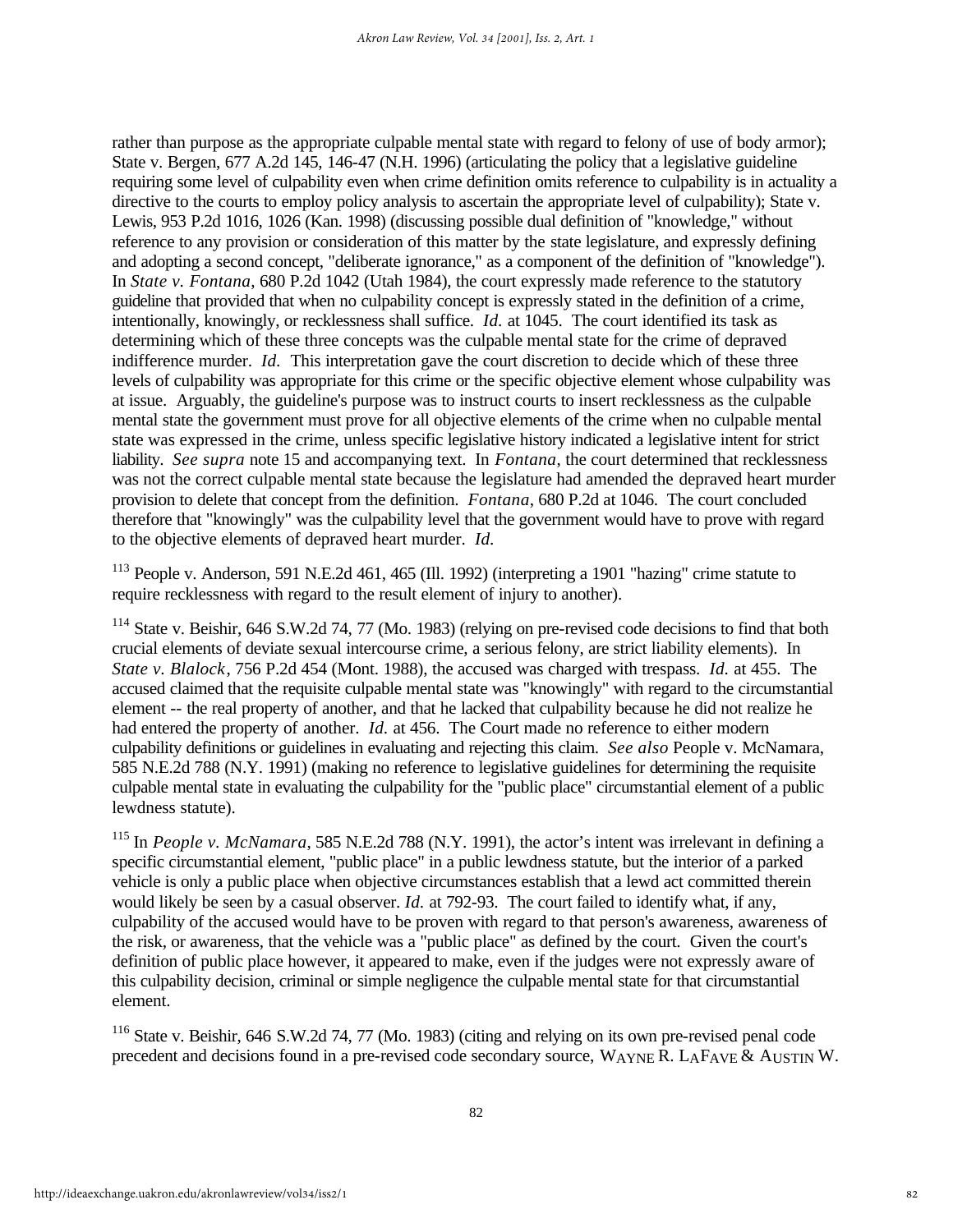rather than purpose as the appropriate culpable mental state with regard to felony of use of body armor); State v. Bergen, 677 A.2d 145, 146-47 (N.H. 1996) (articulating the policy that a legislative guideline requiring some level of culpability even when crime definition omits reference to culpability is in actuality a directive to the courts to employ policy analysis to ascertain the appropriate level of culpability); State v. Lewis, 953 P.2d 1016, 1026 (Kan. 1998) (discussing possible dual definition of "knowledge," without reference to any provision or consideration of this matter by the state legislature, and expressly defining and adopting a second concept, "deliberate ignorance," as a component of the definition of "knowledge"). In *State v. Fontana*, 680 P.2d 1042 (Utah 1984), the court expressly made reference to the statutory guideline that provided that when no culpability concept is expressly stated in the definition of a crime, intentionally, knowingly, or recklessness shall suffice. *Id.* at 1045. The court identified its task as determining which of these three concepts was the culpable mental state for the crime of depraved indifference murder. *Id.* This interpretation gave the court discretion to decide which of these three levels of culpability was appropriate for this crime or the specific objective element whose culpability was at issue. Arguably, the guideline's purpose was to instruct courts to insert recklessness as the culpable mental state the government must prove for all objective elements of the crime when no culpable mental state was expressed in the crime, unless specific legislative history indicated a legislative intent for strict liability. *See supra* note 15 and accompanying text. In *Fontana*, the court determined that recklessness was not the correct culpable mental state because the legislature had amended the depraved heart murder provision to delete that concept from the definition. *Fontana*, 680 P.2d at 1046. The court concluded therefore that "knowingly" was the culpability level that the government would have to prove with regard to the objective elements of depraved heart murder. *Id.*

 $113$  People v. Anderson, 591 N.E.2d 461, 465 (Ill. 1992) (interpreting a 1901 "hazing" crime statute to require recklessness with regard to the result element of injury to another).

<sup>114</sup> State v. Beishir, 646 S.W.2d 74, 77 (Mo. 1983) (relying on pre-revised code decisions to find that both crucial elements of deviate sexual intercourse crime, a serious felony, are strict liability elements). In *State v. Blalock*, 756 P.2d 454 (Mont. 1988), the accused was charged with trespass. *Id.* at 455. The accused claimed that the requisite culpable mental state was "knowingly" with regard to the circumstantial element -- the real property of another, and that he lacked that culpability because he did not realize he had entered the property of another. *Id.* at 456. The Court made no reference to either modern culpability definitions or guidelines in evaluating and rejecting this claim. *See also* People v. McNamara, 585 N.E.2d 788 (N.Y. 1991) (making no reference to legislative guidelines for determining the requisite culpable mental state in evaluating the culpability for the "public place" circumstantial element of a public lewdness statute).

<sup>115</sup> In *People v. McNamara*, 585 N.E.2d 788 (N.Y. 1991), the actor's intent was irrelevant in defining a specific circumstantial element, "public place" in a public lewdness statute, but the interior of a parked vehicle is only a public place when objective circumstances establish that a lewd act committed therein would likely be seen by a casual observer. *Id.* at 792-93. The court failed to identify what, if any, culpability of the accused would have to be proven with regard to that person's awareness, awareness of the risk, or awareness, that the vehicle was a "public place" as defined by the court. Given the court's definition of public place however, it appeared to make, even if the judges were not expressly aware of this culpability decision, criminal or simple negligence the culpable mental state for that circumstantial element.

<sup>116</sup> State v. Beishir, 646 S.W.2d 74, 77 (Mo. 1983) (citing and relying on its own pre-revised penal code precedent and decisions found in a pre-revised code secondary source, WAYNE R. LAFAVE & AUSTIN W.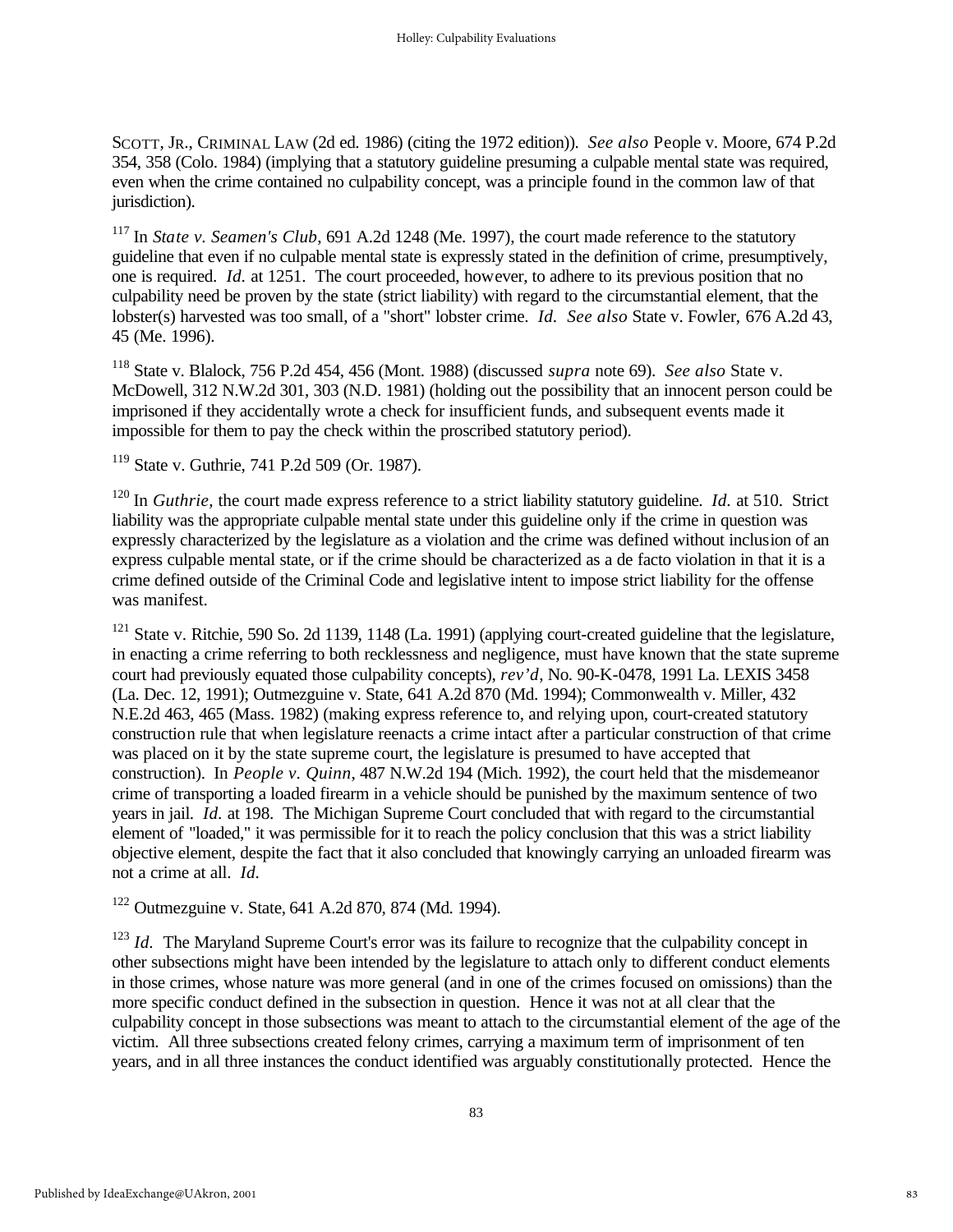SCOTT, JR., CRIMINAL LAW (2d ed. 1986) (citing the 1972 edition)). *See also* People v. Moore, 674 P.2d 354, 358 (Colo. 1984) (implying that a statutory guideline presuming a culpable mental state was required, even when the crime contained no culpability concept, was a principle found in the common law of that jurisdiction).

<sup>117</sup> In *State v. Seamen's Club*, 691 A.2d 1248 (Me. 1997), the court made reference to the statutory guideline that even if no culpable mental state is expressly stated in the definition of crime, presumptively, one is required. *Id.* at 1251. The court proceeded, however, to adhere to its previous position that no culpability need be proven by the state (strict liability) with regard to the circumstantial element, that the lobster(s) harvested was too small, of a "short" lobster crime. *Id. See also* State v. Fowler, 676 A.2d 43, 45 (Me. 1996).

<sup>118</sup> State v. Blalock, 756 P.2d 454, 456 (Mont. 1988) (discussed *supra* note 69). *See also* State v. McDowell, 312 N.W.2d 301, 303 (N.D. 1981) (holding out the possibility that an innocent person could be imprisoned if they accidentally wrote a check for insufficient funds, and subsequent events made it impossible for them to pay the check within the proscribed statutory period).

<sup>119</sup> State v. Guthrie, 741 P.2d 509 (Or. 1987).

<sup>120</sup> In *Guthrie*, the court made express reference to a strict liability statutory guideline. *Id.* at 510. Strict liability was the appropriate culpable mental state under this guideline only if the crime in question was expressly characterized by the legislature as a violation and the crime was defined without inclusion of an express culpable mental state, or if the crime should be characterized as a de facto violation in that it is a crime defined outside of the Criminal Code and legislative intent to impose strict liability for the offense was manifest.

<sup>121</sup> State v. Ritchie, 590 So. 2d 1139, 1148 (La. 1991) (applying court-created guideline that the legislature, in enacting a crime referring to both recklessness and negligence, must have known that the state supreme court had previously equated those culpability concepts), *rev'd*, No. 90-K-0478, 1991 La. LEXIS 3458 (La. Dec. 12, 1991); Outmezguine v. State, 641 A.2d 870 (Md. 1994); Commonwealth v. Miller, 432 N.E.2d 463, 465 (Mass. 1982) (making express reference to, and relying upon, court-created statutory construction rule that when legislature reenacts a crime intact after a particular construction of that crime was placed on it by the state supreme court, the legislature is presumed to have accepted that construction). In *People v. Quinn*, 487 N.W.2d 194 (Mich. 1992), the court held that the misdemeanor crime of transporting a loaded firearm in a vehicle should be punished by the maximum sentence of two years in jail. *Id.* at 198. The Michigan Supreme Court concluded that with regard to the circumstantial element of "loaded," it was permissible for it to reach the policy conclusion that this was a strict liability objective element, despite the fact that it also concluded that knowingly carrying an unloaded firearm was not a crime at all. *Id.*

<sup>122</sup> Outmezguine v. State, 641 A.2d 870, 874 (Md. 1994).

<sup>123</sup> *Id.* The Maryland Supreme Court's error was its failure to recognize that the culpability concept in other subsections might have been intended by the legislature to attach only to different conduct elements in those crimes, whose nature was more general (and in one of the crimes focused on omissions) than the more specific conduct defined in the subsection in question. Hence it was not at all clear that the culpability concept in those subsections was meant to attach to the circumstantial element of the age of the victim. All three subsections created felony crimes, carrying a maximum term of imprisonment of ten years, and in all three instances the conduct identified was arguably constitutionally protected. Hence the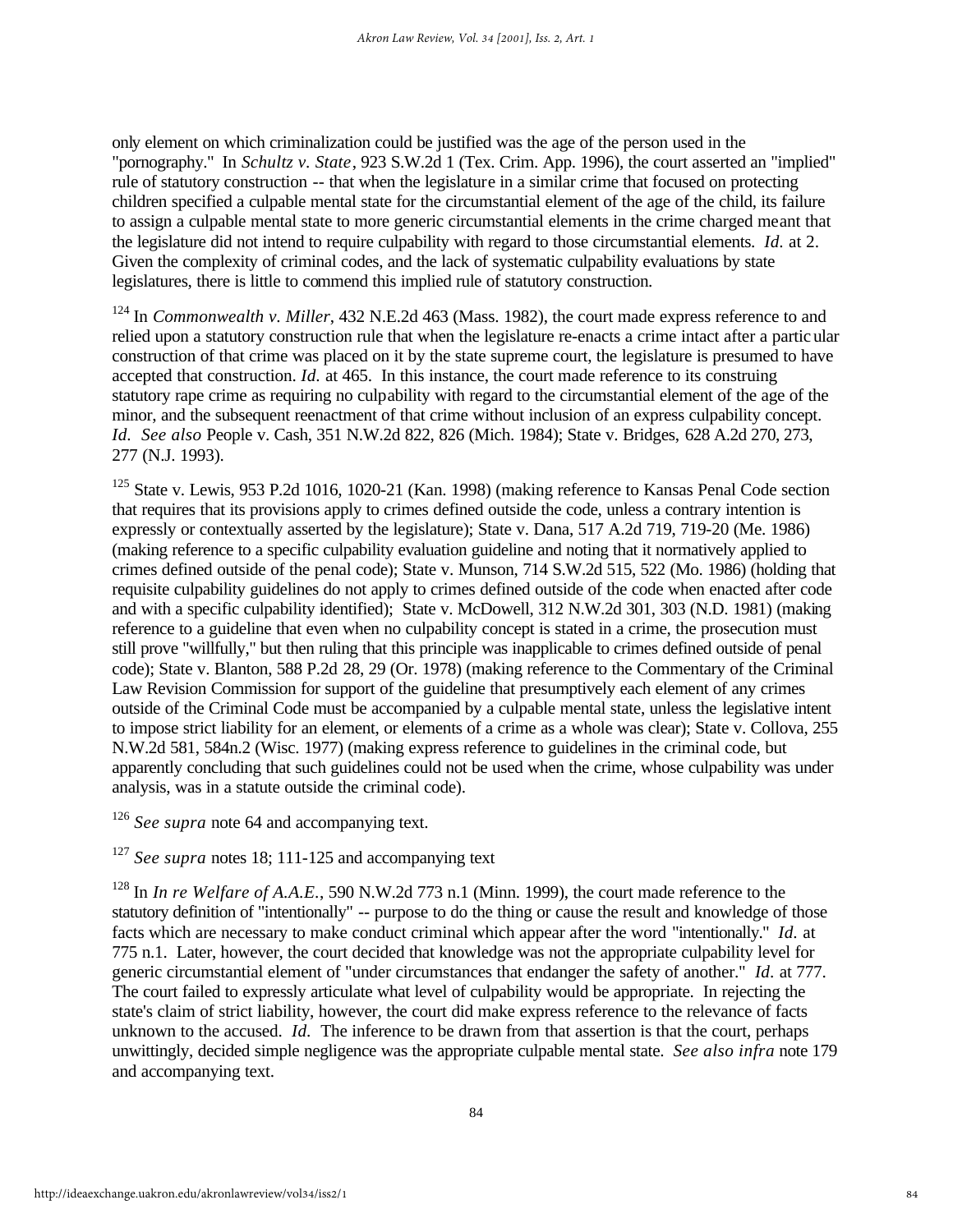only element on which criminalization could be justified was the age of the person used in the "pornography." In *Schultz v. State*, 923 S.W.2d 1 (Tex. Crim. App. 1996), the court asserted an "implied" rule of statutory construction -- that when the legislature in a similar crime that focused on protecting children specified a culpable mental state for the circumstantial element of the age of the child, its failure to assign a culpable mental state to more generic circumstantial elements in the crime charged meant that the legislature did not intend to require culpability with regard to those circumstantial elements. *Id.* at 2. Given the complexity of criminal codes, and the lack of systematic culpability evaluations by state legislatures, there is little to commend this implied rule of statutory construction.

<sup>124</sup> In *Commonwealth v. Miller*, 432 N.E.2d 463 (Mass. 1982), the court made express reference to and relied upon a statutory construction rule that when the legislature re-enacts a crime intact after a particular construction of that crime was placed on it by the state supreme court, the legislature is presumed to have accepted that construction. *Id.* at 465. In this instance, the court made reference to its construing statutory rape crime as requiring no culpability with regard to the circumstantial element of the age of the minor, and the subsequent reenactment of that crime without inclusion of an express culpability concept. *Id. See also* People v. Cash, 351 N.W.2d 822, 826 (Mich. 1984); State v. Bridges, 628 A.2d 270, 273, 277 (N.J. 1993).

<sup>125</sup> State v. Lewis, 953 P.2d 1016, 1020-21 (Kan. 1998) (making reference to Kansas Penal Code section that requires that its provisions apply to crimes defined outside the code, unless a contrary intention is expressly or contextually asserted by the legislature); State v. Dana, 517 A.2d 719, 719-20 (Me. 1986) (making reference to a specific culpability evaluation guideline and noting that it normatively applied to crimes defined outside of the penal code); State v. Munson, 714 S.W.2d 515, 522 (Mo. 1986) (holding that requisite culpability guidelines do not apply to crimes defined outside of the code when enacted after code and with a specific culpability identified); State v. McDowell, 312 N.W.2d 301, 303 (N.D. 1981) (making reference to a guideline that even when no culpability concept is stated in a crime, the prosecution must still prove "willfully," but then ruling that this principle was inapplicable to crimes defined outside of penal code); State v. Blanton, 588 P.2d 28, 29 (Or. 1978) (making reference to the Commentary of the Criminal Law Revision Commission for support of the guideline that presumptively each element of any crimes outside of the Criminal Code must be accompanied by a culpable mental state, unless the legislative intent to impose strict liability for an element, or elements of a crime as a whole was clear); State v. Collova, 255 N.W.2d 581, 584n.2 (Wisc. 1977) (making express reference to guidelines in the criminal code, but apparently concluding that such guidelines could not be used when the crime, whose culpability was under analysis, was in a statute outside the criminal code).

<sup>126</sup> *See supra* note 64 and accompanying text.

<sup>127</sup> *See supra* notes 18: 111-125 and accompanying text

<sup>128</sup> In *In re Welfare of A.A.E.*, 590 N.W.2d 773 n.1 (Minn. 1999), the court made reference to the statutory definition of "intentionally" -- purpose to do the thing or cause the result and knowledge of those facts which are necessary to make conduct criminal which appear after the word "intentionally." *Id.* at 775 n.1. Later, however, the court decided that knowledge was not the appropriate culpability level for generic circumstantial element of "under circumstances that endanger the safety of another." *Id.* at 777. The court failed to expressly articulate what level of culpability would be appropriate. In rejecting the state's claim of strict liability, however, the court did make express reference to the relevance of facts unknown to the accused. *Id.* The inference to be drawn from that assertion is that the court, perhaps unwittingly, decided simple negligence was the appropriate culpable mental state. *See also infra* note 179 and accompanying text.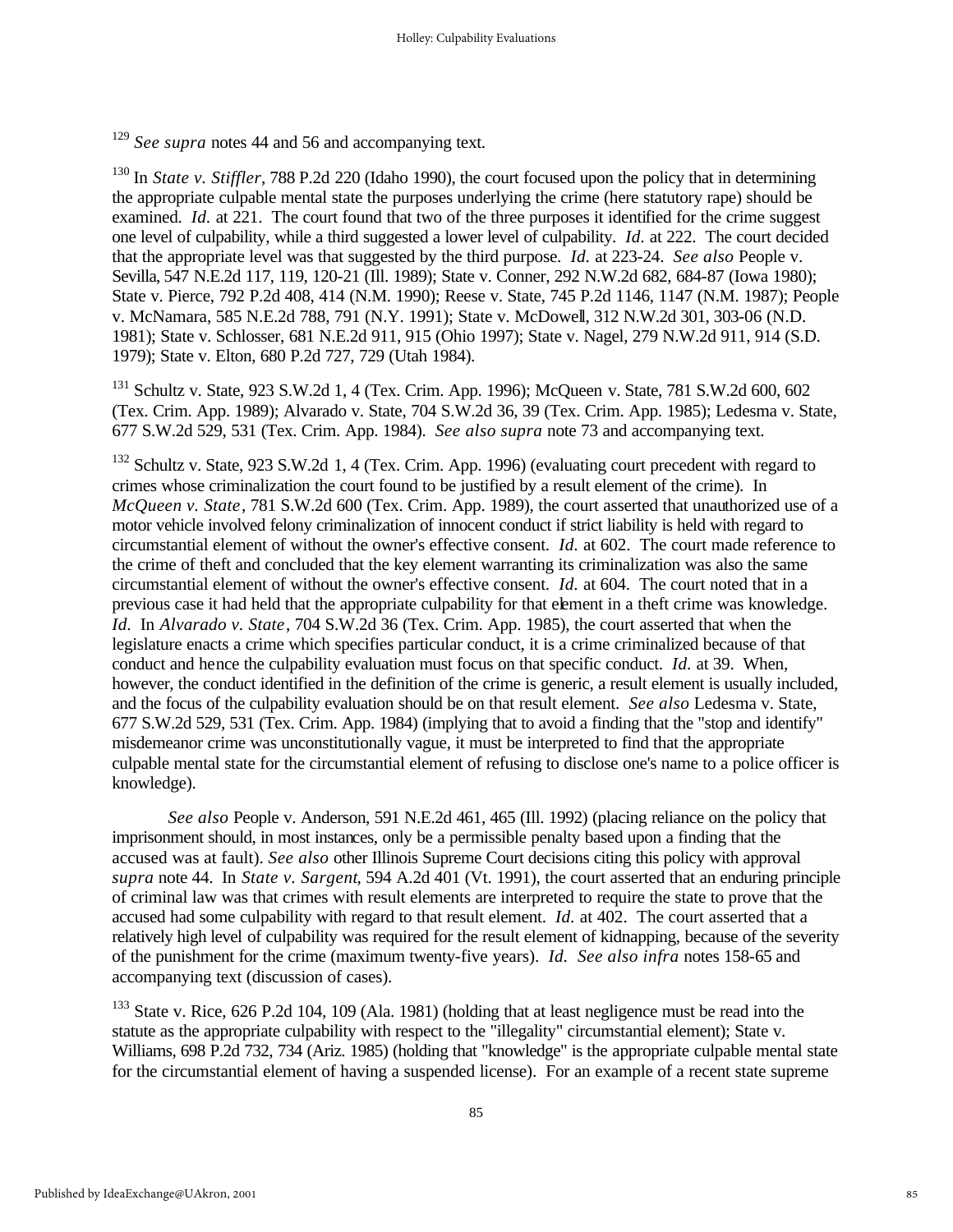<sup>129</sup> *See supra* notes 44 and 56 and accompanying text.

<sup>130</sup> In *State v. Stiffler*, 788 P.2d 220 (Idaho 1990), the court focused upon the policy that in determining the appropriate culpable mental state the purposes underlying the crime (here statutory rape) should be examined. *Id.* at 221. The court found that two of the three purposes it identified for the crime suggest one level of culpability, while a third suggested a lower level of culpability. *Id.* at 222. The court decided that the appropriate level was that suggested by the third purpose. *Id.* at 223-24. *See also* People v. Sevilla, 547 N.E.2d 117, 119, 120-21 (Ill. 1989); State v. Conner, 292 N.W.2d 682, 684-87 (Iowa 1980); State v. Pierce, 792 P.2d 408, 414 (N.M. 1990); Reese v. State, 745 P.2d 1146, 1147 (N.M. 1987); People v. McNamara, 585 N.E.2d 788, 791 (N.Y. 1991); State v. McDowell, 312 N.W.2d 301, 303-06 (N.D. 1981); State v. Schlosser, 681 N.E.2d 911, 915 (Ohio 1997); State v. Nagel, 279 N.W.2d 911, 914 (S.D. 1979); State v. Elton, 680 P.2d 727, 729 (Utah 1984).

<sup>131</sup> Schultz v. State, 923 S.W.2d 1, 4 (Tex. Crim. App. 1996); McQueen v. State, 781 S.W.2d 600, 602 (Tex. Crim. App. 1989); Alvarado v. State, 704 S.W.2d 36, 39 (Tex. Crim. App. 1985); Ledesma v. State, 677 S.W.2d 529, 531 (Tex. Crim. App. 1984). *See also supra* note 73 and accompanying text.

<sup>132</sup> Schultz v. State, 923 S.W.2d 1, 4 (Tex. Crim. App. 1996) (evaluating court precedent with regard to crimes whose criminalization the court found to be justified by a result element of the crime). In *McQueen v. State*, 781 S.W.2d 600 (Tex. Crim. App. 1989), the court asserted that unauthorized use of a motor vehicle involved felony criminalization of innocent conduct if strict liability is held with regard to circumstantial element of without the owner's effective consent. *Id.* at 602. The court made reference to the crime of theft and concluded that the key element warranting its criminalization was also the same circumstantial element of without the owner's effective consent. *Id.* at 604. The court noted that in a previous case it had held that the appropriate culpability for that element in a theft crime was knowledge. *Id.* In *Alvarado v. State*, 704 S.W.2d 36 (Tex. Crim. App. 1985), the court asserted that when the legislature enacts a crime which specifies particular conduct, it is a crime criminalized because of that conduct and hence the culpability evaluation must focus on that specific conduct. *Id.* at 39. When, however, the conduct identified in the definition of the crime is generic, a result element is usually included, and the focus of the culpability evaluation should be on that result element. *See also* Ledesma v. State, 677 S.W.2d 529, 531 (Tex. Crim. App. 1984) (implying that to avoid a finding that the "stop and identify" misdemeanor crime was unconstitutionally vague, it must be interpreted to find that the appropriate culpable mental state for the circumstantial element of refusing to disclose one's name to a police officer is knowledge).

*See also* People v. Anderson, 591 N.E.2d 461, 465 (Ill. 1992) (placing reliance on the policy that imprisonment should, in most instances, only be a permissible penalty based upon a finding that the accused was at fault). *See also* other Illinois Supreme Court decisions citing this policy with approval *supra* note 44. In *State v. Sargent*, 594 A.2d 401 (Vt. 1991), the court asserted that an enduring principle of criminal law was that crimes with result elements are interpreted to require the state to prove that the accused had some culpability with regard to that result element. *Id.* at 402. The court asserted that a relatively high level of culpability was required for the result element of kidnapping, because of the severity of the punishment for the crime (maximum twenty-five years). *Id. See also infra* notes 158-65 and accompanying text (discussion of cases).

<sup>133</sup> State v. Rice, 626 P.2d 104, 109 (Ala. 1981) (holding that at least negligence must be read into the statute as the appropriate culpability with respect to the "illegality" circumstantial element); State v. Williams, 698 P.2d 732, 734 (Ariz. 1985) (holding that "knowledge" is the appropriate culpable mental state for the circumstantial element of having a suspended license). For an example of a recent state supreme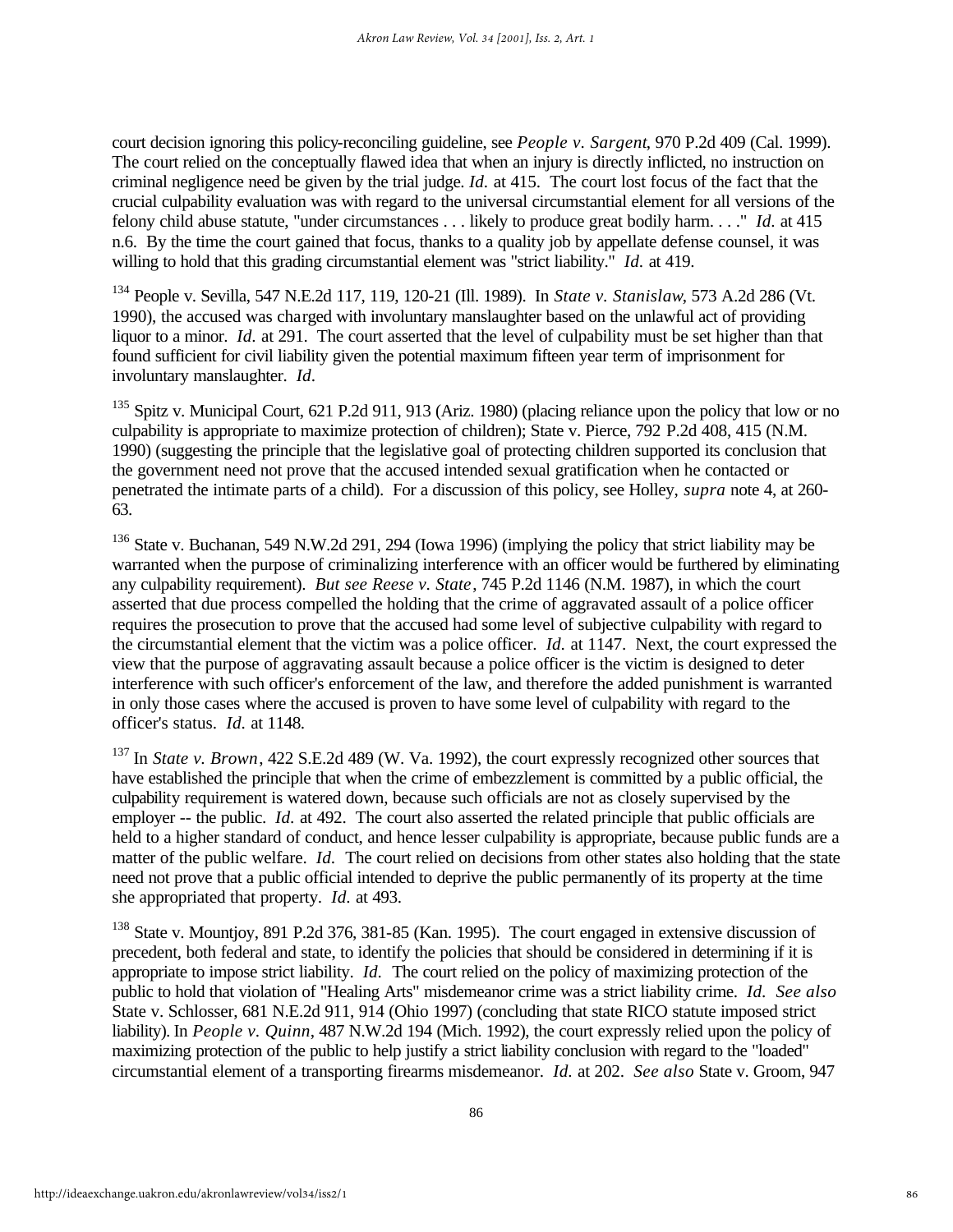court decision ignoring this policy-reconciling guideline, see *People v. Sargent*, 970 P.2d 409 (Cal. 1999). The court relied on the conceptually flawed idea that when an injury is directly inflicted, no instruction on criminal negligence need be given by the trial judge. *Id.* at 415. The court lost focus of the fact that the crucial culpability evaluation was with regard to the universal circumstantial element for all versions of the felony child abuse statute, "under circumstances . . . likely to produce great bodily harm. . . ." *Id.* at 415 n.6. By the time the court gained that focus, thanks to a quality job by appellate defense counsel, it was willing to hold that this grading circumstantial element was "strict liability." *Id.* at 419.

<sup>134</sup> People v. Sevilla, 547 N.E.2d 117, 119, 120-21 (Ill. 1989). In *State v. Stanislaw*, 573 A.2d 286 (Vt. 1990), the accused was charged with involuntary manslaughter based on the unlawful act of providing liquor to a minor. *Id.* at 291. The court asserted that the level of culpability must be set higher than that found sufficient for civil liability given the potential maximum fifteen year term of imprisonment for involuntary manslaughter. *Id.*

<sup>135</sup> Spitz v. Municipal Court, 621 P.2d 911, 913 (Ariz. 1980) (placing reliance upon the policy that low or no culpability is appropriate to maximize protection of children); State v. Pierce, 792 P.2d 408, 415 (N.M. 1990) (suggesting the principle that the legislative goal of protecting children supported its conclusion that the government need not prove that the accused intended sexual gratification when he contacted or penetrated the intimate parts of a child). For a discussion of this policy, see Holley, *supra* note 4, at 260- 63.

<sup>136</sup> State v. Buchanan, 549 N.W.2d 291, 294 (Iowa 1996) (implying the policy that strict liability may be warranted when the purpose of criminalizing interference with an officer would be furthered by eliminating any culpability requirement). *But see Reese v. State*, 745 P.2d 1146 (N.M. 1987), in which the court asserted that due process compelled the holding that the crime of aggravated assault of a police officer requires the prosecution to prove that the accused had some level of subjective culpability with regard to the circumstantial element that the victim was a police officer. *Id.* at 1147. Next, the court expressed the view that the purpose of aggravating assault because a police officer is the victim is designed to deter interference with such officer's enforcement of the law, and therefore the added punishment is warranted in only those cases where the accused is proven to have some level of culpability with regard to the officer's status. *Id.* at 1148.

<sup>137</sup> In *State v. Brown*, 422 S.E.2d 489 (W. Va. 1992), the court expressly recognized other sources that have established the principle that when the crime of embezzlement is committed by a public official, the culpability requirement is watered down, because such officials are not as closely supervised by the employer -- the public. *Id.* at 492. The court also asserted the related principle that public officials are held to a higher standard of conduct, and hence lesser culpability is appropriate, because public funds are a matter of the public welfare. *Id.* The court relied on decisions from other states also holding that the state need not prove that a public official intended to deprive the public permanently of its property at the time she appropriated that property. *Id.* at 493.

<sup>138</sup> State v. Mountjoy, 891 P.2d 376, 381-85 (Kan. 1995). The court engaged in extensive discussion of precedent, both federal and state, to identify the policies that should be considered in determining if it is appropriate to impose strict liability. *Id.* The court relied on the policy of maximizing protection of the public to hold that violation of "Healing Arts" misdemeanor crime was a strict liability crime. *Id. See also* State v. Schlosser, 681 N.E.2d 911, 914 (Ohio 1997) (concluding that state RICO statute imposed strict liability). In *People v. Quinn*, 487 N.W.2d 194 (Mich. 1992), the court expressly relied upon the policy of maximizing protection of the public to help justify a strict liability conclusion with regard to the "loaded" circumstantial element of a transporting firearms misdemeanor. *Id.* at 202. *See also* State v. Groom, 947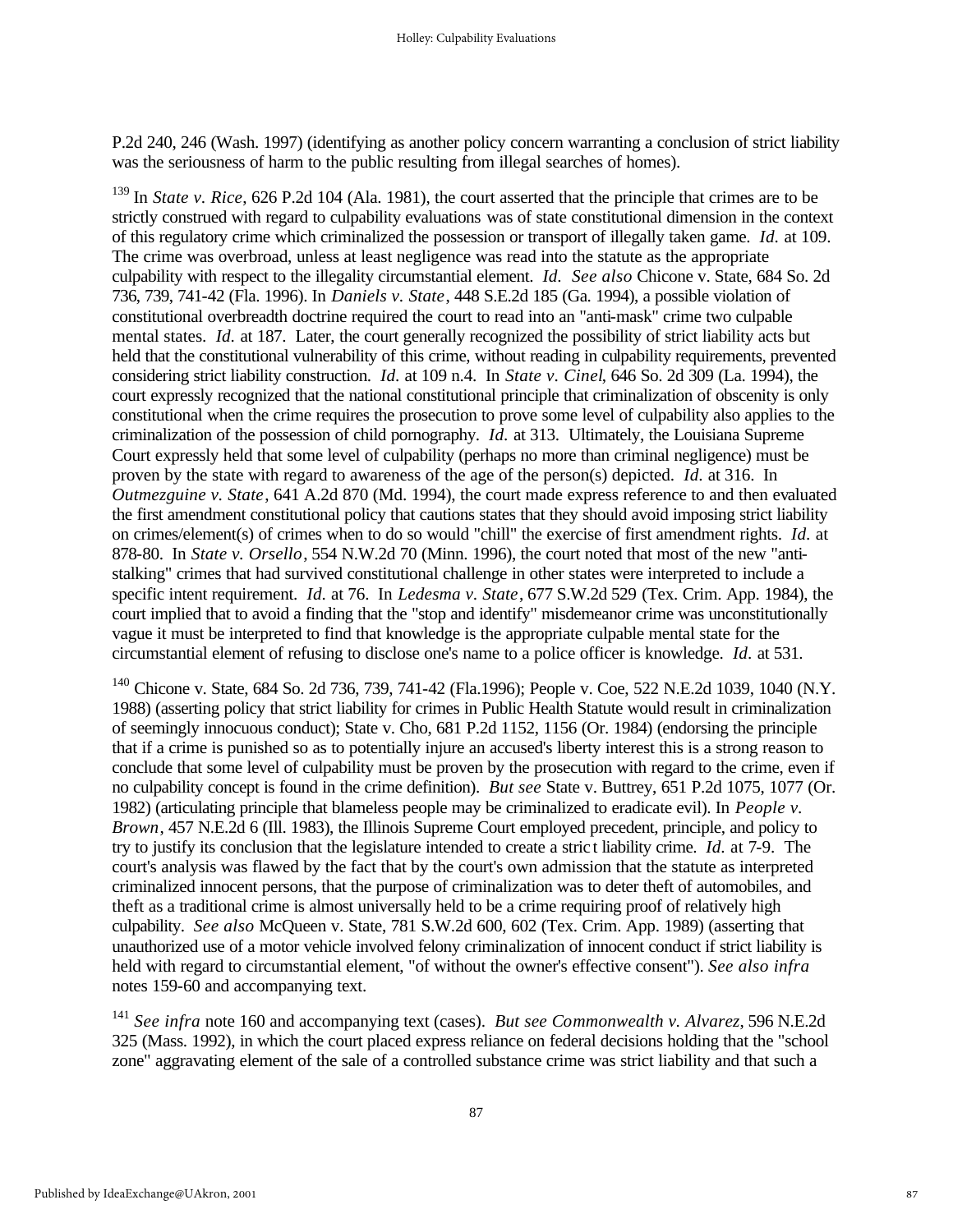P.2d 240, 246 (Wash. 1997) (identifying as another policy concern warranting a conclusion of strict liability was the seriousness of harm to the public resulting from illegal searches of homes).

<sup>139</sup> In *State v. Rice*, 626 P.2d 104 (Ala. 1981), the court asserted that the principle that crimes are to be strictly construed with regard to culpability evaluations was of state constitutional dimension in the context of this regulatory crime which criminalized the possession or transport of illegally taken game. *Id.* at 109. The crime was overbroad, unless at least negligence was read into the statute as the appropriate culpability with respect to the illegality circumstantial element. *Id. See also* Chicone v. State, 684 So. 2d 736, 739, 741-42 (Fla. 1996). In *Daniels v. State*, 448 S.E.2d 185 (Ga. 1994), a possible violation of constitutional overbreadth doctrine required the court to read into an "anti-mask" crime two culpable mental states. *Id.* at 187. Later, the court generally recognized the possibility of strict liability acts but held that the constitutional vulnerability of this crime, without reading in culpability requirements, prevented considering strict liability construction. *Id.* at 109 n.4. In *State v. Cinel*, 646 So. 2d 309 (La. 1994), the court expressly recognized that the national constitutional principle that criminalization of obscenity is only constitutional when the crime requires the prosecution to prove some level of culpability also applies to the criminalization of the possession of child pornography. *Id.* at 313. Ultimately, the Louisiana Supreme Court expressly held that some level of culpability (perhaps no more than criminal negligence) must be proven by the state with regard to awareness of the age of the person(s) depicted. *Id.* at 316. In *Outmezguine v. State*, 641 A.2d 870 (Md. 1994), the court made express reference to and then evaluated the first amendment constitutional policy that cautions states that they should avoid imposing strict liability on crimes/element(s) of crimes when to do so would "chill" the exercise of first amendment rights. *Id.* at 878-80. In *State v. Orsello*, 554 N.W.2d 70 (Minn. 1996), the court noted that most of the new "antistalking" crimes that had survived constitutional challenge in other states were interpreted to include a specific intent requirement. *Id.* at 76. In *Ledesma v. State*, 677 S.W.2d 529 (Tex. Crim. App. 1984), the court implied that to avoid a finding that the "stop and identify" misdemeanor crime was unconstitutionally vague it must be interpreted to find that knowledge is the appropriate culpable mental state for the circumstantial element of refusing to disclose one's name to a police officer is knowledge. *Id.* at 531.

<sup>140</sup> Chicone v. State, 684 So. 2d 736, 739, 741-42 (Fla.1996); People v. Coe, 522 N.E.2d 1039, 1040 (N.Y. 1988) (asserting policy that strict liability for crimes in Public Health Statute would result in criminalization of seemingly innocuous conduct); State v. Cho, 681 P.2d 1152, 1156 (Or. 1984) (endorsing the principle that if a crime is punished so as to potentially injure an accused's liberty interest this is a strong reason to conclude that some level of culpability must be proven by the prosecution with regard to the crime, even if no culpability concept is found in the crime definition). *But see* State v. Buttrey, 651 P.2d 1075, 1077 (Or. 1982) (articulating principle that blameless people may be criminalized to eradicate evil). In *People v. Brown*, 457 N.E.2d 6 (Ill. 1983), the Illinois Supreme Court employed precedent, principle, and policy to try to justify its conclusion that the legislature intended to create a stric t liability crime. *Id.* at 7-9. The court's analysis was flawed by the fact that by the court's own admission that the statute as interpreted criminalized innocent persons, that the purpose of criminalization was to deter theft of automobiles, and theft as a traditional crime is almost universally held to be a crime requiring proof of relatively high culpability. *See also* McQueen v. State, 781 S.W.2d 600, 602 (Tex. Crim. App. 1989) (asserting that unauthorized use of a motor vehicle involved felony criminalization of innocent conduct if strict liability is held with regard to circumstantial element, "of without the owner's effective consent"). *See also infra* notes 159-60 and accompanying text.

<sup>141</sup> *See infra* note 160 and accompanying text (cases). *But see Commonwealth v. Alvarez*, 596 N.E.2d 325 (Mass. 1992), in which the court placed express reliance on federal decisions holding that the "school zone" aggravating element of the sale of a controlled substance crime was strict liability and that such a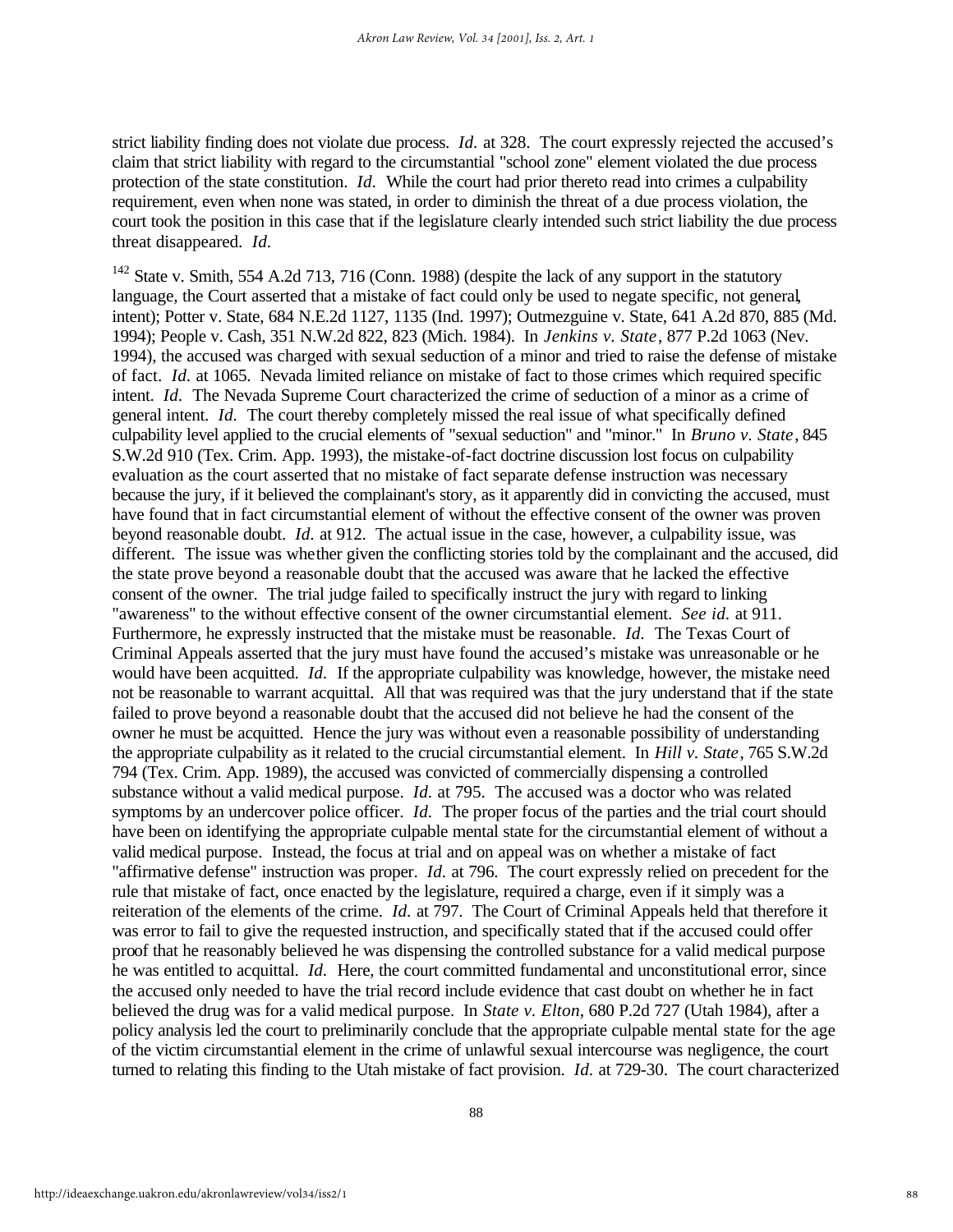strict liability finding does not violate due process. *Id.* at 328. The court expressly rejected the accused's claim that strict liability with regard to the circumstantial "school zone" element violated the due process protection of the state constitution. *Id.* While the court had prior thereto read into crimes a culpability requirement, even when none was stated, in order to diminish the threat of a due process violation, the court took the position in this case that if the legislature clearly intended such strict liability the due process threat disappeared. *Id.*

<sup>142</sup> State v. Smith, 554 A.2d 713, 716 (Conn. 1988) (despite the lack of any support in the statutory language, the Court asserted that a mistake of fact could only be used to negate specific, not general, intent); Potter v. State, 684 N.E.2d 1127, 1135 (Ind. 1997); Outmezguine v. State, 641 A.2d 870, 885 (Md. 1994); People v. Cash, 351 N.W.2d 822, 823 (Mich. 1984). In *Jenkins v. State*, 877 P.2d 1063 (Nev. 1994), the accused was charged with sexual seduction of a minor and tried to raise the defense of mistake of fact. *Id.* at 1065. Nevada limited reliance on mistake of fact to those crimes which required specific intent. *Id.* The Nevada Supreme Court characterized the crime of seduction of a minor as a crime of general intent. *Id.* The court thereby completely missed the real issue of what specifically defined culpability level applied to the crucial elements of "sexual seduction" and "minor." In *Bruno v. State*, 845 S.W.2d 910 (Tex. Crim. App. 1993), the mistake-of-fact doctrine discussion lost focus on culpability evaluation as the court asserted that no mistake of fact separate defense instruction was necessary because the jury, if it believed the complainant's story, as it apparently did in convicting the accused, must have found that in fact circumstantial element of without the effective consent of the owner was proven beyond reasonable doubt. *Id.* at 912. The actual issue in the case, however, a culpability issue, was different. The issue was whether given the conflicting stories told by the complainant and the accused, did the state prove beyond a reasonable doubt that the accused was aware that he lacked the effective consent of the owner. The trial judge failed to specifically instruct the jury with regard to linking "awareness" to the without effective consent of the owner circumstantial element. *See id.* at 911. Furthermore, he expressly instructed that the mistake must be reasonable. *Id.* The Texas Court of Criminal Appeals asserted that the jury must have found the accused's mistake was unreasonable or he would have been acquitted. *Id.* If the appropriate culpability was knowledge, however, the mistake need not be reasonable to warrant acquittal. All that was required was that the jury understand that if the state failed to prove beyond a reasonable doubt that the accused did not believe he had the consent of the owner he must be acquitted. Hence the jury was without even a reasonable possibility of understanding the appropriate culpability as it related to the crucial circumstantial element. In *Hill v. State*, 765 S.W.2d 794 (Tex. Crim. App. 1989), the accused was convicted of commercially dispensing a controlled substance without a valid medical purpose. *Id.* at 795. The accused was a doctor who was related symptoms by an undercover police officer. *Id.* The proper focus of the parties and the trial court should have been on identifying the appropriate culpable mental state for the circumstantial element of without a valid medical purpose. Instead, the focus at trial and on appeal was on whether a mistake of fact "affirmative defense" instruction was proper. *Id.* at 796. The court expressly relied on precedent for the rule that mistake of fact, once enacted by the legislature, required a charge, even if it simply was a reiteration of the elements of the crime. *Id.* at 797. The Court of Criminal Appeals held that therefore it was error to fail to give the requested instruction, and specifically stated that if the accused could offer proof that he reasonably believed he was dispensing the controlled substance for a valid medical purpose he was entitled to acquittal. *Id.* Here, the court committed fundamental and unconstitutional error, since the accused only needed to have the trial record include evidence that cast doubt on whether he in fact believed the drug was for a valid medical purpose. In *State v. Elton*, 680 P.2d 727 (Utah 1984), after a policy analysis led the court to preliminarily conclude that the appropriate culpable mental state for the age of the victim circumstantial element in the crime of unlawful sexual intercourse was negligence, the court turned to relating this finding to the Utah mistake of fact provision. *Id.* at 729-30. The court characterized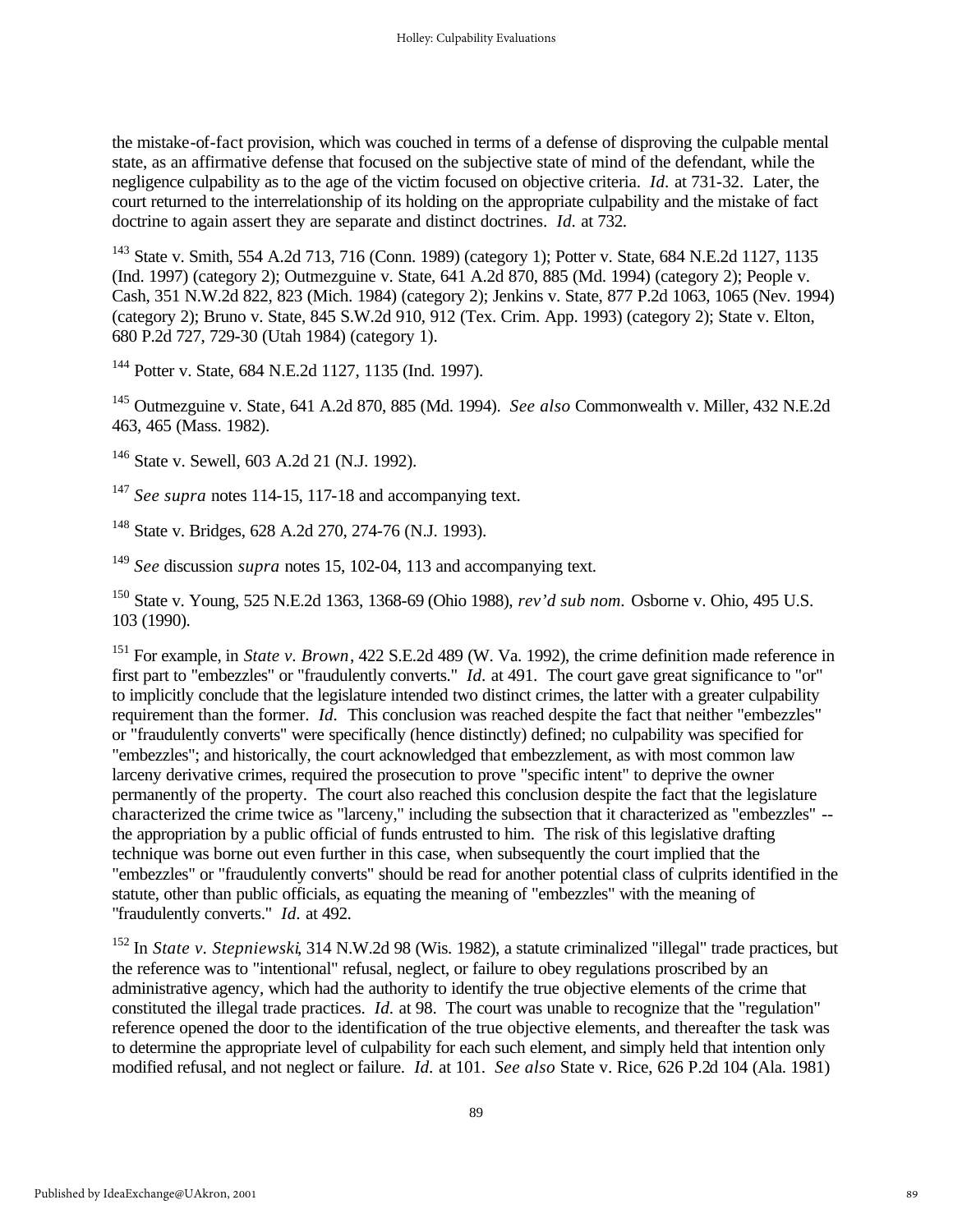the mistake-of-fact provision, which was couched in terms of a defense of disproving the culpable mental state, as an affirmative defense that focused on the subjective state of mind of the defendant, while the negligence culpability as to the age of the victim focused on objective criteria. *Id.* at 731-32. Later, the court returned to the interrelationship of its holding on the appropriate culpability and the mistake of fact doctrine to again assert they are separate and distinct doctrines. *Id.* at 732.

<sup>143</sup> State v. Smith, 554 A.2d 713, 716 (Conn. 1989) (category 1); Potter v. State, 684 N.E.2d 1127, 1135 (Ind. 1997) (category 2); Outmezguine v. State, 641 A.2d 870, 885 (Md. 1994) (category 2); People v. Cash, 351 N.W.2d 822, 823 (Mich. 1984) (category 2); Jenkins v. State, 877 P.2d 1063, 1065 (Nev. 1994) (category 2); Bruno v. State, 845 S.W.2d 910, 912 (Tex. Crim. App. 1993) (category 2); State v. Elton, 680 P.2d 727, 729-30 (Utah 1984) (category 1).

<sup>144</sup> Potter v. State, 684 N.E.2d 1127, 1135 (Ind. 1997).

<sup>145</sup> Outmezguine v. State, 641 A.2d 870, 885 (Md. 1994). *See also* Commonwealth v. Miller, 432 N.E.2d 463, 465 (Mass. 1982).

<sup>146</sup> State v. Sewell, 603 A.2d 21 (N.J. 1992).

<sup>147</sup> *See supra* notes 114-15, 117-18 and accompanying text.

<sup>148</sup> State v. Bridges, 628 A.2d 270, 274-76 (N.J. 1993).

<sup>149</sup> *See* discussion *supra* notes 15, 102-04, 113 and accompanying text.

<sup>150</sup> State v. Young, 525 N.E.2d 1363, 1368-69 (Ohio 1988), *rev'd sub nom.* Osborne v. Ohio, 495 U.S. 103 (1990).

<sup>151</sup> For example, in *State v. Brown*, 422 S.E.2d 489 (W. Va. 1992), the crime definition made reference in first part to "embezzles" or "fraudulently converts." *Id.* at 491. The court gave great significance to "or" to implicitly conclude that the legislature intended two distinct crimes, the latter with a greater culpability requirement than the former. *Id.* This conclusion was reached despite the fact that neither "embezzles" or "fraudulently converts" were specifically (hence distinctly) defined; no culpability was specified for "embezzles"; and historically, the court acknowledged that embezzlement, as with most common law larceny derivative crimes, required the prosecution to prove "specific intent" to deprive the owner permanently of the property. The court also reached this conclusion despite the fact that the legislature characterized the crime twice as "larceny," including the subsection that it characterized as "embezzles" - the appropriation by a public official of funds entrusted to him. The risk of this legislative drafting technique was borne out even further in this case, when subsequently the court implied that the "embezzles" or "fraudulently converts" should be read for another potential class of culprits identified in the statute, other than public officials, as equating the meaning of "embezzles" with the meaning of "fraudulently converts." *Id.* at 492.

<sup>152</sup> In *State v. Stepniewski*, 314 N.W.2d 98 (Wis. 1982), a statute criminalized "illegal" trade practices, but the reference was to "intentional" refusal, neglect, or failure to obey regulations proscribed by an administrative agency, which had the authority to identify the true objective elements of the crime that constituted the illegal trade practices. *Id.* at 98. The court was unable to recognize that the "regulation" reference opened the door to the identification of the true objective elements, and thereafter the task was to determine the appropriate level of culpability for each such element, and simply held that intention only modified refusal, and not neglect or failure. *Id.* at 101. *See also* State v. Rice, 626 P.2d 104 (Ala. 1981)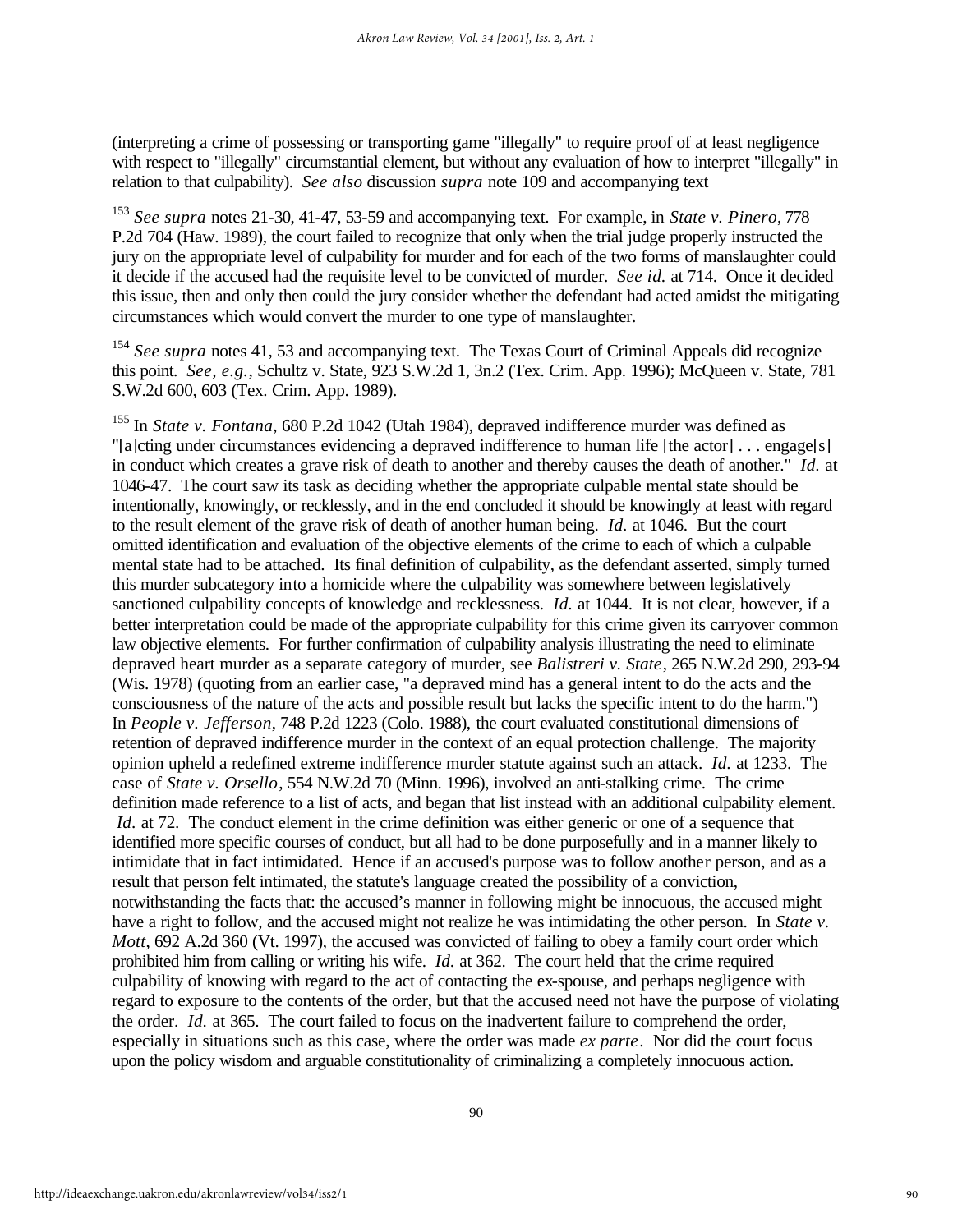(interpreting a crime of possessing or transporting game "illegally" to require proof of at least negligence with respect to "illegally" circumstantial element, but without any evaluation of how to interpret "illegally" in relation to that culpability). *See also* discussion *supra* note 109 and accompanying text

<sup>153</sup> *See supra* notes 21-30, 41-47, 53-59 and accompanying text. For example, in *State v. Pinero*, 778 P.2d 704 (Haw. 1989), the court failed to recognize that only when the trial judge properly instructed the jury on the appropriate level of culpability for murder and for each of the two forms of manslaughter could it decide if the accused had the requisite level to be convicted of murder. *See id.* at 714. Once it decided this issue, then and only then could the jury consider whether the defendant had acted amidst the mitigating circumstances which would convert the murder to one type of manslaughter.

<sup>154</sup> See supra notes 41, 53 and accompanying text. The Texas Court of Criminal Appeals did recognize this point. *See, e.g.*, Schultz v. State, 923 S.W.2d 1, 3n.2 (Tex. Crim. App. 1996); McQueen v. State, 781 S.W.2d 600, 603 (Tex. Crim. App. 1989).

<sup>155</sup> In *State v. Fontana*, 680 P.2d 1042 (Utah 1984), depraved indifference murder was defined as "[a]cting under circumstances evidencing a depraved indifference to human life [the actor] . . . engage[s] in conduct which creates a grave risk of death to another and thereby causes the death of another." *Id.* at 1046-47. The court saw its task as deciding whether the appropriate culpable mental state should be intentionally, knowingly, or recklessly, and in the end concluded it should be knowingly at least with regard to the result element of the grave risk of death of another human being. *Id.* at 1046. But the court omitted identification and evaluation of the objective elements of the crime to each of which a culpable mental state had to be attached. Its final definition of culpability, as the defendant asserted, simply turned this murder subcategory into a homicide where the culpability was somewhere between legislatively sanctioned culpability concepts of knowledge and recklessness. *Id.* at 1044. It is not clear, however, if a better interpretation could be made of the appropriate culpability for this crime given its carryover common law objective elements. For further confirmation of culpability analysis illustrating the need to eliminate depraved heart murder as a separate category of murder, see *Balistreri v. State*, 265 N.W.2d 290, 293-94 (Wis. 1978) (quoting from an earlier case, "a depraved mind has a general intent to do the acts and the consciousness of the nature of the acts and possible result but lacks the specific intent to do the harm.") In *People v. Jefferson*, 748 P.2d 1223 (Colo. 1988), the court evaluated constitutional dimensions of retention of depraved indifference murder in the context of an equal protection challenge. The majority opinion upheld a redefined extreme indifference murder statute against such an attack. *Id.* at 1233. The case of *State v. Orsello*, 554 N.W.2d 70 (Minn. 1996), involved an anti-stalking crime. The crime definition made reference to a list of acts, and began that list instead with an additional culpability element. *Id.* at 72. The conduct element in the crime definition was either generic or one of a sequence that identified more specific courses of conduct, but all had to be done purposefully and in a manner likely to intimidate that in fact intimidated. Hence if an accused's purpose was to follow another person, and as a result that person felt intimated, the statute's language created the possibility of a conviction, notwithstanding the facts that: the accused's manner in following might be innocuous, the accused might have a right to follow, and the accused might not realize he was intimidating the other person. In *State v*. *Mott*, 692 A.2d 360 (Vt. 1997), the accused was convicted of failing to obey a family court order which prohibited him from calling or writing his wife. *Id.* at 362. The court held that the crime required culpability of knowing with regard to the act of contacting the ex-spouse, and perhaps negligence with regard to exposure to the contents of the order, but that the accused need not have the purpose of violating the order. *Id.* at 365. The court failed to focus on the inadvertent failure to comprehend the order, especially in situations such as this case, where the order was made *ex parte*. Nor did the court focus upon the policy wisdom and arguable constitutionality of criminalizing a completely innocuous action.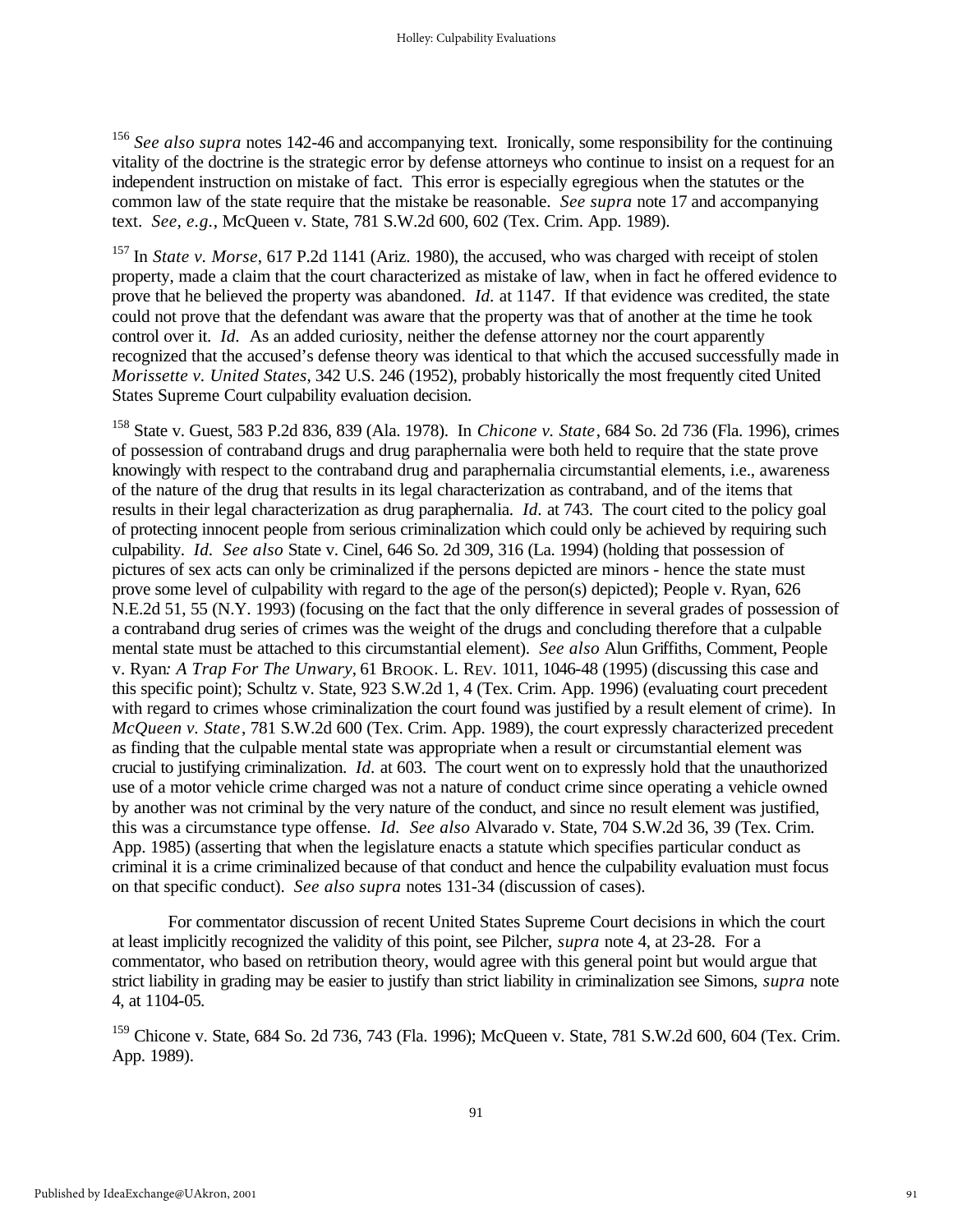<sup>156</sup> *See also supra* notes 142-46 and accompanying text. Ironically, some responsibility for the continuing vitality of the doctrine is the strategic error by defense attorneys who continue to insist on a request for an independent instruction on mistake of fact. This error is especially egregious when the statutes or the common law of the state require that the mistake be reasonable. *See supra* note 17 and accompanying text. *See, e.g.*, McQueen v. State, 781 S.W.2d 600, 602 (Tex. Crim. App. 1989).

<sup>157</sup> In *State v. Morse*, 617 P.2d 1141 (Ariz. 1980), the accused, who was charged with receipt of stolen property, made a claim that the court characterized as mistake of law, when in fact he offered evidence to prove that he believed the property was abandoned. *Id.* at 1147. If that evidence was credited, the state could not prove that the defendant was aware that the property was that of another at the time he took control over it. *Id.* As an added curiosity, neither the defense attorney nor the court apparently recognized that the accused's defense theory was identical to that which the accused successfully made in *Morissette v. United States*, 342 U.S. 246 (1952), probably historically the most frequently cited United States Supreme Court culpability evaluation decision.

<sup>158</sup> State v. Guest, 583 P.2d 836, 839 (Ala. 1978). In *Chicone v. State*, 684 So. 2d 736 (Fla. 1996), crimes of possession of contraband drugs and drug paraphernalia were both held to require that the state prove knowingly with respect to the contraband drug and paraphernalia circumstantial elements, i.e., awareness of the nature of the drug that results in its legal characterization as contraband, and of the items that results in their legal characterization as drug paraphernalia. *Id.* at 743. The court cited to the policy goal of protecting innocent people from serious criminalization which could only be achieved by requiring such culpability. *Id. See also* State v. Cinel, 646 So. 2d 309, 316 (La. 1994) (holding that possession of pictures of sex acts can only be criminalized if the persons depicted are minors - hence the state must prove some level of culpability with regard to the age of the person(s) depicted); People v. Ryan, 626 N.E.2d 51, 55 (N.Y. 1993) (focusing on the fact that the only difference in several grades of possession of a contraband drug series of crimes was the weight of the drugs and concluding therefore that a culpable mental state must be attached to this circumstantial element). *See also* Alun Griffiths, Comment, People v. Ryan*: A Trap For The Unwary*, 61 BROOK. L. REV. 1011, 1046-48 (1995) (discussing this case and this specific point); Schultz v. State, 923 S.W.2d 1, 4 (Tex. Crim. App. 1996) (evaluating court precedent with regard to crimes whose criminalization the court found was justified by a result element of crime). In *McQueen v. State*, 781 S.W.2d 600 (Tex. Crim. App. 1989), the court expressly characterized precedent as finding that the culpable mental state was appropriate when a result or circumstantial element was crucial to justifying criminalization. *Id.* at 603. The court went on to expressly hold that the unauthorized use of a motor vehicle crime charged was not a nature of conduct crime since operating a vehicle owned by another was not criminal by the very nature of the conduct, and since no result element was justified, this was a circumstance type offense. *Id. See also* Alvarado v. State, 704 S.W.2d 36, 39 (Tex. Crim. App. 1985) (asserting that when the legislature enacts a statute which specifies particular conduct as criminal it is a crime criminalized because of that conduct and hence the culpability evaluation must focus on that specific conduct). *See also supra* notes 131-34 (discussion of cases).

For commentator discussion of recent United States Supreme Court decisions in which the court at least implicitly recognized the validity of this point, see Pilcher, *supra* note 4, at 23-28. For a commentator, who based on retribution theory, would agree with this general point but would argue that strict liability in grading may be easier to justify than strict liability in criminalization see Simons, *supra* note 4, at 1104-05.

<sup>159</sup> Chicone v. State, 684 So. 2d 736, 743 (Fla. 1996); McQueen v. State, 781 S.W.2d 600, 604 (Tex. Crim. App. 1989).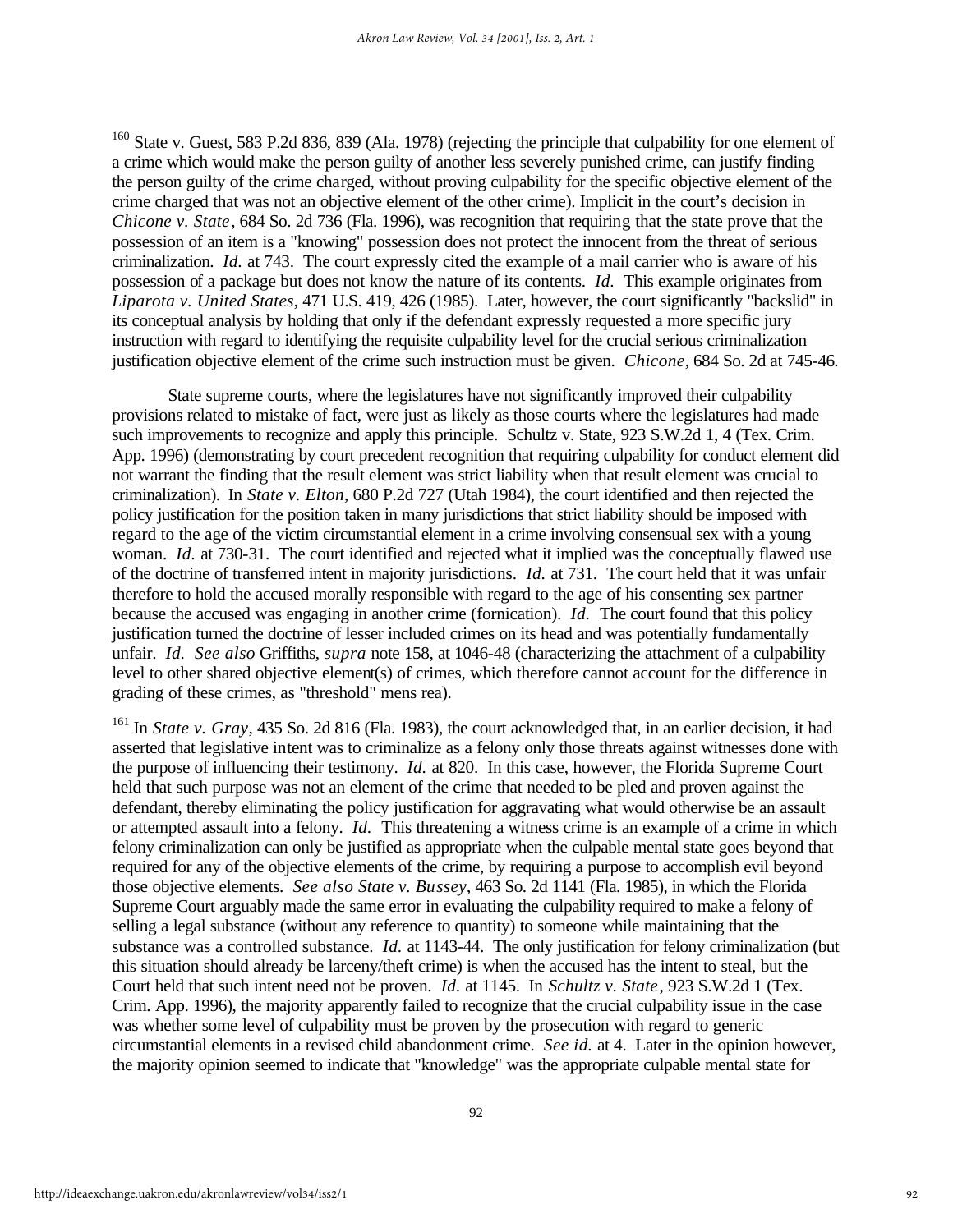<sup>160</sup> State v. Guest, 583 P.2d 836, 839 (Ala. 1978) (rejecting the principle that culpability for one element of a crime which would make the person guilty of another less severely punished crime, can justify finding the person guilty of the crime charged, without proving culpability for the specific objective element of the crime charged that was not an objective element of the other crime). Implicit in the court's decision in *Chicone v. State*, 684 So. 2d 736 (Fla. 1996), was recognition that requiring that the state prove that the possession of an item is a "knowing" possession does not protect the innocent from the threat of serious criminalization. *Id.* at 743. The court expressly cited the example of a mail carrier who is aware of his possession of a package but does not know the nature of its contents. *Id.* This example originates from *Liparota v. United States*, 471 U.S. 419, 426 (1985). Later, however, the court significantly "backslid" in its conceptual analysis by holding that only if the defendant expressly requested a more specific jury instruction with regard to identifying the requisite culpability level for the crucial serious criminalization justification objective element of the crime such instruction must be given. *Chicone*, 684 So. 2d at 745-46.

State supreme courts, where the legislatures have not significantly improved their culpability provisions related to mistake of fact, were just as likely as those courts where the legislatures had made such improvements to recognize and apply this principle. Schultz v. State, 923 S.W.2d 1, 4 (Tex. Crim. App. 1996) (demonstrating by court precedent recognition that requiring culpability for conduct element did not warrant the finding that the result element was strict liability when that result element was crucial to criminalization). In *State v. Elton*, 680 P.2d 727 (Utah 1984), the court identified and then rejected the policy justification for the position taken in many jurisdictions that strict liability should be imposed with regard to the age of the victim circumstantial element in a crime involving consensual sex with a young woman. *Id.* at 730-31. The court identified and rejected what it implied was the conceptually flawed use of the doctrine of transferred intent in majority jurisdictions. *Id.* at 731. The court held that it was unfair therefore to hold the accused morally responsible with regard to the age of his consenting sex partner because the accused was engaging in another crime (fornication). *Id.* The court found that this policy justification turned the doctrine of lesser included crimes on its head and was potentially fundamentally unfair. *Id. See also* Griffiths, *supra* note 158, at 1046-48 (characterizing the attachment of a culpability level to other shared objective element(s) of crimes, which therefore cannot account for the difference in grading of these crimes, as "threshold" mens rea).

<sup>161</sup> In *State v. Grav*, 435 So. 2d 816 (Fla. 1983), the court acknowledged that, in an earlier decision, it had asserted that legislative intent was to criminalize as a felony only those threats against witnesses done with the purpose of influencing their testimony. *Id.* at 820. In this case, however, the Florida Supreme Court held that such purpose was not an element of the crime that needed to be pled and proven against the defendant, thereby eliminating the policy justification for aggravating what would otherwise be an assault or attempted assault into a felony. *Id.* This threatening a witness crime is an example of a crime in which felony criminalization can only be justified as appropriate when the culpable mental state goes beyond that required for any of the objective elements of the crime, by requiring a purpose to accomplish evil beyond those objective elements. *See also State v. Bussey*, 463 So. 2d 1141 (Fla. 1985), in which the Florida Supreme Court arguably made the same error in evaluating the culpability required to make a felony of selling a legal substance (without any reference to quantity) to someone while maintaining that the substance was a controlled substance. *Id.* at 1143-44. The only justification for felony criminalization (but this situation should already be larceny/theft crime) is when the accused has the intent to steal, but the Court held that such intent need not be proven. *Id.* at 1145. In *Schultz v. State*, 923 S.W.2d 1 (Tex. Crim. App. 1996), the majority apparently failed to recognize that the crucial culpability issue in the case was whether some level of culpability must be proven by the prosecution with regard to generic circumstantial elements in a revised child abandonment crime. *See id.* at 4. Later in the opinion however, the majority opinion seemed to indicate that "knowledge" was the appropriate culpable mental state for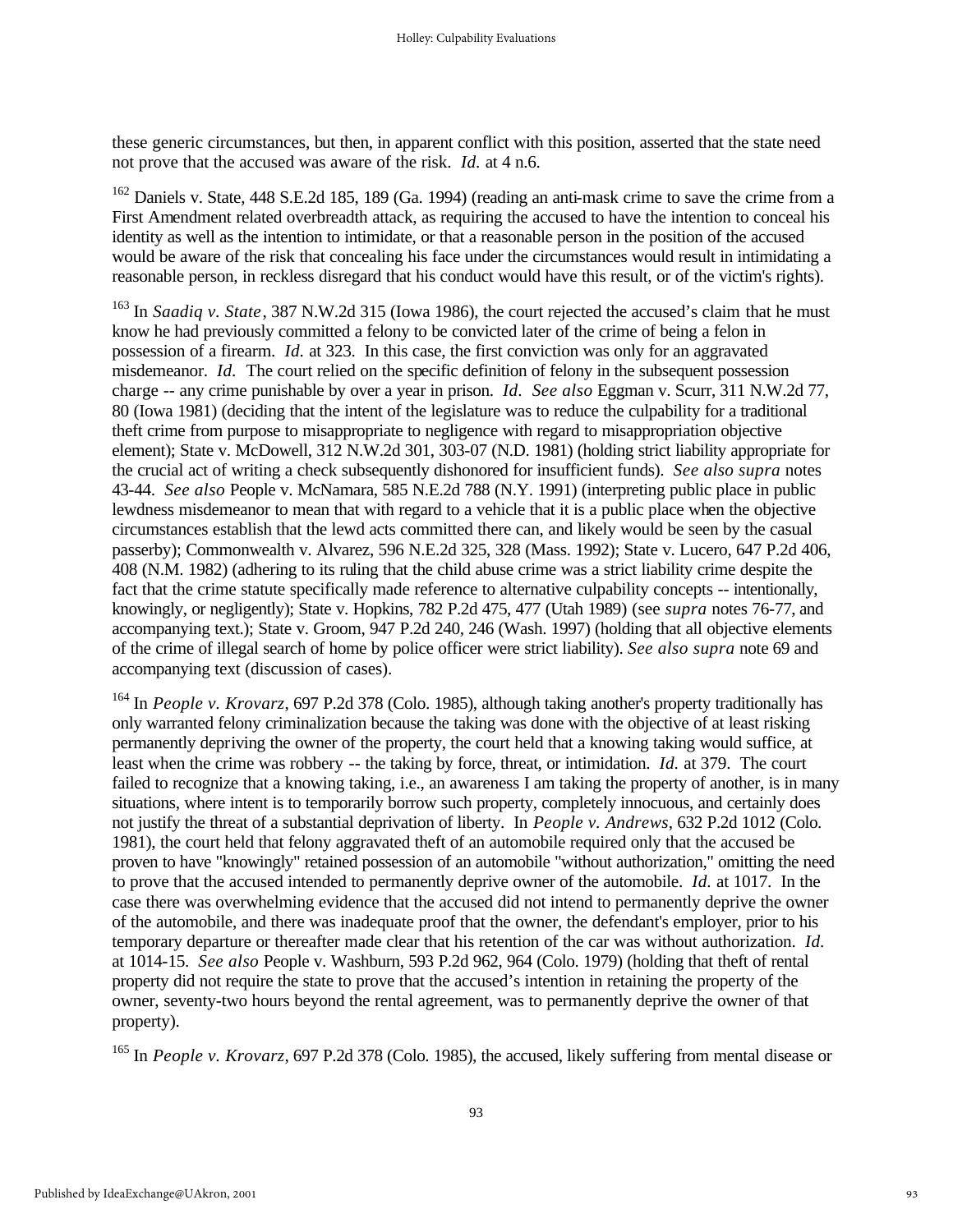these generic circumstances, but then, in apparent conflict with this position, asserted that the state need not prove that the accused was aware of the risk. *Id.* at 4 n.6.

<sup>162</sup> Daniels v. State, 448 S.E.2d 185, 189 (Ga. 1994) (reading an anti-mask crime to save the crime from a First Amendment related overbreadth attack, as requiring the accused to have the intention to conceal his identity as well as the intention to intimidate, or that a reasonable person in the position of the accused would be aware of the risk that concealing his face under the circumstances would result in intimidating a reasonable person, in reckless disregard that his conduct would have this result, or of the victim's rights).

<sup>163</sup> In *Saadiq v. State*, 387 N.W.2d 315 (Iowa 1986), the court rejected the accused's claim that he must know he had previously committed a felony to be convicted later of the crime of being a felon in possession of a firearm. *Id.* at 323. In this case, the first conviction was only for an aggravated misdemeanor. *Id.* The court relied on the specific definition of felony in the subsequent possession charge -- any crime punishable by over a year in prison. *Id. See also* Eggman v. Scurr, 311 N.W.2d 77, 80 (Iowa 1981) (deciding that the intent of the legislature was to reduce the culpability for a traditional theft crime from purpose to misappropriate to negligence with regard to misappropriation objective element); State v. McDowell, 312 N.W.2d 301, 303-07 (N.D. 1981) (holding strict liability appropriate for the crucial act of writing a check subsequently dishonored for insufficient funds). *See also supra* notes 43-44. *See also* People v. McNamara, 585 N.E.2d 788 (N.Y. 1991) (interpreting public place in public lewdness misdemeanor to mean that with regard to a vehicle that it is a public place when the objective circumstances establish that the lewd acts committed there can, and likely would be seen by the casual passerby); Commonwealth v. Alvarez, 596 N.E.2d 325, 328 (Mass. 1992); State v. Lucero, 647 P.2d 406, 408 (N.M. 1982) (adhering to its ruling that the child abuse crime was a strict liability crime despite the fact that the crime statute specifically made reference to alternative culpability concepts -- intentionally, knowingly, or negligently); State v. Hopkins, 782 P.2d 475, 477 (Utah 1989) (see *supra* notes 76-77, and accompanying text.); State v. Groom, 947 P.2d 240, 246 (Wash. 1997) (holding that all objective elements of the crime of illegal search of home by police officer were strict liability). *See also supra* note 69 and accompanying text (discussion of cases).

<sup>164</sup> In *People v. Krovarz*, 697 P.2d 378 (Colo. 1985), although taking another's property traditionally has only warranted felony criminalization because the taking was done with the objective of at least risking permanently depriving the owner of the property, the court held that a knowing taking would suffice, at least when the crime was robbery -- the taking by force, threat, or intimidation. *Id.* at 379. The court failed to recognize that a knowing taking, i.e., an awareness I am taking the property of another, is in many situations, where intent is to temporarily borrow such property, completely innocuous, and certainly does not justify the threat of a substantial deprivation of liberty. In *People v. Andrews*, 632 P.2d 1012 (Colo. 1981), the court held that felony aggravated theft of an automobile required only that the accused be proven to have "knowingly" retained possession of an automobile "without authorization," omitting the need to prove that the accused intended to permanently deprive owner of the automobile. *Id.* at 1017. In the case there was overwhelming evidence that the accused did not intend to permanently deprive the owner of the automobile, and there was inadequate proof that the owner, the defendant's employer, prior to his temporary departure or thereafter made clear that his retention of the car was without authorization. *Id.* at 1014-15. *See also* People v. Washburn, 593 P.2d 962, 964 (Colo. 1979) (holding that theft of rental property did not require the state to prove that the accused's intention in retaining the property of the owner, seventy-two hours beyond the rental agreement, was to permanently deprive the owner of that property).

<sup>165</sup> In *People v. Krovarz*, 697 P.2d 378 (Colo. 1985), the accused, likely suffering from mental disease or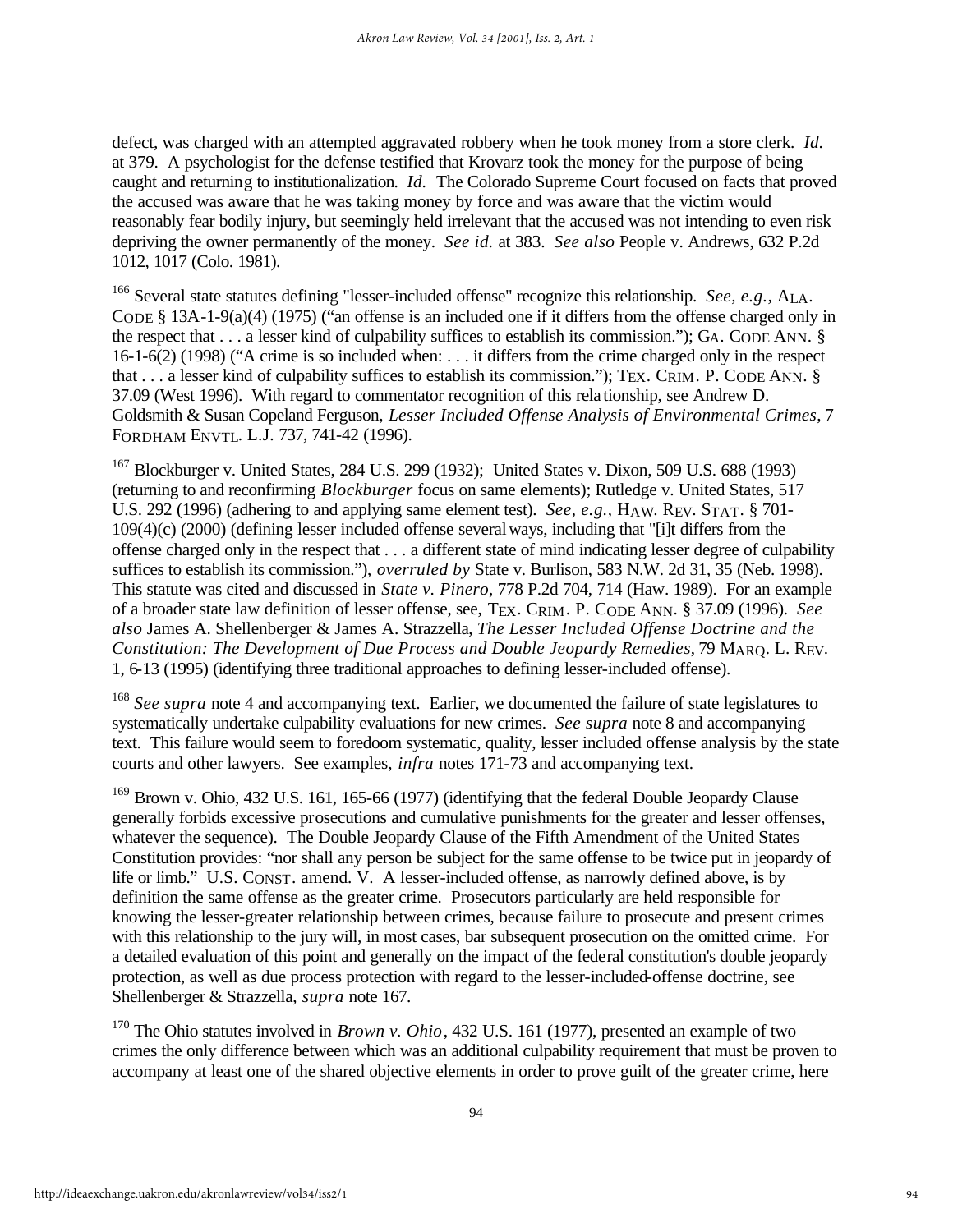defect, was charged with an attempted aggravated robbery when he took money from a store clerk. *Id.* at 379. A psychologist for the defense testified that Krovarz took the money for the purpose of being caught and returning to institutionalization. *Id.* The Colorado Supreme Court focused on facts that proved the accused was aware that he was taking money by force and was aware that the victim would reasonably fear bodily injury, but seemingly held irrelevant that the accused was not intending to even risk depriving the owner permanently of the money. *See id.* at 383. *See also* People v. Andrews, 632 P.2d 1012, 1017 (Colo. 1981).

<sup>166</sup> Several state statutes defining "lesser-included offense" recognize this relationship. *See, e.g.,* ALA. CODE § 13A-1-9(a)(4) (1975) ("an offense is an included one if it differs from the offense charged only in the respect that . . . a lesser kind of culpability suffices to establish its commission."); GA. CODE ANN. § 16-1-6(2) (1998) ("A crime is so included when: . . . it differs from the crime charged only in the respect that . . . a lesser kind of culpability suffices to establish its commission."); TEX. CRIM. P. CODE ANN. § 37.09 (West 1996). With regard to commentator recognition of this rela tionship, see Andrew D. Goldsmith & Susan Copeland Ferguson, *Lesser Included Offense Analysis of Environmental Crimes*, 7 FORDHAM ENVTL. L.J. 737, 741-42 (1996).

<sup>167</sup> Blockburger v. United States, 284 U.S. 299 (1932); United States v. Dixon, 509 U.S. 688 (1993) (returning to and reconfirming *Blockburger* focus on same elements); Rutledge v. United States, 517 U.S. 292 (1996) (adhering to and applying same element test). *See, e.g.,* HAW. REV. STAT. § 701- 109(4)(c) (2000) (defining lesser included offense several ways, including that "[i]t differs from the offense charged only in the respect that . . . a different state of mind indicating lesser degree of culpability suffices to establish its commission."), *overruled by* State v. Burlison, 583 N.W. 2d 31, 35 (Neb. 1998). This statute was cited and discussed in *State v. Pinero*, 778 P.2d 704, 714 (Haw. 1989). For an example of a broader state law definition of lesser offense, see, TEX. CRIM. P. CODE ANN. § 37.09 (1996). *See also* James A. Shellenberger & James A. Strazzella, *The Lesser Included Offense Doctrine and the Constitution: The Development of Due Process and Double Jeopardy Remedies*, 79 MARQ. L. REV. 1, 6-13 (1995) (identifying three traditional approaches to defining lesser-included offense).

<sup>168</sup> *See supra* note 4 and accompanying text. Earlier, we documented the failure of state legislatures to systematically undertake culpability evaluations for new crimes. *See supra* note 8 and accompanying text. This failure would seem to foredoom systematic, quality, lesser included offense analysis by the state courts and other lawyers. See examples, *infra* notes 171-73 and accompanying text.

<sup>169</sup> Brown v. Ohio, 432 U.S. 161, 165-66 (1977) (identifying that the federal Double Jeopardy Clause generally forbids excessive prosecutions and cumulative punishments for the greater and lesser offenses, whatever the sequence). The Double Jeopardy Clause of the Fifth Amendment of the United States Constitution provides: "nor shall any person be subject for the same offense to be twice put in jeopardy of life or limb." U.S. CONST. amend. V. A lesser-included offense, as narrowly defined above, is by definition the same offense as the greater crime. Prosecutors particularly are held responsible for knowing the lesser-greater relationship between crimes, because failure to prosecute and present crimes with this relationship to the jury will, in most cases, bar subsequent prosecution on the omitted crime. For a detailed evaluation of this point and generally on the impact of the federal constitution's double jeopardy protection, as well as due process protection with regard to the lesser-included-offense doctrine, see Shellenberger & Strazzella, *supra* note 167.

<sup>170</sup> The Ohio statutes involved in *Brown v. Ohio*, 432 U.S. 161 (1977), presented an example of two crimes the only difference between which was an additional culpability requirement that must be proven to accompany at least one of the shared objective elements in order to prove guilt of the greater crime, here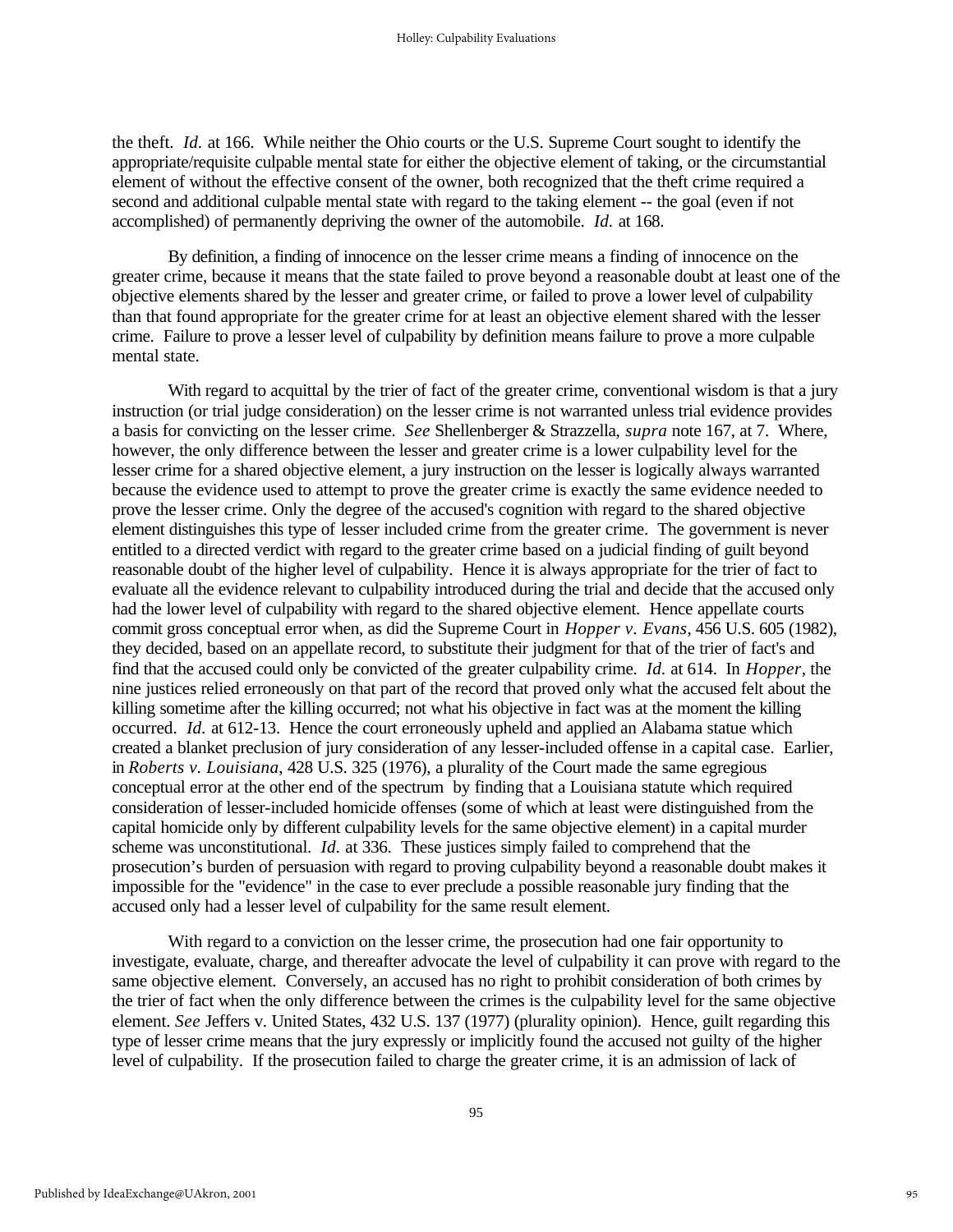the theft. *Id.* at 166. While neither the Ohio courts or the U.S. Supreme Court sought to identify the appropriate/requisite culpable mental state for either the objective element of taking, or the circumstantial element of without the effective consent of the owner, both recognized that the theft crime required a second and additional culpable mental state with regard to the taking element -- the goal (even if not accomplished) of permanently depriving the owner of the automobile. *Id.* at 168.

By definition, a finding of innocence on the lesser crime means a finding of innocence on the greater crime, because it means that the state failed to prove beyond a reasonable doubt at least one of the objective elements shared by the lesser and greater crime, or failed to prove a lower level of culpability than that found appropriate for the greater crime for at least an objective element shared with the lesser crime. Failure to prove a lesser level of culpability by definition means failure to prove a more culpable mental state.

With regard to acquittal by the trier of fact of the greater crime, conventional wisdom is that a jury instruction (or trial judge consideration) on the lesser crime is not warranted unless trial evidence provides a basis for convicting on the lesser crime. *See* Shellenberger & Strazzella, *supra* note 167, at 7. Where, however, the only difference between the lesser and greater crime is a lower culpability level for the lesser crime for a shared objective element, a jury instruction on the lesser is logically always warranted because the evidence used to attempt to prove the greater crime is exactly the same evidence needed to prove the lesser crime. Only the degree of the accused's cognition with regard to the shared objective element distinguishes this type of lesser included crime from the greater crime. The government is never entitled to a directed verdict with regard to the greater crime based on a judicial finding of guilt beyond reasonable doubt of the higher level of culpability. Hence it is always appropriate for the trier of fact to evaluate all the evidence relevant to culpability introduced during the trial and decide that the accused only had the lower level of culpability with regard to the shared objective element. Hence appellate courts commit gross conceptual error when, as did the Supreme Court in *Hopper v. Evans*, 456 U.S. 605 (1982), they decided, based on an appellate record, to substitute their judgment for that of the trier of fact's and find that the accused could only be convicted of the greater culpability crime. *Id.* at 614. In *Hopper*, the nine justices relied erroneously on that part of the record that proved only what the accused felt about the killing sometime after the killing occurred; not what his objective in fact was at the moment the killing occurred. *Id.* at 612-13. Hence the court erroneously upheld and applied an Alabama statue which created a blanket preclusion of jury consideration of any lesser-included offense in a capital case. Earlier, in *Roberts v. Louisiana*, 428 U.S. 325 (1976), a plurality of the Court made the same egregious conceptual error at the other end of the spectrum by finding that a Louisiana statute which required consideration of lesser-included homicide offenses (some of which at least were distinguished from the capital homicide only by different culpability levels for the same objective element) in a capital murder scheme was unconstitutional. *Id.* at 336. These justices simply failed to comprehend that the prosecution's burden of persuasion with regard to proving culpability beyond a reasonable doubt makes it impossible for the "evidence" in the case to ever preclude a possible reasonable jury finding that the accused only had a lesser level of culpability for the same result element.

With regard to a conviction on the lesser crime, the prosecution had one fair opportunity to investigate, evaluate, charge, and thereafter advocate the level of culpability it can prove with regard to the same objective element. Conversely, an accused has no right to prohibit consideration of both crimes by the trier of fact when the only difference between the crimes is the culpability level for the same objective element. *See* Jeffers v. United States, 432 U.S. 137 (1977) (plurality opinion). Hence, guilt regarding this type of lesser crime means that the jury expressly or implicitly found the accused not guilty of the higher level of culpability. If the prosecution failed to charge the greater crime, it is an admission of lack of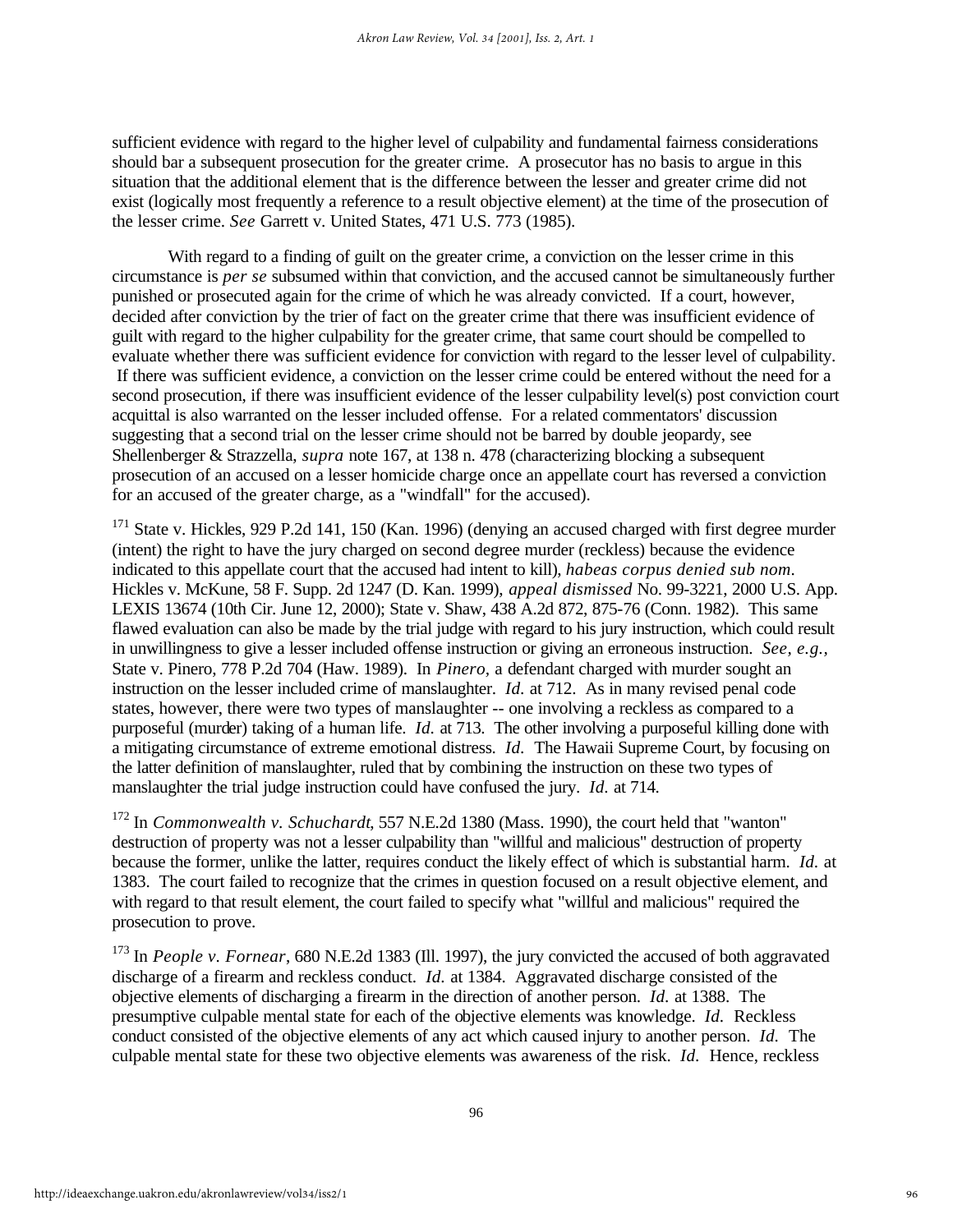sufficient evidence with regard to the higher level of culpability and fundamental fairness considerations should bar a subsequent prosecution for the greater crime. A prosecutor has no basis to argue in this situation that the additional element that is the difference between the lesser and greater crime did not exist (logically most frequently a reference to a result objective element) at the time of the prosecution of the lesser crime. *See* Garrett v. United States, 471 U.S. 773 (1985).

With regard to a finding of guilt on the greater crime, a conviction on the lesser crime in this circumstance is *per se* subsumed within that conviction, and the accused cannot be simultaneously further punished or prosecuted again for the crime of which he was already convicted. If a court, however, decided after conviction by the trier of fact on the greater crime that there was insufficient evidence of guilt with regard to the higher culpability for the greater crime, that same court should be compelled to evaluate whether there was sufficient evidence for conviction with regard to the lesser level of culpability. If there was sufficient evidence, a conviction on the lesser crime could be entered without the need for a second prosecution, if there was insufficient evidence of the lesser culpability level(s) post conviction court acquittal is also warranted on the lesser included offense. For a related commentators' discussion suggesting that a second trial on the lesser crime should not be barred by double jeopardy, see Shellenberger & Strazzella, *supra* note 167, at 138 n. 478 (characterizing blocking a subsequent prosecution of an accused on a lesser homicide charge once an appellate court has reversed a conviction for an accused of the greater charge, as a "windfall" for the accused).

<sup>171</sup> State v. Hickles, 929 P.2d 141, 150 (Kan. 1996) (denying an accused charged with first degree murder (intent) the right to have the jury charged on second degree murder (reckless) because the evidence indicated to this appellate court that the accused had intent to kill), *habeas corpus denied sub nom.* Hickles v. McKune, 58 F. Supp. 2d 1247 (D. Kan. 1999), *appeal dismissed* No. 99-3221, 2000 U.S. App. LEXIS 13674 (10th Cir. June 12, 2000); State v. Shaw, 438 A.2d 872, 875-76 (Conn. 1982). This same flawed evaluation can also be made by the trial judge with regard to his jury instruction, which could result in unwillingness to give a lesser included offense instruction or giving an erroneous instruction. *See, e.g.,* State v. Pinero, 778 P.2d 704 (Haw. 1989). In *Pinero,* a defendant charged with murder sought an instruction on the lesser included crime of manslaughter. *Id.* at 712. As in many revised penal code states, however, there were two types of manslaughter -- one involving a reckless as compared to a purposeful (murder) taking of a human life. *Id.* at 713. The other involving a purposeful killing done with a mitigating circumstance of extreme emotional distress. *Id.* The Hawaii Supreme Court, by focusing on the latter definition of manslaughter, ruled that by combining the instruction on these two types of manslaughter the trial judge instruction could have confused the jury. *Id.* at 714.

<sup>172</sup> In *Commonwealth v. Schuchardt*, 557 N.E.2d 1380 (Mass. 1990), the court held that "wanton" destruction of property was not a lesser culpability than "willful and malicious" destruction of property because the former, unlike the latter, requires conduct the likely effect of which is substantial harm. *Id.* at 1383. The court failed to recognize that the crimes in question focused on a result objective element, and with regard to that result element, the court failed to specify what "willful and malicious" required the prosecution to prove.

<sup>173</sup> In *People v. Fornear*, 680 N.E.2d 1383 (Ill. 1997), the jury convicted the accused of both aggravated discharge of a firearm and reckless conduct. *Id.* at 1384. Aggravated discharge consisted of the objective elements of discharging a firearm in the direction of another person. *Id.* at 1388. The presumptive culpable mental state for each of the objective elements was knowledge. *Id.* Reckless conduct consisted of the objective elements of any act which caused injury to another person. *Id.* The culpable mental state for these two objective elements was awareness of the risk. *Id.* Hence, reckless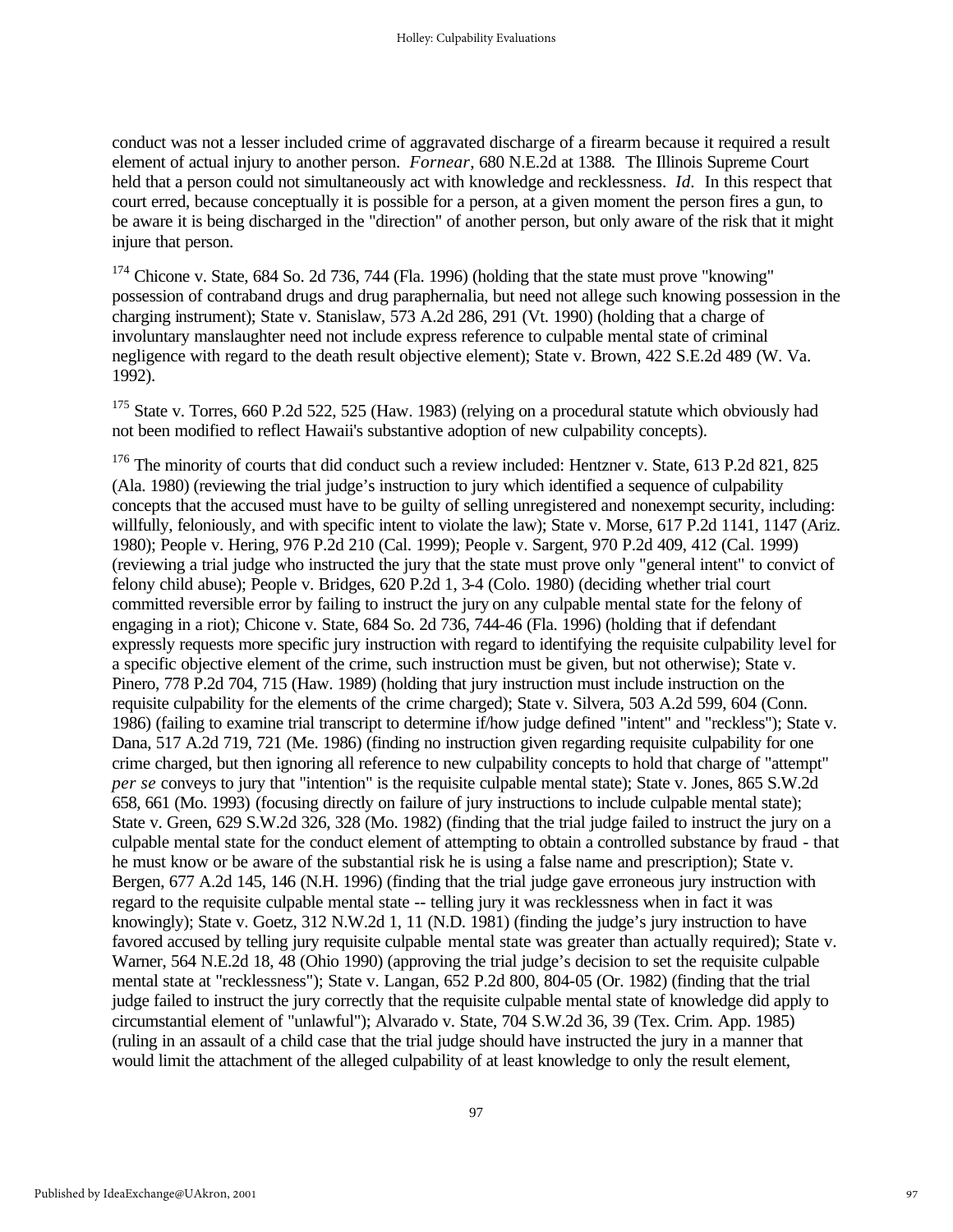conduct was not a lesser included crime of aggravated discharge of a firearm because it required a result element of actual injury to another person. *Fornear*, 680 N.E.2d at 1388*.* The Illinois Supreme Court held that a person could not simultaneously act with knowledge and recklessness. *Id.* In this respect that court erred, because conceptually it is possible for a person, at a given moment the person fires a gun, to be aware it is being discharged in the "direction" of another person, but only aware of the risk that it might injure that person.

<sup>174</sup> Chicone v. State, 684 So. 2d 736, 744 (Fla. 1996) (holding that the state must prove "knowing" possession of contraband drugs and drug paraphernalia, but need not allege such knowing possession in the charging instrument); State v. Stanislaw, 573 A.2d 286, 291 (Vt. 1990) (holding that a charge of involuntary manslaughter need not include express reference to culpable mental state of criminal negligence with regard to the death result objective element); State v. Brown, 422 S.E.2d 489 (W. Va. 1992).

<sup>175</sup> State v. Torres, 660 P.2d 522, 525 (Haw. 1983) (relying on a procedural statute which obviously had not been modified to reflect Hawaii's substantive adoption of new culpability concepts).

<sup>176</sup> The minority of courts that did conduct such a review included: Hentzner v. State, 613 P.2d 821, 825 (Ala. 1980) (reviewing the trial judge's instruction to jury which identified a sequence of culpability concepts that the accused must have to be guilty of selling unregistered and nonexempt security, including: willfully, feloniously, and with specific intent to violate the law); State v. Morse, 617 P.2d 1141, 1147 (Ariz. 1980); People v. Hering, 976 P.2d 210 (Cal. 1999); People v. Sargent, 970 P.2d 409, 412 (Cal. 1999) (reviewing a trial judge who instructed the jury that the state must prove only "general intent" to convict of felony child abuse); People v. Bridges, 620 P.2d 1, 3-4 (Colo. 1980) (deciding whether trial court committed reversible error by failing to instruct the jury on any culpable mental state for the felony of engaging in a riot); Chicone v. State, 684 So. 2d 736, 744-46 (Fla. 1996) (holding that if defendant expressly requests more specific jury instruction with regard to identifying the requisite culpability level for a specific objective element of the crime, such instruction must be given, but not otherwise); State v. Pinero, 778 P.2d 704, 715 (Haw. 1989) (holding that jury instruction must include instruction on the requisite culpability for the elements of the crime charged); State v. Silvera, 503 A.2d 599, 604 (Conn. 1986) (failing to examine trial transcript to determine if/how judge defined "intent" and "reckless"); State v. Dana, 517 A.2d 719, 721 (Me. 1986) (finding no instruction given regarding requisite culpability for one crime charged, but then ignoring all reference to new culpability concepts to hold that charge of "attempt" *per se* conveys to jury that "intention" is the requisite culpable mental state); State v. Jones, 865 S.W.2d 658, 661 (Mo. 1993) (focusing directly on failure of jury instructions to include culpable mental state); State v. Green, 629 S.W.2d 326, 328 (Mo. 1982) (finding that the trial judge failed to instruct the jury on a culpable mental state for the conduct element of attempting to obtain a controlled substance by fraud - that he must know or be aware of the substantial risk he is using a false name and prescription); State v. Bergen, 677 A.2d 145, 146 (N.H. 1996) (finding that the trial judge gave erroneous jury instruction with regard to the requisite culpable mental state -- telling jury it was recklessness when in fact it was knowingly); State v. Goetz, 312 N.W.2d 1, 11 (N.D. 1981) (finding the judge's jury instruction to have favored accused by telling jury requisite culpable mental state was greater than actually required); State v. Warner, 564 N.E.2d 18, 48 (Ohio 1990) (approving the trial judge's decision to set the requisite culpable mental state at "recklessness"); State v. Langan, 652 P.2d 800, 804-05 (Or. 1982) (finding that the trial judge failed to instruct the jury correctly that the requisite culpable mental state of knowledge did apply to circumstantial element of "unlawful"); Alvarado v. State, 704 S.W.2d 36, 39 (Tex. Crim. App. 1985) (ruling in an assault of a child case that the trial judge should have instructed the jury in a manner that would limit the attachment of the alleged culpability of at least knowledge to only the result element,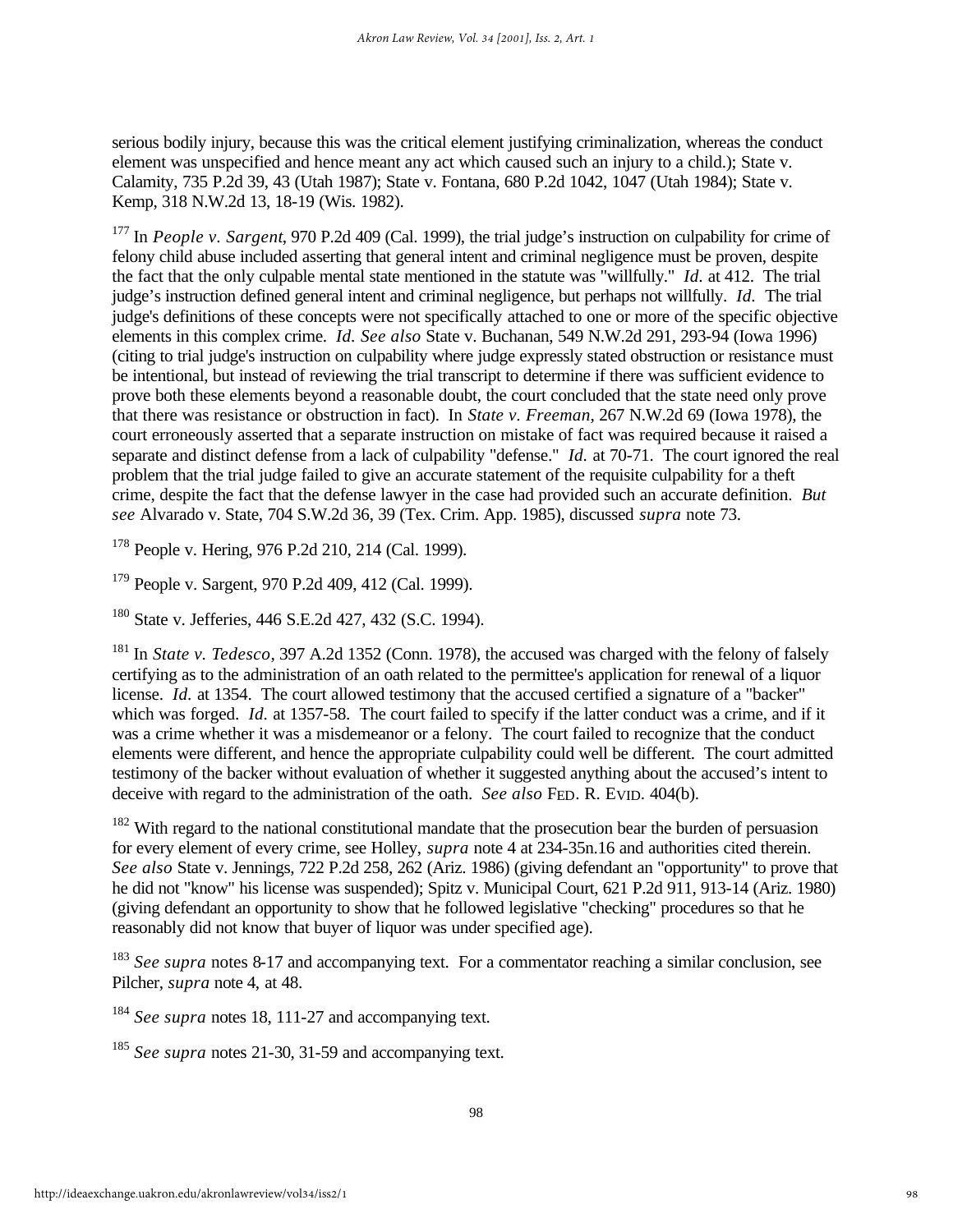serious bodily injury, because this was the critical element justifying criminalization, whereas the conduct element was unspecified and hence meant any act which caused such an injury to a child.); State v. Calamity, 735 P.2d 39, 43 (Utah 1987); State v. Fontana, 680 P.2d 1042, 1047 (Utah 1984); State v. Kemp, 318 N.W.2d 13, 18-19 (Wis. 1982).

<sup>177</sup> In *People v. Sargent*, 970 P.2d 409 (Cal. 1999), the trial judge's instruction on culpability for crime of felony child abuse included asserting that general intent and criminal negligence must be proven, despite the fact that the only culpable mental state mentioned in the statute was "willfully." *Id.* at 412. The trial judge's instruction defined general intent and criminal negligence, but perhaps not willfully. *Id.* The trial judge's definitions of these concepts were not specifically attached to one or more of the specific objective elements in this complex crime. *Id. See also* State v. Buchanan, 549 N.W.2d 291, 293-94 (Iowa 1996) (citing to trial judge's instruction on culpability where judge expressly stated obstruction or resistance must be intentional, but instead of reviewing the trial transcript to determine if there was sufficient evidence to prove both these elements beyond a reasonable doubt, the court concluded that the state need only prove that there was resistance or obstruction in fact). In *State v. Freeman*, 267 N.W.2d 69 (Iowa 1978), the court erroneously asserted that a separate instruction on mistake of fact was required because it raised a separate and distinct defense from a lack of culpability "defense." *Id.* at 70-71. The court ignored the real problem that the trial judge failed to give an accurate statement of the requisite culpability for a theft crime, despite the fact that the defense lawyer in the case had provided such an accurate definition. *But see* Alvarado v. State, 704 S.W.2d 36, 39 (Tex. Crim. App. 1985), discussed *supra* note 73.

<sup>178</sup> People v. Hering, 976 P.2d 210, 214 (Cal. 1999).

<sup>179</sup> People v. Sargent, 970 P.2d 409, 412 (Cal. 1999).

<sup>180</sup> State v. Jefferies, 446 S.E.2d 427, 432 (S.C. 1994).

<sup>181</sup> In *State v. Tedesco*, 397 A.2d 1352 (Conn. 1978), the accused was charged with the felony of falsely certifying as to the administration of an oath related to the permittee's application for renewal of a liquor license. *Id.* at 1354. The court allowed testimony that the accused certified a signature of a "backer" which was forged. *Id.* at 1357-58. The court failed to specify if the latter conduct was a crime, and if it was a crime whether it was a misdemeanor or a felony. The court failed to recognize that the conduct elements were different, and hence the appropriate culpability could well be different. The court admitted testimony of the backer without evaluation of whether it suggested anything about the accused's intent to deceive with regard to the administration of the oath. *See also* FED. R. EVID. 404(b).

 $182$  With regard to the national constitutional mandate that the prosecution bear the burden of persuasion for every element of every crime, see Holley, *supra* note 4 at 234-35n.16 and authorities cited therein. *See also* State v. Jennings, 722 P.2d 258, 262 (Ariz. 1986) (giving defendant an "opportunity" to prove that he did not "know" his license was suspended); Spitz v. Municipal Court, 621 P.2d 911, 913-14 (Ariz. 1980) (giving defendant an opportunity to show that he followed legislative "checking" procedures so that he reasonably did not know that buyer of liquor was under specified age).

<sup>183</sup> *See supra* notes 8-17 and accompanying text. For a commentator reaching a similar conclusion, see Pilcher, *supra* note 4, at 48.

<sup>184</sup> *See supra* notes 18, 111-27 and accompanying text.

<sup>185</sup> *See supra* notes 21-30, 31-59 and accompanying text.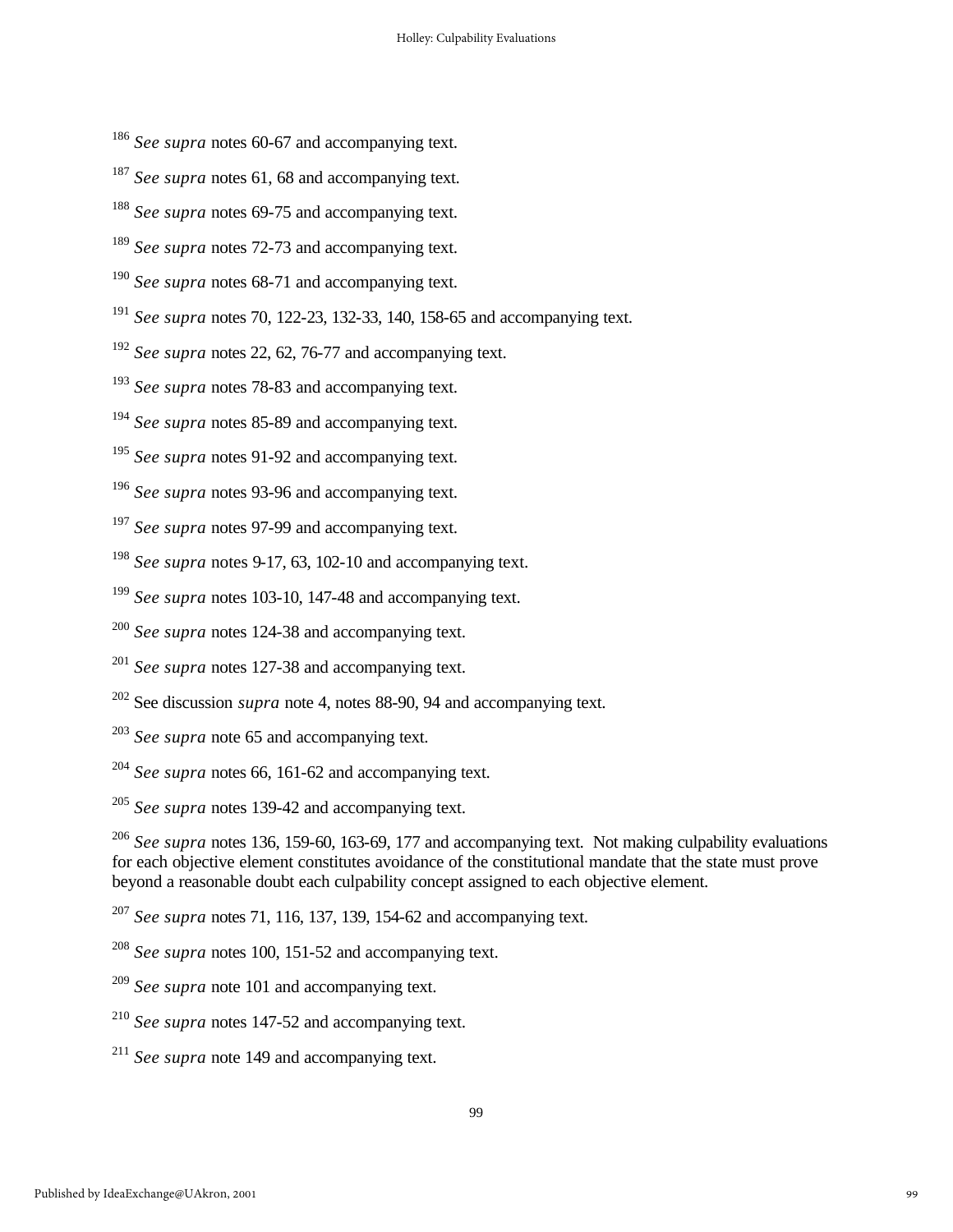- *See supra* notes 60-67 and accompanying text.
- <sup>187</sup> *See supra* notes 61, 68 and accompanying text.
- *See supra* notes 69-75 and accompanying text.
- <sup>189</sup> *See supra* notes 72-73 and accompanying text.
- *See supra* notes 68-71 and accompanying text.
- *See supra* notes 70, 122-23, 132-33, 140, 158-65 and accompanying text.
- *See supra* notes 22, 62, 76-77 and accompanying text.
- *See supra* notes 78-83 and accompanying text.
- *See supra* notes 85-89 and accompanying text.
- <sup>195</sup> See supra notes 91-92 and accompanying text.
- *See supra* notes 93-96 and accompanying text.
- *See supra* notes 97-99 and accompanying text.
- *See supra* notes 9-17, 63, 102-10 and accompanying text.
- *See supra* notes 103-10, 147-48 and accompanying text.
- *See supra* notes 124-38 and accompanying text.
- *See supra* notes 127-38 and accompanying text.
- See discussion *supra* note 4, notes 88-90, 94 and accompanying text.
- *See supra* note 65 and accompanying text.
- *See supra* notes 66, 161-62 and accompanying text.
- *See supra* notes 139-42 and accompanying text.

 *See supra* notes 136, 159-60, 163-69, 177 and accompanying text. Not making culpability evaluations for each objective element constitutes avoidance of the constitutional mandate that the state must prove beyond a reasonable doubt each culpability concept assigned to each objective element.

- *See supra* note 101 and accompanying text.
- *See supra* notes 147-52 and accompanying text.
- *See supra* note 149 and accompanying text.

*See supra* notes 71, 116, 137, 139, 154-62 and accompanying text.

*See supra* notes 100, 151-52 and accompanying text.